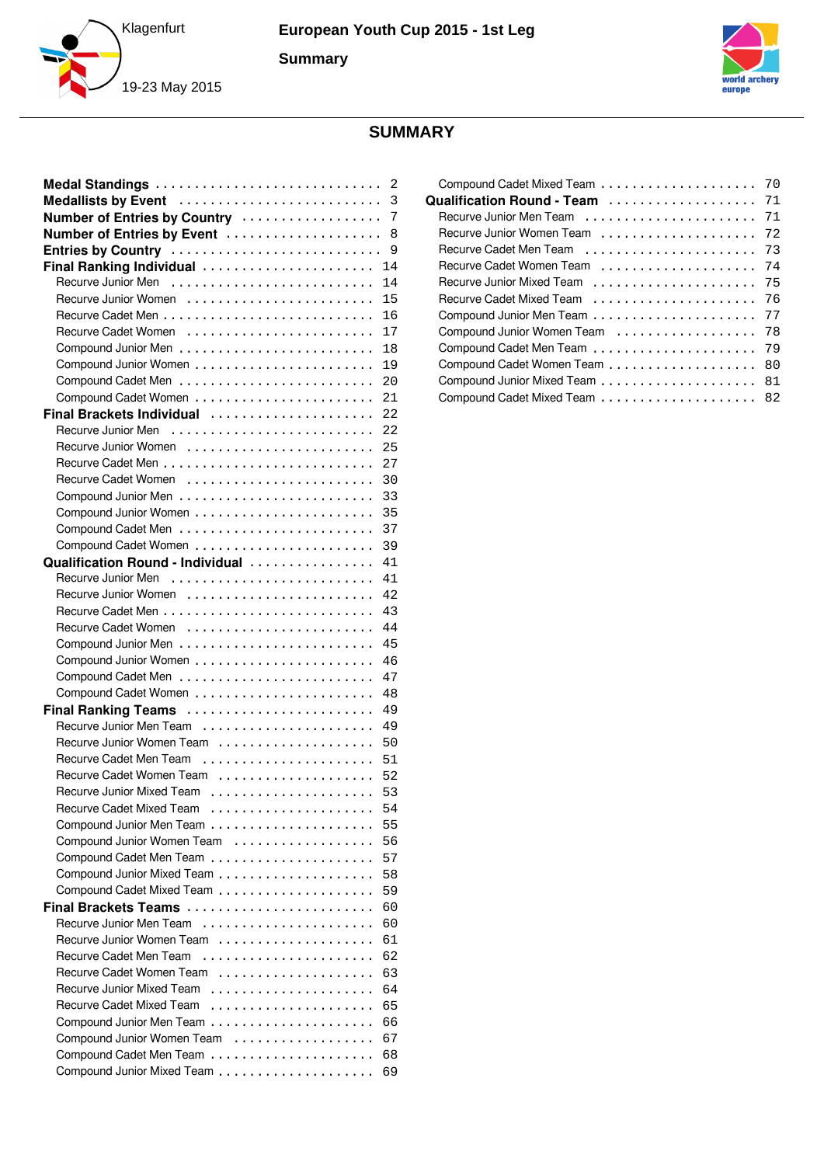



# **SUMMARY**

| Medal Standings                  | 2  |
|----------------------------------|----|
| Medallists by Event              | 3  |
| Number of Entries by Country     | 7  |
| Number of Entries by Event       | 8  |
| Entries by Country               | 9  |
| Final Ranking Individual         | 14 |
| Recurve Junior Men               | 14 |
|                                  | 15 |
|                                  | 16 |
|                                  | 17 |
|                                  | 18 |
|                                  | 19 |
|                                  | 20 |
|                                  | 21 |
| Final Brackets Individual        | 22 |
| Recurve Junior Men               | 22 |
|                                  | 25 |
|                                  | 27 |
|                                  | 30 |
|                                  | 33 |
|                                  | 35 |
|                                  | 37 |
|                                  | 39 |
| Qualification Round - Individual | 41 |
| Recurve Junior Men               | 41 |
|                                  | 42 |
|                                  | 43 |
|                                  | 44 |
|                                  | 45 |
|                                  | 46 |
|                                  | 47 |
|                                  | 48 |
| Final Ranking Teams              | 49 |
| Recurve Junior Men Team          | 49 |
| Recurve Junior Women Team        | 50 |
| Recurve Cadet Men Team           | 51 |
| Recurve Cadet Women Team         | 52 |
|                                  | 53 |
| <b>Recurve Cadet Mixed Team</b>  | 54 |
|                                  | 55 |
| Compound Junior Women Team       | 56 |
|                                  | 57 |
|                                  | 58 |
|                                  | 59 |
| Final Brackets Teams             | 60 |
| Recurve Junior Men Team          | 60 |
| Recurve Junior Women Team        | 61 |
| Recurve Cadet Men Team           | 62 |
| Recurve Cadet Women Team         | 63 |
| Recurve Junior Mixed Team        | 64 |
| Recurve Cadet Mixed Team         | 65 |
|                                  | 66 |
| Compound Junior Women Team<br>.  | 67 |
|                                  | 68 |
|                                  | 69 |

|                            | 70 |
|----------------------------|----|
| Qualification Round - Team | 71 |
| Recurve Junior Men Team    | 71 |
| Recurve Junior Women Team  | 72 |
| Recurve Cadet Men Team     | 73 |
| Recurve Cadet Women Team   | 74 |
| Recurve Junior Mixed Team  | 75 |
| Recurve Cadet Mixed Team   | 76 |
|                            | 77 |
| Compound Junior Women Team | 78 |
|                            | 79 |
|                            | 80 |
|                            | 81 |
|                            | 82 |
|                            |    |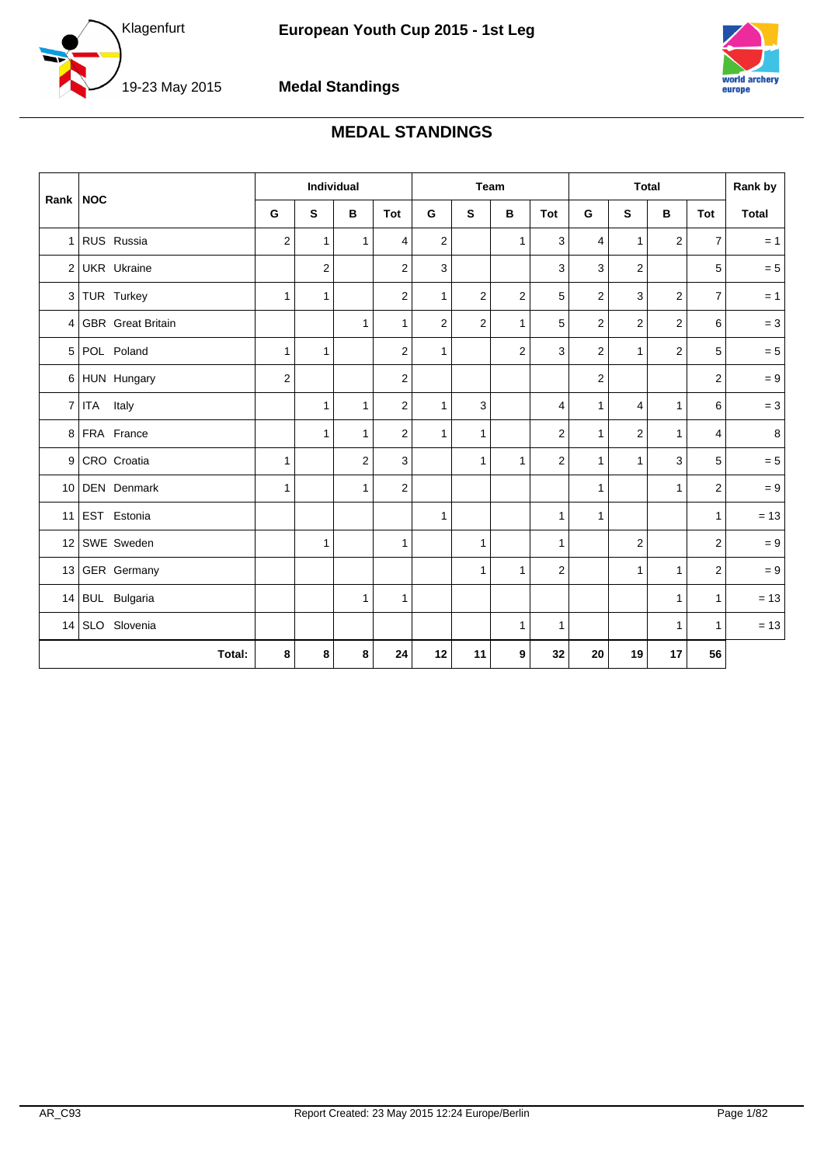<span id="page-1-0"></span>



#### **Medal Standings**

# **MEDAL STANDINGS**

|                |                          |                | <b>Individual</b> |              |                |                |                | Team           |                         |              |                | <b>Total</b>   |                | Rank by        |
|----------------|--------------------------|----------------|-------------------|--------------|----------------|----------------|----------------|----------------|-------------------------|--------------|----------------|----------------|----------------|----------------|
| Rank           | <b>NOC</b>               | G              | S                 | B            | Tot            | G              | S              | B              | Tot                     | G            | S              | В              | Tot            | <b>Total</b>   |
| 1 <sup>1</sup> | RUS Russia               | $\overline{2}$ | $\mathbf{1}$      | $\mathbf{1}$ | $\overline{4}$ | 2              |                | $\mathbf{1}$   | 3                       | 4            | $\mathbf{1}$   | 2              | $\overline{7}$ | $= 1$          |
| 2 <sup>1</sup> | <b>UKR</b> Ukraine       |                | $\overline{2}$    |              | $\overline{2}$ | 3              |                |                | 3                       | 3            | $\overline{2}$ |                | 5              | $= 5$          |
|                | 3 TUR Turkey             | $\mathbf{1}$   | $\mathbf{1}$      |              | 2              | $\mathbf{1}$   | $\overline{2}$ | $\overline{2}$ | 5                       | 2            | 3              | $\overline{2}$ | $\overline{7}$ | $= 1$          |
| $\overline{4}$ | <b>GBR</b> Great Britain |                |                   | $\mathbf{1}$ | $\mathbf{1}$   | $\overline{2}$ | $\overline{2}$ | $\mathbf{1}$   | 5                       | 2            | $\overline{2}$ | $\overline{2}$ | 6              | $= 3$          |
| 5              | POL Poland               | $\mathbf{1}$   | $\mathbf{1}$      |              | $\overline{2}$ | $\mathbf{1}$   |                | $\overline{c}$ | 3                       | 2            | $\mathbf{1}$   | $\mathbf{2}$   | 5              | $= 5$          |
|                | 6 HUN Hungary            | $\overline{2}$ |                   |              | $\mathbf{2}$   |                |                |                |                         | 2            |                |                | 2              | $= 9$          |
| $\overline{7}$ | ITA Italy                |                | 1                 | $\mathbf{1}$ | $\overline{2}$ | $\mathbf{1}$   | 3              |                | 4                       | $\mathbf{1}$ | $\overline{4}$ | $\mathbf{1}$   | 6              | $= 3$          |
|                | 8 FRA France             |                | $\mathbf{1}$      | 1            | 2              | $\mathbf{1}$   | $\mathbf{1}$   |                | $\overline{2}$          | $\mathbf{1}$ | $\overline{2}$ | $\mathbf{1}$   | 4              | 8 <sup>1</sup> |
| 9 <sup>1</sup> | CRO Croatia              | $\mathbf{1}$   |                   | 2            | 3              |                | $\mathbf{1}$   | $\mathbf{1}$   | $\overline{2}$          | $\mathbf{1}$ | $\mathbf{1}$   | 3              | 5              | $= 5$          |
|                | 10 DEN Denmark           | $\mathbf{1}$   |                   | $\mathbf{1}$ | 2              |                |                |                |                         | $\mathbf{1}$ |                | $\mathbf{1}$   | 2              | $= 9$          |
|                | 11 EST Estonia           |                |                   |              |                | $\mathbf{1}$   |                |                | $\mathbf{1}$            | $\mathbf{1}$ |                |                | $\mathbf{1}$   | $= 13$         |
|                | 12 SWE Sweden            |                | $\mathbf{1}$      |              | $\mathbf{1}$   |                | $\mathbf{1}$   |                | $\mathbf{1}$            |              | $\overline{2}$ |                | $\overline{2}$ | $= 9$          |
|                | 13 GER Germany           |                |                   |              |                |                | $\mathbf{1}$   | $\mathbf{1}$   | $\overline{\mathbf{c}}$ |              | $\mathbf{1}$   | $\mathbf{1}$   | $\overline{2}$ | $= 9$          |
|                | 14 BUL Bulgaria          |                |                   | $\mathbf{1}$ | $\overline{1}$ |                |                |                |                         |              |                | $\mathbf{1}$   | $\mathbf{1}$   | $= 13$         |
|                | 14 SLO Slovenia          |                |                   |              |                |                |                | $\mathbf{1}$   | $\mathbf{1}$            |              |                | $\mathbf{1}$   | $\mathbf{1}$   | $= 13$         |
|                | Total:                   | 8              | 8                 | 8            | 24             | 12             | 11             | 9              | 32                      | 20           | 19             | 17             | 56             |                |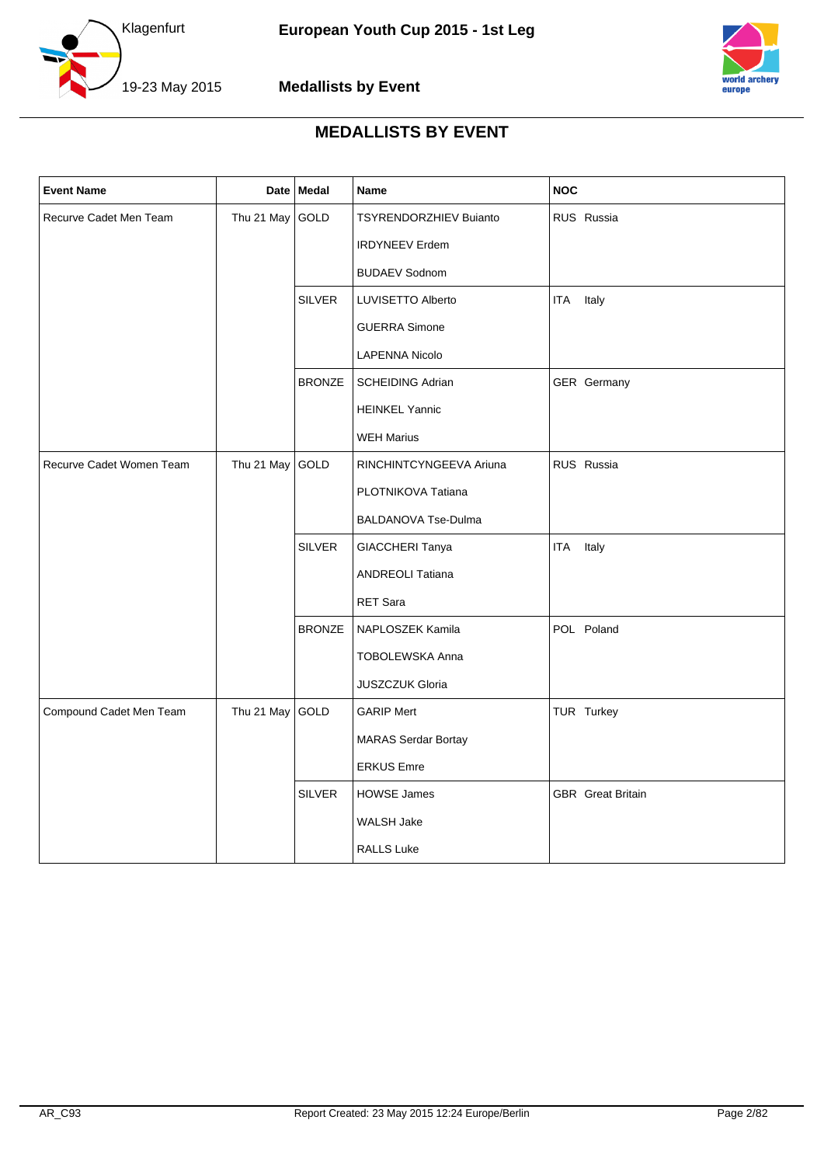



<span id="page-2-0"></span>

| <b>Event Name</b>        |            | Date Medal    | Name                       | <b>NOC</b>               |
|--------------------------|------------|---------------|----------------------------|--------------------------|
| Recurve Cadet Men Team   | Thu 21 May | GOLD          | TSYRENDORZHIEV Buianto     | RUS Russia               |
|                          |            |               | <b>IRDYNEEV Erdem</b>      |                          |
|                          |            |               | <b>BUDAEV Sodnom</b>       |                          |
|                          |            | SILVER        | LUVISETTO Alberto          | Italy<br><b>ITA</b>      |
|                          |            |               | <b>GUERRA Simone</b>       |                          |
|                          |            |               | LAPENNA Nicolo             |                          |
|                          |            | <b>BRONZE</b> | <b>SCHEIDING Adrian</b>    | GER Germany              |
|                          |            |               | <b>HEINKEL Yannic</b>      |                          |
|                          |            |               | <b>WEH Marius</b>          |                          |
| Recurve Cadet Women Team | Thu 21 May | GOLD          | RINCHINTCYNGEEVA Ariuna    | RUS Russia               |
|                          |            |               | PLOTNIKOVA Tatiana         |                          |
|                          |            |               | BALDANOVA Tse-Dulma        |                          |
|                          |            | <b>SILVER</b> | GIACCHERI Tanya            | Italy<br>ITA             |
|                          |            |               | <b>ANDREOLI Tatiana</b>    |                          |
|                          |            |               | RET Sara                   |                          |
|                          |            | <b>BRONZE</b> | NAPLOSZEK Kamila           | POL Poland               |
|                          |            |               | <b>TOBOLEWSKA Anna</b>     |                          |
|                          |            |               | <b>JUSZCZUK Gloria</b>     |                          |
| Compound Cadet Men Team  | Thu 21 May | GOLD          | <b>GARIP Mert</b>          | TUR Turkey               |
|                          |            |               | <b>MARAS Serdar Bortay</b> |                          |
|                          |            |               | <b>ERKUS Emre</b>          |                          |
|                          |            | <b>SILVER</b> | <b>HOWSE James</b>         | <b>GBR</b> Great Britain |
|                          |            |               | <b>WALSH Jake</b>          |                          |
|                          |            |               | <b>RALLS Luke</b>          |                          |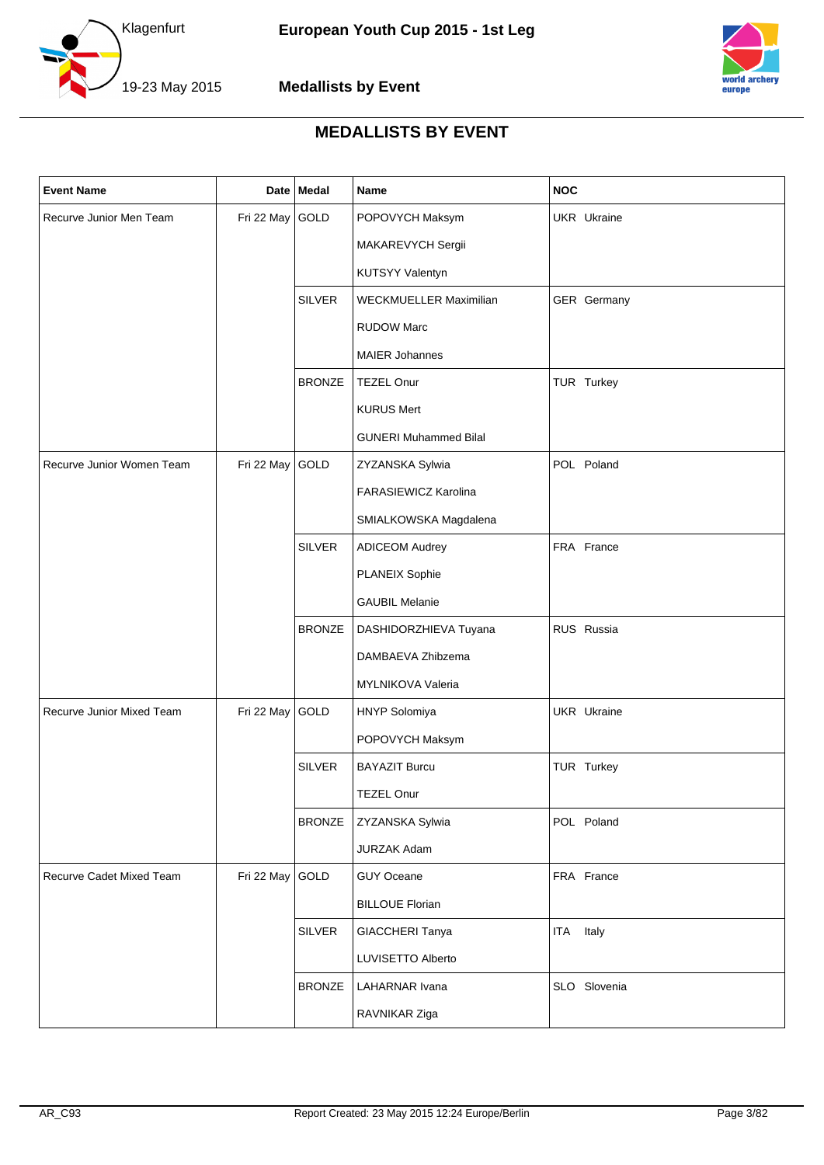



| <b>Event Name</b>         |            | Date Medal                       | <b>Name</b>                  | <b>NOC</b>          |
|---------------------------|------------|----------------------------------|------------------------------|---------------------|
| Recurve Junior Men Team   | Fri 22 May | GOLD                             | POPOVYCH Maksym              | UKR Ukraine         |
|                           |            |                                  | MAKAREVYCH Sergii            |                     |
|                           |            |                                  | KUTSYY Valentyn              |                     |
|                           |            | <b>SILVER</b>                    | WECKMUELLER Maximilian       | GER Germany         |
|                           |            |                                  | <b>RUDOW Marc</b>            |                     |
|                           |            |                                  | <b>MAIER Johannes</b>        |                     |
|                           |            | <b>BRONZE</b>                    | <b>TEZEL Onur</b>            | TUR Turkey          |
|                           |            |                                  | <b>KURUS Mert</b>            |                     |
|                           |            |                                  | <b>GUNERI Muhammed Bilal</b> |                     |
| Recurve Junior Women Team | Fri 22 May | GOLD                             | ZYZANSKA Sylwia              | POL Poland          |
|                           |            |                                  | FARASIEWICZ Karolina         |                     |
|                           |            |                                  | SMIALKOWSKA Magdalena        |                     |
|                           |            | <b>SILVER</b>                    | <b>ADICEOM Audrey</b>        | FRA France          |
|                           |            |                                  | <b>PLANEIX Sophie</b>        |                     |
|                           |            | <b>GAUBIL Melanie</b>            |                              |                     |
|                           |            | <b>BRONZE</b>                    | DASHIDORZHIEVA Tuyana        | RUS Russia          |
|                           |            |                                  | DAMBAEVA Zhibzema            |                     |
|                           |            |                                  | MYLNIKOVA Valeria            |                     |
| Recurve Junior Mixed Team | Fri 22 May | GOLD                             | HNYP Solomiya                | <b>UKR</b> Ukraine  |
|                           |            |                                  | POPOVYCH Maksym              |                     |
|                           |            | <b>SILVER</b>                    | <b>BAYAZIT Burcu</b>         | TUR Turkey          |
|                           |            |                                  | TEZEL Onur                   |                     |
|                           |            | <b>BRONZE</b>                    | ZYZANSKA Sylwia              | POL Poland          |
|                           |            |                                  | JURZAK Adam                  |                     |
| Recurve Cadet Mixed Team  | Fri 22 May | GOLD                             | GUY Oceane                   | FRA France          |
|                           |            |                                  | <b>BILLOUE Florian</b>       |                     |
|                           |            | <b>SILVER</b><br>GIACCHERI Tanya |                              | Italy<br><b>ITA</b> |
|                           |            |                                  | LUVISETTO Alberto            |                     |
|                           |            | <b>BRONZE</b>                    | LAHARNAR Ivana               | SLO Slovenia        |
|                           |            |                                  | RAVNIKAR Ziga                |                     |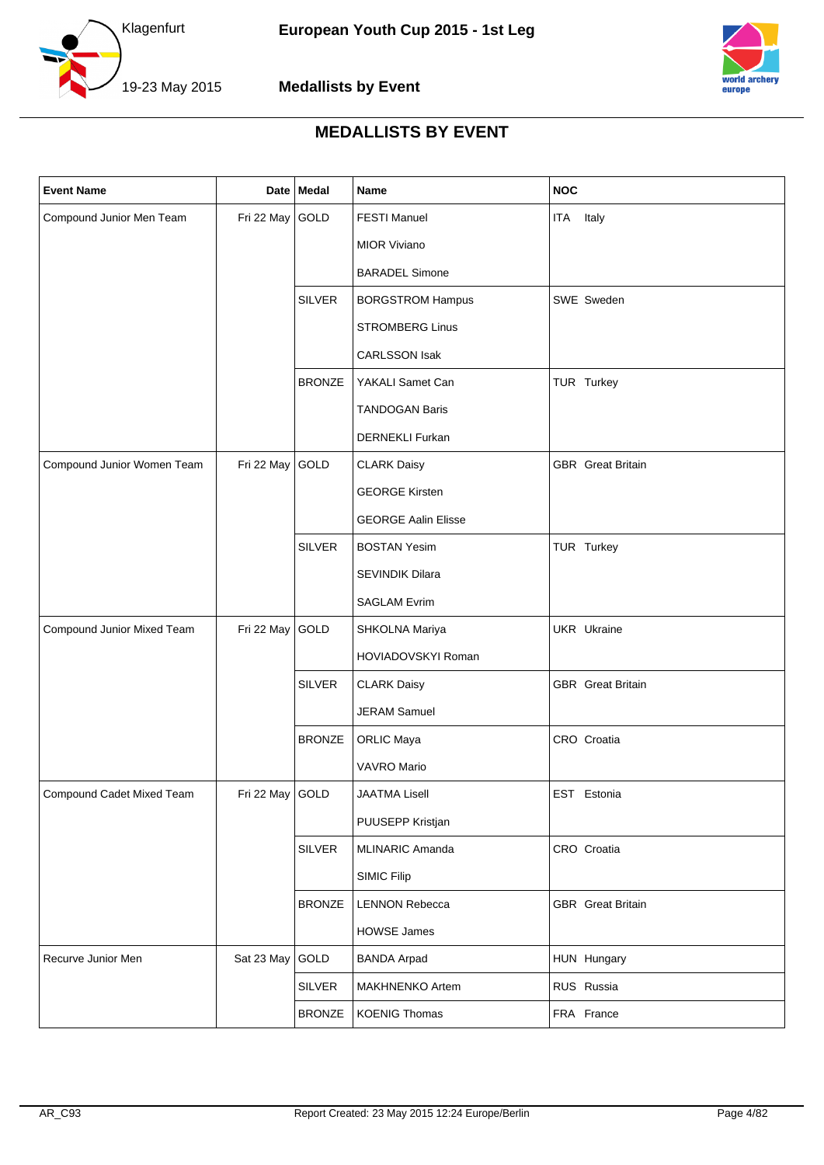



| <b>Event Name</b>          |                 | Date Medal    | Name                       | <b>NOC</b>               |
|----------------------------|-----------------|---------------|----------------------------|--------------------------|
| Compound Junior Men Team   | Fri 22 May      | GOLD          | <b>FESTI Manuel</b>        | ITA<br>Italy             |
|                            |                 |               | <b>MIOR Viviano</b>        |                          |
|                            |                 |               | <b>BARADEL Simone</b>      |                          |
|                            |                 | <b>SILVER</b> | <b>BORGSTROM Hampus</b>    | SWE Sweden               |
|                            |                 |               | <b>STROMBERG Linus</b>     |                          |
|                            |                 |               | <b>CARLSSON Isak</b>       |                          |
|                            |                 | <b>BRONZE</b> | YAKALI Samet Can           | TUR Turkey               |
|                            |                 |               | <b>TANDOGAN Baris</b>      |                          |
|                            |                 |               | <b>DERNEKLI Furkan</b>     |                          |
| Compound Junior Women Team | Fri 22 May      | GOLD          | <b>CLARK Daisy</b>         | <b>GBR</b> Great Britain |
|                            |                 |               | <b>GEORGE Kirsten</b>      |                          |
|                            |                 |               | <b>GEORGE Aalin Elisse</b> |                          |
|                            |                 | <b>SILVER</b> | <b>BOSTAN Yesim</b>        | TUR Turkey               |
|                            |                 |               | SEVINDIK Dilara            |                          |
|                            |                 |               | <b>SAGLAM Evrim</b>        |                          |
| Compound Junior Mixed Team | Fri 22 May      | GOLD          | SHKOLNA Mariya             | <b>UKR</b> Ukraine       |
|                            |                 |               | HOVIADOVSKYI Roman         |                          |
|                            |                 | <b>SILVER</b> | <b>CLARK Daisy</b>         | <b>GBR</b> Great Britain |
|                            |                 |               | <b>JERAM Samuel</b>        |                          |
|                            |                 | <b>BRONZE</b> | <b>ORLIC Maya</b>          | CRO Croatia              |
|                            |                 |               | VAVRO Mario                |                          |
| Compound Cadet Mixed Team  | Fri 22 May GOLD |               | <b>JAATMA Lisell</b>       | EST Estonia              |
|                            |                 |               | PUUSEPP Kristjan           |                          |
|                            |                 | <b>SILVER</b> | MLINARIC Amanda            | CRO Croatia              |
|                            |                 |               | <b>SIMIC Filip</b>         |                          |
|                            |                 | <b>BRONZE</b> | <b>LENNON Rebecca</b>      | <b>GBR</b> Great Britain |
|                            |                 |               | <b>HOWSE James</b>         |                          |
| Recurve Junior Men         | Sat 23 May      | GOLD          | <b>BANDA Arpad</b>         | HUN Hungary              |
|                            |                 | <b>SILVER</b> | MAKHNENKO Artem            | RUS Russia               |
|                            |                 | <b>BRONZE</b> | <b>KOENIG Thomas</b>       | FRA France               |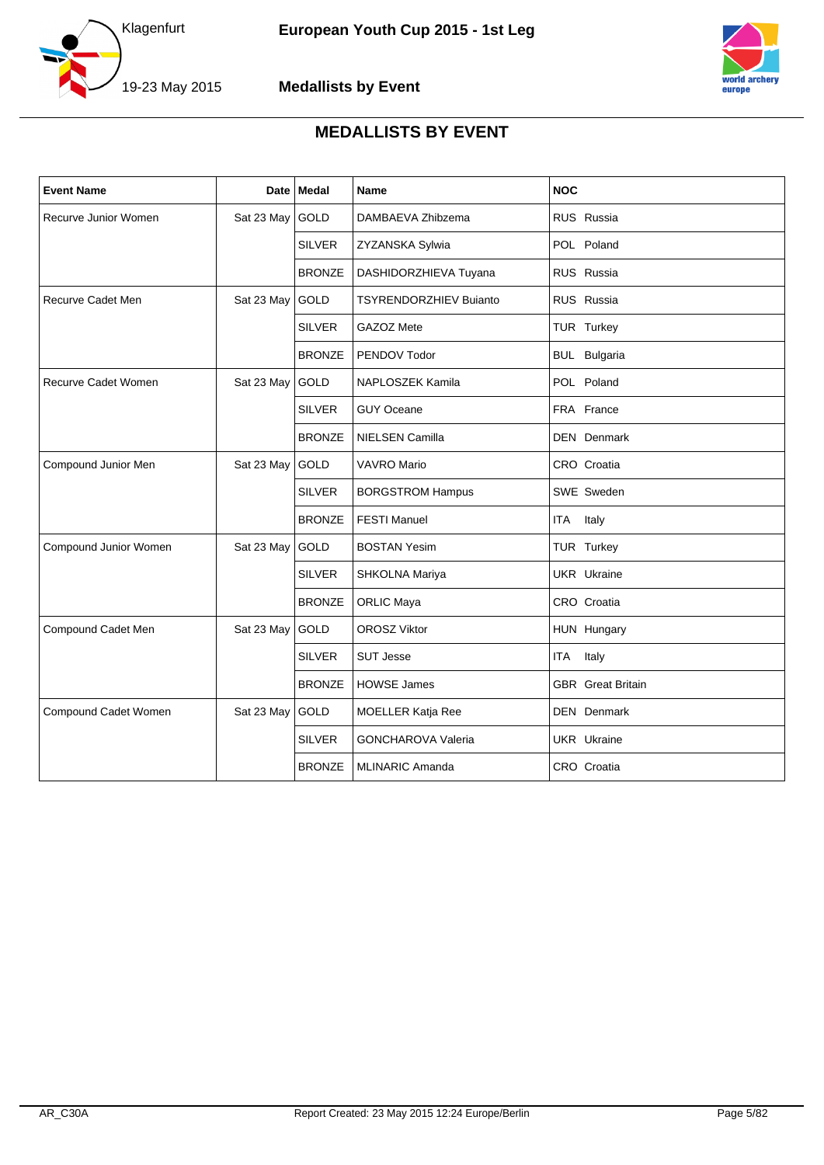



| <b>Event Name</b>     | Date       | Medal         | Name                          | <b>NOC</b>               |
|-----------------------|------------|---------------|-------------------------------|--------------------------|
| Recurve Junior Women  | Sat 23 May | GOLD          | DAMBAEVA Zhibzema             | RUS Russia               |
|                       |            | <b>SILVER</b> | ZYZANSKA Sylwia               | POL Poland               |
|                       |            | <b>BRONZE</b> | DASHIDORZHIEVA Tuyana         | RUS Russia               |
| Recurve Cadet Men     | Sat 23 May | <b>GOLD</b>   | <b>TSYRENDORZHIEV Bujanto</b> | RUS Russia               |
|                       |            | <b>SILVER</b> | GAZOZ Mete                    | TUR Turkey               |
|                       |            | <b>BRONZE</b> | PENDOV Todor                  | <b>BUL</b> Bulgaria      |
| Recurve Cadet Women   | Sat 23 May | GOLD          | NAPLOSZEK Kamila              | POL Poland               |
|                       |            | <b>SILVER</b> | <b>GUY Oceane</b>             | FRA France               |
|                       |            | <b>BRONZE</b> | <b>NIELSEN Camilla</b>        | <b>DEN</b> Denmark       |
| Compound Junior Men   | Sat 23 May | GOLD          | <b>VAVRO Mario</b>            | CRO Croatia              |
|                       |            | <b>SILVER</b> | <b>BORGSTROM Hampus</b>       | SWE Sweden               |
|                       |            | <b>BRONZE</b> | <b>FESTI Manuel</b>           | Italy<br><b>ITA</b>      |
| Compound Junior Women | Sat 23 May | GOLD          | <b>BOSTAN Yesim</b>           | TUR Turkey               |
|                       |            | <b>SILVER</b> | SHKOLNA Mariya                | <b>UKR</b> Ukraine       |
|                       |            | <b>BRONZE</b> | <b>ORLIC Maya</b>             | CRO Croatia              |
| Compound Cadet Men    | Sat 23 May | <b>GOLD</b>   | <b>OROSZ Viktor</b>           | HUN Hungary              |
|                       |            | <b>SILVER</b> | <b>SUT Jesse</b>              | ITA<br>Italy             |
|                       |            | <b>BRONZE</b> | <b>HOWSE James</b>            | <b>GBR</b> Great Britain |
| Compound Cadet Women  | Sat 23 May | GOLD          | MOELLER Katja Ree             | DEN Denmark              |
|                       |            | <b>SILVER</b> | <b>GONCHAROVA Valeria</b>     | <b>UKR</b> Ukraine       |
|                       |            | <b>BRONZE</b> | <b>MLINARIC Amanda</b>        | CRO Croatia              |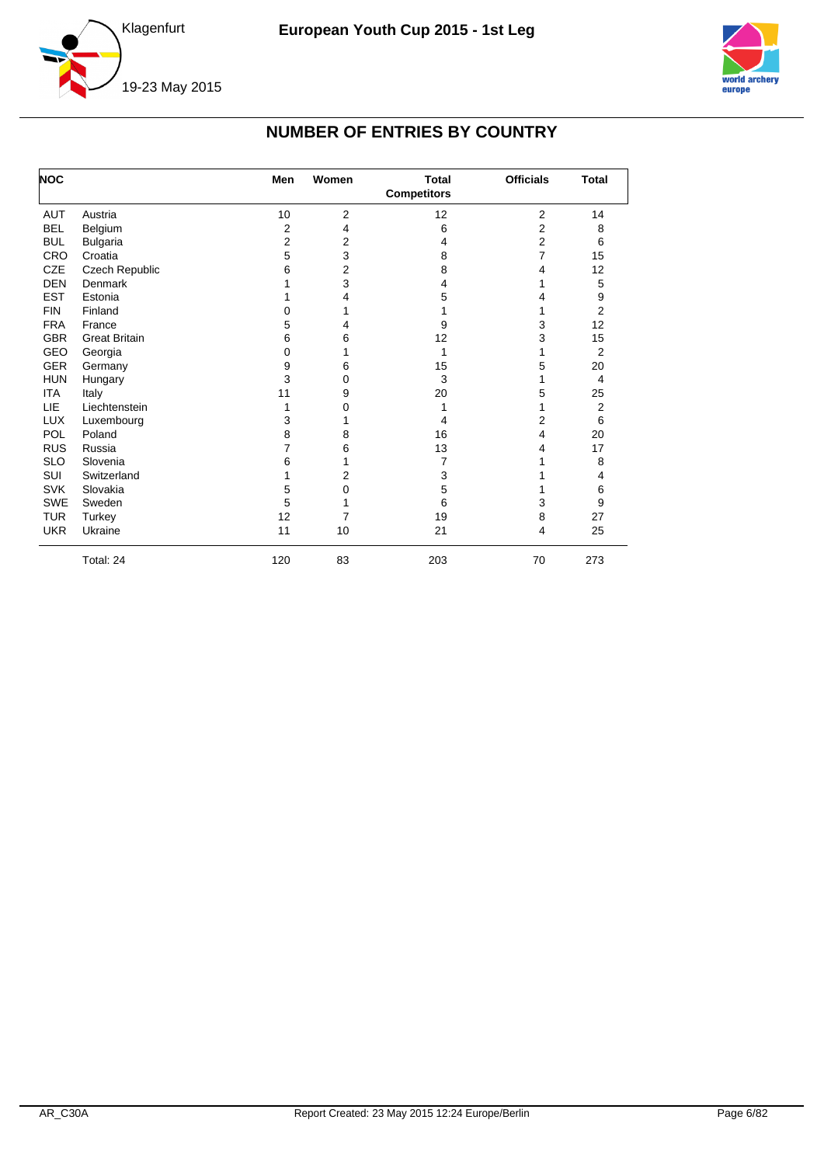



#### **NUMBER OF ENTRIES BY COUNTRY**

<span id="page-6-0"></span>

| <b>NOC</b> |                      | Men            | Women          | <b>Total</b><br><b>Competitors</b> | <b>Officials</b> | <b>Total</b>   |
|------------|----------------------|----------------|----------------|------------------------------------|------------------|----------------|
| <b>AUT</b> | Austria              | 10             | $\overline{2}$ | 12                                 | 2                | 14             |
| <b>BEL</b> | Belgium              | 2              | 4              | 6                                  | 2                | 8              |
| <b>BUL</b> | <b>Bulgaria</b>      | $\overline{2}$ | $\overline{2}$ | 4                                  | 2                | 6              |
| CRO        | Croatia              | 5              | 3              | 8                                  | 7                | 15             |
| <b>CZE</b> | Czech Republic       | 6              | 2              | 8                                  | 4                | 12             |
| <b>DEN</b> | Denmark              |                | 3              | 4                                  | 1                | 5              |
| <b>EST</b> | Estonia              |                | 4              | 5                                  | 4                | 9              |
| <b>FIN</b> | Finland              | 0              | 1              |                                    | 1                | $\overline{2}$ |
| <b>FRA</b> | France               | 5              | 4              | 9                                  | 3                | 12             |
| <b>GBR</b> | <b>Great Britain</b> | 6              | 6              | 12                                 | 3                | 15             |
| GEO        | Georgia              | 0              | 1              | 1                                  | 1                | $\overline{2}$ |
| <b>GER</b> | Germany              | 9              | 6              | 15                                 | 5                | 20             |
| <b>HUN</b> | Hungary              | 3              | 0              | 3                                  | 1                | 4              |
| <b>ITA</b> | Italy                | 11             | 9              | 20                                 | 5                | 25             |
| LIE        | Liechtenstein        | 1              | 0              |                                    | 1                | 2              |
| <b>LUX</b> | Luxembourg           | 3              | 1              | 4                                  | 2                | 6              |
| POL        | Poland               | 8              | 8              | 16                                 | 4                | 20             |
| <b>RUS</b> | Russia               | 7              | 6              | 13                                 | 4                | 17             |
| <b>SLO</b> | Slovenia             | 6              | 1              | 7                                  |                  | 8              |
| <b>SUI</b> | Switzerland          | 1              | 2              | 3                                  |                  | 4              |
| <b>SVK</b> | Slovakia             | 5              | 0              | 5                                  |                  | 6              |
| <b>SWE</b> | Sweden               | 5              | 1              | 6                                  | 3                | 9              |
| <b>TUR</b> | Turkey               | 12             | 7              | 19                                 | 8                | 27             |
| <b>UKR</b> | Ukraine              | 11             | 10             | 21                                 | 4                | 25             |
|            | Total: 24            | 120            | 83             | 203                                | 70               | 273            |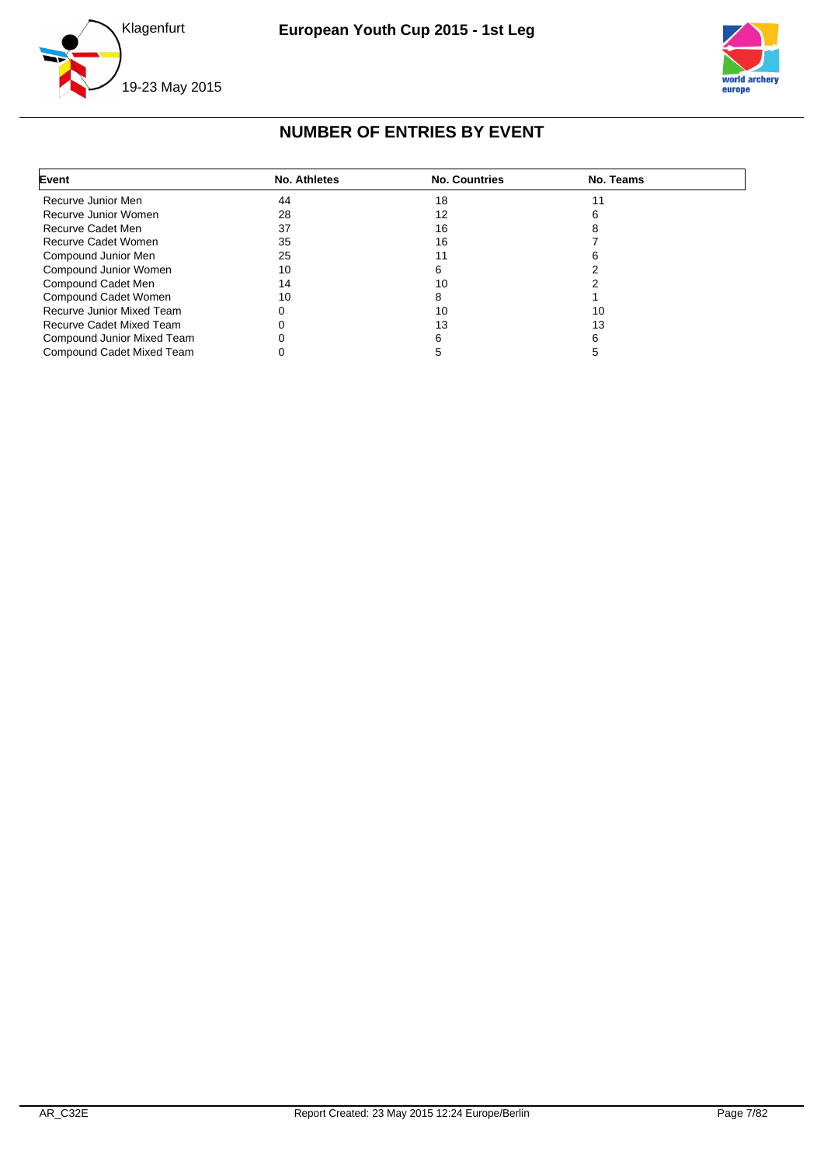



#### **NUMBER OF ENTRIES BY EVENT**

<span id="page-7-0"></span>

| Event                      | <b>No. Athletes</b> | <b>No. Countries</b> | No. Teams |  |
|----------------------------|---------------------|----------------------|-----------|--|
| Recurve Junior Men         | 44                  | 18                   |           |  |
| Recurve Junior Women       | 28                  | 12                   |           |  |
| Recurve Cadet Men          | 37                  | 16                   |           |  |
| Recurve Cadet Women        | 35                  | 16                   |           |  |
| Compound Junior Men        | 25                  |                      |           |  |
| Compound Junior Women      | 10                  |                      |           |  |
| Compound Cadet Men         | 14                  | 10                   |           |  |
| Compound Cadet Women       | 10                  |                      |           |  |
| Recurve Junior Mixed Team  |                     | 10                   | 10        |  |
| Recurve Cadet Mixed Team   |                     | 13                   | 13        |  |
| Compound Junior Mixed Team |                     |                      |           |  |
| Compound Cadet Mixed Team  |                     |                      |           |  |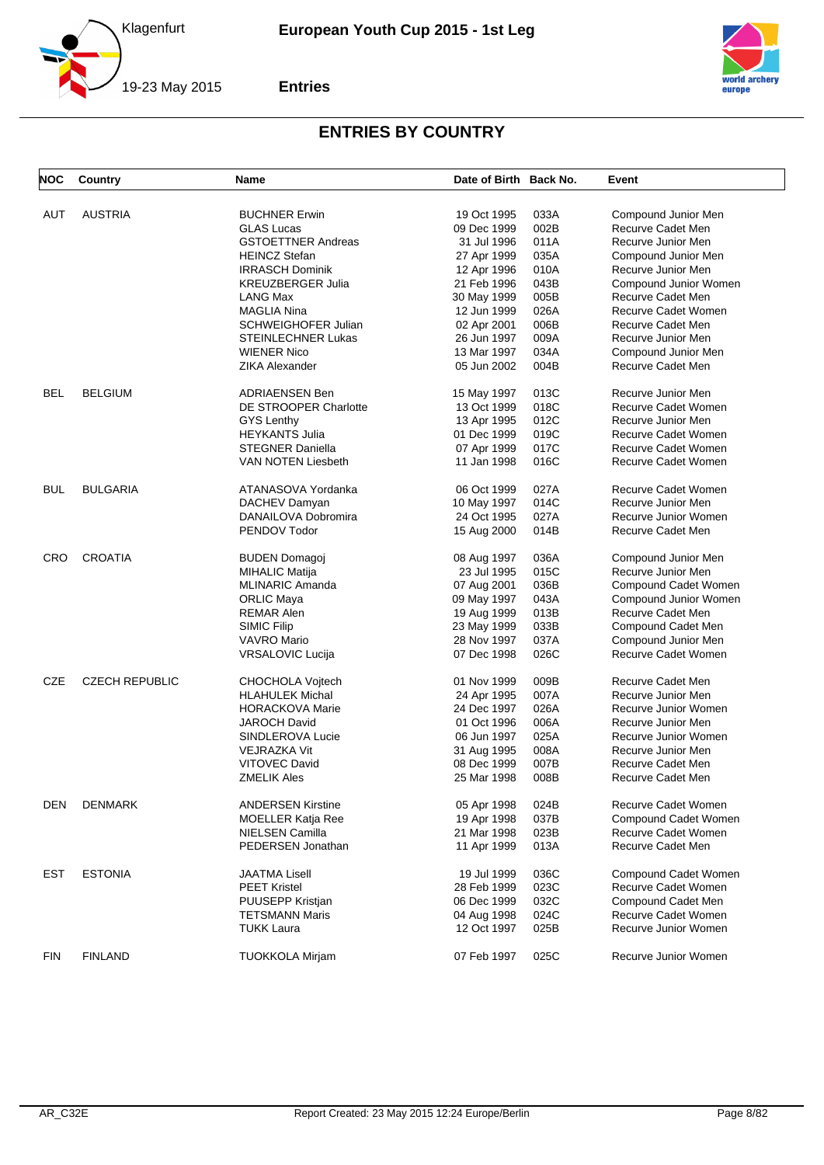



<span id="page-8-0"></span>

| <b>NOC</b> | Country               | Name                                           | Date of Birth Back No. |              | Event                 |
|------------|-----------------------|------------------------------------------------|------------------------|--------------|-----------------------|
|            |                       |                                                | 19 Oct 1995            |              |                       |
| AUT        | <b>AUSTRIA</b>        | <b>BUCHNER Erwin</b>                           |                        | 033A<br>002B | Compound Junior Men   |
|            |                       | <b>GLAS Lucas</b><br><b>GSTOETTNER Andreas</b> | 09 Dec 1999            |              | Recurve Cadet Men     |
|            |                       |                                                | 31 Jul 1996            | 011A         | Recurve Junior Men    |
|            |                       | <b>HEINCZ Stefan</b>                           | 27 Apr 1999            | 035A         | Compound Junior Men   |
|            |                       | <b>IRRASCH Dominik</b>                         | 12 Apr 1996            | 010A         | Recurve Junior Men    |
|            |                       | <b>KREUZBERGER Julia</b>                       | 21 Feb 1996            | 043B         | Compound Junior Women |
|            |                       | LANG Max                                       | 30 May 1999            | 005B         | Recurve Cadet Men     |
|            |                       | <b>MAGLIA Nina</b>                             | 12 Jun 1999            | 026A         | Recurve Cadet Women   |
|            |                       | <b>SCHWEIGHOFER Julian</b>                     | 02 Apr 2001            | 006B         | Recurve Cadet Men     |
|            |                       | <b>STEINLECHNER Lukas</b>                      | 26 Jun 1997            | 009A         | Recurve Junior Men    |
|            |                       | <b>WIENER Nico</b>                             | 13 Mar 1997            | 034A         | Compound Junior Men   |
|            |                       | <b>ZIKA Alexander</b>                          | 05 Jun 2002            | 004B         | Recurve Cadet Men     |
| <b>BEL</b> | <b>BELGIUM</b>        | <b>ADRIAENSEN Ben</b>                          | 15 May 1997            | 013C         | Recurve Junior Men    |
|            |                       | DE STROOPER Charlotte                          | 13 Oct 1999            | 018C         | Recurve Cadet Women   |
|            |                       | <b>GYS Lenthy</b>                              | 13 Apr 1995            | 012C         | Recurve Junior Men    |
|            |                       | <b>HEYKANTS Julia</b>                          | 01 Dec 1999            | 019C         | Recurve Cadet Women   |
|            |                       | <b>STEGNER Daniella</b>                        | 07 Apr 1999            | 017C         | Recurve Cadet Women   |
|            |                       | VAN NOTEN Liesbeth                             | 11 Jan 1998            | 016C         | Recurve Cadet Women   |
| <b>BUL</b> | <b>BULGARIA</b>       | ATANASOVA Yordanka                             | 06 Oct 1999            | 027A         | Recurve Cadet Women   |
|            |                       | DACHEV Damyan                                  | 10 May 1997            | 014C         | Recurve Junior Men    |
|            |                       | DANAILOVA Dobromira                            | 24 Oct 1995            | 027A         | Recurve Junior Women  |
|            |                       | PENDOV Todor                                   | 15 Aug 2000            | 014B         | Recurve Cadet Men     |
|            |                       |                                                |                        |              |                       |
| <b>CRO</b> | <b>CROATIA</b>        | <b>BUDEN Domagoj</b>                           | 08 Aug 1997            | 036A         | Compound Junior Men   |
|            |                       | <b>MIHALIC Matija</b>                          | 23 Jul 1995            | 015C         | Recurve Junior Men    |
|            |                       | <b>MLINARIC Amanda</b>                         | 07 Aug 2001            | 036B         | Compound Cadet Women  |
|            |                       | ORLIC Maya                                     | 09 May 1997            | 043A         | Compound Junior Women |
|            |                       | <b>REMAR Alen</b>                              | 19 Aug 1999            | 013B         | Recurve Cadet Men     |
|            |                       | <b>SIMIC Filip</b>                             | 23 May 1999            | 033B         | Compound Cadet Men    |
|            |                       | <b>VAVRO Mario</b>                             | 28 Nov 1997            | 037A         | Compound Junior Men   |
|            |                       | VRSALOVIC Lucija                               | 07 Dec 1998            | 026C         | Recurve Cadet Women   |
| <b>CZE</b> | <b>CZECH REPUBLIC</b> | CHOCHOLA Vojtech                               | 01 Nov 1999            | 009B         | Recurve Cadet Men     |
|            |                       | <b>HLAHULEK Michal</b>                         | 24 Apr 1995            | 007A         | Recurve Junior Men    |
|            |                       | <b>HORACKOVA Marie</b>                         | 24 Dec 1997            | 026A         | Recurve Junior Women  |
|            |                       | <b>JAROCH David</b>                            | 01 Oct 1996            | 006A         | Recurve Junior Men    |
|            |                       | SINDLEROVA Lucie                               | 06 Jun 1997            | 025A         | Recurve Junior Women  |
|            |                       | <b>VEJRAZKA Vit</b>                            | 31 Aug 1995            | 008A         | Recurve Junior Men    |
|            |                       | <b>VITOVEC David</b>                           | 08 Dec 1999            | 007B         | Recurve Cadet Men     |
|            |                       | <b>ZMELIK Ales</b>                             | 25 Mar 1998            | 008B         | Recurve Cadet Men     |
|            |                       |                                                |                        |              |                       |
| <b>DEN</b> | <b>DENMARK</b>        | <b>ANDERSEN Kirstine</b>                       | 05 Apr 1998            | 024B         | Recurve Cadet Women   |
|            |                       | MOELLER Katja Ree                              | 19 Apr 1998            | 037B         | Compound Cadet Women  |
|            |                       | NIELSEN Camilla                                | 21 Mar 1998            | 023B         | Recurve Cadet Women   |
|            |                       | PEDERSEN Jonathan                              | 11 Apr 1999            | 013A         | Recurve Cadet Men     |
| <b>EST</b> | <b>ESTONIA</b>        | <b>JAATMA Lisell</b>                           | 19 Jul 1999            | 036C         | Compound Cadet Women  |
|            |                       | <b>PEET Kristel</b>                            | 28 Feb 1999            | 023C         | Recurve Cadet Women   |
|            |                       | PUUSEPP Kristjan                               | 06 Dec 1999            | 032C         | Compound Cadet Men    |
|            |                       | <b>TETSMANN Maris</b>                          | 04 Aug 1998            | 024C         | Recurve Cadet Women   |
|            |                       | <b>TUKK Laura</b>                              | 12 Oct 1997            | 025B         | Recurve Junior Women  |
| <b>FIN</b> | <b>FINLAND</b>        | <b>TUOKKOLA Mirjam</b>                         | 07 Feb 1997            | 025C         | Recurve Junior Women  |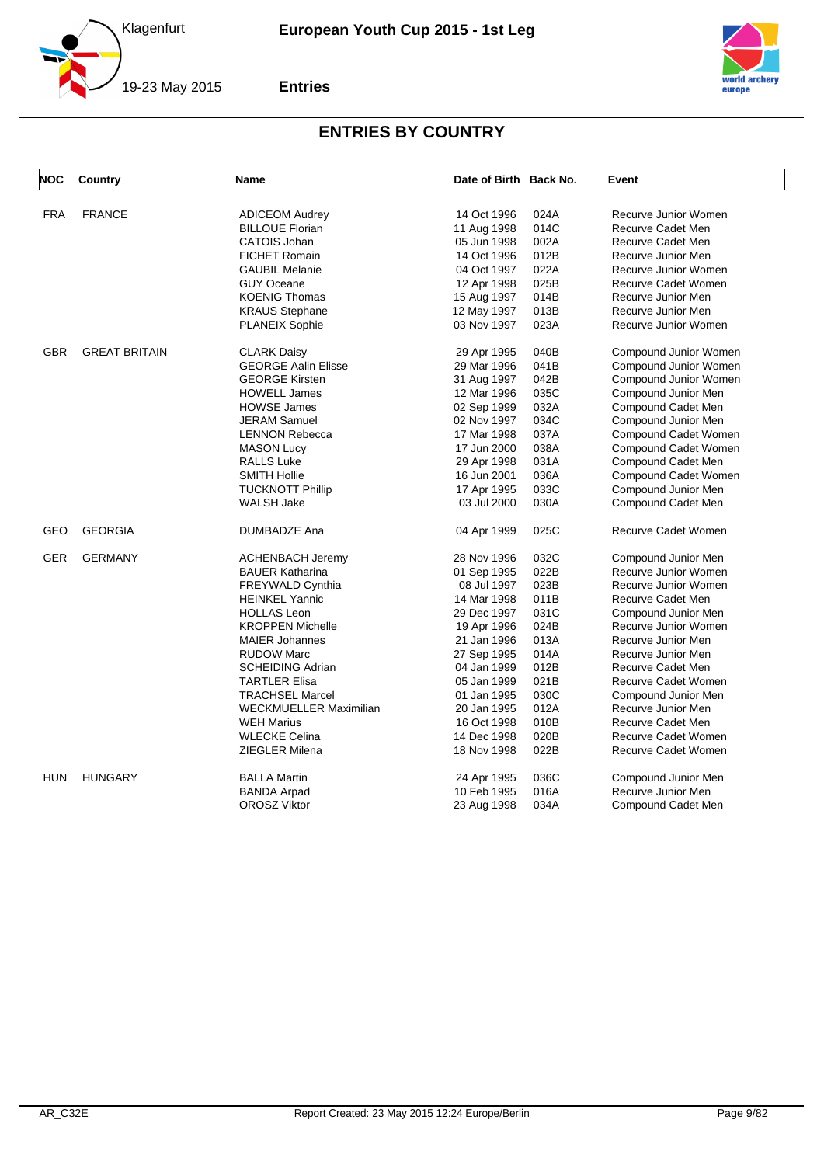



| NOC        | Country              | <b>Name</b>                | Date of Birth Back No. |      | Event                 |
|------------|----------------------|----------------------------|------------------------|------|-----------------------|
|            |                      |                            |                        |      |                       |
| <b>FRA</b> | <b>FRANCE</b>        | <b>ADICEOM Audrey</b>      | 14 Oct 1996            | 024A | Recurve Junior Women  |
|            |                      | <b>BILLOUE Florian</b>     | 11 Aug 1998            | 014C | Recurve Cadet Men     |
|            |                      | <b>CATOIS Johan</b>        | 05 Jun 1998            | 002A | Recurve Cadet Men     |
|            |                      | <b>FICHET Romain</b>       | 14 Oct 1996            | 012B | Recurve Junior Men    |
|            |                      | <b>GAUBIL Melanie</b>      | 04 Oct 1997            | 022A | Recurve Junior Women  |
|            |                      | <b>GUY Oceane</b>          | 12 Apr 1998            | 025B | Recurve Cadet Women   |
|            |                      | <b>KOENIG Thomas</b>       | 15 Aug 1997            | 014B | Recurve Junior Men    |
|            |                      | <b>KRAUS Stephane</b>      | 12 May 1997            | 013B | Recurve Junior Men    |
|            |                      | <b>PLANEIX Sophie</b>      | 03 Nov 1997            | 023A | Recurve Junior Women  |
| <b>GBR</b> | <b>GREAT BRITAIN</b> | <b>CLARK Daisy</b>         | 29 Apr 1995            | 040B | Compound Junior Women |
|            |                      | <b>GEORGE Aalin Elisse</b> | 29 Mar 1996            | 041B | Compound Junior Women |
|            |                      | <b>GEORGE Kirsten</b>      | 31 Aug 1997            | 042B | Compound Junior Women |
|            |                      | <b>HOWELL James</b>        | 12 Mar 1996            | 035C | Compound Junior Men   |
|            |                      | <b>HOWSE James</b>         | 02 Sep 1999            | 032A | Compound Cadet Men    |
|            |                      | <b>JERAM Samuel</b>        | 02 Nov 1997            | 034C | Compound Junior Men   |
|            |                      | <b>LENNON Rebecca</b>      | 17 Mar 1998            | 037A | Compound Cadet Women  |
|            |                      | <b>MASON Lucy</b>          | 17 Jun 2000            | 038A | Compound Cadet Women  |
|            |                      | <b>RALLS Luke</b>          | 29 Apr 1998            | 031A | Compound Cadet Men    |
|            |                      | <b>SMITH Hollie</b>        | 16 Jun 2001            | 036A | Compound Cadet Women  |
|            |                      | <b>TUCKNOTT Phillip</b>    | 17 Apr 1995            | 033C | Compound Junior Men   |
|            |                      | <b>WALSH Jake</b>          | 03 Jul 2000            | 030A | Compound Cadet Men    |
| GEO        | <b>GEORGIA</b>       | DUMBADZE Ana               | 04 Apr 1999            | 025C | Recurve Cadet Women   |
|            |                      |                            |                        |      |                       |
| <b>GER</b> | <b>GERMANY</b>       | <b>ACHENBACH Jeremy</b>    | 28 Nov 1996            | 032C | Compound Junior Men   |
|            |                      | <b>BAUER Katharina</b>     | 01 Sep 1995            | 022B | Recurve Junior Women  |
|            |                      | <b>FREYWALD Cynthia</b>    | 08 Jul 1997            | 023B | Recurve Junior Women  |
|            |                      | <b>HEINKEL Yannic</b>      | 14 Mar 1998            | 011B | Recurve Cadet Men     |
|            |                      | <b>HOLLAS Leon</b>         | 29 Dec 1997            | 031C | Compound Junior Men   |
|            |                      | <b>KROPPEN Michelle</b>    | 19 Apr 1996            | 024B | Recurve Junior Women  |
|            |                      | <b>MAIER Johannes</b>      | 21 Jan 1996            | 013A | Recurve Junior Men    |
|            |                      | <b>RUDOW Marc</b>          | 27 Sep 1995            | 014A | Recurve Junior Men    |
|            |                      | <b>SCHEIDING Adrian</b>    | 04 Jan 1999            | 012B | Recurve Cadet Men     |
|            |                      | <b>TARTLER Elisa</b>       | 05 Jan 1999            | 021B | Recurve Cadet Women   |
|            |                      | <b>TRACHSEL Marcel</b>     | 01 Jan 1995            | 030C | Compound Junior Men   |
|            |                      | WECKMUELLER Maximilian     | 20 Jan 1995            | 012A | Recurve Junior Men    |
|            |                      | <b>WEH Marius</b>          | 16 Oct 1998            | 010B | Recurve Cadet Men     |
|            |                      | <b>WLECKE Celina</b>       | 14 Dec 1998            | 020B | Recurve Cadet Women   |
|            |                      | ZIEGLER Milena             | 18 Nov 1998            | 022B | Recurve Cadet Women   |
| <b>HUN</b> | <b>HUNGARY</b>       | <b>BALLA Martin</b>        | 24 Apr 1995            | 036C | Compound Junior Men   |
|            |                      | <b>BANDA Arpad</b>         | 10 Feb 1995            | 016A | Recurve Junior Men    |
|            |                      | <b>OROSZ Viktor</b>        | 23 Aug 1998            | 034A | Compound Cadet Men    |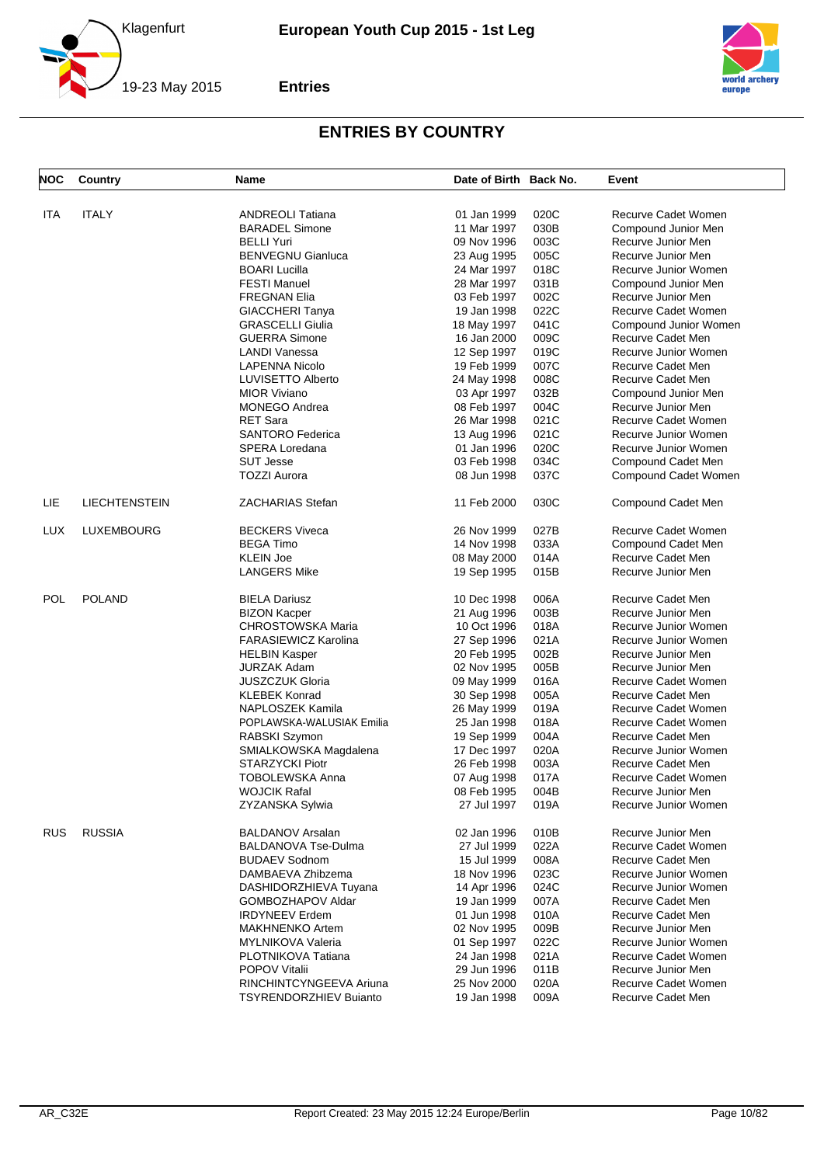



| <b>NOC</b> | Country              | Name                          | Date of Birth Back No. |      | Event                 |
|------------|----------------------|-------------------------------|------------------------|------|-----------------------|
|            |                      |                               |                        |      |                       |
| ITA        | <b>ITALY</b>         | <b>ANDREOLI Tatiana</b>       | 01 Jan 1999            | 020C | Recurve Cadet Women   |
|            |                      | <b>BARADEL Simone</b>         | 11 Mar 1997            | 030B | Compound Junior Men   |
|            |                      | <b>BELLI Yuri</b>             | 09 Nov 1996            | 003C | Recurve Junior Men    |
|            |                      | <b>BENVEGNU Gianluca</b>      | 23 Aug 1995            | 005C | Recurve Junior Men    |
|            |                      | <b>BOARI</b> Lucilla          | 24 Mar 1997            | 018C | Recurve Junior Women  |
|            |                      | <b>FESTI Manuel</b>           | 28 Mar 1997            | 031B | Compound Junior Men   |
|            |                      | <b>FREGNAN Elia</b>           | 03 Feb 1997            | 002C | Recurve Junior Men    |
|            |                      | <b>GIACCHERI Tanya</b>        | 19 Jan 1998            | 022C | Recurve Cadet Women   |
|            |                      | <b>GRASCELLI Giulia</b>       | 18 May 1997            | 041C | Compound Junior Women |
|            |                      | <b>GUERRA Simone</b>          | 16 Jan 2000            | 009C | Recurve Cadet Men     |
|            |                      | LANDI Vanessa                 | 12 Sep 1997            | 019C | Recurve Junior Women  |
|            |                      | <b>LAPENNA Nicolo</b>         | 19 Feb 1999            | 007C | Recurve Cadet Men     |
|            |                      | LUVISETTO Alberto             | 24 May 1998            | 008C | Recurve Cadet Men     |
|            |                      | <b>MIOR Viviano</b>           | 03 Apr 1997            | 032B | Compound Junior Men   |
|            |                      | <b>MONEGO Andrea</b>          | 08 Feb 1997            | 004C | Recurve Junior Men    |
|            |                      | <b>RET Sara</b>               |                        | 021C | Recurve Cadet Women   |
|            |                      |                               | 26 Mar 1998            |      |                       |
|            |                      | <b>SANTORO Federica</b>       | 13 Aug 1996            | 021C | Recurve Junior Women  |
|            |                      | SPERA Loredana                | 01 Jan 1996            | 020C | Recurve Junior Women  |
|            |                      | <b>SUT Jesse</b>              | 03 Feb 1998            | 034C | Compound Cadet Men    |
|            |                      | <b>TOZZI Aurora</b>           | 08 Jun 1998            | 037C | Compound Cadet Women  |
| LIE        | <b>LIECHTENSTEIN</b> | <b>ZACHARIAS Stefan</b>       | 11 Feb 2000            | 030C | Compound Cadet Men    |
| <b>LUX</b> | <b>LUXEMBOURG</b>    | <b>BECKERS Viveca</b>         | 26 Nov 1999            | 027B | Recurve Cadet Women   |
|            |                      | <b>BEGA Timo</b>              | 14 Nov 1998            | 033A | Compound Cadet Men    |
|            |                      | <b>KLEIN Joe</b>              | 08 May 2000            | 014A | Recurve Cadet Men     |
|            |                      | <b>LANGERS Mike</b>           | 19 Sep 1995            | 015B | Recurve Junior Men    |
| POL        | <b>POLAND</b>        | <b>BIELA Dariusz</b>          | 10 Dec 1998            | 006A | Recurve Cadet Men     |
|            |                      | <b>BIZON Kacper</b>           | 21 Aug 1996            | 003B | Recurve Junior Men    |
|            |                      | <b>CHROSTOWSKA Maria</b>      | 10 Oct 1996            | 018A | Recurve Junior Women  |
|            |                      | <b>FARASIEWICZ Karolina</b>   | 27 Sep 1996            | 021A | Recurve Junior Women  |
|            |                      |                               |                        |      |                       |
|            |                      | <b>HELBIN Kasper</b>          | 20 Feb 1995            | 002B | Recurve Junior Men    |
|            |                      | <b>JURZAK Adam</b>            | 02 Nov 1995            | 005B | Recurve Junior Men    |
|            |                      | <b>JUSZCZUK Gloria</b>        | 09 May 1999            | 016A | Recurve Cadet Women   |
|            |                      | <b>KLEBEK Konrad</b>          | 30 Sep 1998            | 005A | Recurve Cadet Men     |
|            |                      | NAPLOSZEK Kamila              | 26 May 1999            | 019A | Recurve Cadet Women   |
|            |                      | POPLAWSKA-WALUSIAK Emilia     | 25 Jan 1998            | 018A | Recurve Cadet Women   |
|            |                      | RABSKI Szymon                 | 19 Sep 1999            | 004A | Recurve Cadet Men     |
|            |                      | SMIALKOWSKA Magdalena         | 17 Dec 1997            | 020A | Recurve Junior Women  |
|            |                      | <b>STARZYCKI Piotr</b>        | 26 Feb 1998            | 003A | Recurve Cadet Men     |
|            |                      | <b>TOBOLEWSKA Anna</b>        | 07 Aug 1998            | 017A | Recurve Cadet Women   |
|            |                      | <b>WOJCIK Rafal</b>           | 08 Feb 1995            | 004B | Recurve Junior Men    |
|            |                      | ZYZANSKA Sylwia               | 27 Jul 1997            | 019A | Recurve Junior Women  |
| <b>RUS</b> | <b>RUSSIA</b>        | <b>BALDANOV Arsalan</b>       | 02 Jan 1996            | 010B | Recurve Junior Men    |
|            |                      | <b>BALDANOVA Tse-Dulma</b>    | 27 Jul 1999            | 022A | Recurve Cadet Women   |
|            |                      | <b>BUDAEV Sodnom</b>          | 15 Jul 1999            | 008A | Recurve Cadet Men     |
|            |                      | DAMBAEVA Zhibzema             | 18 Nov 1996            | 023C | Recurve Junior Women  |
|            |                      | DASHIDORZHIEVA Tuyana         | 14 Apr 1996            | 024C | Recurve Junior Women  |
|            |                      | GOMBOZHAPOV Aldar             | 19 Jan 1999            | 007A | Recurve Cadet Men     |
|            |                      | <b>IRDYNEEV Erdem</b>         |                        |      |                       |
|            |                      |                               | 01 Jun 1998            | 010A | Recurve Cadet Men     |
|            |                      | <b>MAKHNENKO Artem</b>        | 02 Nov 1995            | 009B | Recurve Junior Men    |
|            |                      | MYLNIKOVA Valeria             | 01 Sep 1997            | 022C | Recurve Junior Women  |
|            |                      | PLOTNIKOVA Tatiana            | 24 Jan 1998            | 021A | Recurve Cadet Women   |
|            |                      | POPOV Vitalii                 | 29 Jun 1996            | 011B | Recurve Junior Men    |
|            |                      | RINCHINTCYNGEEVA Ariuna       | 25 Nov 2000            | 020A | Recurve Cadet Women   |
|            |                      | <b>TSYRENDORZHIEV Buianto</b> | 19 Jan 1998            | 009A | Recurve Cadet Men     |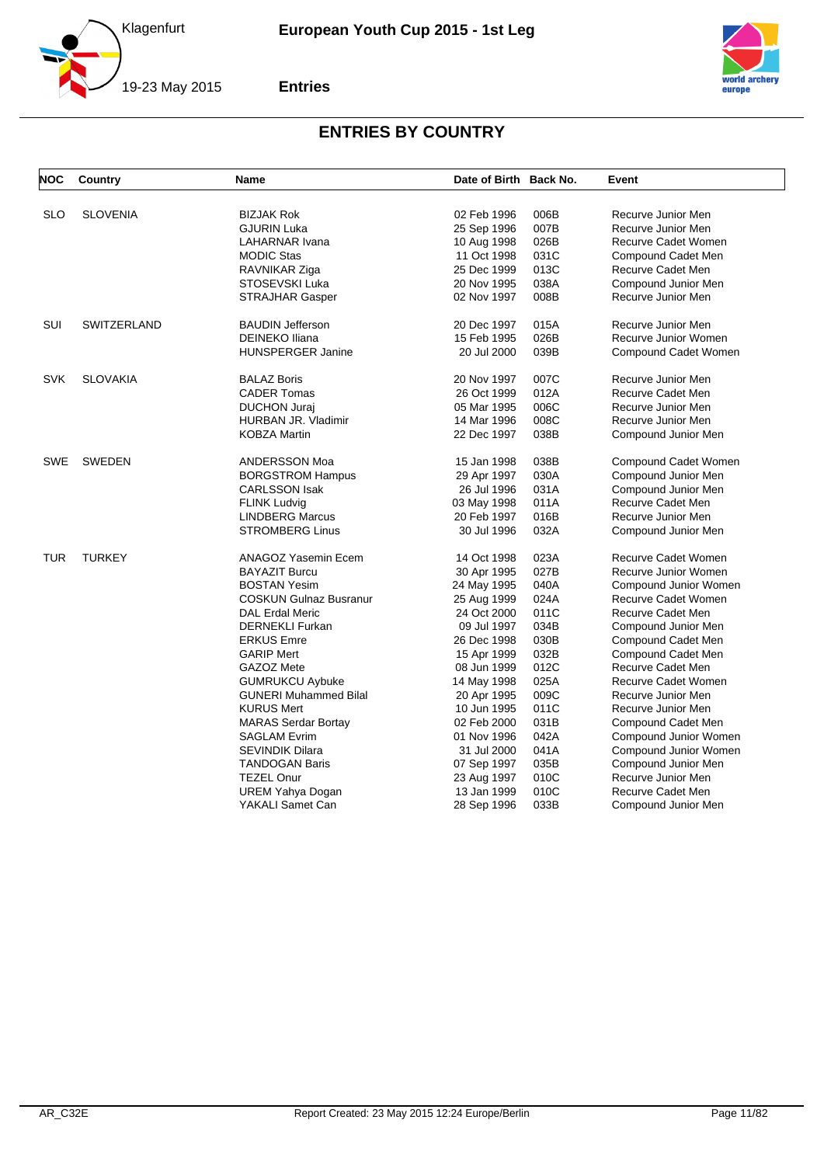



| NOC        | Country            | <b>Name</b>                   | Date of Birth Back No.     |      | Event                 |
|------------|--------------------|-------------------------------|----------------------------|------|-----------------------|
| <b>SLO</b> | <b>SLOVENIA</b>    | <b>BIZJAK Rok</b>             | 02 Feb 1996                | 006B | Recurve Junior Men    |
|            |                    | <b>GJURIN Luka</b>            | 25 Sep 1996                | 007B | Recurve Junior Men    |
|            |                    | LAHARNAR Ivana                | 10 Aug 1998                | 026B | Recurve Cadet Women   |
|            |                    | <b>MODIC Stas</b>             | 11 Oct 1998                | 031C | Compound Cadet Men    |
|            |                    | RAVNIKAR Ziga                 | 25 Dec 1999                | 013C | Recurve Cadet Men     |
|            |                    | STOSEVSKI Luka                | 20 Nov 1995                | 038A | Compound Junior Men   |
|            |                    | <b>STRAJHAR Gasper</b>        | 02 Nov 1997                | 008B | Recurve Junior Men    |
|            |                    |                               |                            |      |                       |
| <b>SUI</b> | <b>SWITZERLAND</b> | <b>BAUDIN Jefferson</b>       | 20 Dec 1997                | 015A | Recurve Junior Men    |
|            |                    | <b>DEINEKO Iliana</b>         | 15 Feb 1995                | 026B | Recurve Junior Women  |
|            |                    | <b>HUNSPERGER Janine</b>      | 20 Jul 2000                | 039B | Compound Cadet Women  |
| <b>SVK</b> | <b>SLOVAKIA</b>    | <b>BALAZ Boris</b>            | 20 Nov 1997                | 007C | Recurve Junior Men    |
|            |                    | <b>CADER Tomas</b>            | 26 Oct 1999                | 012A | Recurve Cadet Men     |
|            |                    | <b>DUCHON Juraj</b>           | 05 Mar 1995                | 006C | Recurve Junior Men    |
|            |                    | HURBAN JR. Vladimir           | 14 Mar 1996                | 008C | Recurve Junior Men    |
|            |                    | KOBZA Martin                  | 22 Dec 1997                | 038B | Compound Junior Men   |
| <b>SWE</b> | <b>SWEDEN</b>      | ANDERSSON Moa                 | 15 Jan 1998                | 038B | Compound Cadet Women  |
|            |                    | <b>BORGSTROM Hampus</b>       | 29 Apr 1997                | 030A | Compound Junior Men   |
|            |                    | <b>CARLSSON Isak</b>          | 26 Jul 1996                | 031A | Compound Junior Men   |
|            |                    | <b>FLINK Ludvig</b>           | 03 May 1998                | 011A | Recurve Cadet Men     |
|            |                    | <b>LINDBERG Marcus</b>        | 20 Feb 1997                | 016B | Recurve Junior Men    |
|            |                    | <b>STROMBERG Linus</b>        | 30 Jul 1996                | 032A | Compound Junior Men   |
| <b>TUR</b> | <b>TURKEY</b>      | ANAGOZ Yasemin Ecem           | 14 Oct 1998                | 023A | Recurve Cadet Women   |
|            |                    | <b>BAYAZIT Burcu</b>          | 30 Apr 1995                | 027B | Recurve Junior Women  |
|            |                    | <b>BOSTAN Yesim</b>           | 24 May 1995                | 040A | Compound Junior Women |
|            |                    | <b>COSKUN Gulnaz Busranur</b> | 25 Aug 1999                | 024A | Recurve Cadet Women   |
|            |                    | <b>DAL Erdal Meric</b>        | 24 Oct 2000                | 011C | Recurve Cadet Men     |
|            |                    | <b>DERNEKLI Furkan</b>        | 09 Jul 1997                | 034B | Compound Junior Men   |
|            |                    | <b>ERKUS Emre</b>             | 26 Dec 1998                | 030B | Compound Cadet Men    |
|            |                    | <b>GARIP Mert</b>             | 15 Apr 1999                | 032B | Compound Cadet Men    |
|            |                    | GAZOZ Mete                    | 08 Jun 1999                | 012C | Recurve Cadet Men     |
|            |                    | <b>GUMRUKCU Aybuke</b>        | 14 May 1998                | 025A | Recurve Cadet Women   |
|            |                    | <b>GUNERI Muhammed Bilal</b>  |                            | 009C | Recurve Junior Men    |
|            |                    | <b>KURUS Mert</b>             | 20 Apr 1995<br>10 Jun 1995 | 011C | Recurve Junior Men    |
|            |                    |                               | 02 Feb 2000                | 031B |                       |
|            |                    | <b>MARAS Serdar Bortay</b>    |                            | 042A | Compound Cadet Men    |
|            |                    | <b>SAGLAM Evrim</b>           | 01 Nov 1996                |      | Compound Junior Women |
|            |                    | <b>SEVINDIK Dilara</b>        | 31 Jul 2000                | 041A | Compound Junior Women |
|            |                    | <b>TANDOGAN Baris</b>         | 07 Sep 1997                | 035B | Compound Junior Men   |
|            |                    | <b>TEZEL Onur</b>             | 23 Aug 1997                | 010C | Recurve Junior Men    |
|            |                    | <b>UREM Yahya Dogan</b>       | 13 Jan 1999                | 010C | Recurve Cadet Men     |
|            |                    | YAKALI Samet Can              | 28 Sep 1996                | 033B | Compound Junior Men   |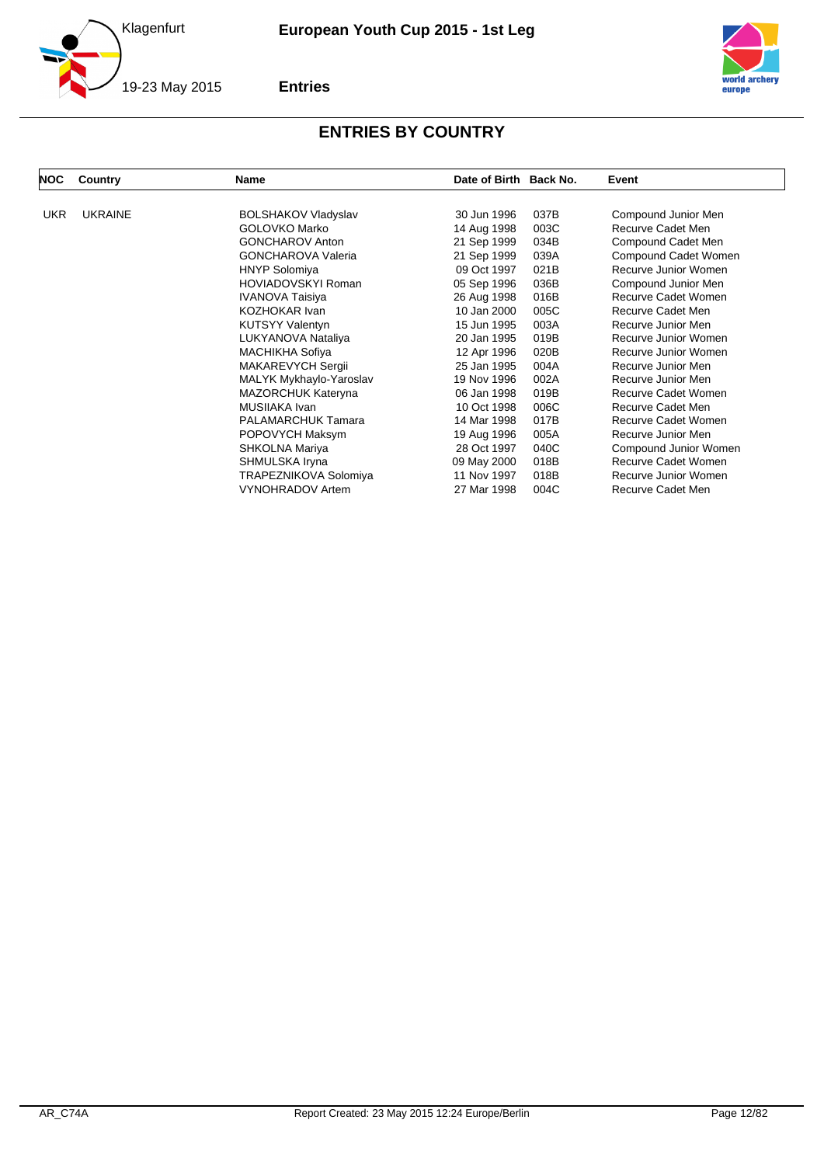



| <b>NOC</b> | Country        | <b>Name</b>                | Date of Birth Back No. | Event                 |
|------------|----------------|----------------------------|------------------------|-----------------------|
| <b>UKR</b> | <b>UKRAINE</b> | <b>BOLSHAKOV Vladyslav</b> | 30 Jun 1996<br>037B    | Compound Junior Men   |
|            |                | GOLOVKO Marko              | 14 Aug 1998<br>003C    | Recurve Cadet Men     |
|            |                | <b>GONCHAROV Anton</b>     | 21 Sep 1999<br>034B    | Compound Cadet Men    |
|            |                | <b>GONCHAROVA Valeria</b>  | 21 Sep 1999<br>039A    | Compound Cadet Women  |
|            |                | <b>HNYP Solomiya</b>       | 09 Oct 1997<br>021B    | Recurve Junior Women  |
|            |                | <b>HOVIADOVSKYI Roman</b>  | 05 Sep 1996<br>036B    | Compound Junior Men   |
|            |                | <b>IVANOVA Taisiya</b>     | 26 Aug 1998<br>016B    | Recurve Cadet Women   |
|            |                | <b>KOZHOKAR Ivan</b>       | 005C<br>10 Jan 2000    | Recurve Cadet Men     |
|            |                | <b>KUTSYY Valentyn</b>     | 15 Jun 1995<br>003A    | Recurve Junior Men    |
|            |                | LUKYANOVA Nataliya         | 20 Jan 1995<br>019B    | Recurve Junior Women  |
|            |                | <b>MACHIKHA Sofiya</b>     | 12 Apr 1996<br>020B    | Recurve Junior Women  |
|            |                | MAKAREVYCH Sergii          | 004A<br>25 Jan 1995    | Recurve Junior Men    |
|            |                | MALYK Mykhaylo-Yaroslav    | 19 Nov 1996<br>002A    | Recurve Junior Men    |
|            |                | <b>MAZORCHUK Kateryna</b>  | 06 Jan 1998<br>019B    | Recurve Cadet Women   |
|            |                | MUSIIAKA Ivan              | 10 Oct 1998<br>006C    | Recurve Cadet Men     |
|            |                | <b>PALAMARCHUK Tamara</b>  | 017B<br>14 Mar 1998    | Recurve Cadet Women   |
|            |                | POPOVYCH Maksym            | 005A<br>19 Aug 1996    | Recurve Junior Men    |
|            |                | SHKOLNA Mariya             | 28 Oct 1997<br>040C    | Compound Junior Women |
|            |                | SHMULSKA Iryna             | 09 May 2000<br>018B    | Recurve Cadet Women   |
|            |                | TRAPEZNIKOVA Solomiya      | 11 Nov 1997<br>018B    | Recurve Junior Women  |
|            |                | <b>VYNOHRADOV Artem</b>    | 27 Mar 1998<br>004C    | Recurve Cadet Men     |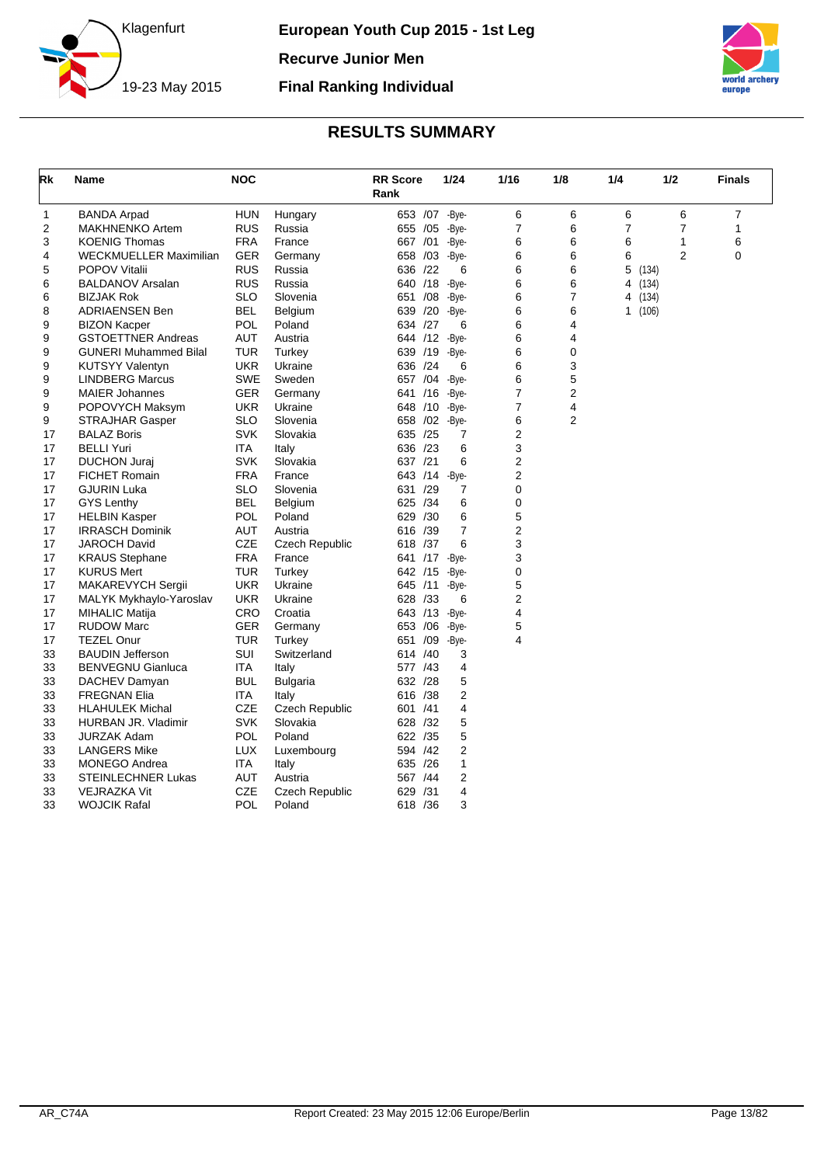



<span id="page-13-0"></span>

| Rk          | Name                          | <b>NOC</b> |                       | <b>RR</b> Score<br>Rank |     | 1/24  | 1/16           | 1/8 | 1/4            | 1/2            | <b>Finals</b> |
|-------------|-------------------------------|------------|-----------------------|-------------------------|-----|-------|----------------|-----|----------------|----------------|---------------|
| $\mathbf 1$ | <b>BANDA Arpad</b>            | <b>HUN</b> | Hungary               | 653 /07 -Bye-           |     |       | 6              | 6   | 6              | 6              | 7             |
| 2           | <b>MAKHNENKO Artem</b>        | <b>RUS</b> | Russia                | 655 /05                 |     | -Bye- | $\overline{7}$ | 6   | $\overline{7}$ | $\overline{7}$ | 1             |
| 3           | <b>KOENIG Thomas</b>          | <b>FRA</b> | France                | 667 /01                 |     | -Bye- | 6              | 6   | 6              | $\mathbf{1}$   | 6             |
| 4           | <b>WECKMUELLER Maximilian</b> | <b>GER</b> | Germany               | 658 /03                 |     | -Bye- | 6              | 6   | 6              | $\overline{2}$ | 0             |
| 5           | <b>POPOV Vitalii</b>          | <b>RUS</b> | Russia                | 636 /22                 |     | 6     | 6              | 6   | 5              | (134)          |               |
| 6           | <b>BALDANOV Arsalan</b>       | <b>RUS</b> | Russia                | 640 /18                 |     | -Bye- | 6              | 6   | 4              | (134)          |               |
| 6           | <b>BIZJAK Rok</b>             | <b>SLO</b> | Slovenia              | 651 /08                 |     | -Bye- | 6              | 7   | 4              | (134)          |               |
| 8           | <b>ADRIAENSEN Ben</b>         | <b>BEL</b> | Belgium               | 639 /20                 |     | -Bye- | 6              | 6   |                | 1(106)         |               |
| 9           | <b>BIZON Kacper</b>           | <b>POL</b> | Poland                | 634 /27                 |     | 6     | 6              | 4   |                |                |               |
| 9           | <b>GSTOETTNER Andreas</b>     | <b>AUT</b> | Austria               | 644 /12                 |     | -Bve- | 6              | 4   |                |                |               |
| 9           | <b>GUNERI Muhammed Bilal</b>  | TUR        | Turkey                | 639 /19                 |     | -Bye- | 6              | 0   |                |                |               |
| 9           | <b>KUTSYY Valentyn</b>        | <b>UKR</b> | Ukraine               | 636 /24                 |     | 6     | 6              | 3   |                |                |               |
| 9           | <b>LINDBERG Marcus</b>        | <b>SWE</b> | Sweden                | 657 /04                 |     | -Bye- | 6              | 5   |                |                |               |
| 9           | <b>MAIER Johannes</b>         | <b>GER</b> | Germany               | 641 /16                 |     | -Bye- | $\overline{7}$ | 2   |                |                |               |
| 9           | POPOVYCH Maksym               | <b>UKR</b> | Ukraine               | 648 /10                 |     | -Bye- | $\overline{7}$ | 4   |                |                |               |
| 9           | <b>STRAJHAR Gasper</b>        | <b>SLO</b> | Slovenia              | 658 /02                 |     | -Bye- | 6              | 2   |                |                |               |
| 17          | <b>BALAZ Boris</b>            | <b>SVK</b> | Slovakia              | 635 /25                 |     | 7     | 2              |     |                |                |               |
| 17          | <b>BELLI Yuri</b>             | ITA        | Italy                 | 636 /23                 |     | 6     | 3              |     |                |                |               |
| 17          | <b>DUCHON Juraj</b>           | <b>SVK</b> | Slovakia              | 637 /21                 |     | 6     | 2              |     |                |                |               |
| 17          | <b>FICHET Romain</b>          | <b>FRA</b> | France                | 643 /14                 |     | -Bye- | 2              |     |                |                |               |
| 17          | <b>GJURIN Luka</b>            | <b>SLO</b> | Slovenia              | 631 /29                 |     | 7     | $\mathbf 0$    |     |                |                |               |
| 17          | <b>GYS Lenthy</b>             | <b>BEL</b> | Belgium               | 625 /34                 |     | 6     | $\mathbf 0$    |     |                |                |               |
| 17          | <b>HELBIN Kasper</b>          | POL        | Poland                | 629 / 30                |     | 6     | 5              |     |                |                |               |
| 17          | <b>IRRASCH Dominik</b>        | AUT        | Austria               | 616 /39                 |     | 7     | 2              |     |                |                |               |
| 17          | <b>JAROCH David</b>           | CZE        | <b>Czech Republic</b> | 618 /37                 |     | 6     | 3              |     |                |                |               |
| 17          | <b>KRAUS Stephane</b>         | <b>FRA</b> | France                | 641 /17                 |     | -Bye- | 3              |     |                |                |               |
| 17          | <b>KURUS Mert</b>             | <b>TUR</b> | Turkey                | 642 /15                 |     | -Bye- | $\pmb{0}$      |     |                |                |               |
| 17          | MAKAREVYCH Sergii             | <b>UKR</b> | Ukraine               | 645 /11                 |     | -Bye- | 5              |     |                |                |               |
| 17          | MALYK Mykhaylo-Yaroslav       | <b>UKR</b> | Ukraine               | 628 /33                 |     | 6     | 2              |     |                |                |               |
| 17          | <b>MIHALIC Matija</b>         | <b>CRO</b> | Croatia               | 643 /13                 |     | -Bye- | 4              |     |                |                |               |
| 17          | <b>RUDOW Marc</b>             | <b>GER</b> | Germany               | 653 /06                 |     | -Bye- | 5              |     |                |                |               |
| 17          | <b>TEZEL Onur</b>             | <b>TUR</b> | Turkey                | 651                     | /09 | -Bye- | 4              |     |                |                |               |
| 33          | <b>BAUDIN Jefferson</b>       | SUI        | Switzerland           | 614 /40                 |     | 3     |                |     |                |                |               |
| 33          | <b>BENVEGNU Gianluca</b>      | <b>ITA</b> | Italy                 | 577 /43                 |     | 4     |                |     |                |                |               |
| 33          | DACHEV Damyan                 | <b>BUL</b> | <b>Bulgaria</b>       | 632 /28                 |     | 5     |                |     |                |                |               |
| 33          | <b>FREGNAN Elia</b>           | <b>ITA</b> | Italy                 | 616 /38                 |     | 2     |                |     |                |                |               |
| 33          | <b>HLAHULEK Michal</b>        | CZE        | Czech Republic        | 601 /41                 |     | 4     |                |     |                |                |               |
| 33          | HURBAN JR. Vladimir           | <b>SVK</b> | Slovakia              | 628 / 32                |     | 5     |                |     |                |                |               |
| 33          | <b>JURZAK Adam</b>            | <b>POL</b> | Poland                | 622 / 35                |     | 5     |                |     |                |                |               |
| 33          | <b>LANGERS Mike</b>           | <b>LUX</b> | Luxembourg            | 594 /42                 |     | 2     |                |     |                |                |               |
| 33          | <b>MONEGO Andrea</b>          | ITA        | Italy                 | 635 /26                 |     | 1     |                |     |                |                |               |
| 33          | <b>STEINLECHNER Lukas</b>     | AUT        | Austria               | 567 /44                 |     | 2     |                |     |                |                |               |
| 33          | <b>VEJRAZKA Vit</b>           | <b>CZE</b> | <b>Czech Republic</b> | 629 /31                 |     | 4     |                |     |                |                |               |
| 33          | WOJCIK Rafal                  | <b>POL</b> | Poland                | 618 / 36                |     | 3     |                |     |                |                |               |
|             |                               |            |                       |                         |     |       |                |     |                |                |               |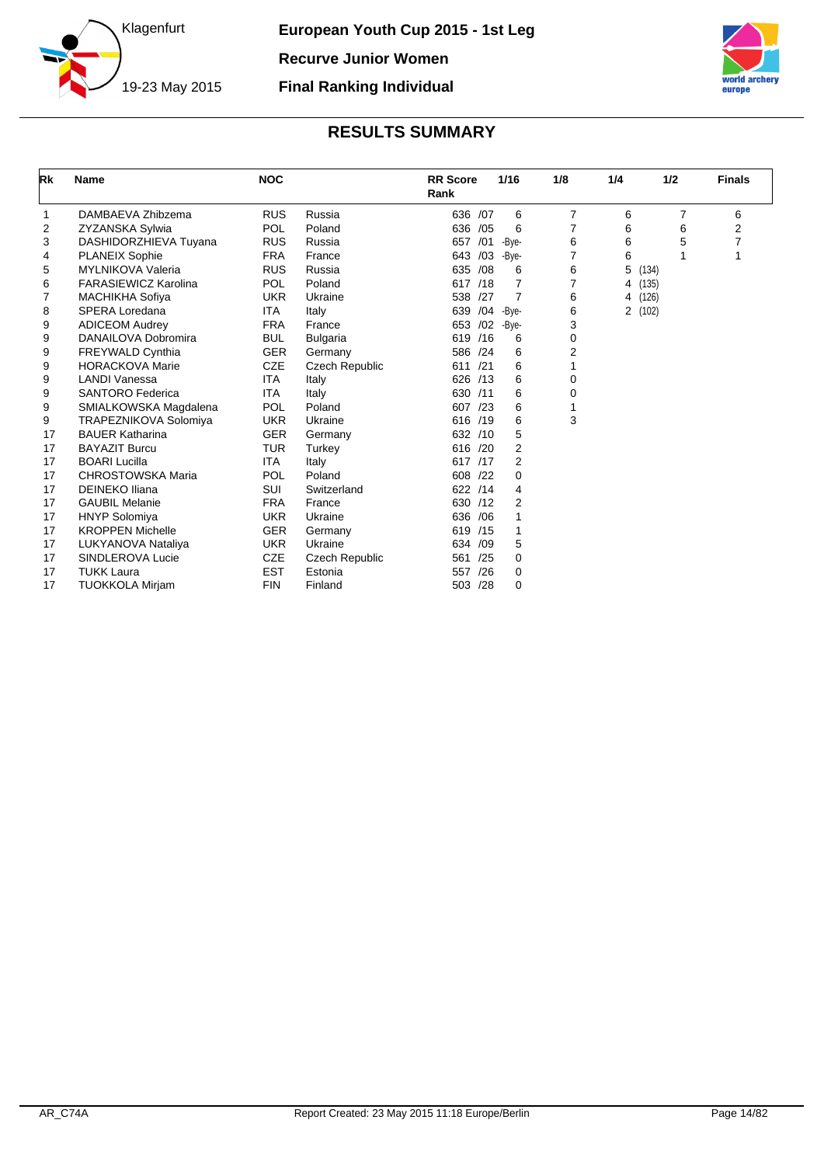

**Final Ranking Individual**

<span id="page-14-0"></span>

| Rk | <b>Name</b>                  | <b>NOC</b> |                       | <b>RR Score</b><br>Rank |     | 1/16           | 1/8            | 1/4 | 1/2   | <b>Finals</b> |
|----|------------------------------|------------|-----------------------|-------------------------|-----|----------------|----------------|-----|-------|---------------|
| 1  | DAMBAEVA Zhibzema            | <b>RUS</b> | Russia                | 636 /07                 |     | 6              | $\overline{7}$ | 6   | 7     | 6             |
| 2  | <b>ZYZANSKA Sylwia</b>       | POL        | Poland                | 636 /05                 |     | 6              | 7              | 6   | 6     | 2             |
| 3  | DASHIDORZHIEVA Tuyana        | <b>RUS</b> | Russia                | 657 /01                 |     | -Bye-          | 6              | 6   | 5     |               |
| 4  | <b>PLANEIX Sophie</b>        | <b>FRA</b> | France                | 643                     | /03 | -Bye-          | 7              | 6   |       |               |
| 5  | <b>MYLNIKOVA Valeria</b>     | <b>RUS</b> | Russia                | 635 /08                 |     | 6              | 6              | 5   | (134) |               |
| 6  | <b>FARASIEWICZ Karolina</b>  | POL        | Poland                | 617 /18                 |     | 7              | 7              | 4   | (135) |               |
| 7  | <b>MACHIKHA Sofiya</b>       | <b>UKR</b> | Ukraine               | 538                     | /27 | 7              | 6              | 4   | (126) |               |
| 8  | <b>SPERA Loredana</b>        | <b>ITA</b> | Italy                 | 639 / 04                |     | -Bye-          | 6              | 2   | (102) |               |
| 9  | <b>ADICEOM Audrey</b>        | <b>FRA</b> | France                | 653                     | /02 | -Bye-          | 3              |     |       |               |
| 9  | DANAILOVA Dobromira          | <b>BUL</b> | <b>Bulgaria</b>       | 619 /16                 |     | 6              | 0              |     |       |               |
| 9  | <b>FREYWALD Cynthia</b>      | <b>GER</b> | Germany               | 586 /24                 |     | 6              | 2              |     |       |               |
| 9  | <b>HORACKOVA Marie</b>       | CZE        | <b>Czech Republic</b> | 611                     | /21 | 6              |                |     |       |               |
| 9  | <b>LANDI Vanessa</b>         | <b>ITA</b> | Italy                 | 626 /13                 |     | 6              | 0              |     |       |               |
| 9  | <b>SANTORO Federica</b>      | <b>ITA</b> | Italy                 | 630 /11                 |     | 6              | 0              |     |       |               |
| 9  | SMIALKOWSKA Magdalena        | POL        | Poland                | 607                     | /23 | 6              | 1              |     |       |               |
| 9  | <b>TRAPEZNIKOVA Solomiya</b> | <b>UKR</b> | Ukraine               | 616 /19                 |     | 6              | 3              |     |       |               |
| 17 | <b>BAUER Katharina</b>       | <b>GER</b> | Germany               | 632 /10                 |     | 5              |                |     |       |               |
| 17 | <b>BAYAZIT Burcu</b>         | <b>TUR</b> | Turkey                | 616 /20                 |     | $\overline{2}$ |                |     |       |               |
| 17 | <b>BOARI Lucilla</b>         | <b>ITA</b> | Italy                 | 617 /17                 |     | 2              |                |     |       |               |
| 17 | <b>CHROSTOWSKA Maria</b>     | POL        | Poland                | 608 /22                 |     | 0              |                |     |       |               |
| 17 | <b>DEINEKO Iliana</b>        | SUI        | Switzerland           | 622 /14                 |     | 4              |                |     |       |               |
| 17 | <b>GAUBIL Melanie</b>        | <b>FRA</b> | France                | 630 /12                 |     | $\overline{2}$ |                |     |       |               |
| 17 | <b>HNYP Solomiya</b>         | <b>UKR</b> | Ukraine               | 636 / 06                |     |                |                |     |       |               |
| 17 | <b>KROPPEN Michelle</b>      | <b>GER</b> | Germany               | 619 /15                 |     |                |                |     |       |               |
| 17 | LUKYANOVA Nataliya           | <b>UKR</b> | Ukraine               | 634                     | /09 | 5              |                |     |       |               |
| 17 | SINDLEROVA Lucie             | <b>CZE</b> | Czech Republic        | 561                     | /25 | 0              |                |     |       |               |
| 17 | <b>TUKK Laura</b>            | <b>EST</b> | Estonia               | 557                     | /26 | 0              |                |     |       |               |
| 17 | <b>TUOKKOLA Mirjam</b>       | <b>FIN</b> | Finland               | 503 /28                 |     | $\Omega$       |                |     |       |               |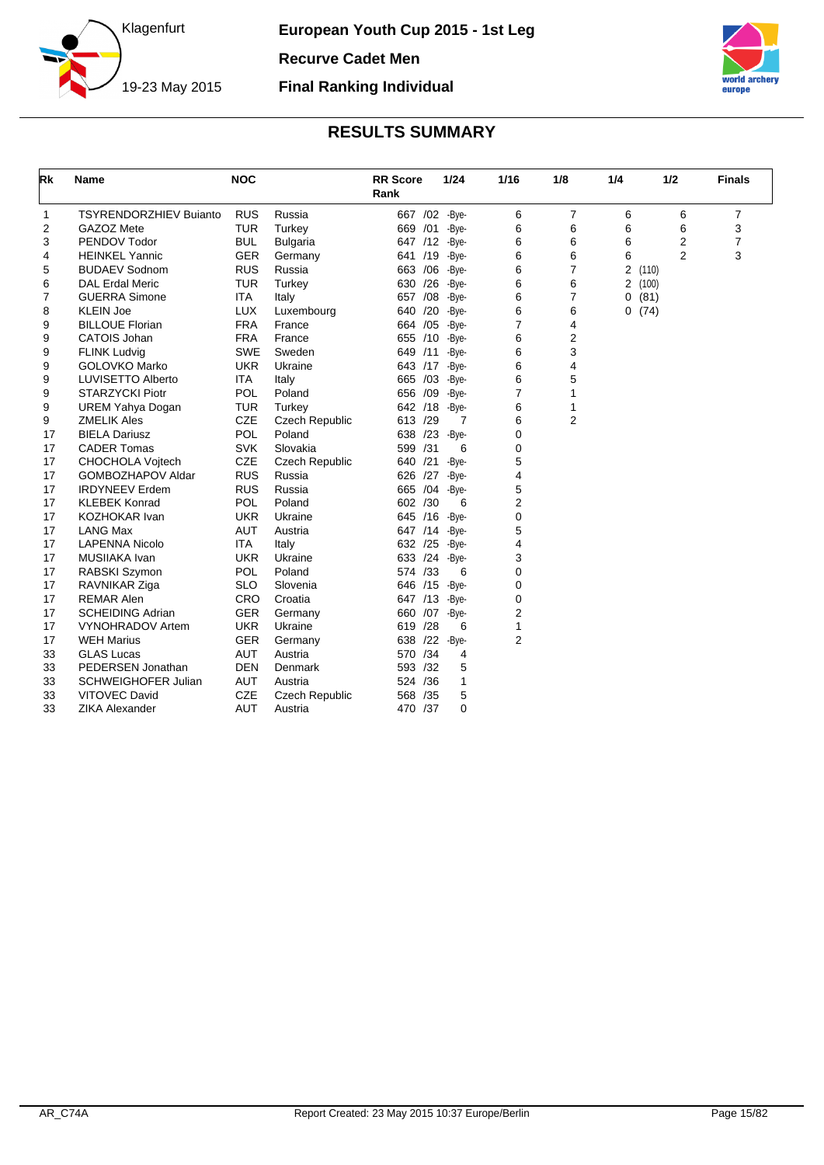

**European Youth Cup 2015 - 1st Leg Recurve Cadet Men**

**Final Ranking Individual**



<span id="page-15-0"></span>

| Rk | <b>Name</b>                   | <b>NOC</b> |                       | <b>RR</b> Score<br>Rank |     | 1/24     | 1/16           | 1/8            | 1/4 | 1/2            | <b>Finals</b>  |
|----|-------------------------------|------------|-----------------------|-------------------------|-----|----------|----------------|----------------|-----|----------------|----------------|
| 1  | <b>TSYRENDORZHIEV Buianto</b> | <b>RUS</b> | Russia                | 667 / 02 - Bye-         |     |          | 6              | $\overline{7}$ | 6   | 6              | 7              |
| 2  | GAZOZ Mete                    | <b>TUR</b> | Turkey                | 669 /01                 |     | -Bye-    | 6              | 6              | 6   | 6              | 3              |
| 3  | PENDOV Todor                  | <b>BUL</b> | <b>Bulgaria</b>       | 647 /12 -Bye-           |     |          | 6              | 6              | 6   | $\overline{2}$ | $\overline{7}$ |
| 4  | <b>HEINKEL Yannic</b>         | <b>GER</b> | Germany               | 641 /19 - Bye-          |     |          | 6              | 6              | 6   | 2              | 3              |
| 5  | <b>BUDAEV Sodnom</b>          | <b>RUS</b> | Russia                | 663 / 06 - Bye-         |     |          | 6              | $\overline{7}$ | 2   | (110)          |                |
| 6  | <b>DAL Erdal Meric</b>        | <b>TUR</b> | Turkey                | 630 /26                 |     | -Bye-    | 6              | 6              | 2   | (100)          |                |
| 7  | <b>GUERRA Simone</b>          | ITA        | Italy                 | 657                     | /08 | -Bye-    | 6              | 7              | 0   | (81)           |                |
| 8  | <b>KLEIN Joe</b>              | <b>LUX</b> | Luxembourg            | 640 /20                 |     | -Bye-    | 6              | 6              | 0   | (74)           |                |
| 9  | <b>BILLOUE Florian</b>        | <b>FRA</b> | France                | 664                     | /05 | -Bye-    | 7              | 4              |     |                |                |
| 9  | CATOIS Johan                  | <b>FRA</b> | France                | 655 /10 -Bye-           |     |          | 6              | $\overline{2}$ |     |                |                |
| 9  | <b>FLINK Ludvig</b>           | <b>SWE</b> | Sweden                | 649 /11 -Bye-           |     |          | 6              | 3              |     |                |                |
| 9  | <b>GOLOVKO Marko</b>          | <b>UKR</b> | Ukraine               | 643 /17 -Bye-           |     |          | 6              | 4              |     |                |                |
| 9  | LUVISETTO Alberto             | <b>ITA</b> | Italy                 | 665 /03 - Bye-          |     |          | 6              | 5              |     |                |                |
| 9  | <b>STARZYCKI Piotr</b>        | <b>POL</b> | Poland                | 656 /09                 |     | -Bye-    | 7              | 1              |     |                |                |
| 9  | <b>UREM Yahya Dogan</b>       | <b>TUR</b> | Turkey                | 642 /18                 |     | -Bye-    | 6              | 1              |     |                |                |
| 9  | <b>ZMELIK Ales</b>            | <b>CZE</b> | <b>Czech Republic</b> | 613 /29                 |     | 7        | 6              | $\overline{2}$ |     |                |                |
| 17 | <b>BIELA Dariusz</b>          | <b>POL</b> | Poland                | 638 /23                 |     | -Bye-    | 0              |                |     |                |                |
| 17 | <b>CADER Tomas</b>            | <b>SVK</b> | Slovakia              | 599 /31                 |     | 6        | 0              |                |     |                |                |
| 17 | <b>CHOCHOLA Vojtech</b>       | <b>CZE</b> | <b>Czech Republic</b> | 640 /21 -Bye-           |     |          | 5              |                |     |                |                |
| 17 | <b>GOMBOZHAPOV Aldar</b>      | <b>RUS</b> | Russia                | 626 /27                 |     | -Bye-    | 4              |                |     |                |                |
| 17 | <b>IRDYNEEV Erdem</b>         | <b>RUS</b> | Russia                | 665 /04                 |     | -Bye-    | 5              |                |     |                |                |
| 17 | <b>KLEBEK Konrad</b>          | POL        | Poland                | 602 /30                 |     | 6        | $\overline{2}$ |                |     |                |                |
| 17 | <b>KOZHOKAR Ivan</b>          | <b>UKR</b> | Ukraine               | 645 /16                 |     | -Bye-    | 0              |                |     |                |                |
| 17 | <b>LANG Max</b>               | <b>AUT</b> | Austria               | 647 /14                 |     | -Bye-    | 5              |                |     |                |                |
| 17 | <b>LAPENNA Nicolo</b>         | ITA        | Italy                 | 632 /25                 |     | -Bye-    | 4              |                |     |                |                |
| 17 | MUSIIAKA Ivan                 | <b>UKR</b> | Ukraine               | 633 /24                 |     | -Bye-    | 3              |                |     |                |                |
| 17 | RABSKI Szymon                 | <b>POL</b> | Poland                | 574 /33                 |     | 6        | 0              |                |     |                |                |
| 17 | RAVNIKAR Ziga                 | <b>SLO</b> | Slovenia              | 646 /15                 |     | -Bye-    | 0              |                |     |                |                |
| 17 | <b>REMAR Alen</b>             | CRO        | Croatia               | 647 /13                 |     | -Bye-    | 0              |                |     |                |                |
| 17 | <b>SCHEIDING Adrian</b>       | <b>GER</b> | Germany               | 660 /07                 |     | -Bye-    | 2              |                |     |                |                |
| 17 | VYNOHRADOV Artem              | <b>UKR</b> | Ukraine               | 619 /28                 |     | 6        | 1              |                |     |                |                |
| 17 | <b>WEH Marius</b>             | <b>GER</b> | Germany               | 638                     | /22 | -Bye-    | 2              |                |     |                |                |
| 33 | <b>GLAS Lucas</b>             | <b>AUT</b> | Austria               | 570                     | /34 | 4        |                |                |     |                |                |
| 33 | PEDERSEN Jonathan             | <b>DEN</b> | <b>Denmark</b>        | 593 /32                 |     | 5        |                |                |     |                |                |
| 33 | <b>SCHWEIGHOFER Julian</b>    | <b>AUT</b> | Austria               | 524 /36                 |     | 1        |                |                |     |                |                |
| 33 | <b>VITOVEC David</b>          | <b>CZE</b> | <b>Czech Republic</b> | 568 /35                 |     | 5        |                |                |     |                |                |
| 33 | <b>ZIKA Alexander</b>         | <b>AUT</b> | Austria               | 470                     | /37 | $\Omega$ |                |                |     |                |                |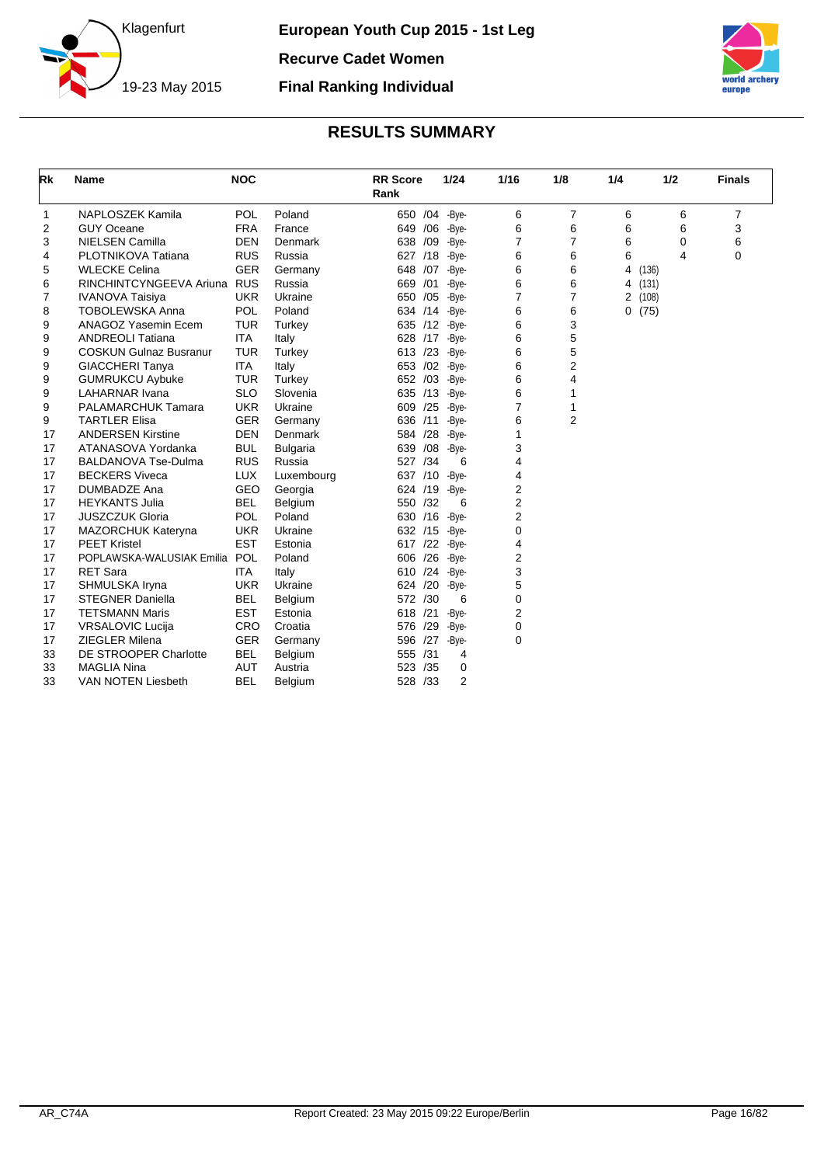



<span id="page-16-0"></span>

| Rk | <b>Name</b>                   | <b>NOC</b> |                 | <b>RR</b> Score<br>Rank |     | 1/24           | 1/16           | 1/8            | 1/4 | 1/2     |                         | <b>Finals</b> |
|----|-------------------------------|------------|-----------------|-------------------------|-----|----------------|----------------|----------------|-----|---------|-------------------------|---------------|
| 1  | <b>NAPLOSZEK Kamila</b>       | <b>POL</b> | Poland          | 650 /04 -Bye-           |     |                | 6              | $\overline{7}$ | 6   |         | 6                       | 7             |
| 2  | <b>GUY Oceane</b>             | <b>FRA</b> | France          | 649 / 06                |     | -Bye-          | 6              | 6              | 6   |         | 6                       | 3             |
| 3  | <b>NIELSEN Camilla</b>        | <b>DEN</b> | Denmark         | 638 /09                 |     | -Bye-          | 7              | 7              | 6   |         | $\mathbf 0$             | 6             |
| 4  | PLOTNIKOVA Tatiana            | <b>RUS</b> | Russia          | 627 /18                 |     | -Bye-          | 6              | 6              | 6   |         | $\overline{\mathbf{A}}$ | $\mathbf 0$   |
| 5  | <b>WLECKE Celina</b>          | <b>GER</b> | Germany         | 648 /07                 |     | -Bye-          | 6              | 6              | 4   | (136)   |                         |               |
| 6  | RINCHINTCYNGEEVA Ariuna RUS   |            | Russia          | 669 /01                 |     | -Bye-          | 6              | 6              |     | 4 (131) |                         |               |
| 7  | <b>IVANOVA Taisiya</b>        | <b>UKR</b> | Ukraine         | /05<br>650              |     | -Bye-          | $\overline{7}$ | 7              |     | 2(108)  |                         |               |
| 8  | <b>TOBOLEWSKA Anna</b>        | <b>POL</b> | Poland          | 634 /14                 |     | -Bye-          | 6              | 6              |     | 0(75)   |                         |               |
| 9  | ANAGOZ Yasemin Ecem           | <b>TUR</b> | Turkey          | 635 /12                 |     | -Bye-          | 6              | 3              |     |         |                         |               |
| 9  | <b>ANDREOLI Tatiana</b>       | <b>ITA</b> | Italy           | 628                     |     | $/17$ -Bye-    | 6              | 5              |     |         |                         |               |
| 9  | <b>COSKUN Gulnaz Busranur</b> | <b>TUR</b> | Turkey          | 613 /23                 |     | -Bye-          | 6              | 5              |     |         |                         |               |
| 9  | <b>GIACCHERI Tanya</b>        | <b>ITA</b> | Italy           | 653                     | /02 | -Bye-          | 6              | 2              |     |         |                         |               |
| 9  | <b>GUMRUKCU Aybuke</b>        | <b>TUR</b> | Turkey          | /03<br>652              |     | -Bye-          | 6              | 4              |     |         |                         |               |
| 9  | <b>LAHARNAR Ivana</b>         | <b>SLO</b> | Slovenia        | 635 /13                 |     | -Bye-          | 6              | 1              |     |         |                         |               |
| 9  | <b>PALAMARCHUK Tamara</b>     | <b>UKR</b> | Ukraine         | /25<br>609              |     | -Bye-          | 7              | 1              |     |         |                         |               |
| 9  | <b>TARTLER Elisa</b>          | <b>GER</b> | Germany         | /11<br>636              |     | -Bye-          | 6              | $\overline{2}$ |     |         |                         |               |
| 17 | <b>ANDERSEN Kirstine</b>      | <b>DEN</b> | Denmark         | /28<br>584              |     | -Bye-          | 1              |                |     |         |                         |               |
| 17 | ATANASOVA Yordanka            | <b>BUL</b> | <b>Bulgaria</b> | /08<br>639              |     | -Bye-          | 3              |                |     |         |                         |               |
| 17 | <b>BALDANOVA Tse-Dulma</b>    | <b>RUS</b> | Russia          | 527 /34                 |     | 6              | 4              |                |     |         |                         |               |
| 17 | <b>BECKERS Viveca</b>         | <b>LUX</b> | Luxembourg      | 637 /10                 |     | -Bye-          | 4              |                |     |         |                         |               |
| 17 | <b>DUMBADZE Ana</b>           | <b>GEO</b> | Georgia         | 624 /19                 |     | -Bye-          | 2              |                |     |         |                         |               |
| 17 | <b>HEYKANTS Julia</b>         | <b>BEL</b> | Belgium         | 550 /32                 |     | 6              | $\overline{2}$ |                |     |         |                         |               |
| 17 | <b>JUSZCZUK Gloria</b>        | POL        | Poland          | 630 /16                 |     | -Bye-          | $\overline{2}$ |                |     |         |                         |               |
| 17 | MAZORCHUK Kateryna            | <b>UKR</b> | Ukraine         | 632 /15 -Bye-           |     |                | $\Omega$       |                |     |         |                         |               |
| 17 | <b>PEET Kristel</b>           | <b>EST</b> | Estonia         | 617 /22 -Bye-           |     |                | 4              |                |     |         |                         |               |
| 17 | POPLAWSKA-WALUSIAK Emilia     | POL        | Poland          | 606 /26 -Bye-           |     |                | 2              |                |     |         |                         |               |
| 17 | <b>RET Sara</b>               | <b>ITA</b> | Italy           | 610 /24 -Bye-           |     |                | 3              |                |     |         |                         |               |
| 17 | SHMULSKA Iryna                | <b>UKR</b> | Ukraine         | /20<br>624              |     | -Bye-          | 5              |                |     |         |                         |               |
| 17 | <b>STEGNER Daniella</b>       | <b>BEL</b> | Belgium         | 572 /30                 |     | 6              | 0              |                |     |         |                         |               |
| 17 | <b>TETSMANN Maris</b>         | <b>EST</b> | Estonia         | /21<br>618              |     | -Bye-          | 2              |                |     |         |                         |               |
| 17 | <b>VRSALOVIC Lucija</b>       | <b>CRO</b> | Croatia         | /29<br>576              |     | -Bye-          | 0              |                |     |         |                         |               |
| 17 | <b>ZIEGLER Milena</b>         | <b>GER</b> | Germany         | /27<br>596              |     | -Bye-          | $\Omega$       |                |     |         |                         |               |
| 33 | DE STROOPER Charlotte         | <b>BEL</b> | Belgium         | 555<br>/31              |     | 4              |                |                |     |         |                         |               |
| 33 | <b>MAGLIA Nina</b>            | <b>AUT</b> | Austria         | 523<br>/35              |     | 0              |                |                |     |         |                         |               |
| 33 | <b>VAN NOTEN Liesbeth</b>     | <b>BEL</b> | Belgium         | 528 /33                 |     | $\overline{2}$ |                |                |     |         |                         |               |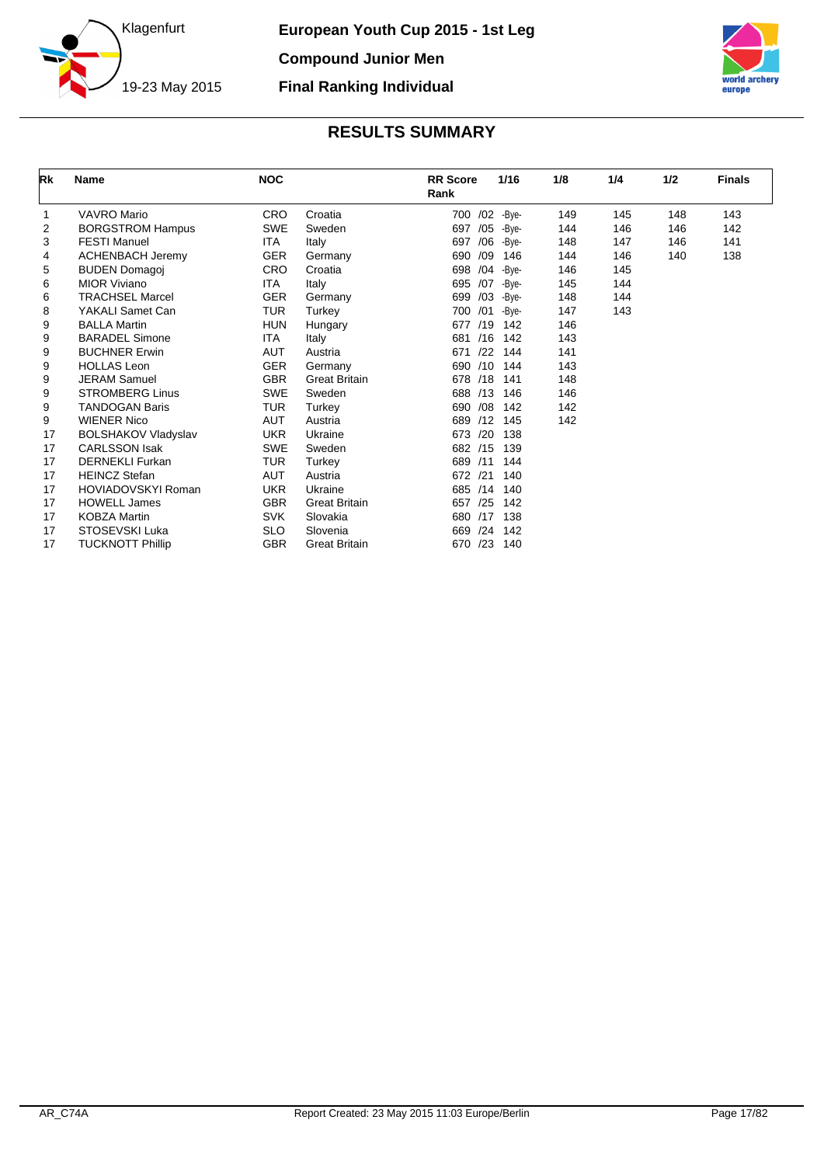



<span id="page-17-0"></span>

| Rk | <b>Name</b>                | <b>NOC</b> |                      | <b>RR</b> Score<br>Rank | 1/16        | 1/8 | 1/4 | 1/2 | <b>Finals</b> |
|----|----------------------------|------------|----------------------|-------------------------|-------------|-----|-----|-----|---------------|
| 1  | <b>VAVRO Mario</b>         | <b>CRO</b> | Croatia              | 700 /02 -Bye-           |             | 149 | 145 | 148 | 143           |
| 2  | <b>BORGSTROM Hampus</b>    | <b>SWE</b> | Sweden               | 697 /05 - Bye-          |             | 144 | 146 | 146 | 142           |
| 3  | <b>FESTI Manuel</b>        | <b>ITA</b> | Italy                | 697                     | $/06$ -Bye- | 148 | 147 | 146 | 141           |
| 4  | <b>ACHENBACH Jeremy</b>    | <b>GER</b> | Germany              | 690<br>/09              | 146         | 144 | 146 | 140 | 138           |
| 5  | <b>BUDEN Domagoj</b>       | <b>CRO</b> | Croatia              | 698<br>/04              | -Bve-       | 146 | 145 |     |               |
| 6  | <b>MIOR Viviano</b>        | <b>ITA</b> | Italy                | 695<br>/07              | -Bye-       | 145 | 144 |     |               |
| 6  | <b>TRACHSEL Marcel</b>     | <b>GER</b> | Germany              | /03<br>699              | -Bye-       | 148 | 144 |     |               |
| 8  | YAKALI Samet Can           | <b>TUR</b> | Turkey               | 700 /01                 | -Bye-       | 147 | 143 |     |               |
| 9  | <b>BALLA Martin</b>        | <b>HUN</b> | Hungary              | /19<br>677              | 142         | 146 |     |     |               |
| 9  | <b>BARADEL Simone</b>      | <b>ITA</b> | Italy                | /16<br>681              | 142         | 143 |     |     |               |
| 9  | <b>BUCHNER Erwin</b>       | <b>AUT</b> | Austria              | /22<br>671              | 144         | 141 |     |     |               |
| 9  | <b>HOLLAS Leon</b>         | <b>GER</b> | Germany              | /10<br>690              | 144         | 143 |     |     |               |
| 9  | <b>JERAM Samuel</b>        | <b>GBR</b> | <b>Great Britain</b> | 678 /18                 | 141         | 148 |     |     |               |
| 9  | <b>STROMBERG Linus</b>     | <b>SWE</b> | Sweden               | 688 /13                 | 146         | 146 |     |     |               |
| 9  | <b>TANDOGAN Baris</b>      | <b>TUR</b> | Turkey               | 690<br>/08              | 142         | 142 |     |     |               |
| 9  | <b>WIENER Nico</b>         | <b>AUT</b> | Austria              | /12<br>689              | 145         | 142 |     |     |               |
| 17 | <b>BOLSHAKOV Vladyslav</b> | <b>UKR</b> | Ukraine              | /20<br>673              | 138         |     |     |     |               |
| 17 | <b>CARLSSON Isak</b>       | <b>SWE</b> | Sweden               | 682 /15                 | 139         |     |     |     |               |
| 17 | <b>DERNEKLI Furkan</b>     | <b>TUR</b> | Turkey               | 689<br>/11              | 144         |     |     |     |               |
| 17 | <b>HEINCZ Stefan</b>       | <b>AUT</b> | Austria              | /21<br>672              | 140         |     |     |     |               |
| 17 | HOVIADOVSKYI Roman         | <b>UKR</b> | Ukraine              | /14<br>685              | 140         |     |     |     |               |
| 17 | <b>HOWELL James</b>        | <b>GBR</b> | <b>Great Britain</b> | /25<br>657              | 142         |     |     |     |               |
| 17 | <b>KOBZA Martin</b>        | <b>SVK</b> | Slovakia             | /17<br>680              | 138         |     |     |     |               |
| 17 | STOSEVSKI Luka             | <b>SLO</b> | Slovenia             | 669<br>/24              | 142         |     |     |     |               |
| 17 | <b>TUCKNOTT Phillip</b>    | <b>GBR</b> | <b>Great Britain</b> | /23<br>670              | 140         |     |     |     |               |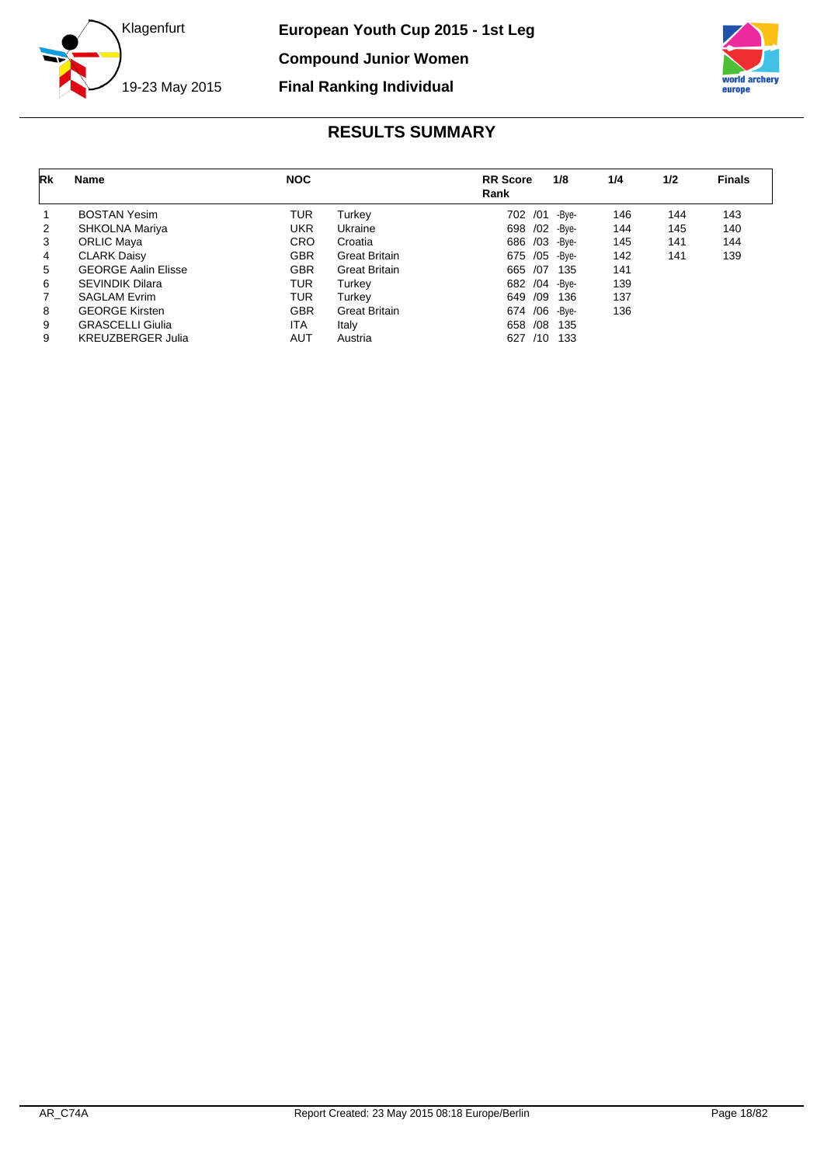



<span id="page-18-0"></span>

| Rk             | Name                       | <b>NOC</b> |                      | <b>RR</b> Score<br>Rank | 1/8   | 1/4 | 1/2 | <b>Finals</b> |
|----------------|----------------------------|------------|----------------------|-------------------------|-------|-----|-----|---------------|
|                | <b>BOSTAN Yesim</b>        | TUR        | Turkev               | /01<br>702              | -Bve- | 146 | 144 | 143           |
| 2              | SHKOLNA Mariya             | <b>UKR</b> | Ukraine              | 698 / 02 - Bye-         |       | 144 | 145 | 140           |
| 3              | <b>ORLIC Maya</b>          | <b>CRO</b> | Croatia              | 686 /03 -Bye-           |       | 145 | 141 | 144           |
| 4              | <b>CLARK Daisy</b>         | <b>GBR</b> | <b>Great Britain</b> | 675 / 05 - Bye-         |       | 142 | 141 | 139           |
| 5              | <b>GEORGE Aalin Elisse</b> | <b>GBR</b> | <b>Great Britain</b> | 665 /07                 | 135   | 141 |     |               |
| 6              | <b>SEVINDIK Dilara</b>     | <b>TUR</b> | Turkey               | 682 / 04 - Bye-         |       | 139 |     |               |
| $\overline{7}$ | <b>SAGLAM Evrim</b>        | <b>TUR</b> | Turkev               | /09<br>649              | 136   | 137 |     |               |
| 8              | <b>GEORGE Kirsten</b>      | <b>GBR</b> | <b>Great Britain</b> | 674 / 06                | -Bve- | 136 |     |               |
| 9              | <b>GRASCELLI Giulia</b>    | <b>ITA</b> | Italy                | /08<br>658              | - 135 |     |     |               |
| 9              | <b>KREUZBERGER Julia</b>   | AUT        | Austria              | /10<br>627              | -133  |     |     |               |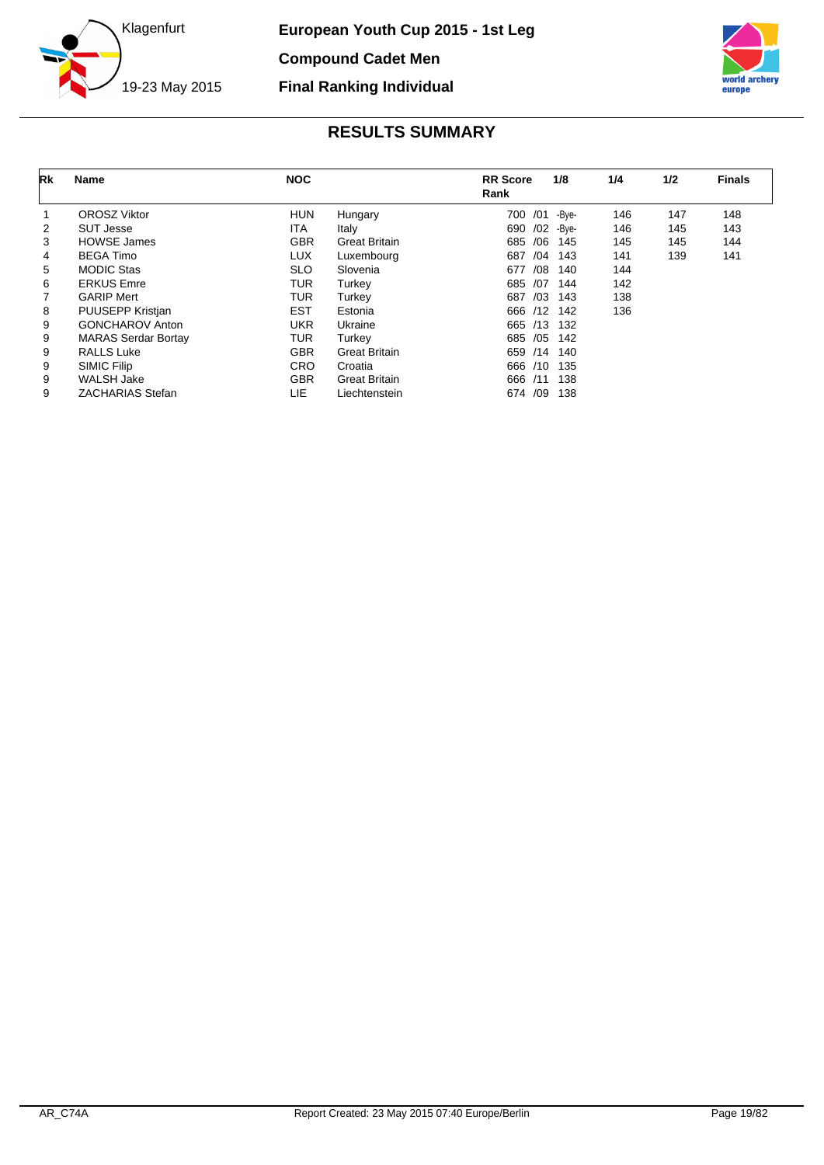



<span id="page-19-0"></span>

| Rk | Name                       | <b>NOC</b> |                      | <b>RR</b> Score | 1/8   | 1/4 | 1/2 | <b>Finals</b> |
|----|----------------------------|------------|----------------------|-----------------|-------|-----|-----|---------------|
|    |                            |            |                      | Rank            |       |     |     |               |
|    | <b>OROSZ Viktor</b>        | <b>HUN</b> | Hungary              | /01<br>700      | -Bye- | 146 | 147 | 148           |
| 2  | <b>SUT Jesse</b>           | <b>ITA</b> | Italy                | /02<br>690      | -Bye- | 146 | 145 | 143           |
| 3  | <b>HOWSE James</b>         | <b>GBR</b> | <b>Great Britain</b> | /06<br>685      | 145   | 145 | 145 | 144           |
| 4  | <b>BEGA Timo</b>           | <b>LUX</b> | Luxembourg           | /04<br>687      | 143   | 141 | 139 | 141           |
| 5  | <b>MODIC Stas</b>          | <b>SLO</b> | Slovenia             | /08<br>677      | 140   | 144 |     |               |
| 6  | <b>ERKUS Emre</b>          | <b>TUR</b> | Turkey               | 685<br>/07      | 144   | 142 |     |               |
| 7  | <b>GARIP Mert</b>          | <b>TUR</b> | Turkey               | /03<br>687      | 143   | 138 |     |               |
| 8  | <b>PUUSEPP Kristjan</b>    | <b>EST</b> | Estonia              | 666 /12         | 142   | 136 |     |               |
| 9  | <b>GONCHAROV Anton</b>     | <b>UKR</b> | Ukraine              | /13<br>665      | 132   |     |     |               |
| 9  | <b>MARAS Serdar Bortay</b> | <b>TUR</b> | Turkey               | 685 / 05        | 142   |     |     |               |
| 9  | <b>RALLS Luke</b>          | <b>GBR</b> | <b>Great Britain</b> | /14<br>659      | 140   |     |     |               |
| 9  | SIMIC Filip                | <b>CRO</b> | Croatia              | 666<br>/10      | 135   |     |     |               |
| 9  | <b>WALSH Jake</b>          | <b>GBR</b> | <b>Great Britain</b> | 666<br>/11      | 138   |     |     |               |
| 9  | <b>ZACHARIAS Stefan</b>    | LIE        | Liechtenstein        | 674 /09         | 138   |     |     |               |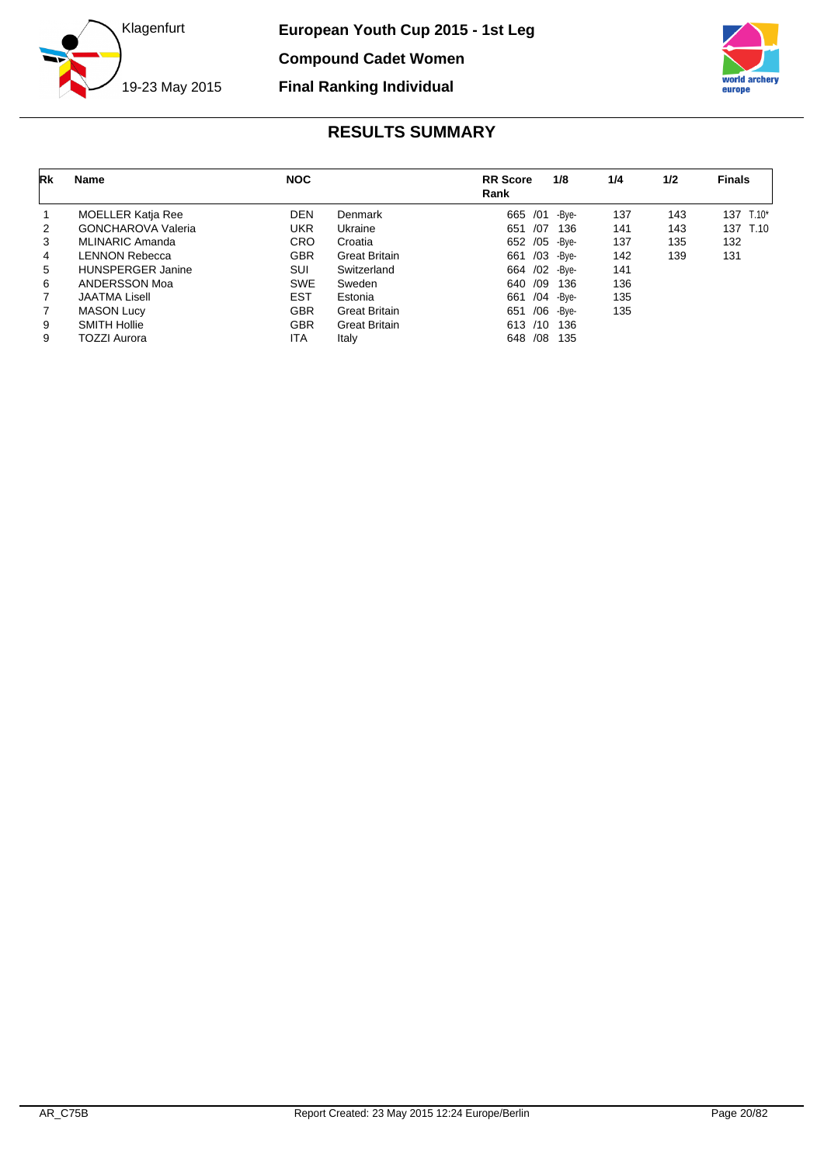



<span id="page-20-0"></span>

| Rk             | <b>Name</b>               | <b>NOC</b> |                      | <b>RR</b> Score<br>Rank | 1/8   | 1/4 | 1/2 | <b>Finals</b> |
|----------------|---------------------------|------------|----------------------|-------------------------|-------|-----|-----|---------------|
|                | <b>MOELLER Katja Ree</b>  | <b>DEN</b> | Denmark              | /01<br>665              | -Bve- | 137 | 143 | 137 T.10*     |
| 2              | <b>GONCHAROVA Valeria</b> | UKR        | Ukraine              | /07<br>651              | 136   | 141 | 143 | 137 T.10      |
| 3              | MLINARIC Amanda           | <b>CRO</b> | Croatia              | /05<br>652              | -Bve- | 137 | 135 | 132           |
| 4              | LENNON Rebecca            | <b>GBR</b> | <b>Great Britain</b> | /03<br>661              | -Bve- | 142 | 139 | 131           |
| 5              | <b>HUNSPERGER Janine</b>  | SUI        | Switzerland          | /02<br>664              | -Bve- | 141 |     |               |
| 6              | ANDERSSON Moa             | <b>SWE</b> | Sweden               | /09<br>640              | 136   | 136 |     |               |
| $\overline{7}$ | <b>JAATMA Lisell</b>      | EST        | Estonia              | /04<br>661              | -Bve- | 135 |     |               |
| 7              | <b>MASON Lucy</b>         | <b>GBR</b> | <b>Great Britain</b> | /06<br>651              | -Bve- | 135 |     |               |
| 9              | <b>SMITH Hollie</b>       | <b>GBR</b> | <b>Great Britain</b> | 613 /10                 | 136   |     |     |               |
| 9              | <b>TOZZI Aurora</b>       | ITA        | Italy                | /08<br>648              | 135   |     |     |               |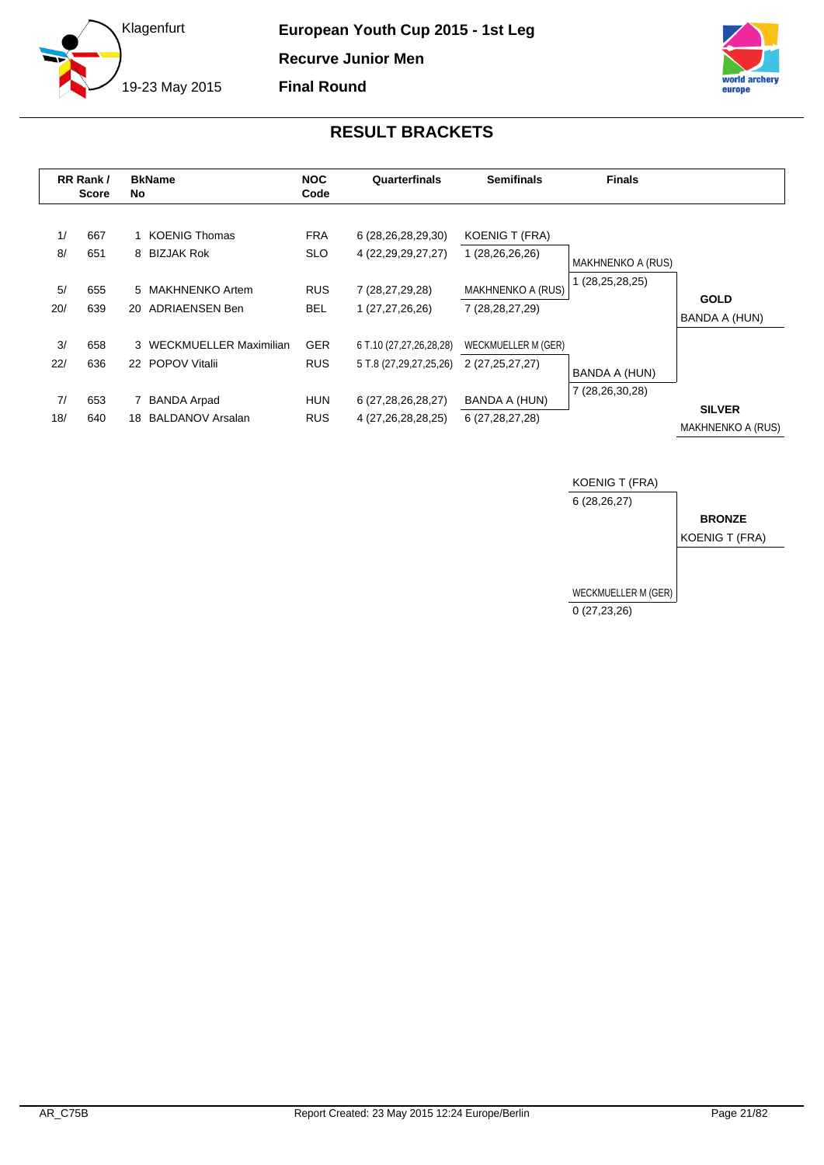



<span id="page-21-0"></span>

|           | RR Rank /<br><b>Score</b> | No | <b>BkName</b>                                 | <b>NOC</b><br>Code       | Quarterfinals                                     | <b>Semifinals</b>                        | <b>Finals</b>            |                                           |
|-----------|---------------------------|----|-----------------------------------------------|--------------------------|---------------------------------------------------|------------------------------------------|--------------------------|-------------------------------------------|
| 1/<br>8/  | 667<br>651                |    | 1 KOENIG Thomas<br>8 BIZJAK Rok               | <b>FRA</b><br><b>SLO</b> | 6 (28,26,28,29,30)<br>4 (22, 29, 29, 27, 27)      | <b>KOENIG T (FRA)</b><br>1 (28,26,26,26) | <b>MAKHNENKO A (RUS)</b> |                                           |
| 5/<br>20/ | 655<br>639                |    | 5 MAKHNENKO Artem<br>20 ADRIAENSEN Ben        | <b>RUS</b><br><b>BEL</b> | 7 (28,27,29,28)<br>1 (27,27,26,26)                | MAKHNENKO A (RUS)<br>7 (28, 28, 27, 29)  | 1 (28,25,28,25)          | <b>GOLD</b><br>BANDA A (HUN)              |
| 3/<br>22/ | 658<br>636                |    | 3 WECKMUELLER Maximilian<br>22 POPOV Vitalii  | <b>GER</b><br><b>RUS</b> | 6 T.10 (27,27,26,28,28)<br>5 T.8 (27,29,27,25,26) | WECKMUELLER M (GER)<br>2 (27,25,27,27)   | BANDA A (HUN)            |                                           |
| 7/<br>18/ | 653<br>640                | 18 | <b>BANDA Arpad</b><br><b>BALDANOV Arsalan</b> | <b>HUN</b><br><b>RUS</b> | 6 (27,28,26,28,27)<br>4 (27,26,28,28,25)          | BANDA A (HUN)<br>6 (27, 28, 27, 28)      | 7 (28,26,30,28)          | <b>SILVER</b><br><b>MAKHNENKO A (RUS)</b> |

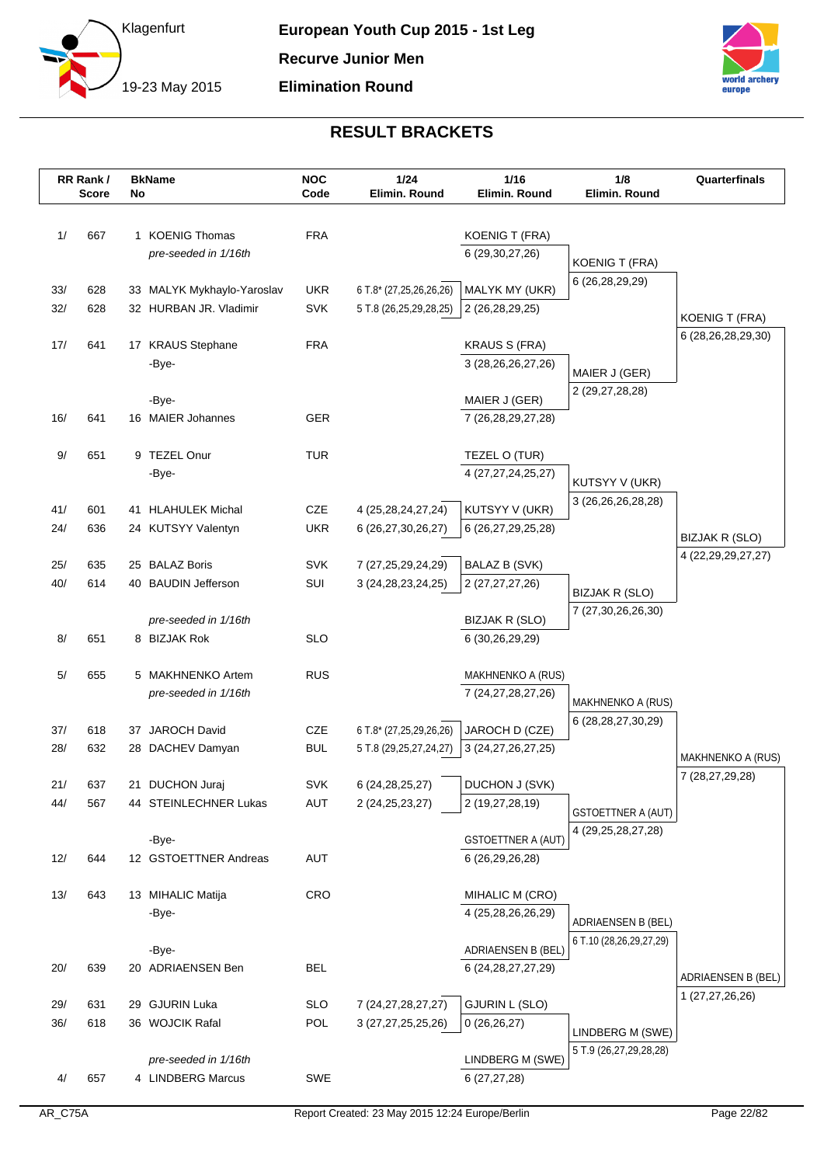



| 1/<br>667<br>1 KOENIG Thomas<br><b>FRA</b><br><b>KOENIG T (FRA)</b><br>6 (29, 30, 27, 26)<br>pre-seeded in 1/16th<br><b>KOENIG T (FRA)</b><br>6 (26,28,29,29)<br><b>UKR</b><br>MALYK MY (UKR)<br>33/<br>628<br>33 MALYK Mykhaylo-Yaroslav<br>6 T.8* (27,25,26,26,26)<br>32/<br>628<br>32 HURBAN JR. Vladimir<br><b>SVK</b><br>5 T.8 (26,25,29,28,25)<br>2 (26,28,29,25)<br><b>KOENIG T (FRA)</b><br>6 (28,26,28,29,30)<br>17/<br><b>FRA</b><br><b>KRAUS S (FRA)</b><br>641<br>17 KRAUS Stephane<br>-Bye-<br>3 (28, 26, 26, 27, 26)<br>MAIER J (GER)<br>2 (29,27,28,28)<br>-Bye-<br>MAIER J (GER)<br>641<br><b>GER</b><br>16/<br>16 MAIER Johannes<br>7 (26, 28, 29, 27, 28)<br>$9/$<br>651<br><b>TUR</b><br>9 TEZEL Onur<br>TEZEL O (TUR)<br>-Bye-<br>4 (27, 27, 24, 25, 27)<br>KUTSYY V (UKR)<br>3 (26, 26, 26, 28, 28)<br>41/<br><b>CZE</b><br>4 (25,28,24,27,24)<br>KUTSYY V (UKR)<br>601<br>41 HLAHULEK Michal<br>24/<br><b>UKR</b><br>636<br>24 KUTSYY Valentyn<br>6 (26,27,30,26,27)<br>6 (26,27,29,25,28)<br>BIZJAK R (SLO)<br>4 (22, 29, 29, 27, 27)<br>25 BALAZ Boris<br><b>SVK</b><br><b>BALAZ B (SVK)</b><br>25/<br>635<br>7 (27,25,29,24,29)<br>40/<br>614<br>40 BAUDIN Jefferson<br>SUI<br>3 (24, 28, 23, 24, 25)<br>2 (27,27,27,26)<br>BIZJAK R (SLO)<br>7 (27,30,26,26,30)<br>pre-seeded in 1/16th<br><b>BIZJAK R (SLO)</b><br>8/<br>651<br>8 BIZJAK Rok<br><b>SLO</b><br>6 (30,26,29,29)<br>5/<br><b>RUS</b><br>655<br>5 MAKHNENKO Artem<br>MAKHNENKO A (RUS)<br>pre-seeded in 1/16th<br>7 (24, 27, 28, 27, 26)<br><b>MAKHNENKO A (RUS)</b><br>6 (28, 28, 27, 30, 29)<br>CZE<br>37/<br>618<br>37 JAROCH David<br>6 T.8* (27,25,29,26,26)<br>JAROCH D (CZE)<br>28/<br>632<br><b>BUL</b><br>28 DACHEV Damyan<br>5 T.8 (29,25,27,24,27)<br>3 (24, 27, 26, 27, 25)<br>MAKHNENKO A (RUS)<br>7 (28,27,29,28)<br><b>SVK</b><br>DUCHON J (SVK)<br>21/<br>637<br>6 (24, 28, 25, 27)<br>21 DUCHON Juraj<br>44/<br>44 STEINLECHNER Lukas<br><b>AUT</b><br>2 (24, 25, 23, 27)<br>2 (19,27,28,19)<br>567<br><b>GSTOETTNER A (AUT)</b><br>4 (29,25,28,27,28)<br>-Bye-<br><b>GSTOETTNER A (AUT)</b><br><b>AUT</b><br>12/<br>644<br>12 GSTOETTNER Andreas<br>6 (26,29,26,28)<br>13/<br>643<br>13 MIHALIC Matija<br><b>CRO</b><br>MIHALIC M (CRO)<br>-Bye-<br>4 (25,28,26,26,29)<br><b>ADRIAENSEN B (BEL)</b><br>6 T.10 (28,26,29,27,29)<br>ADRIAENSEN B (BEL)<br>-Bye-<br><b>BEL</b><br>20/<br>639<br>20 ADRIAENSEN Ben<br>6 (24, 28, 27, 27, 29)<br>ADRIAENSEN B (BEL)<br>1 (27,27,26,26)<br>29 GJURIN Luka<br><b>GJURIN L (SLO)</b><br>29/<br><b>SLO</b><br>7 (24, 27, 28, 27, 27)<br>631 |     | RR Rank /<br><b>Score</b> | No | <b>BkName</b> | <b>NOC</b><br>Code | 1/24<br>Elimin. Round | 1/16<br>Elimin. Round | 1/8<br>Elimin. Round | Quarterfinals |
|---------------------------------------------------------------------------------------------------------------------------------------------------------------------------------------------------------------------------------------------------------------------------------------------------------------------------------------------------------------------------------------------------------------------------------------------------------------------------------------------------------------------------------------------------------------------------------------------------------------------------------------------------------------------------------------------------------------------------------------------------------------------------------------------------------------------------------------------------------------------------------------------------------------------------------------------------------------------------------------------------------------------------------------------------------------------------------------------------------------------------------------------------------------------------------------------------------------------------------------------------------------------------------------------------------------------------------------------------------------------------------------------------------------------------------------------------------------------------------------------------------------------------------------------------------------------------------------------------------------------------------------------------------------------------------------------------------------------------------------------------------------------------------------------------------------------------------------------------------------------------------------------------------------------------------------------------------------------------------------------------------------------------------------------------------------------------------------------------------------------------------------------------------------------------------------------------------------------------------------------------------------------------------------------------------------------------------------------------------------------------------------------------------------------------------------------------------------------------------------------------------------------------------------------------------------------------------------------|-----|---------------------------|----|---------------|--------------------|-----------------------|-----------------------|----------------------|---------------|
|                                                                                                                                                                                                                                                                                                                                                                                                                                                                                                                                                                                                                                                                                                                                                                                                                                                                                                                                                                                                                                                                                                                                                                                                                                                                                                                                                                                                                                                                                                                                                                                                                                                                                                                                                                                                                                                                                                                                                                                                                                                                                                                                                                                                                                                                                                                                                                                                                                                                                                                                                                                             |     |                           |    |               |                    |                       |                       |                      |               |
|                                                                                                                                                                                                                                                                                                                                                                                                                                                                                                                                                                                                                                                                                                                                                                                                                                                                                                                                                                                                                                                                                                                                                                                                                                                                                                                                                                                                                                                                                                                                                                                                                                                                                                                                                                                                                                                                                                                                                                                                                                                                                                                                                                                                                                                                                                                                                                                                                                                                                                                                                                                             |     |                           |    |               |                    |                       |                       |                      |               |
|                                                                                                                                                                                                                                                                                                                                                                                                                                                                                                                                                                                                                                                                                                                                                                                                                                                                                                                                                                                                                                                                                                                                                                                                                                                                                                                                                                                                                                                                                                                                                                                                                                                                                                                                                                                                                                                                                                                                                                                                                                                                                                                                                                                                                                                                                                                                                                                                                                                                                                                                                                                             |     |                           |    |               |                    |                       |                       |                      |               |
|                                                                                                                                                                                                                                                                                                                                                                                                                                                                                                                                                                                                                                                                                                                                                                                                                                                                                                                                                                                                                                                                                                                                                                                                                                                                                                                                                                                                                                                                                                                                                                                                                                                                                                                                                                                                                                                                                                                                                                                                                                                                                                                                                                                                                                                                                                                                                                                                                                                                                                                                                                                             |     |                           |    |               |                    |                       |                       |                      |               |
|                                                                                                                                                                                                                                                                                                                                                                                                                                                                                                                                                                                                                                                                                                                                                                                                                                                                                                                                                                                                                                                                                                                                                                                                                                                                                                                                                                                                                                                                                                                                                                                                                                                                                                                                                                                                                                                                                                                                                                                                                                                                                                                                                                                                                                                                                                                                                                                                                                                                                                                                                                                             |     |                           |    |               |                    |                       |                       |                      |               |
|                                                                                                                                                                                                                                                                                                                                                                                                                                                                                                                                                                                                                                                                                                                                                                                                                                                                                                                                                                                                                                                                                                                                                                                                                                                                                                                                                                                                                                                                                                                                                                                                                                                                                                                                                                                                                                                                                                                                                                                                                                                                                                                                                                                                                                                                                                                                                                                                                                                                                                                                                                                             |     |                           |    |               |                    |                       |                       |                      |               |
|                                                                                                                                                                                                                                                                                                                                                                                                                                                                                                                                                                                                                                                                                                                                                                                                                                                                                                                                                                                                                                                                                                                                                                                                                                                                                                                                                                                                                                                                                                                                                                                                                                                                                                                                                                                                                                                                                                                                                                                                                                                                                                                                                                                                                                                                                                                                                                                                                                                                                                                                                                                             |     |                           |    |               |                    |                       |                       |                      |               |
|                                                                                                                                                                                                                                                                                                                                                                                                                                                                                                                                                                                                                                                                                                                                                                                                                                                                                                                                                                                                                                                                                                                                                                                                                                                                                                                                                                                                                                                                                                                                                                                                                                                                                                                                                                                                                                                                                                                                                                                                                                                                                                                                                                                                                                                                                                                                                                                                                                                                                                                                                                                             |     |                           |    |               |                    |                       |                       |                      |               |
|                                                                                                                                                                                                                                                                                                                                                                                                                                                                                                                                                                                                                                                                                                                                                                                                                                                                                                                                                                                                                                                                                                                                                                                                                                                                                                                                                                                                                                                                                                                                                                                                                                                                                                                                                                                                                                                                                                                                                                                                                                                                                                                                                                                                                                                                                                                                                                                                                                                                                                                                                                                             |     |                           |    |               |                    |                       |                       |                      |               |
|                                                                                                                                                                                                                                                                                                                                                                                                                                                                                                                                                                                                                                                                                                                                                                                                                                                                                                                                                                                                                                                                                                                                                                                                                                                                                                                                                                                                                                                                                                                                                                                                                                                                                                                                                                                                                                                                                                                                                                                                                                                                                                                                                                                                                                                                                                                                                                                                                                                                                                                                                                                             |     |                           |    |               |                    |                       |                       |                      |               |
|                                                                                                                                                                                                                                                                                                                                                                                                                                                                                                                                                                                                                                                                                                                                                                                                                                                                                                                                                                                                                                                                                                                                                                                                                                                                                                                                                                                                                                                                                                                                                                                                                                                                                                                                                                                                                                                                                                                                                                                                                                                                                                                                                                                                                                                                                                                                                                                                                                                                                                                                                                                             |     |                           |    |               |                    |                       |                       |                      |               |
|                                                                                                                                                                                                                                                                                                                                                                                                                                                                                                                                                                                                                                                                                                                                                                                                                                                                                                                                                                                                                                                                                                                                                                                                                                                                                                                                                                                                                                                                                                                                                                                                                                                                                                                                                                                                                                                                                                                                                                                                                                                                                                                                                                                                                                                                                                                                                                                                                                                                                                                                                                                             |     |                           |    |               |                    |                       |                       |                      |               |
|                                                                                                                                                                                                                                                                                                                                                                                                                                                                                                                                                                                                                                                                                                                                                                                                                                                                                                                                                                                                                                                                                                                                                                                                                                                                                                                                                                                                                                                                                                                                                                                                                                                                                                                                                                                                                                                                                                                                                                                                                                                                                                                                                                                                                                                                                                                                                                                                                                                                                                                                                                                             |     |                           |    |               |                    |                       |                       |                      |               |
|                                                                                                                                                                                                                                                                                                                                                                                                                                                                                                                                                                                                                                                                                                                                                                                                                                                                                                                                                                                                                                                                                                                                                                                                                                                                                                                                                                                                                                                                                                                                                                                                                                                                                                                                                                                                                                                                                                                                                                                                                                                                                                                                                                                                                                                                                                                                                                                                                                                                                                                                                                                             |     |                           |    |               |                    |                       |                       |                      |               |
|                                                                                                                                                                                                                                                                                                                                                                                                                                                                                                                                                                                                                                                                                                                                                                                                                                                                                                                                                                                                                                                                                                                                                                                                                                                                                                                                                                                                                                                                                                                                                                                                                                                                                                                                                                                                                                                                                                                                                                                                                                                                                                                                                                                                                                                                                                                                                                                                                                                                                                                                                                                             |     |                           |    |               |                    |                       |                       |                      |               |
|                                                                                                                                                                                                                                                                                                                                                                                                                                                                                                                                                                                                                                                                                                                                                                                                                                                                                                                                                                                                                                                                                                                                                                                                                                                                                                                                                                                                                                                                                                                                                                                                                                                                                                                                                                                                                                                                                                                                                                                                                                                                                                                                                                                                                                                                                                                                                                                                                                                                                                                                                                                             |     |                           |    |               |                    |                       |                       |                      |               |
|                                                                                                                                                                                                                                                                                                                                                                                                                                                                                                                                                                                                                                                                                                                                                                                                                                                                                                                                                                                                                                                                                                                                                                                                                                                                                                                                                                                                                                                                                                                                                                                                                                                                                                                                                                                                                                                                                                                                                                                                                                                                                                                                                                                                                                                                                                                                                                                                                                                                                                                                                                                             |     |                           |    |               |                    |                       |                       |                      |               |
|                                                                                                                                                                                                                                                                                                                                                                                                                                                                                                                                                                                                                                                                                                                                                                                                                                                                                                                                                                                                                                                                                                                                                                                                                                                                                                                                                                                                                                                                                                                                                                                                                                                                                                                                                                                                                                                                                                                                                                                                                                                                                                                                                                                                                                                                                                                                                                                                                                                                                                                                                                                             |     |                           |    |               |                    |                       |                       |                      |               |
|                                                                                                                                                                                                                                                                                                                                                                                                                                                                                                                                                                                                                                                                                                                                                                                                                                                                                                                                                                                                                                                                                                                                                                                                                                                                                                                                                                                                                                                                                                                                                                                                                                                                                                                                                                                                                                                                                                                                                                                                                                                                                                                                                                                                                                                                                                                                                                                                                                                                                                                                                                                             |     |                           |    |               |                    |                       |                       |                      |               |
|                                                                                                                                                                                                                                                                                                                                                                                                                                                                                                                                                                                                                                                                                                                                                                                                                                                                                                                                                                                                                                                                                                                                                                                                                                                                                                                                                                                                                                                                                                                                                                                                                                                                                                                                                                                                                                                                                                                                                                                                                                                                                                                                                                                                                                                                                                                                                                                                                                                                                                                                                                                             |     |                           |    |               |                    |                       |                       |                      |               |
|                                                                                                                                                                                                                                                                                                                                                                                                                                                                                                                                                                                                                                                                                                                                                                                                                                                                                                                                                                                                                                                                                                                                                                                                                                                                                                                                                                                                                                                                                                                                                                                                                                                                                                                                                                                                                                                                                                                                                                                                                                                                                                                                                                                                                                                                                                                                                                                                                                                                                                                                                                                             |     |                           |    |               |                    |                       |                       |                      |               |
|                                                                                                                                                                                                                                                                                                                                                                                                                                                                                                                                                                                                                                                                                                                                                                                                                                                                                                                                                                                                                                                                                                                                                                                                                                                                                                                                                                                                                                                                                                                                                                                                                                                                                                                                                                                                                                                                                                                                                                                                                                                                                                                                                                                                                                                                                                                                                                                                                                                                                                                                                                                             |     |                           |    |               |                    |                       |                       |                      |               |
|                                                                                                                                                                                                                                                                                                                                                                                                                                                                                                                                                                                                                                                                                                                                                                                                                                                                                                                                                                                                                                                                                                                                                                                                                                                                                                                                                                                                                                                                                                                                                                                                                                                                                                                                                                                                                                                                                                                                                                                                                                                                                                                                                                                                                                                                                                                                                                                                                                                                                                                                                                                             |     |                           |    |               |                    |                       |                       |                      |               |
|                                                                                                                                                                                                                                                                                                                                                                                                                                                                                                                                                                                                                                                                                                                                                                                                                                                                                                                                                                                                                                                                                                                                                                                                                                                                                                                                                                                                                                                                                                                                                                                                                                                                                                                                                                                                                                                                                                                                                                                                                                                                                                                                                                                                                                                                                                                                                                                                                                                                                                                                                                                             |     |                           |    |               |                    |                       |                       |                      |               |
|                                                                                                                                                                                                                                                                                                                                                                                                                                                                                                                                                                                                                                                                                                                                                                                                                                                                                                                                                                                                                                                                                                                                                                                                                                                                                                                                                                                                                                                                                                                                                                                                                                                                                                                                                                                                                                                                                                                                                                                                                                                                                                                                                                                                                                                                                                                                                                                                                                                                                                                                                                                             |     |                           |    |               |                    |                       |                       |                      |               |
|                                                                                                                                                                                                                                                                                                                                                                                                                                                                                                                                                                                                                                                                                                                                                                                                                                                                                                                                                                                                                                                                                                                                                                                                                                                                                                                                                                                                                                                                                                                                                                                                                                                                                                                                                                                                                                                                                                                                                                                                                                                                                                                                                                                                                                                                                                                                                                                                                                                                                                                                                                                             |     |                           |    |               |                    |                       |                       |                      |               |
|                                                                                                                                                                                                                                                                                                                                                                                                                                                                                                                                                                                                                                                                                                                                                                                                                                                                                                                                                                                                                                                                                                                                                                                                                                                                                                                                                                                                                                                                                                                                                                                                                                                                                                                                                                                                                                                                                                                                                                                                                                                                                                                                                                                                                                                                                                                                                                                                                                                                                                                                                                                             |     |                           |    |               |                    |                       |                       |                      |               |
|                                                                                                                                                                                                                                                                                                                                                                                                                                                                                                                                                                                                                                                                                                                                                                                                                                                                                                                                                                                                                                                                                                                                                                                                                                                                                                                                                                                                                                                                                                                                                                                                                                                                                                                                                                                                                                                                                                                                                                                                                                                                                                                                                                                                                                                                                                                                                                                                                                                                                                                                                                                             |     |                           |    |               |                    |                       |                       |                      |               |
|                                                                                                                                                                                                                                                                                                                                                                                                                                                                                                                                                                                                                                                                                                                                                                                                                                                                                                                                                                                                                                                                                                                                                                                                                                                                                                                                                                                                                                                                                                                                                                                                                                                                                                                                                                                                                                                                                                                                                                                                                                                                                                                                                                                                                                                                                                                                                                                                                                                                                                                                                                                             |     |                           |    |               |                    |                       |                       |                      |               |
|                                                                                                                                                                                                                                                                                                                                                                                                                                                                                                                                                                                                                                                                                                                                                                                                                                                                                                                                                                                                                                                                                                                                                                                                                                                                                                                                                                                                                                                                                                                                                                                                                                                                                                                                                                                                                                                                                                                                                                                                                                                                                                                                                                                                                                                                                                                                                                                                                                                                                                                                                                                             |     |                           |    |               |                    |                       |                       |                      |               |
|                                                                                                                                                                                                                                                                                                                                                                                                                                                                                                                                                                                                                                                                                                                                                                                                                                                                                                                                                                                                                                                                                                                                                                                                                                                                                                                                                                                                                                                                                                                                                                                                                                                                                                                                                                                                                                                                                                                                                                                                                                                                                                                                                                                                                                                                                                                                                                                                                                                                                                                                                                                             |     |                           |    |               |                    |                       |                       |                      |               |
|                                                                                                                                                                                                                                                                                                                                                                                                                                                                                                                                                                                                                                                                                                                                                                                                                                                                                                                                                                                                                                                                                                                                                                                                                                                                                                                                                                                                                                                                                                                                                                                                                                                                                                                                                                                                                                                                                                                                                                                                                                                                                                                                                                                                                                                                                                                                                                                                                                                                                                                                                                                             |     |                           |    |               |                    |                       |                       |                      |               |
|                                                                                                                                                                                                                                                                                                                                                                                                                                                                                                                                                                                                                                                                                                                                                                                                                                                                                                                                                                                                                                                                                                                                                                                                                                                                                                                                                                                                                                                                                                                                                                                                                                                                                                                                                                                                                                                                                                                                                                                                                                                                                                                                                                                                                                                                                                                                                                                                                                                                                                                                                                                             |     |                           |    |               |                    |                       |                       |                      |               |
|                                                                                                                                                                                                                                                                                                                                                                                                                                                                                                                                                                                                                                                                                                                                                                                                                                                                                                                                                                                                                                                                                                                                                                                                                                                                                                                                                                                                                                                                                                                                                                                                                                                                                                                                                                                                                                                                                                                                                                                                                                                                                                                                                                                                                                                                                                                                                                                                                                                                                                                                                                                             |     |                           |    |               |                    |                       |                       |                      |               |
|                                                                                                                                                                                                                                                                                                                                                                                                                                                                                                                                                                                                                                                                                                                                                                                                                                                                                                                                                                                                                                                                                                                                                                                                                                                                                                                                                                                                                                                                                                                                                                                                                                                                                                                                                                                                                                                                                                                                                                                                                                                                                                                                                                                                                                                                                                                                                                                                                                                                                                                                                                                             |     |                           |    |               |                    |                       |                       |                      |               |
|                                                                                                                                                                                                                                                                                                                                                                                                                                                                                                                                                                                                                                                                                                                                                                                                                                                                                                                                                                                                                                                                                                                                                                                                                                                                                                                                                                                                                                                                                                                                                                                                                                                                                                                                                                                                                                                                                                                                                                                                                                                                                                                                                                                                                                                                                                                                                                                                                                                                                                                                                                                             |     |                           |    |               |                    |                       |                       |                      |               |
|                                                                                                                                                                                                                                                                                                                                                                                                                                                                                                                                                                                                                                                                                                                                                                                                                                                                                                                                                                                                                                                                                                                                                                                                                                                                                                                                                                                                                                                                                                                                                                                                                                                                                                                                                                                                                                                                                                                                                                                                                                                                                                                                                                                                                                                                                                                                                                                                                                                                                                                                                                                             |     |                           |    |               |                    |                       |                       |                      |               |
|                                                                                                                                                                                                                                                                                                                                                                                                                                                                                                                                                                                                                                                                                                                                                                                                                                                                                                                                                                                                                                                                                                                                                                                                                                                                                                                                                                                                                                                                                                                                                                                                                                                                                                                                                                                                                                                                                                                                                                                                                                                                                                                                                                                                                                                                                                                                                                                                                                                                                                                                                                                             | 36/ | 618                       |    |               | POL                | 3 (27,27,25,25,26)    | 0(26,26,27)           |                      |               |
| 36 WOJCIK Rafal<br>LINDBERG M (SWE)                                                                                                                                                                                                                                                                                                                                                                                                                                                                                                                                                                                                                                                                                                                                                                                                                                                                                                                                                                                                                                                                                                                                                                                                                                                                                                                                                                                                                                                                                                                                                                                                                                                                                                                                                                                                                                                                                                                                                                                                                                                                                                                                                                                                                                                                                                                                                                                                                                                                                                                                                         |     |                           |    |               |                    |                       |                       |                      |               |
| 5 T.9 (26,27,29,28,28)<br>LINDBERG M (SWE)<br>pre-seeded in 1/16th                                                                                                                                                                                                                                                                                                                                                                                                                                                                                                                                                                                                                                                                                                                                                                                                                                                                                                                                                                                                                                                                                                                                                                                                                                                                                                                                                                                                                                                                                                                                                                                                                                                                                                                                                                                                                                                                                                                                                                                                                                                                                                                                                                                                                                                                                                                                                                                                                                                                                                                          |     |                           |    |               |                    |                       |                       |                      |               |
| SWE<br>4/<br>657<br>4 LINDBERG Marcus<br>6(27, 27, 28)                                                                                                                                                                                                                                                                                                                                                                                                                                                                                                                                                                                                                                                                                                                                                                                                                                                                                                                                                                                                                                                                                                                                                                                                                                                                                                                                                                                                                                                                                                                                                                                                                                                                                                                                                                                                                                                                                                                                                                                                                                                                                                                                                                                                                                                                                                                                                                                                                                                                                                                                      |     |                           |    |               |                    |                       |                       |                      |               |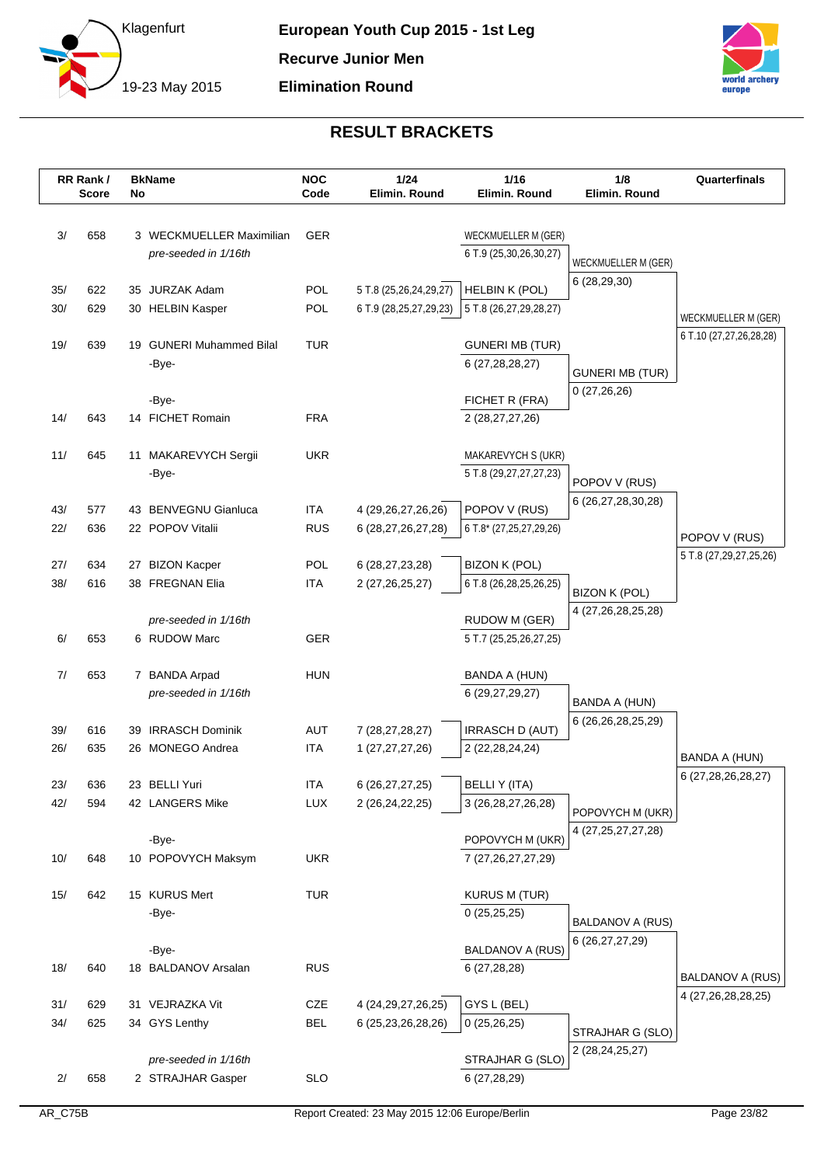



|            | RR Rank/<br><b>Score</b> | No | <b>BkName</b>                             | <b>NOC</b><br>Code       | 1/24<br>Elimin. Round                            | 1/16<br>Elimin. Round                    | 1/8<br>Elimin. Round                   | Quarterfinals           |
|------------|--------------------------|----|-------------------------------------------|--------------------------|--------------------------------------------------|------------------------------------------|----------------------------------------|-------------------------|
|            |                          |    |                                           |                          |                                                  |                                          |                                        |                         |
| 3/         | 658                      |    | 3 WECKMUELLER Maximilian                  | <b>GER</b>               |                                                  | WECKMUELLER M (GER)                      |                                        |                         |
|            |                          |    | pre-seeded in 1/16th                      |                          |                                                  | 6 T.9 (25,30,26,30,27)                   | WECKMUELLER M (GER)                    |                         |
|            |                          |    |                                           |                          |                                                  |                                          | 6 (28,29,30)                           |                         |
| 35/<br>30/ | 622<br>629               |    | 35 JURZAK Adam                            | POL<br>POL               | 5 T.8 (25,26,24,29,27)<br>6 T.9 (28,25,27,29,23) | HELBIN K (POL)<br>5 T.8 (26,27,29,28,27) |                                        |                         |
|            |                          |    | 30 HELBIN Kasper                          |                          |                                                  |                                          |                                        | WECKMUELLER M (GER)     |
| 19/        | 639                      |    | 19 GUNERI Muhammed Bilal                  | <b>TUR</b>               |                                                  | <b>GUNERI MB (TUR)</b>                   |                                        | 6 T.10 (27,27,26,28,28) |
|            |                          |    | -Bye-                                     |                          |                                                  | 6 (27,28,28,27)                          |                                        |                         |
|            |                          |    |                                           |                          |                                                  |                                          | <b>GUNERI MB (TUR)</b>                 |                         |
|            |                          |    | -Bye-                                     |                          |                                                  | FICHET R (FRA)                           | 0(27,26,26)                            |                         |
| 14/        | 643                      |    | 14 FICHET Romain                          | <b>FRA</b>               |                                                  | 2 (28,27,27,26)                          |                                        |                         |
|            |                          |    |                                           |                          |                                                  |                                          |                                        |                         |
| 11/        | 645                      |    | 11 MAKAREVYCH Sergii                      | <b>UKR</b>               |                                                  | MAKAREVYCH S (UKR)                       |                                        |                         |
|            |                          |    | -Bye-                                     |                          |                                                  | 5 T.8 (29,27,27,27,23)                   | POPOV V (RUS)                          |                         |
|            |                          |    |                                           |                          |                                                  |                                          | 6 (26,27,28,30,28)                     |                         |
| 43/        | 577                      |    | 43 BENVEGNU Gianluca                      | <b>ITA</b>               | 4 (29, 26, 27, 26, 26)                           | POPOV V (RUS)                            |                                        |                         |
| 22/        | 636                      |    | 22 POPOV Vitalii                          | <b>RUS</b>               | 6 (28,27,26,27,28)                               | 6 T.8* (27,25,27,29,26)                  |                                        | POPOV V (RUS)           |
| 27/        | 634                      |    | 27 BIZON Kacper                           | POL                      | 6 (28,27,23,28)                                  | <b>BIZON K (POL)</b>                     |                                        | 5 T.8 (27,29,27,25,26)  |
| 38/        | 616                      |    | 38 FREGNAN Elia                           | <b>ITA</b>               | 2 (27, 26, 25, 27)                               | 6 T.8 (26,28,25,26,25)                   |                                        |                         |
|            |                          |    |                                           |                          |                                                  |                                          | <b>BIZON K (POL)</b>                   |                         |
|            |                          |    | pre-seeded in 1/16th                      |                          |                                                  | <b>RUDOW M (GER)</b>                     | 4 (27,26,28,25,28)                     |                         |
| 6/         | 653                      |    | 6 RUDOW Marc                              | <b>GER</b>               |                                                  | 5 T.7 (25,25,26,27,25)                   |                                        |                         |
|            |                          |    |                                           |                          |                                                  |                                          |                                        |                         |
| 7/         | 653                      |    | 7 BANDA Arpad                             | <b>HUN</b>               |                                                  | BANDA A (HUN)                            |                                        |                         |
|            |                          |    | pre-seeded in 1/16th                      |                          |                                                  | 6 (29,27,29,27)                          | <b>BANDA A (HUN)</b>                   |                         |
|            |                          |    |                                           |                          |                                                  |                                          | 6 (26,26,28,25,29)                     |                         |
| 39/        | 616                      | 39 | <b>IRRASCH Dominik</b>                    | <b>AUT</b>               | 7 (28,27,28,27)                                  | <b>IRRASCH D (AUT)</b>                   |                                        |                         |
| 26/        | 635                      |    | 26 MONEGO Andrea                          | <b>ITA</b>               | 1 (27,27,27,26)                                  | 2 (22,28,24,24)                          |                                        | BANDA A (HUN)           |
|            |                          |    |                                           |                          |                                                  |                                          |                                        | 6 (27,28,26,28,27)      |
| 23/<br>42/ | 636<br>594               |    | 23 BELLI Yuri<br>42 LANGERS Mike          | <b>ITA</b><br><b>LUX</b> | 6 (26,27,27,25)<br>2 (26,24,22,25)               | BELLI Y (ITA)<br>3 (26,28,27,26,28)      |                                        |                         |
|            |                          |    |                                           |                          |                                                  |                                          | POPOVYCH M (UKR)                       |                         |
|            |                          |    | -Bye-                                     |                          |                                                  | POPOVYCH M (UKR)                         | 4 (27, 25, 27, 27, 28)                 |                         |
| 10/        | 648                      |    | 10 POPOVYCH Maksym                        | <b>UKR</b>               |                                                  | 7 (27,26,27,27,29)                       |                                        |                         |
|            |                          |    |                                           |                          |                                                  |                                          |                                        |                         |
| 15/        | 642                      |    | 15 KURUS Mert                             | <b>TUR</b>               |                                                  | <b>KURUS M (TUR)</b>                     |                                        |                         |
|            |                          |    | -Bye-                                     |                          |                                                  | 0(25,25,25)                              |                                        |                         |
|            |                          |    |                                           |                          |                                                  |                                          | BALDANOV A (RUS)<br>6 (26, 27, 27, 29) |                         |
|            |                          |    | -Bye-                                     |                          |                                                  | <b>BALDANOV A (RUS)</b>                  |                                        |                         |
| 18/        | 640                      |    | 18 BALDANOV Arsalan                       | <b>RUS</b>               |                                                  | 6 (27,28,28)                             |                                        | BALDANOV A (RUS)        |
|            |                          |    |                                           |                          |                                                  |                                          |                                        | 4 (27,26,28,28,25)      |
| 31/        | 629                      |    | 31 VEJRAZKA Vit                           | CZE                      | 4 (24, 29, 27, 26, 25)                           | GYS L (BEL)                              |                                        |                         |
| 34/        | 625                      |    | 34 GYS Lenthy                             | <b>BEL</b>               | 6 (25, 23, 26, 28, 26)                           | 0(25,26,25)                              | STRAJHAR G (SLO)                       |                         |
|            |                          |    |                                           |                          |                                                  | STRAJHAR G (SLO)                         | 2 (28, 24, 25, 27)                     |                         |
| 2/         | 658                      |    | pre-seeded in 1/16th<br>2 STRAJHAR Gasper | <b>SLO</b>               |                                                  | 6 (27,28,29)                             |                                        |                         |
|            |                          |    |                                           |                          |                                                  |                                          |                                        |                         |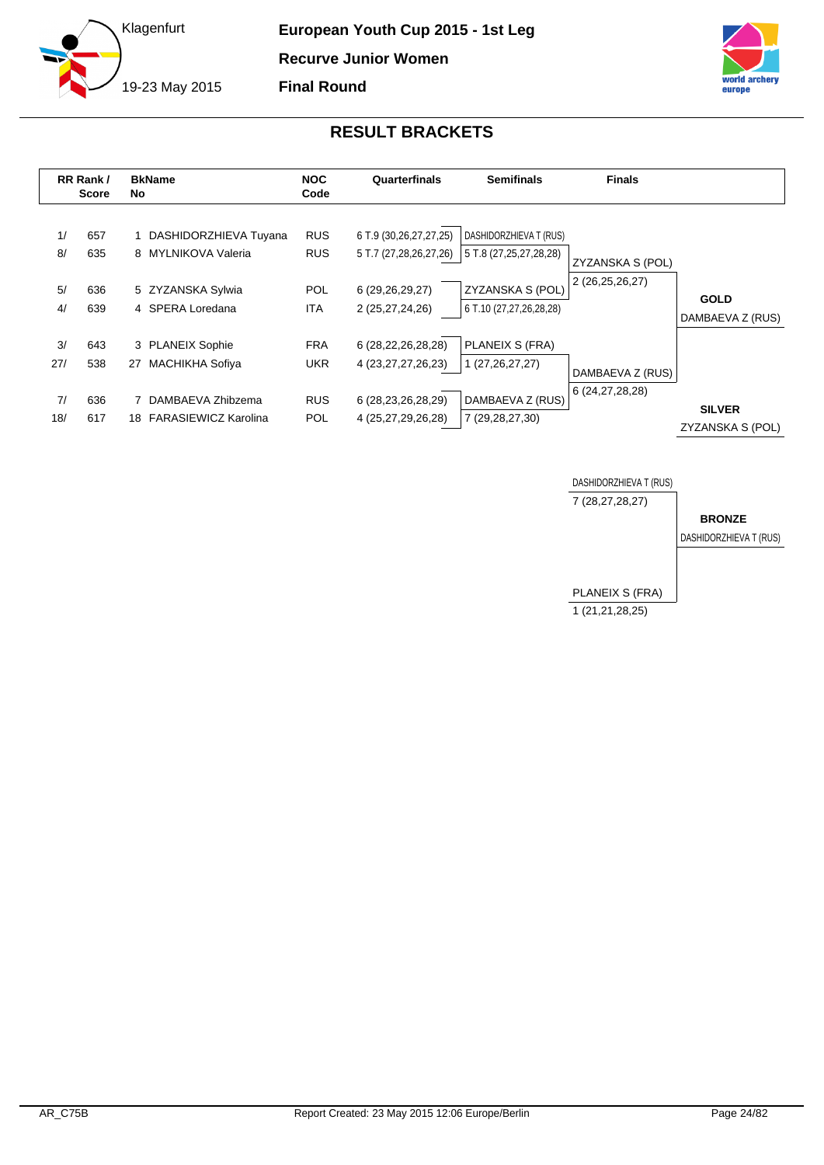



<span id="page-24-0"></span>

|           | RR Rank /<br><b>Score</b> | <b>BkName</b><br>No |                                              | <b>NOC</b><br>Code       | Quarterfinals                                    | <b>Semifinals</b>                                | <b>Finals</b>      |                                   |
|-----------|---------------------------|---------------------|----------------------------------------------|--------------------------|--------------------------------------------------|--------------------------------------------------|--------------------|-----------------------------------|
| 1/<br>8/  | 657<br>635                |                     | DASHIDORZHIEVA Tuyana<br>8 MYLNIKOVA Valeria | <b>RUS</b><br><b>RUS</b> | 6 T.9 (30,26,27,27,25)<br>5 T.7 (27,28,26,27,26) | DASHIDORZHIEVA T (RUS)<br>5 T.8 (27,25,27,28,28) | ZYZANSKA S (POL)   |                                   |
| 5/<br>4/  | 636<br>639                |                     | 5 ZYZANSKA Sylwia<br>4 SPERA Loredana        | <b>POL</b><br><b>ITA</b> | 6 (29,26,29,27)<br>2 (25,27,24,26)               | ZYZANSKA S (POL)<br>6 T.10 (27,27,26,28,28)      | 2 (26,25,26,27)    | <b>GOLD</b><br>DAMBAEVA Z (RUS)   |
| 3/<br>27/ | 643<br>538                | 27                  | 3 PLANEIX Sophie<br><b>MACHIKHA Sofiya</b>   | <b>FRA</b><br><b>UKR</b> | 6 (28,22,26,28,28)<br>4 (23, 27, 27, 26, 23)     | PLANEIX S (FRA)<br>1 (27, 26, 27, 27)            | DAMBAEVA Z (RUS)   |                                   |
| 7/<br>18/ | 636<br>617                |                     | DAMBAEVA Zhibzema<br>18 FARASIEWICZ Karolina | <b>RUS</b><br><b>POL</b> | 6 (28, 23, 26, 28, 29)<br>4 (25,27,29,26,28)     | DAMBAEVA Z (RUS)<br>7 (29,28,27,30)              | 6 (24, 27, 28, 28) | <b>SILVER</b><br>ZYZANSKA S (POL) |

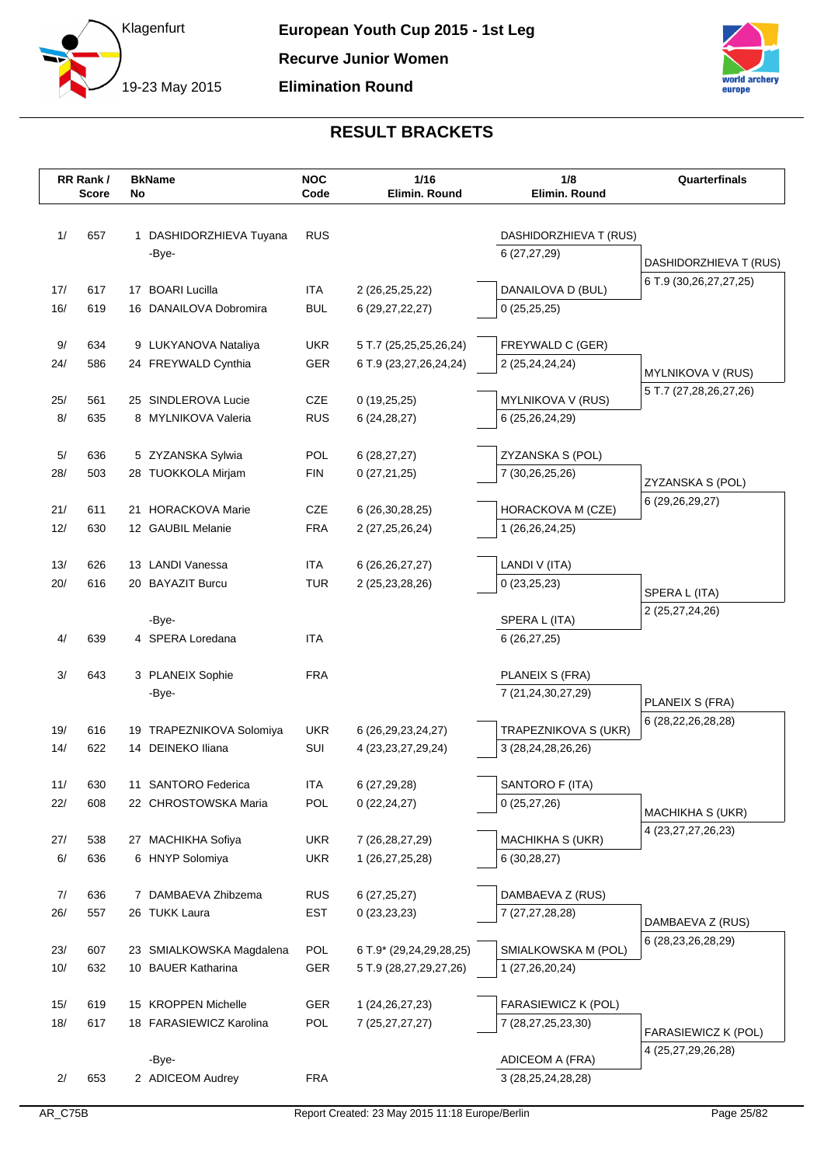



|            | RR Rank/     | <b>BkName</b>                                  | <b>NOC</b>        | 1/16                                             | 1/8<br>Elimin. Round                       | Quarterfinals                              |
|------------|--------------|------------------------------------------------|-------------------|--------------------------------------------------|--------------------------------------------|--------------------------------------------|
|            | <b>Score</b> | No                                             | Code              | Elimin. Round                                    |                                            |                                            |
| 1/         | 657          | 1 DASHIDORZHIEVA Tuyana                        | <b>RUS</b>        |                                                  | DASHIDORZHIEVA T (RUS)                     |                                            |
|            |              | -Bye-                                          |                   |                                                  | 6(27, 27, 29)                              |                                            |
|            |              |                                                |                   |                                                  |                                            | DASHIDORZHIEVA T (RUS)                     |
| 17/        | 617          | 17 BOARI Lucilla                               | <b>ITA</b>        | 2 (26,25,25,22)                                  | DANAILOVA D (BUL)                          | 6 T.9 (30,26,27,27,25)                     |
| 16/        | 619          | 16 DANAILOVA Dobromira                         | <b>BUL</b>        | 6 (29, 27, 22, 27)                               | 0(25,25,25)                                |                                            |
| 9/         | 634          | 9 LUKYANOVA Nataliya                           | <b>UKR</b>        | 5 T.7 (25,25,25,26,24)                           | FREYWALD C (GER)                           |                                            |
| 24/        | 586          | 24 FREYWALD Cynthia                            | GER               | 6 T.9 (23,27,26,24,24)                           | 2 (25,24,24,24)                            |                                            |
|            |              |                                                |                   |                                                  |                                            | MYLNIKOVA V (RUS)                          |
| 25/        | 561          | 25 SINDLEROVA Lucie                            | CZE               | 0(19,25,25)                                      | MYLNIKOVA V (RUS)                          | 5 T.7 (27,28,26,27,26)                     |
| 8/         | 635          | 8 MYLNIKOVA Valeria                            | <b>RUS</b>        | 6(24, 28, 27)                                    | 6 (25,26,24,29)                            |                                            |
|            |              |                                                |                   |                                                  |                                            |                                            |
| 5/<br>28/  | 636<br>503   | 5 ZYZANSKA Sylwia<br>28 TUOKKOLA Mirjam        | POL<br><b>FIN</b> | 6(28, 27, 27)                                    | ZYZANSKA S (POL)                           |                                            |
|            |              |                                                |                   | 0(27,21,25)                                      | 7 (30,26,25,26)                            | ZYZANSKA S (POL)                           |
| 21/        | 611          | 21 HORACKOVA Marie                             | CZE               | 6 (26, 30, 28, 25)                               | HORACKOVA M (CZE)                          | 6 (29, 26, 29, 27)                         |
| 12/        | 630          | 12 GAUBIL Melanie                              | <b>FRA</b>        | 2 (27, 25, 26, 24)                               | 1 (26,26,24,25)                            |                                            |
|            |              |                                                |                   |                                                  |                                            |                                            |
| 13/        | 626          | 13 LANDI Vanessa                               | <b>ITA</b>        | 6 (26, 26, 27, 27)                               | LANDI V (ITA)                              |                                            |
| 20/        | 616          | 20 BAYAZIT Burcu                               | <b>TUR</b>        | 2 (25, 23, 28, 26)                               | 0(23,25,23)                                | SPERA L (ITA)                              |
|            |              | -Bye-                                          |                   |                                                  | SPERA L (ITA)                              | 2 (25,27,24,26)                            |
| 4/         | 639          | 4 SPERA Loredana                               | <b>ITA</b>        |                                                  | 6(26, 27, 25)                              |                                            |
|            |              |                                                |                   |                                                  |                                            |                                            |
| 3/         | 643          | 3 PLANEIX Sophie                               | <b>FRA</b>        |                                                  | PLANEIX S (FRA)                            |                                            |
|            |              | -Bye-                                          |                   |                                                  | 7 (21,24,30,27,29)                         | PLANEIX S (FRA)                            |
|            |              |                                                |                   |                                                  |                                            | 6 (28, 22, 26, 28, 28)                     |
| 19/<br>14/ | 616<br>622   | 19 TRAPEZNIKOVA Solomiya<br>14 DEINEKO Iliana  | <b>UKR</b><br>SUI | 6 (26, 29, 23, 24, 27)<br>4 (23, 23, 27, 29, 24) | TRAPEZNIKOVA S (UKR)<br>3 (28,24,28,26,26) |                                            |
|            |              |                                                |                   |                                                  |                                            |                                            |
| 11/        | 630          | 11 SANTORO Federica                            | <b>ITA</b>        | 6 (27,29,28)                                     | SANTORO F (ITA)                            |                                            |
| 22/        | 608          | 22 CHROSTOWSKA Maria                           | POL               | 0(22, 24, 27)                                    | 0(25,27,26)                                |                                            |
|            |              |                                                |                   |                                                  |                                            | MACHIKHA S (UKR)<br>4 (23, 27, 27, 26, 23) |
| 27/        | 538          | 27 MACHIKHA Sofiya                             | <b>UKR</b>        | 7 (26, 28, 27, 29)                               | MACHIKHA S (UKR)                           |                                            |
| 6/         | 636          | 6 HNYP Solomiya                                | <b>UKR</b>        | 1 (26,27,25,28)                                  | 6(30, 28, 27)                              |                                            |
| 7/         | 636          | 7 DAMBAEVA Zhibzema                            | <b>RUS</b>        | 6(27, 25, 27)                                    | DAMBAEVA Z (RUS)                           |                                            |
| 26/        | 557          | 26 TUKK Laura                                  | <b>EST</b>        | 0(23,23,23)                                      | 7 (27,27,28,28)                            |                                            |
|            |              |                                                |                   |                                                  |                                            | DAMBAEVA Z (RUS)                           |
| 23/        | 607          | 23 SMIALKOWSKA Magdalena                       | POL               | 6 T.9* (29,24,29,28,25)                          | SMIALKOWSKA M (POL)                        | 6 (28, 23, 26, 28, 29)                     |
| 10/        | 632          | 10 BAUER Katharina                             | GER               | 5 T.9 (28,27,29,27,26)                           | 1 (27,26,20,24)                            |                                            |
|            |              |                                                |                   |                                                  |                                            |                                            |
| 15/<br>18/ | 619<br>617   | 15 KROPPEN Michelle<br>18 FARASIEWICZ Karolina | GER<br>POL        | 1 (24, 26, 27, 23)<br>7 (25,27,27,27)            | FARASIEWICZ K (POL)<br>7 (28,27,25,23,30)  |                                            |
|            |              |                                                |                   |                                                  |                                            | FARASIEWICZ K (POL)                        |
|            |              | -Bye-                                          |                   |                                                  | ADICEOM A (FRA)                            | 4 (25,27,29,26,28)                         |
| 2/         | 653          | 2 ADICEOM Audrey                               | <b>FRA</b>        |                                                  | 3 (28, 25, 24, 28, 28)                     |                                            |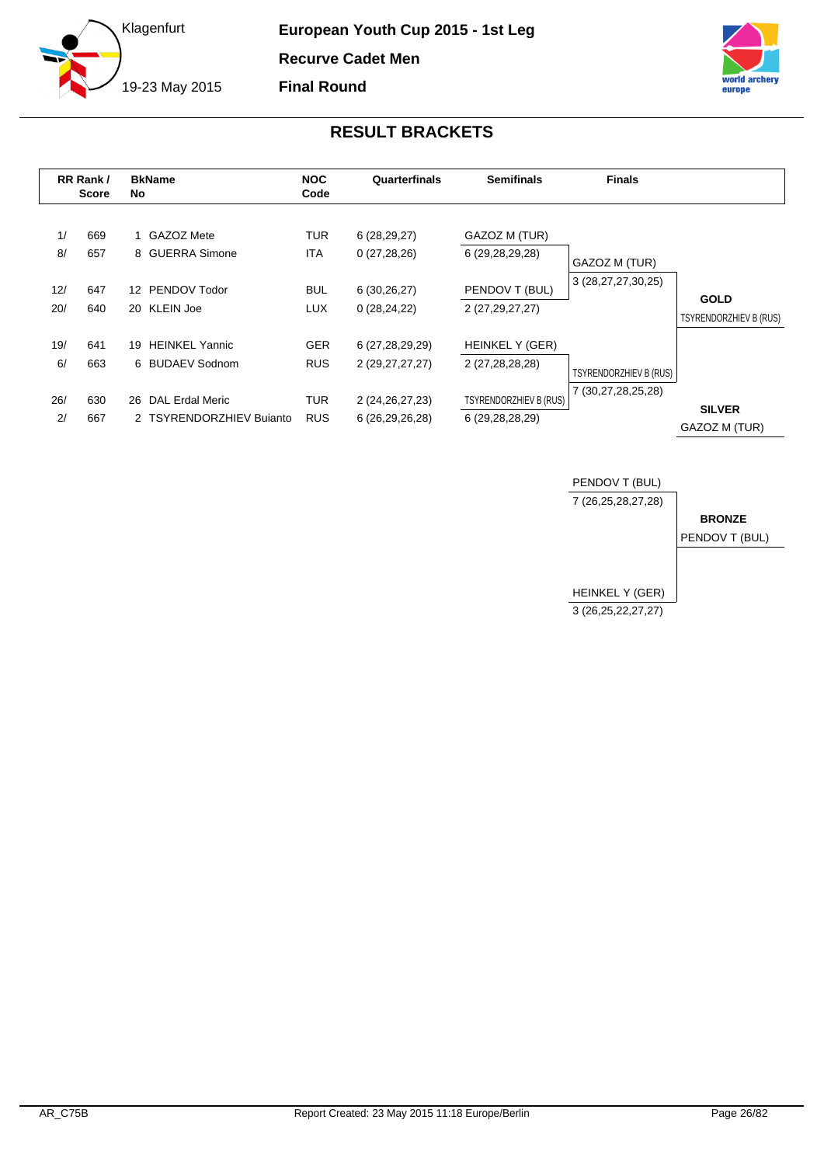

**European Youth Cup 2015 - 1st Leg Recurve Cadet Men Final Round**



<span id="page-26-0"></span>

|            | RR Rank/<br><b>Score</b> | <b>BkName</b><br>No.                            | <b>NOC</b><br>Code       | Quarterfinals                         | <b>Semifinals</b>                                | <b>Finals</b>                                |                                |
|------------|--------------------------|-------------------------------------------------|--------------------------|---------------------------------------|--------------------------------------------------|----------------------------------------------|--------------------------------|
| 1/<br>8/   | 669<br>657               | 1 GAZOZ Mete<br>8 GUERRA Simone                 | <b>TUR</b><br><b>ITA</b> | 6(28, 29, 27)<br>0(27, 28, 26)        | GAZOZ M (TUR)<br>6 (29,28,29,28)                 | GAZOZ M (TUR)                                |                                |
| 12/<br>20/ | 647<br>640               | PENDOV Todor<br>12 <sup>7</sup><br>20 KLEIN Joe | <b>BUL</b><br><b>LUX</b> | 6(30,26,27)<br>0(28, 24, 22)          | PENDOV T (BUL)<br>2 (27,29,27,27)                | 3 (28,27,27,30,25)                           | <b>GOLD</b>                    |
| 19/        | 641                      | <b>HEINKEL Yannic</b><br>19                     | <b>GER</b>               | 6 (27,28,29,29)                       | HEINKEL Y (GER)                                  |                                              | TSYRENDORZHIEV B (RUS)         |
| 6/<br>26/  | 663<br>630               | 6 BUDAEV Sodnom<br><b>DAL Erdal Meric</b><br>26 | <b>RUS</b><br><b>TUR</b> | 2 (29,27,27,27)<br>2 (24, 26, 27, 23) | 2 (27,28,28,28)<br><b>TSYRENDORZHIEV B (RUS)</b> | TSYRENDORZHIEV B (RUS)<br>7 (30,27,28,25,28) |                                |
| 2/         | 667                      | 2 TSYRENDORZHIEV Bujanto                        | <b>RUS</b>               | 6 (26,29,26,28)                       | 6 (29,28,28,29)                                  |                                              | <b>SILVER</b><br>GAZOZ M (TUR) |

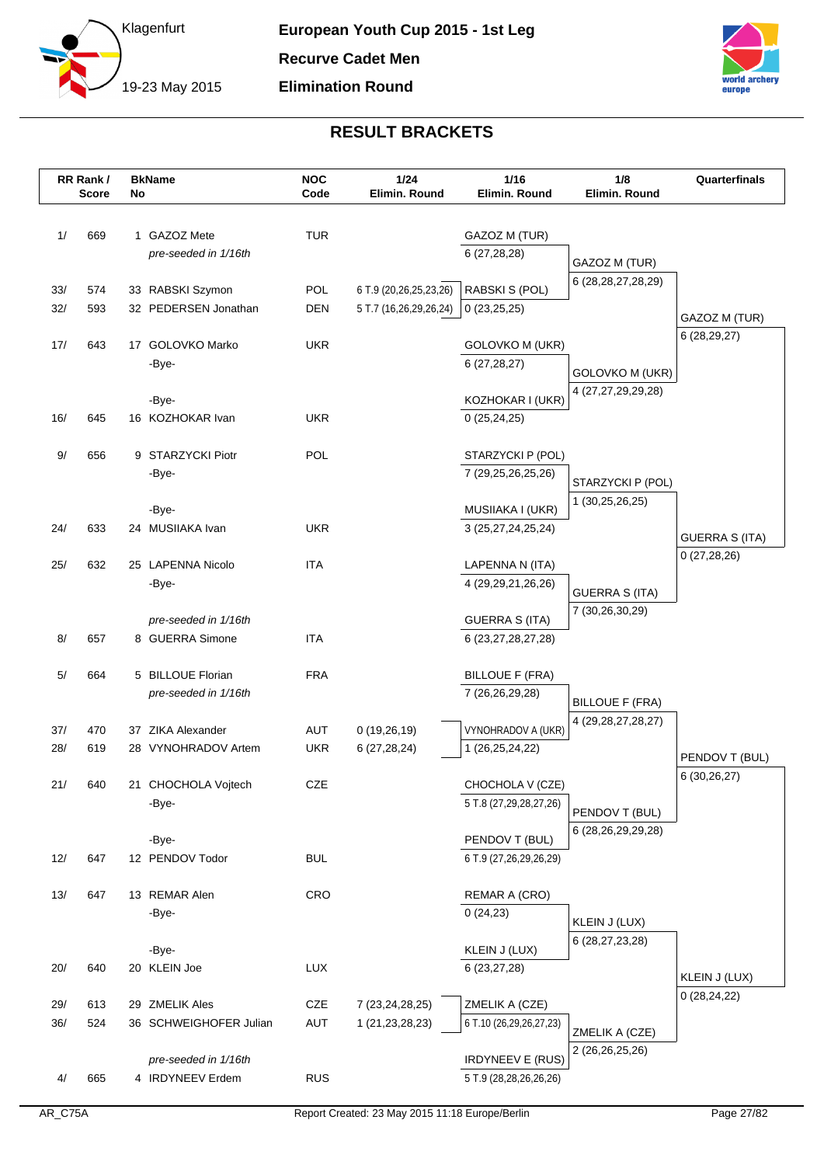



|     | RR Rank /<br><b>Score</b> | No | <b>BkName</b>                | <b>NOC</b><br>Code | 1/24<br>Elimin. Round  | $1/16$<br>Elimin. Round                    | 1/8<br>Elimin. Round              | Quarterfinals         |
|-----|---------------------------|----|------------------------------|--------------------|------------------------|--------------------------------------------|-----------------------------------|-----------------------|
|     |                           |    |                              |                    |                        |                                            |                                   |                       |
| 1/  | 669                       |    | 1 GAZOZ Mete                 | <b>TUR</b>         |                        | GAZOZ M (TUR)                              |                                   |                       |
|     |                           |    | pre-seeded in 1/16th         |                    |                        | 6 (27,28,28)                               | GAZOZ M (TUR)                     |                       |
|     |                           |    |                              |                    |                        |                                            | 6 (28, 28, 27, 28, 29)            |                       |
| 33/ | 574                       |    | 33 RABSKI Szymon             | POL                | 6 T.9 (20,26,25,23,26) | RABSKI S (POL)                             |                                   |                       |
| 32/ | 593                       |    | 32 PEDERSEN Jonathan         | <b>DEN</b>         | 5 T.7 (16,26,29,26,24) | 0(23,25,25)                                |                                   | GAZOZ M (TUR)         |
| 17/ | 643                       |    | 17 GOLOVKO Marko             | <b>UKR</b>         |                        | <b>GOLOVKO M (UKR)</b>                     |                                   | 6(28, 29, 27)         |
|     |                           |    | -Bye-                        |                    |                        | 6(27, 28, 27)                              |                                   |                       |
|     |                           |    |                              |                    |                        |                                            | GOLOVKO M (UKR)                   |                       |
|     |                           |    | -Bye-                        |                    |                        | KOZHOKAR I (UKR)                           | 4 (27,27,29,29,28)                |                       |
| 16/ | 645                       |    | 16 KOZHOKAR Ivan             | <b>UKR</b>         |                        | 0(25, 24, 25)                              |                                   |                       |
|     |                           |    |                              |                    |                        |                                            |                                   |                       |
| 9/  | 656                       |    | 9 STARZYCKI Piotr            | POL                |                        | STARZYCKI P (POL)                          |                                   |                       |
|     |                           |    | -Bye-                        |                    |                        | 7 (29,25,26,25,26)                         | STARZYCKI P (POL)                 |                       |
|     |                           |    | -Bye-                        |                    |                        | MUSIIAKA I (UKR)                           | 1 (30,25,26,25)                   |                       |
| 24/ | 633                       |    | 24 MUSIIAKA Ivan             | <b>UKR</b>         |                        | 3 (25,27,24,25,24)                         |                                   |                       |
|     |                           |    |                              |                    |                        |                                            |                                   | <b>GUERRA S (ITA)</b> |
| 25/ | 632                       |    | 25 LAPENNA Nicolo            | <b>ITA</b>         |                        | LAPENNA N (ITA)                            |                                   | 0(27, 28, 26)         |
|     |                           |    | -Bye-                        |                    |                        | 4 (29,29,21,26,26)                         | <b>GUERRA S (ITA)</b>             |                       |
|     |                           |    |                              |                    |                        |                                            | 7 (30,26,30,29)                   |                       |
|     |                           |    | pre-seeded in 1/16th         |                    |                        | <b>GUERRA S (ITA)</b>                      |                                   |                       |
| 8/  | 657                       |    | 8 GUERRA Simone              | <b>ITA</b>         |                        | 6 (23, 27, 28, 27, 28)                     |                                   |                       |
| 5/  | 664                       |    | 5 BILLOUE Florian            | <b>FRA</b>         |                        | <b>BILLOUE F (FRA)</b>                     |                                   |                       |
|     |                           |    | pre-seeded in 1/16th         |                    |                        | 7 (26,26,29,28)                            |                                   |                       |
|     |                           |    |                              |                    |                        |                                            | <b>BILLOUE F (FRA)</b>            |                       |
| 37/ | 470                       |    | 37 ZIKA Alexander            | AUT                | 0(19,26,19)            | VYNOHRADOV A (UKR)                         | 4 (29, 28, 27, 28, 27)            |                       |
| 28/ | 619                       |    | 28 VYNOHRADOV Artem          | <b>UKR</b>         | 6(27, 28, 24)          | 1 (26,25,24,22)                            |                                   | PENDOV T (BUL)        |
|     |                           |    |                              |                    |                        |                                            |                                   | 6(30,26,27)           |
| 21/ | 640                       |    | 21 CHOCHOLA Vojtech<br>-Bye- | CZE                |                        | CHOCHOLA V (CZE)<br>5 T.8 (27,29,28,27,26) |                                   |                       |
|     |                           |    |                              |                    |                        |                                            | PENDOV T (BUL)                    |                       |
|     |                           |    | -Bye-                        |                    |                        | PENDOV T (BUL)                             | 6 (28,26,29,29,28)                |                       |
| 12/ | 647                       |    | 12 PENDOV Todor              | <b>BUL</b>         |                        | 6 T.9 (27, 26, 29, 26, 29)                 |                                   |                       |
|     |                           |    |                              |                    |                        |                                            |                                   |                       |
| 13/ | 647                       |    | 13 REMAR Alen                | CRO                |                        | REMAR A (CRO)                              |                                   |                       |
|     |                           |    | -Bye-                        |                    |                        | 0(24,23)                                   | KLEIN J (LUX)                     |                       |
|     |                           |    |                              |                    |                        |                                            | 6 (28,27,23,28)                   |                       |
| 20/ | 640                       |    | -Bye-<br>20 KLEIN Joe        | LUX                |                        | KLEIN J (LUX)<br>6 (23,27,28)              |                                   |                       |
|     |                           |    |                              |                    |                        |                                            |                                   | KLEIN J (LUX)         |
| 29/ | 613                       |    | 29 ZMELIK Ales               | CZE                | 7 (23, 24, 28, 25)     | ZMELIK A (CZE)                             |                                   | 0(28, 24, 22)         |
| 36/ | 524                       |    | 36 SCHWEIGHOFER Julian       | AUT                | 1 (21, 23, 28, 23)     | 6 T.10 (26,29,26,27,23)                    |                                   |                       |
|     |                           |    |                              |                    |                        |                                            | ZMELIK A (CZE)<br>2 (26,26,25,26) |                       |
|     |                           |    | pre-seeded in 1/16th         |                    |                        | <b>IRDYNEEV E (RUS)</b>                    |                                   |                       |
| 4/  | 665                       |    | 4 IRDYNEEV Erdem             | <b>RUS</b>         |                        | 5 T.9 (28,28,26,26,26)                     |                                   |                       |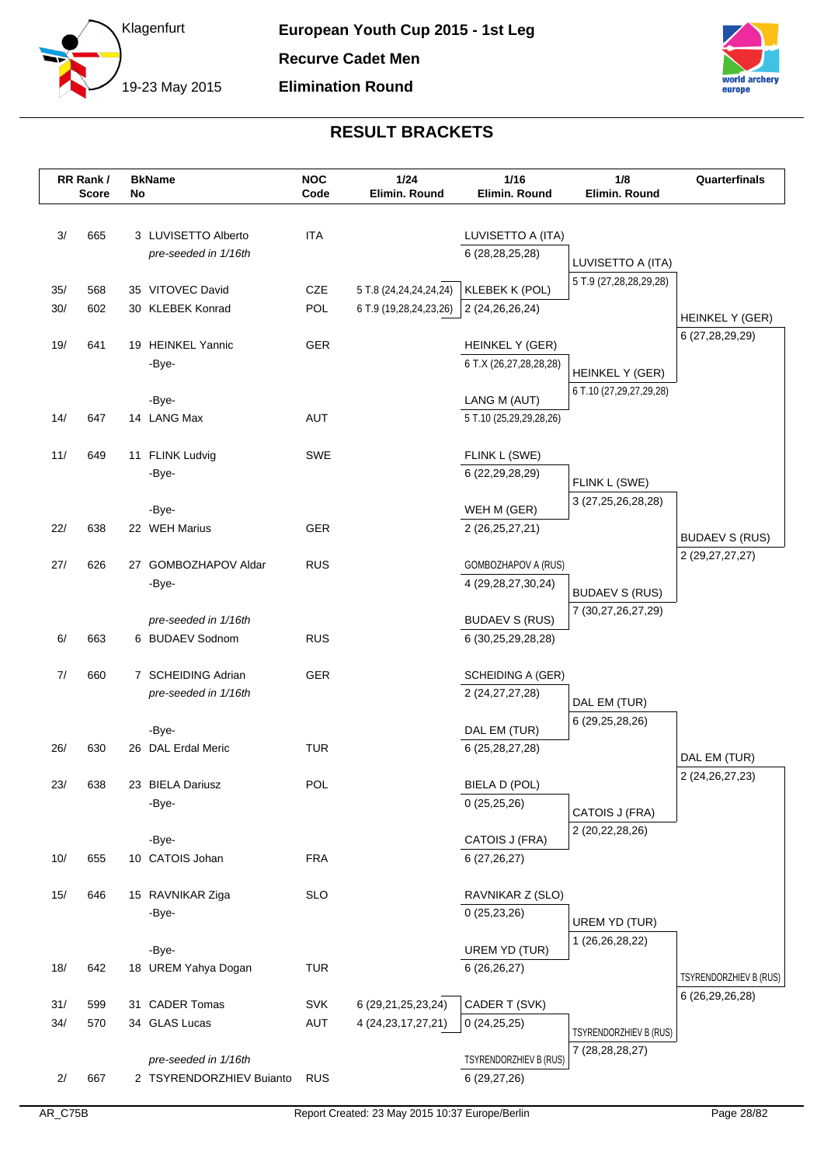



|     | RR Rank/<br><b>Score</b> | No | <b>BkName</b>                     | <b>NOC</b><br>Code | 1/24<br>Elimin. Round  | 1/16<br>Elimin. Round                                | 1/8<br>Elimin. Round            | Quarterfinals          |
|-----|--------------------------|----|-----------------------------------|--------------------|------------------------|------------------------------------------------------|---------------------------------|------------------------|
|     |                          |    |                                   |                    |                        |                                                      |                                 |                        |
| 3/  | 665                      |    | 3 LUVISETTO Alberto               | <b>ITA</b>         |                        | LUVISETTO A (ITA)                                    |                                 |                        |
|     |                          |    | pre-seeded in 1/16th              |                    |                        | 6 (28,28,25,28)                                      | LUVISETTO A (ITA)               |                        |
|     |                          |    |                                   |                    |                        |                                                      | 5 T.9 (27,28,28,29,28)          |                        |
| 35/ | 568                      |    | 35 VITOVEC David                  | CZE                | 5 T.8 (24,24,24,24,24) | KLEBEK K (POL)                                       |                                 |                        |
| 30/ | 602                      |    | 30 KLEBEK Konrad                  | POL                | 6 T.9 (19,28,24,23,26) | 2 (24,26,26,24)                                      |                                 | HEINKEL Y (GER)        |
| 19/ | 641                      |    | 19 HEINKEL Yannic                 | <b>GER</b>         |                        | HEINKEL Y (GER)                                      |                                 | 6 (27,28,29,29)        |
|     |                          |    | -Bye-                             |                    |                        | 6 T.X (26,27,28,28,28)                               |                                 |                        |
|     |                          |    |                                   |                    |                        |                                                      | HEINKEL Y (GER)                 |                        |
|     |                          |    | -Bye-                             |                    |                        | LANG M (AUT)                                         | 6 T.10 (27,29,27,29,28)         |                        |
| 14/ | 647                      |    | 14 LANG Max                       | <b>AUT</b>         |                        | 5 T.10 (25,29,29,28,26)                              |                                 |                        |
|     |                          |    |                                   |                    |                        |                                                      |                                 |                        |
| 11/ | 649                      |    | 11 FLINK Ludvig                   | <b>SWE</b>         |                        | FLINK L (SWE)                                        |                                 |                        |
|     |                          |    | -Bye-                             |                    |                        | 6 (22, 29, 28, 29)                                   | FLINK L (SWE)                   |                        |
|     |                          |    |                                   |                    |                        |                                                      | 3 (27,25,26,28,28)              |                        |
|     |                          |    | -Bye-                             |                    |                        | WEH M (GER)                                          |                                 |                        |
| 22/ | 638                      |    | 22 WEH Marius                     | <b>GER</b>         |                        | 2 (26,25,27,21)                                      |                                 | <b>BUDAEV S (RUS)</b>  |
|     |                          |    |                                   |                    |                        |                                                      |                                 | 2 (29, 27, 27, 27)     |
| 27/ | 626                      | 27 | <b>GOMBOZHAPOV Aldar</b><br>-Bye- | <b>RUS</b>         |                        | <b>GOMBOZHAPOV A (RUS)</b><br>4 (29, 28, 27, 30, 24) |                                 |                        |
|     |                          |    |                                   |                    |                        |                                                      | <b>BUDAEV S (RUS)</b>           |                        |
|     |                          |    | pre-seeded in 1/16th              |                    |                        | <b>BUDAEV S (RUS)</b>                                | 7 (30,27,26,27,29)              |                        |
| 6/  | 663                      |    | 6 BUDAEV Sodnom                   | <b>RUS</b>         |                        | 6 (30,25,29,28,28)                                   |                                 |                        |
|     |                          |    |                                   |                    |                        |                                                      |                                 |                        |
| 7/  | 660                      |    | 7 SCHEIDING Adrian                | <b>GER</b>         |                        | SCHEIDING A (GER)                                    |                                 |                        |
|     |                          |    | pre-seeded in 1/16th              |                    |                        | 2 (24, 27, 27, 28)                                   |                                 |                        |
|     |                          |    |                                   |                    |                        |                                                      | DAL EM (TUR)<br>6 (29,25,28,26) |                        |
|     |                          |    | -Bye-                             |                    |                        | DAL EM (TUR)                                         |                                 |                        |
| 26/ | 630                      |    | 26 DAL Erdal Meric                | <b>TUR</b>         |                        | 6 (25, 28, 27, 28)                                   |                                 | DAL EM (TUR)           |
|     |                          |    |                                   |                    |                        |                                                      |                                 | 2 (24, 26, 27, 23)     |
| 23/ | 638                      |    | 23 BIELA Dariusz                  | <b>POL</b>         |                        | BIELA D (POL)                                        |                                 |                        |
|     |                          |    | -Bye-                             |                    |                        | 0(25,25,26)                                          | CATOIS J (FRA)                  |                        |
|     |                          |    | -Bye-                             |                    |                        | CATOIS J (FRA)                                       | 2 (20,22,28,26)                 |                        |
| 10/ | 655                      |    | 10 CATOIS Johan                   | <b>FRA</b>         |                        | 6(27,26,27)                                          |                                 |                        |
|     |                          |    |                                   |                    |                        |                                                      |                                 |                        |
| 15/ | 646                      |    | 15 RAVNIKAR Ziga                  | <b>SLO</b>         |                        | RAVNIKAR Z (SLO)                                     |                                 |                        |
|     |                          |    | -Bye-                             |                    |                        | 0(25, 23, 26)                                        |                                 |                        |
|     |                          |    |                                   |                    |                        |                                                      | UREM YD (TUR)                   |                        |
|     |                          |    | -Bye-                             |                    |                        | UREM YD (TUR)                                        | 1 (26,26,28,22)                 |                        |
| 18/ | 642                      |    | 18 UREM Yahya Dogan               | <b>TUR</b>         |                        | 6 (26,26,27)                                         |                                 | TSYRENDORZHIEV B (RUS) |
|     |                          |    |                                   |                    |                        |                                                      |                                 | 6 (26,29,26,28)        |
| 31/ | 599                      |    | 31 CADER Tomas                    | SVK                | 6 (29, 21, 25, 23, 24) | CADER T (SVK)                                        |                                 |                        |
| 34/ | 570                      |    | 34 GLAS Lucas                     | AUT                | 4 (24, 23, 17, 27, 21) | 0(24,25,25)                                          | TSYRENDORZHIEV B (RUS)          |                        |
|     |                          |    |                                   |                    |                        |                                                      | 7 (28,28,28,27)                 |                        |
|     |                          |    | pre-seeded in 1/16th              |                    |                        | TSYRENDORZHIEV B (RUS)                               |                                 |                        |
| 2/  | 667                      |    | 2 TSYRENDORZHIEV Buianto          | <b>RUS</b>         |                        | 6 (29,27,26)                                         |                                 |                        |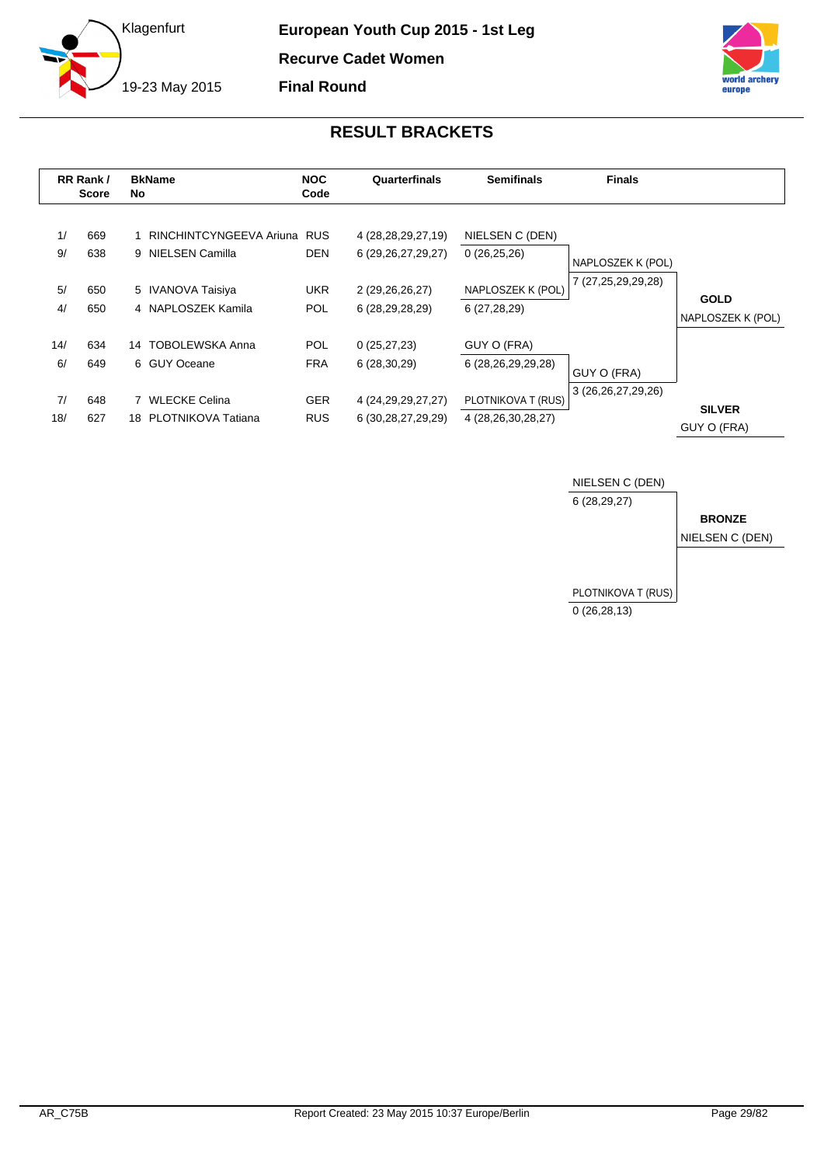



<span id="page-29-0"></span>

|           | RR Rank /<br><b>Score</b> | <b>BkName</b><br>No. |                                                  | <b>NOC</b><br>Code       | Quarterfinals                                    | <b>Semifinals</b>                        | <b>Finals</b>      |                                  |
|-----------|---------------------------|----------------------|--------------------------------------------------|--------------------------|--------------------------------------------------|------------------------------------------|--------------------|----------------------------------|
| 1/<br>9/  | 669<br>638                |                      | RINCHINTCYNGEEVA Ariuna RUS<br>9 NIELSEN Camilla | <b>DEN</b>               | 4 (28, 28, 29, 27, 19)<br>6 (29, 26, 27, 29, 27) | NIELSEN C (DEN)<br>0(26,25,26)           | NAPLOSZEK K (POL)  |                                  |
| 5/<br>4/  | 650<br>650                |                      | 5 IVANOVA Taisiya<br>4 NAPLOSZEK Kamila          | UKR.<br><b>POL</b>       | 2 (29,26,26,27)<br>6 (28,29,28,29)               | NAPLOSZEK K (POL)<br>6(27, 28, 29)       | 7 (27,25,29,29,28) | <b>GOLD</b><br>NAPLOSZEK K (POL) |
| 14/<br>6/ | 634<br>649                |                      | 14 TOBOLEWSKA Anna<br>6 GUY Oceane               | <b>POL</b><br><b>FRA</b> | 0(25, 27, 23)<br>6(28, 30, 29)                   | GUY O (FRA)<br>6 (28,26,29,29,28)        | GUY O (FRA)        |                                  |
| 7/<br>18/ | 648<br>627                |                      | <b>WLECKE Celina</b><br>18 PLOTNIKOVA Tatiana    | <b>GER</b><br><b>RUS</b> | 4 (24, 29, 29, 27, 27)<br>6 (30, 28, 27, 29, 29) | PLOTNIKOVA T (RUS)<br>4 (28,26,30,28,27) | 3 (26,26,27,29,26) | <b>SILVER</b><br>GUY O (FRA)     |

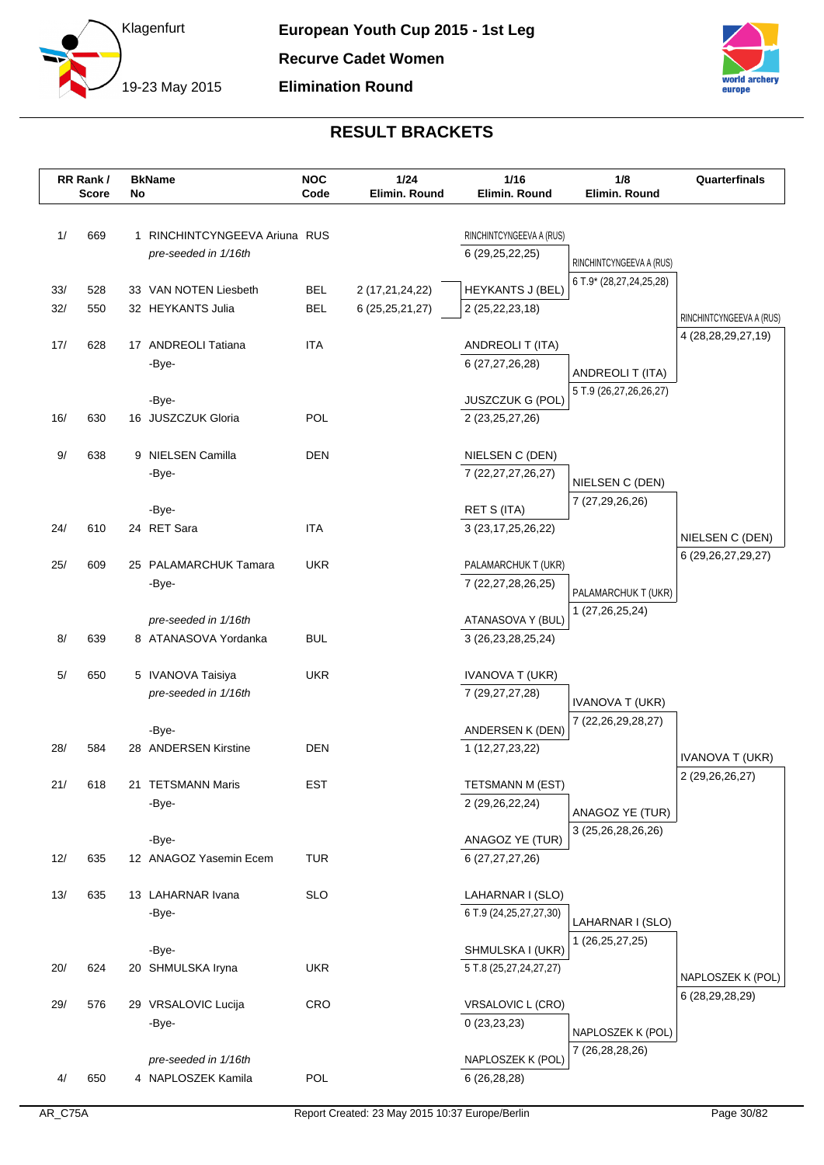



|      | RR Rank/     |    | <b>BkName</b>                 | <b>NOC</b><br>Code | 1/24               | 1/16                                           | 1/8<br>Elimin. Round     | Quarterfinals                                      |
|------|--------------|----|-------------------------------|--------------------|--------------------|------------------------------------------------|--------------------------|----------------------------------------------------|
|      | <b>Score</b> | No |                               |                    | Elimin. Round      | Elimin. Round                                  |                          |                                                    |
| 1/   | 669          |    | 1 RINCHINTCYNGEEVA Ariuna RUS |                    |                    |                                                |                          |                                                    |
|      |              |    | pre-seeded in 1/16th          |                    |                    | RINCHINTCYNGEEVA A (RUS)<br>6 (29, 25, 22, 25) |                          |                                                    |
|      |              |    |                               |                    |                    |                                                | RINCHINTCYNGEEVA A (RUS) |                                                    |
| 33/  | 528          |    | 33 VAN NOTEN Liesbeth         | <b>BEL</b>         | 2 (17,21,24,22)    | <b>HEYKANTS J (BEL)</b>                        | 6 T.9* (28,27,24,25,28)  |                                                    |
| 32/  | 550          |    | 32 HEYKANTS Julia             | <b>BEL</b>         | 6 (25, 25, 21, 27) | 2 (25, 22, 23, 18)                             |                          |                                                    |
|      |              |    |                               |                    |                    |                                                |                          | RINCHINTCYNGEEVA A (RUS)<br>4 (28, 28, 29, 27, 19) |
| 17/  | 628          |    | 17 ANDREOLI Tatiana           | <b>ITA</b>         |                    | <b>ANDREOLIT (ITA)</b>                         |                          |                                                    |
|      |              |    | -Bye-                         |                    |                    | 6 (27,27,26,28)                                | ANDREOLI T (ITA)         |                                                    |
|      |              |    |                               |                    |                    |                                                | 5 T.9 (26,27,26,26,27)   |                                                    |
|      |              |    | -Bye-                         | POL                |                    | JUSZCZUK G (POL)                               |                          |                                                    |
| 16/  | 630          |    | 16 JUSZCZUK Gloria            |                    |                    | 2 (23, 25, 27, 26)                             |                          |                                                    |
| $9/$ | 638          |    | 9 NIELSEN Camilla             | <b>DEN</b>         |                    | NIELSEN C (DEN)                                |                          |                                                    |
|      |              |    | -Bye-                         |                    |                    | 7 (22, 27, 27, 26, 27)                         |                          |                                                    |
|      |              |    |                               |                    |                    |                                                | NIELSEN C (DEN)          |                                                    |
|      |              |    | -Bye-                         |                    |                    | <b>RET S (ITA)</b>                             | 7 (27,29,26,26)          |                                                    |
| 24/  | 610          |    | 24 RET Sara                   | ITA                |                    | 3 (23, 17, 25, 26, 22)                         |                          | NIELSEN C (DEN)                                    |
|      |              |    |                               |                    |                    |                                                |                          | 6 (29, 26, 27, 29, 27)                             |
| 25/  | 609          |    | 25 PALAMARCHUK Tamara         | <b>UKR</b>         |                    | PALAMARCHUK T (UKR)                            |                          |                                                    |
|      |              |    | -Bye-                         |                    |                    | 7 (22,27,28,26,25)                             | PALAMARCHUK T (UKR)      |                                                    |
|      |              |    | pre-seeded in 1/16th          |                    |                    | ATANASOVA Y (BUL)                              | 1 (27,26,25,24)          |                                                    |
| 8/   | 639          |    | 8 ATANASOVA Yordanka          | <b>BUL</b>         |                    | 3 (26, 23, 28, 25, 24)                         |                          |                                                    |
|      |              |    |                               |                    |                    |                                                |                          |                                                    |
| 5/   | 650          |    | 5 IVANOVA Taisiya             | <b>UKR</b>         |                    | <b>IVANOVA T (UKR)</b>                         |                          |                                                    |
|      |              |    | pre-seeded in 1/16th          |                    |                    | 7 (29,27,27,28)                                | <b>IVANOVA T (UKR)</b>   |                                                    |
|      |              |    |                               |                    |                    |                                                | 7 (22, 26, 29, 28, 27)   |                                                    |
|      |              |    | -Bye-                         |                    |                    | ANDERSEN K (DEN)                               |                          |                                                    |
| 28/  | 584          |    | 28 ANDERSEN Kirstine          | <b>DEN</b>         |                    | 1 (12,27,23,22)                                |                          | <b>IVANOVA T (UKR)</b>                             |
|      |              |    | 21 TETSMANN Maris             | <b>EST</b>         |                    |                                                |                          | 2 (29,26,26,27)                                    |
| 21/  | 618          |    | -Bye-                         |                    |                    | TETSMANN M (EST)<br>2 (29, 26, 22, 24)         |                          |                                                    |
|      |              |    |                               |                    |                    |                                                | ANAGOZ YE (TUR)          |                                                    |
|      |              |    | -Bye-                         |                    |                    | ANAGOZ YE (TUR)                                | 3 (25,26,28,26,26)       |                                                    |
| 12/  | 635          |    | 12 ANAGOZ Yasemin Ecem        | TUR                |                    | 6 (27,27,27,26)                                |                          |                                                    |
|      |              |    |                               |                    |                    |                                                |                          |                                                    |
| 13/  | 635          |    | 13 LAHARNAR Ivana             | <b>SLO</b>         |                    | LAHARNAR I (SLO)                               |                          |                                                    |
|      |              |    | -Bye-                         |                    |                    | 6 T.9 (24, 25, 27, 27, 30)                     | LAHARNAR I (SLO)         |                                                    |
|      |              |    |                               |                    |                    |                                                | 1 (26, 25, 27, 25)       |                                                    |
| 20/  | 624          |    | -Bye-<br>20 SHMULSKA Iryna    | <b>UKR</b>         |                    | SHMULSKA I (UKR)<br>5 T.8 (25,27,24,27,27)     |                          |                                                    |
|      |              |    |                               |                    |                    |                                                |                          | NAPLOSZEK K (POL)                                  |
| 29/  | 576          |    | 29 VRSALOVIC Lucija           | CRO                |                    | <b>VRSALOVIC L (CRO)</b>                       |                          | 6 (28,29,28,29)                                    |
|      |              |    | -Bye-                         |                    |                    | 0(23,23,23)                                    |                          |                                                    |
|      |              |    |                               |                    |                    |                                                | NAPLOSZEK K (POL)        |                                                    |
|      |              |    | pre-seeded in 1/16th          |                    |                    | NAPLOSZEK K (POL)                              | 7 (26, 28, 28, 26)       |                                                    |
| 4/   | 650          |    | 4 NAPLOSZEK Kamila            | <b>POL</b>         |                    | 6 (26,28,28)                                   |                          |                                                    |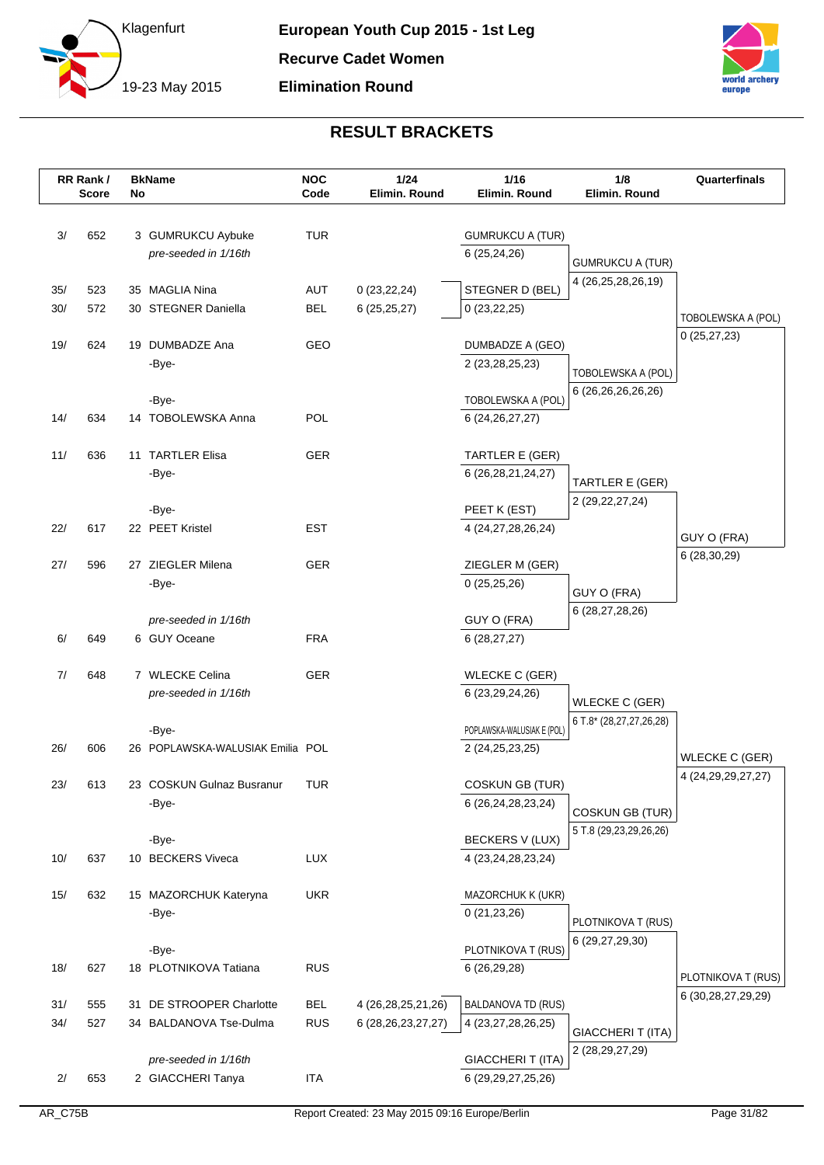



|     | RR Rank/<br><b>Score</b> | No | <b>BkName</b>                    | <b>NOC</b><br>Code | 1/24<br>Elimin. Round  | 1/16<br>Elimin. Round      | 1/8<br>Elimin. Round                             | Quarterfinals               |
|-----|--------------------------|----|----------------------------------|--------------------|------------------------|----------------------------|--------------------------------------------------|-----------------------------|
|     |                          |    |                                  |                    |                        |                            |                                                  |                             |
| 3/  | 652                      |    | 3 GUMRUKCU Aybuke                | TUR                |                        | <b>GUMRUKCU A (TUR)</b>    |                                                  |                             |
|     |                          |    | pre-seeded in 1/16th             |                    |                        | 6 (25,24,26)               | <b>GUMRUKCU A (TUR)</b>                          |                             |
|     |                          |    |                                  |                    |                        |                            | 4 (26,25,28,26,19)                               |                             |
| 35/ | 523                      |    | 35 MAGLIA Nina                   | <b>AUT</b>         | 0(23, 22, 24)          | STEGNER D (BEL)            |                                                  |                             |
| 30/ | 572                      |    | 30 STEGNER Daniella              | <b>BEL</b>         | 6(25, 25, 27)          | 0(23, 22, 25)              |                                                  | TOBOLEWSKA A (POL)          |
| 19/ | 624                      |    | 19 DUMBADZE Ana                  | GEO                |                        | DUMBADZE A (GEO)           |                                                  | 0(25, 27, 23)               |
|     |                          |    | -Bye-                            |                    |                        | 2 (23,28,25,23)            |                                                  |                             |
|     |                          |    |                                  |                    |                        |                            | TOBOLEWSKA A (POL)                               |                             |
|     |                          |    | -Bye-                            |                    |                        | TOBOLEWSKA A (POL)         | 6 (26,26,26,26,26)                               |                             |
| 14/ | 634                      |    | 14 TOBOLEWSKA Anna               | POL                |                        | 6 (24, 26, 27, 27)         |                                                  |                             |
| 11/ | 636                      |    | 11 TARTLER Elisa                 | <b>GER</b>         |                        | TARTLER E (GER)            |                                                  |                             |
|     |                          |    | -Bye-                            |                    |                        | 6 (26,28,21,24,27)         |                                                  |                             |
|     |                          |    |                                  |                    |                        |                            | TARTLER E (GER)                                  |                             |
|     |                          |    | -Bye-                            |                    |                        | PEET K (EST)               | 2 (29, 22, 27, 24)                               |                             |
| 22/ | 617                      |    | 22 PEET Kristel                  | <b>EST</b>         |                        | 4 (24, 27, 28, 26, 24)     |                                                  |                             |
|     |                          |    |                                  |                    |                        |                            |                                                  | GUY O (FRA)<br>6 (28,30,29) |
| 27/ | 596                      |    | 27 ZIEGLER Milena                | <b>GER</b>         |                        | ZIEGLER M (GER)            |                                                  |                             |
|     |                          |    | -Bye-                            |                    |                        | 0(25,25,26)                | GUY O (FRA)                                      |                             |
|     |                          |    | pre-seeded in 1/16th             |                    |                        | GUY O (FRA)                | 6 (28,27,28,26)                                  |                             |
| 6/  | 649                      |    | 6 GUY Oceane                     | <b>FRA</b>         |                        | 6(28, 27, 27)              |                                                  |                             |
|     |                          |    |                                  |                    |                        |                            |                                                  |                             |
| 7/  | 648                      |    | 7 WLECKE Celina                  | <b>GER</b>         |                        | <b>WLECKE C (GER)</b>      |                                                  |                             |
|     |                          |    | pre-seeded in 1/16th             |                    |                        | 6 (23, 29, 24, 26)         | <b>WLECKE C (GER)</b>                            |                             |
|     |                          |    |                                  |                    |                        |                            | 6 T.8* (28,27,27,26,28)                          |                             |
|     |                          |    | -Bye-                            |                    |                        | POPLAWSKA-WALUSIAK E (POL) |                                                  |                             |
| 26/ | 606                      |    | 26 POPLAWSKA-WALUSIAK Emilia POL |                    |                        | 2 (24, 25, 23, 25)         |                                                  | <b>WLECKE C (GER)</b>       |
| 23/ | 613                      |    | 23 COSKUN Gulnaz Busranur        | TUR                |                        | COSKUN GB (TUR)            |                                                  | 4 (24, 29, 29, 27, 27)      |
|     |                          |    | -Bye-                            |                    |                        | 6 (26,24,28,23,24)         |                                                  |                             |
|     |                          |    |                                  |                    |                        |                            | <b>COSKUN GB (TUR)</b><br>5 T.8 (29,23,29,26,26) |                             |
|     |                          |    | -Bye-                            |                    |                        | <b>BECKERS V (LUX)</b>     |                                                  |                             |
| 10/ | 637                      |    | 10 BECKERS Viveca                | <b>LUX</b>         |                        | 4 (23, 24, 28, 23, 24)     |                                                  |                             |
| 15/ | 632                      |    | 15 MAZORCHUK Kateryna            | <b>UKR</b>         |                        | MAZORCHUK K (UKR)          |                                                  |                             |
|     |                          |    | -Bye-                            |                    |                        | 0(21, 23, 26)              |                                                  |                             |
|     |                          |    |                                  |                    |                        |                            | PLOTNIKOVA T (RUS)                               |                             |
|     |                          |    | -Bye-                            |                    |                        | PLOTNIKOVA T (RUS)         | 6 (29,27,29,30)                                  |                             |
| 18/ | 627                      |    | 18 PLOTNIKOVA Tatiana            | <b>RUS</b>         |                        | 6 (26,29,28)               |                                                  | PLOTNIKOVA T (RUS)          |
|     |                          |    |                                  |                    |                        |                            |                                                  | 6 (30,28,27,29,29)          |
| 31/ | 555                      |    | 31 DE STROOPER Charlotte         | <b>BEL</b>         | 4 (26, 28, 25, 21, 26) | <b>BALDANOVA TD (RUS)</b>  |                                                  |                             |
| 34/ | 527                      |    | 34 BALDANOVA Tse-Dulma           | <b>RUS</b>         | 6 (28, 26, 23, 27, 27) | 4 (23, 27, 28, 26, 25)     | GIACCHERIT (ITA)                                 |                             |
|     |                          |    | pre-seeded in 1/16th             |                    |                        | GIACCHERI T (ITA)          | 2 (28, 29, 27, 29)                               |                             |
| 2/  | 653                      |    | 2 GIACCHERI Tanya                | <b>ITA</b>         |                        | 6 (29,29,27,25,26)         |                                                  |                             |
|     |                          |    |                                  |                    |                        |                            |                                                  |                             |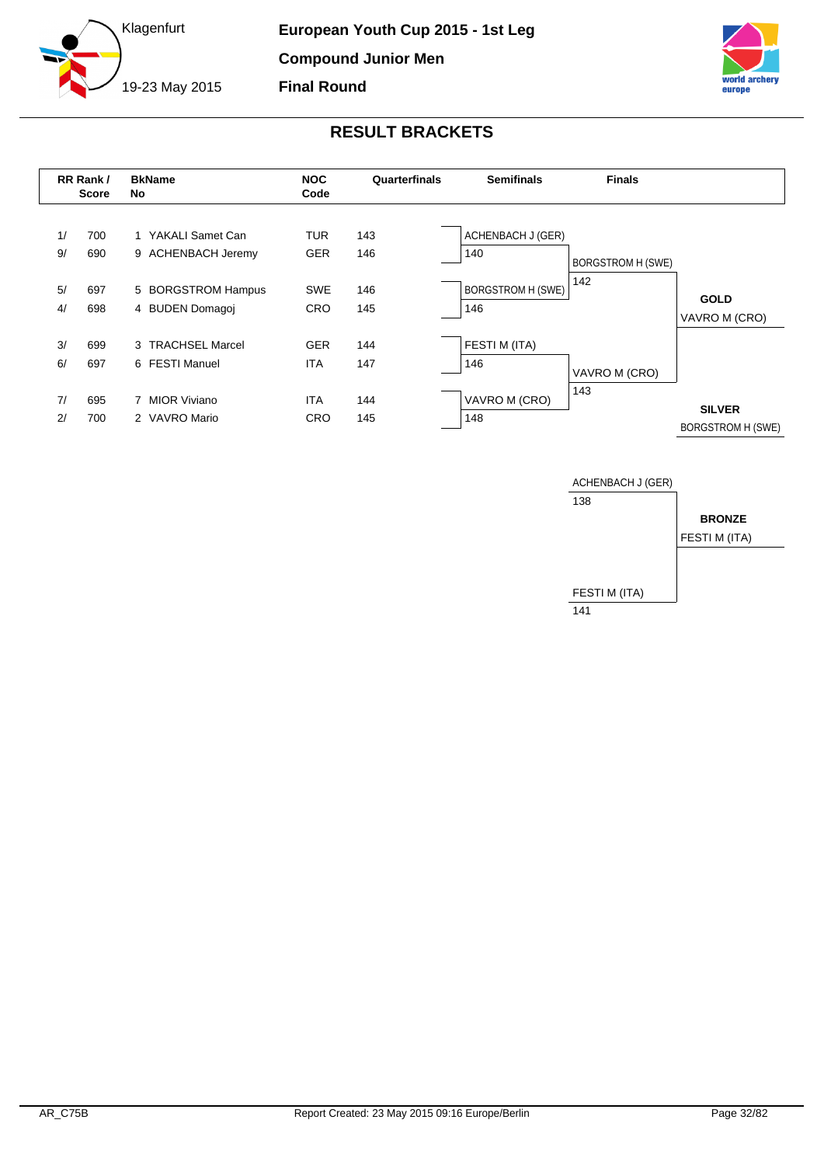



<span id="page-32-0"></span>

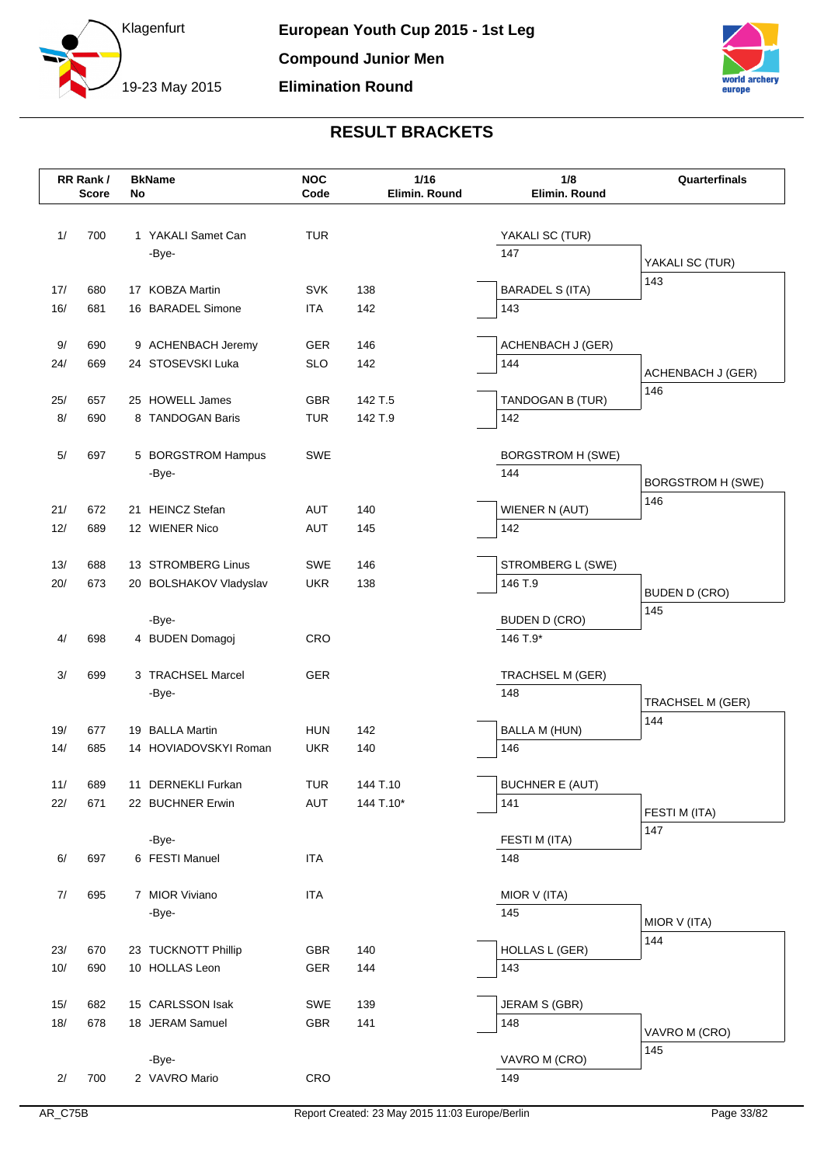



|       | RR Rank/<br><b>Score</b> | No | <b>BkName</b>               | <b>NOC</b><br>Code | 1/16<br>Elimin. Round | 1/8<br>Elimin. Round     | Quarterfinals            |
|-------|--------------------------|----|-----------------------------|--------------------|-----------------------|--------------------------|--------------------------|
| 1/    | 700                      |    | 1 YAKALI Samet Can<br>-Bye- | <b>TUR</b>         |                       | YAKALI SC (TUR)<br>147   |                          |
|       |                          |    |                             |                    |                       |                          | YAKALI SC (TUR)          |
| 17/   | 680                      |    | 17 KOBZA Martin             | <b>SVK</b>         | 138                   | <b>BARADEL S (ITA)</b>   | 143                      |
| 16/   | 681                      |    | 16 BARADEL Simone           | <b>ITA</b>         | 142                   | 143                      |                          |
| 9/    | 690                      |    | 9 ACHENBACH Jeremy          | <b>GER</b>         | 146                   | <b>ACHENBACH J (GER)</b> |                          |
| 24/   | 669                      |    | 24 STOSEVSKI Luka           | <b>SLO</b>         | 142                   | 144                      | <b>ACHENBACH J (GER)</b> |
| 25/   | 657                      |    | 25 HOWELL James             | GBR                | 142 T.5               | TANDOGAN B (TUR)         | 146                      |
| 8/    | 690                      |    | 8 TANDOGAN Baris            | <b>TUR</b>         | 142 T.9               | 142                      |                          |
| $5/$  | 697                      |    | 5 BORGSTROM Hampus          | <b>SWE</b>         |                       | <b>BORGSTROM H (SWE)</b> |                          |
|       |                          |    | -Bye-                       |                    |                       | 144                      | <b>BORGSTROM H (SWE)</b> |
| 21/   | 672                      |    | 21 HEINCZ Stefan            | <b>AUT</b>         | 140                   | WIENER N (AUT)           | 146                      |
| 12/   | 689                      |    | 12 WIENER Nico              | <b>AUT</b>         | 145                   | 142                      |                          |
|       |                          |    |                             |                    |                       |                          |                          |
| 13/   | 688                      |    | 13 STROMBERG Linus          | <b>SWE</b>         | 146                   | STROMBERG L (SWE)        |                          |
| 20/   | 673                      |    | 20 BOLSHAKOV Vladyslav      | <b>UKR</b>         | 138                   | 146 T.9                  | <b>BUDEN D (CRO)</b>     |
|       |                          |    | -Bye-                       |                    |                       | <b>BUDEN D (CRO)</b>     | 145                      |
| 4/    | 698                      |    | 4 BUDEN Domagoj             | CRO                |                       | 146 T.9*                 |                          |
| 3/    | 699                      |    | 3 TRACHSEL Marcel           | <b>GER</b>         |                       | TRACHSEL M (GER)         |                          |
|       |                          |    | -Bye-                       |                    |                       | 148                      | TRACHSEL M (GER)         |
| 19/   | 677                      |    | 19 BALLA Martin             | <b>HUN</b>         | 142                   | <b>BALLA M (HUN)</b>     | 144                      |
| 14/   | 685                      |    | 14 HOVIADOVSKYI Roman       | <b>UKR</b>         | 140                   | 146                      |                          |
| 11/   | 689                      |    | 11 DERNEKLI Furkan          | <b>TUR</b>         | 144 T.10              | <b>BUCHNER E (AUT)</b>   |                          |
| 22/   | 671                      |    | 22 BUCHNER Erwin            | AUT                | 144 T.10*             | 141                      |                          |
|       |                          |    |                             |                    |                       |                          | FESTI M (ITA)<br>147     |
|       | 697                      |    | -Bye-<br>6 FESTI Manuel     | <b>ITA</b>         |                       | FESTI M (ITA)<br>148     |                          |
| 6/    |                          |    |                             |                    |                       |                          |                          |
| $7/$  | 695                      |    | 7 MIOR Viviano              | <b>ITA</b>         |                       | MIOR V (ITA)             |                          |
|       |                          |    | -Bye-                       |                    |                       | 145                      | MIOR V (ITA)             |
| 23/   | 670                      |    | 23 TUCKNOTT Phillip         | GBR                | 140                   | <b>HOLLAS L (GER)</b>    | 144                      |
| $10/$ | 690                      |    | 10 HOLLAS Leon              | <b>GER</b>         | 144                   | 143                      |                          |
| 15/   | 682                      |    | 15 CARLSSON Isak            | SWE                | 139                   | JERAM S (GBR)            |                          |
| $18/$ | 678                      |    | 18 JERAM Samuel             | GBR                | 141                   | 148                      | VAVRO M (CRO)            |
|       |                          |    |                             |                    |                       |                          | 145                      |
|       |                          |    | -Bye-                       |                    |                       | VAVRO M (CRO)            |                          |
| 2/    | 700                      |    | 2 VAVRO Mario               | CRO                |                       | 149                      |                          |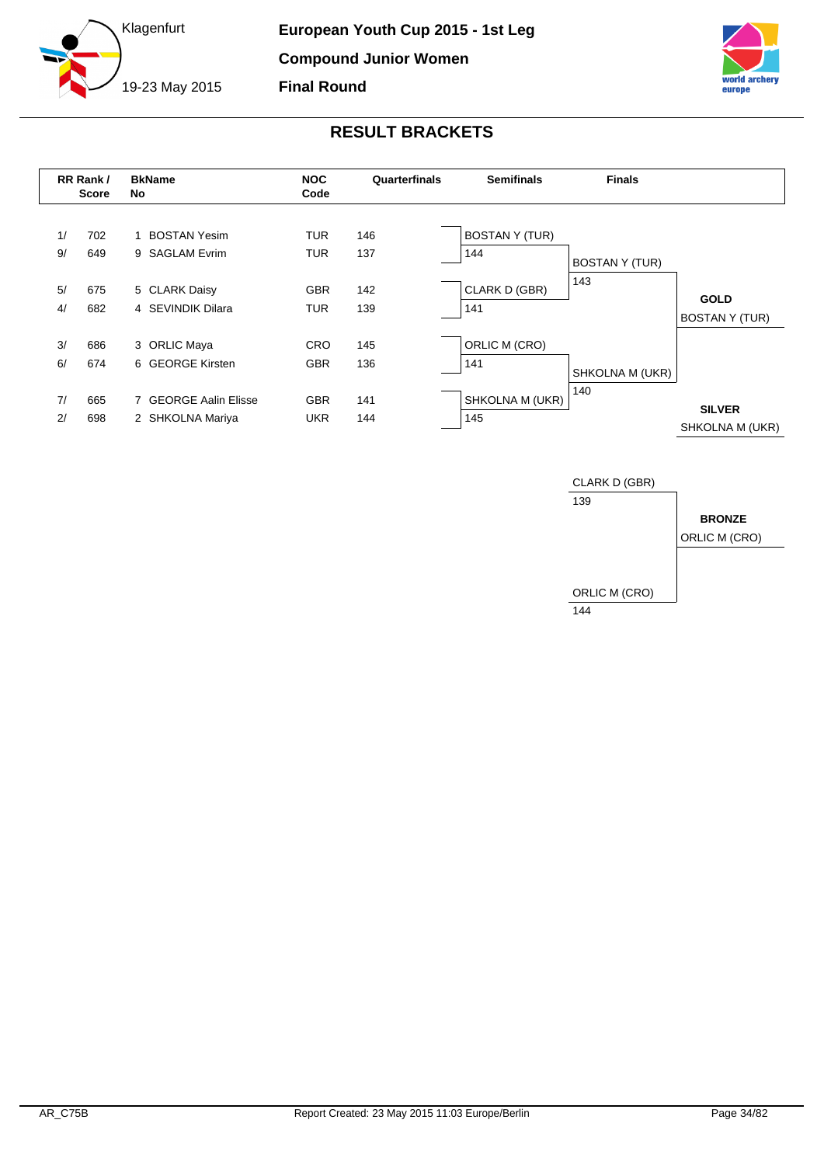



<span id="page-34-0"></span>

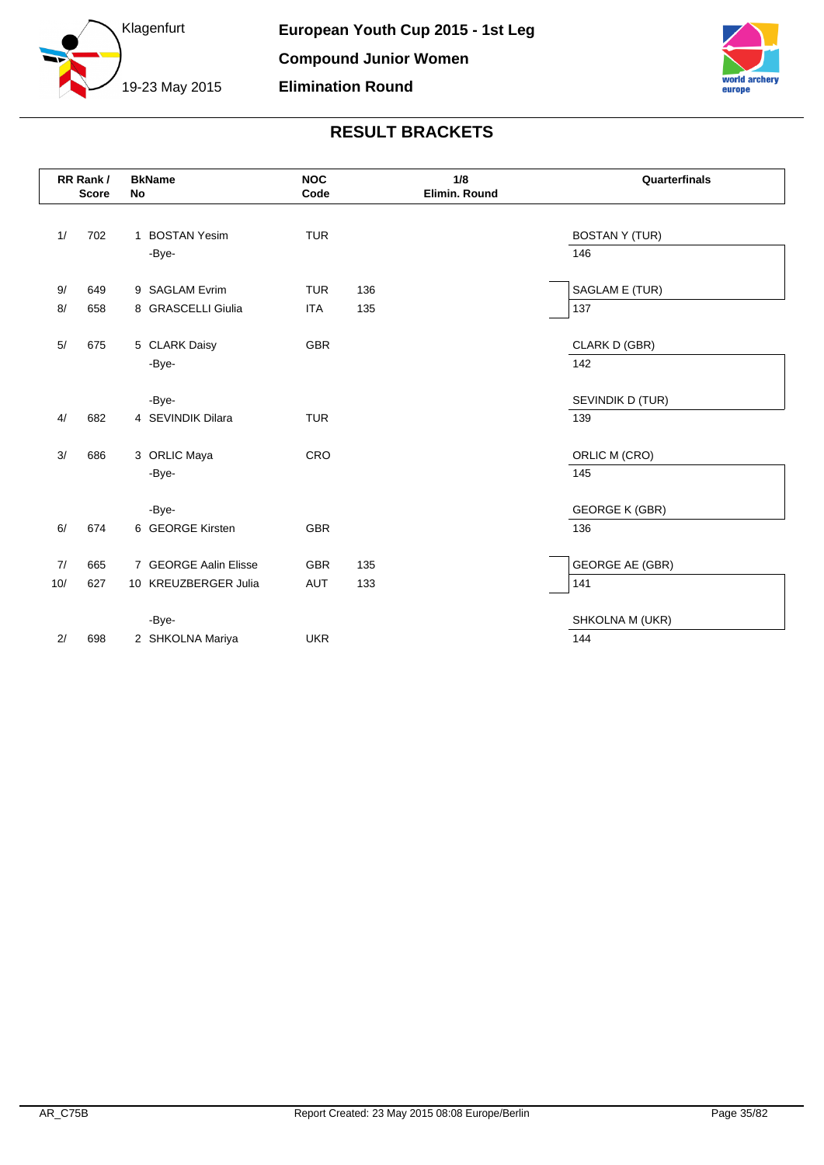



|     | RR Rank/<br><b>Score</b> | <b>BkName</b><br>No   | <b>NOC</b><br>Code | 1/8<br>Elimin. Round | Quarterfinals                |
|-----|--------------------------|-----------------------|--------------------|----------------------|------------------------------|
|     |                          | 1 BOSTAN Yesim        |                    |                      |                              |
| 1/  | 702                      | -Bye-                 | <b>TUR</b>         |                      | <b>BOSTAN Y (TUR)</b><br>146 |
|     |                          |                       |                    |                      |                              |
| 9/  | 649                      | 9 SAGLAM Evrim        | <b>TUR</b>         | 136                  | SAGLAM E (TUR)               |
| 8/  | 658                      | 8 GRASCELLI Giulia    | <b>ITA</b>         | 135                  | 137                          |
|     |                          |                       |                    |                      |                              |
| 5/  | 675                      | 5 CLARK Daisy         | <b>GBR</b>         |                      | CLARK D (GBR)                |
|     |                          | -Bye-                 |                    |                      | 142                          |
|     |                          |                       |                    |                      |                              |
|     |                          | -Bye-                 |                    |                      | SEVINDIK D (TUR)             |
| 4/  | 682                      | 4 SEVINDIK Dilara     | <b>TUR</b>         |                      | 139                          |
|     |                          |                       |                    |                      |                              |
| 3/  | 686                      | 3 ORLIC Maya          | CRO                |                      | ORLIC M (CRO)                |
|     |                          | -Bye-                 |                    |                      | 145                          |
|     |                          |                       |                    |                      |                              |
|     |                          | -Bye-                 |                    |                      | <b>GEORGE K (GBR)</b>        |
| 6/  | 674                      | 6 GEORGE Kirsten      | <b>GBR</b>         |                      | 136                          |
|     |                          |                       |                    |                      |                              |
| 7/  | 665                      | 7 GEORGE Aalin Elisse | <b>GBR</b>         | 135                  | <b>GEORGE AE (GBR)</b>       |
| 10/ | 627                      | 10 KREUZBERGER Julia  | <b>AUT</b>         | 133                  | 141                          |
|     |                          |                       |                    |                      |                              |
|     |                          | -Bye-                 |                    |                      | SHKOLNA M (UKR)              |
| 2/  | 698                      | 2 SHKOLNA Mariya      | <b>UKR</b>         |                      | 144                          |
|     |                          |                       |                    |                      |                              |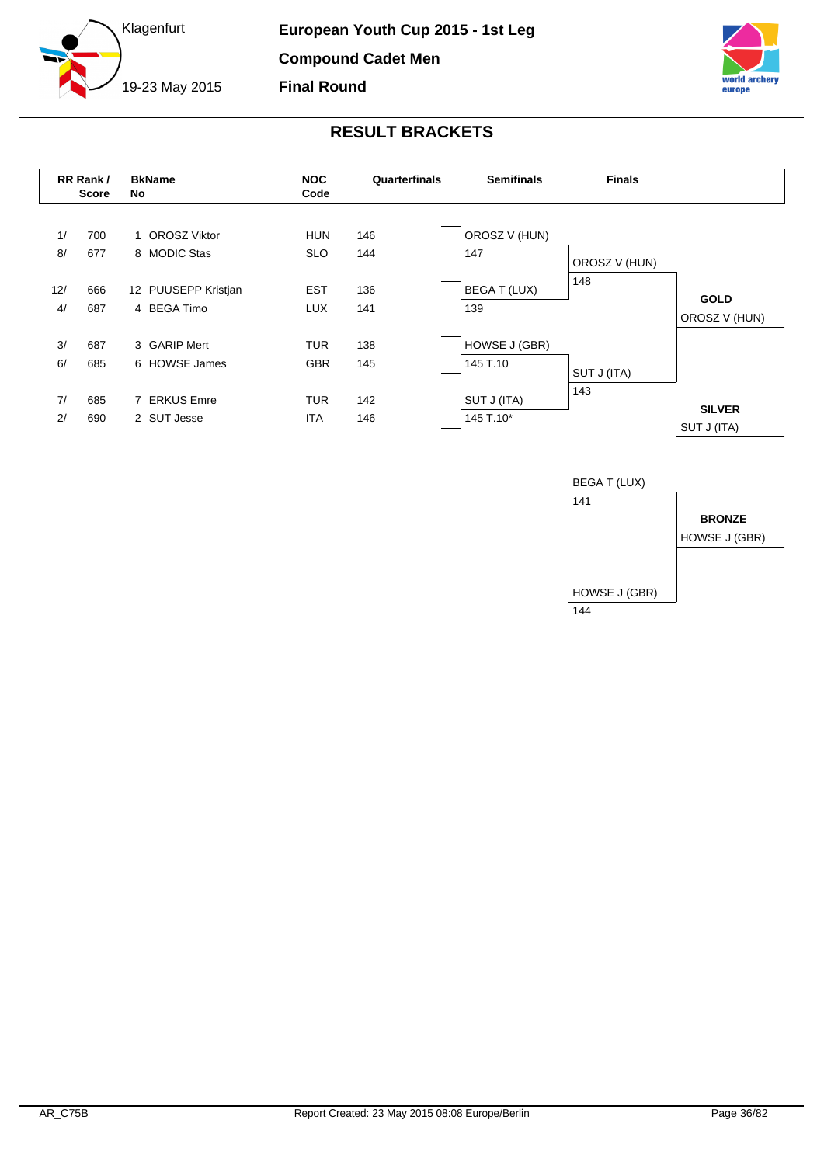





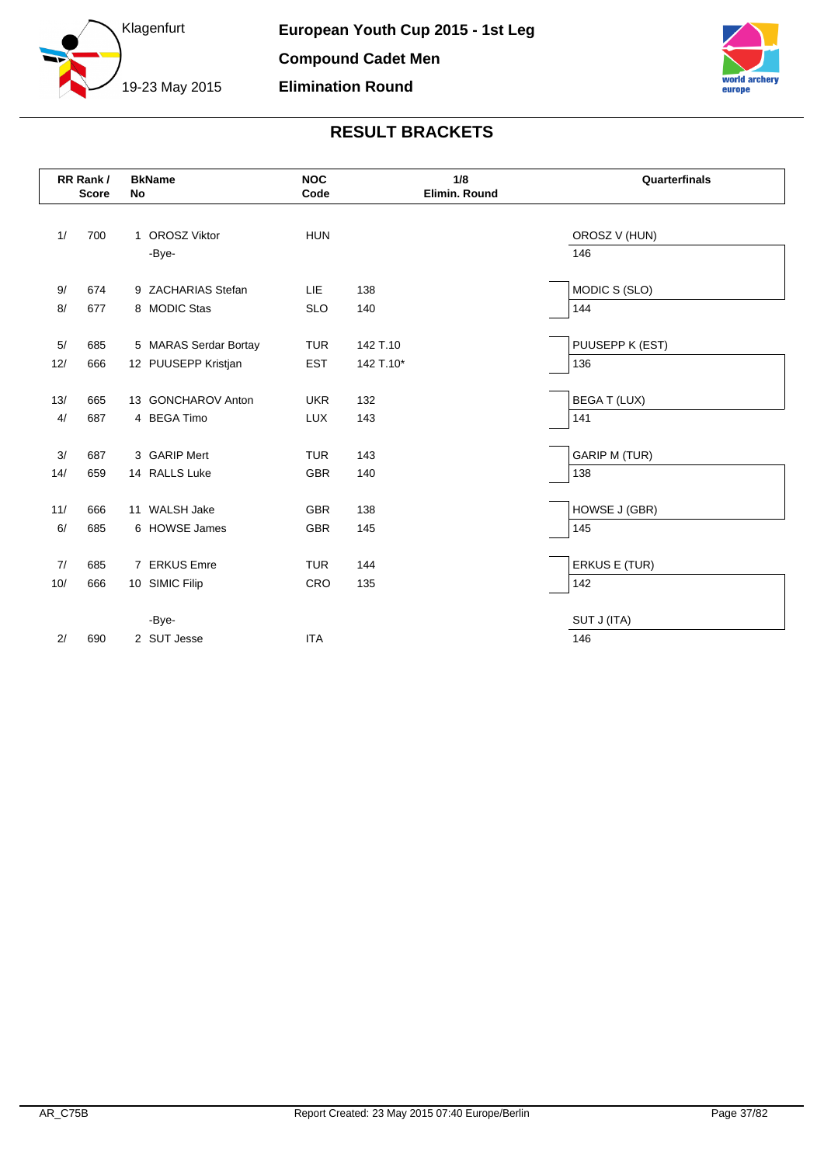



|     | RR Rank/<br><b>Score</b> | <b>BkName</b><br>No   | <b>NOC</b><br>Code | 1/8<br>Elimin. Round | Quarterfinals        |
|-----|--------------------------|-----------------------|--------------------|----------------------|----------------------|
| 1/  | 700                      | 1 OROSZ Viktor        | <b>HUN</b>         |                      | OROSZ V (HUN)        |
|     |                          | -Bye-                 |                    |                      | 146                  |
| 9/  | 674                      | 9 ZACHARIAS Stefan    | LIE                | 138                  | MODIC S (SLO)        |
| 8/  | 677                      | 8 MODIC Stas          | <b>SLO</b>         | 140                  | 144                  |
| 5/  | 685                      | 5 MARAS Serdar Bortay | <b>TUR</b>         | 142 T.10             | PUUSEPP K (EST)      |
| 12/ | 666                      | 12 PUUSEPP Kristjan   | <b>EST</b>         | 142 T.10*            | 136                  |
| 13/ | 665                      | 13 GONCHAROV Anton    | <b>UKR</b>         | 132                  | <b>BEGAT (LUX)</b>   |
| 4/  | 687                      | 4 BEGA Timo           | <b>LUX</b>         | 143                  | 141                  |
| 3/  | 687                      | 3 GARIP Mert          | <b>TUR</b>         | 143                  | <b>GARIP M (TUR)</b> |
| 14/ | 659                      | 14 RALLS Luke         | <b>GBR</b>         | 140                  | 138                  |
| 11/ | 666                      | 11 WALSH Jake         | <b>GBR</b>         | 138                  | HOWSE J (GBR)        |
| 6/  | 685                      | 6 HOWSE James         | <b>GBR</b>         | 145                  | 145                  |
| 7/  | 685                      | 7 ERKUS Emre          | <b>TUR</b>         | 144                  | ERKUS E (TUR)        |
| 10/ | 666                      | 10 SIMIC Filip        | CRO                | 135                  | 142                  |
|     |                          | -Bye-                 |                    |                      | SUT J (ITA)          |
| 2/  | 690                      | 2 SUT Jesse           | <b>ITA</b>         |                      | 146                  |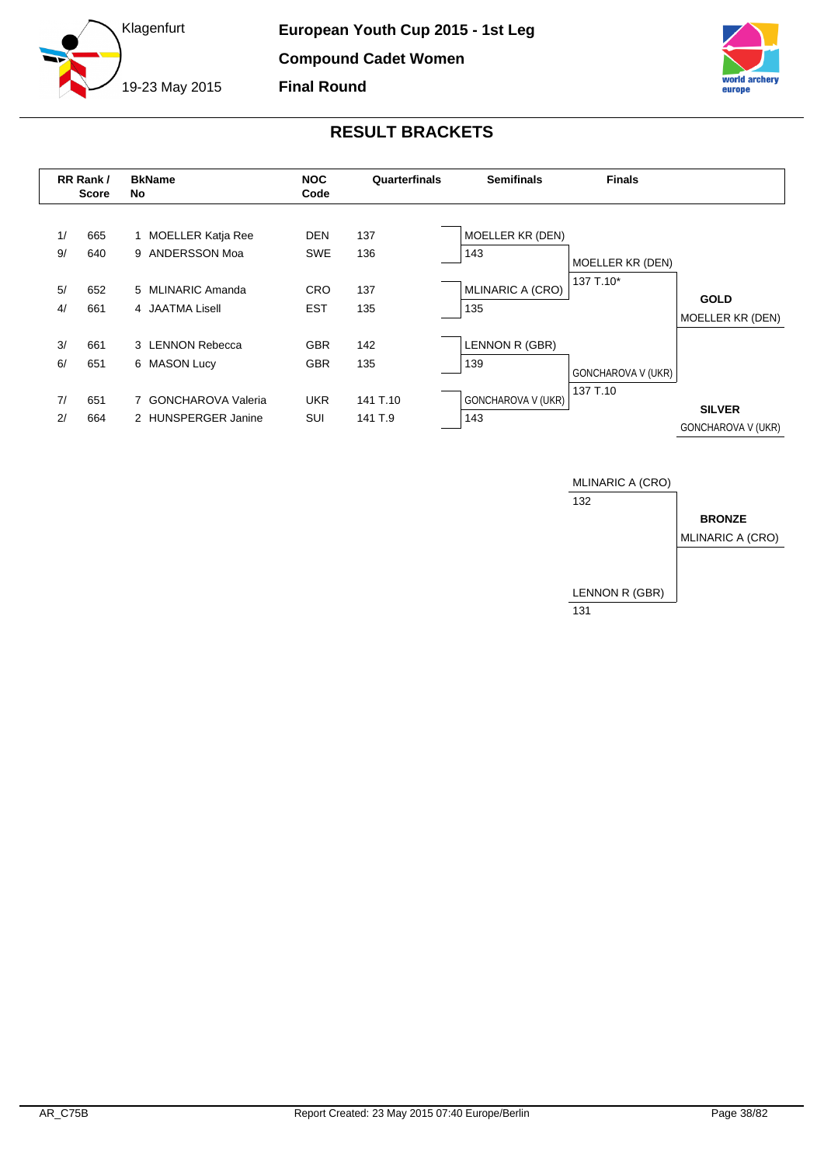





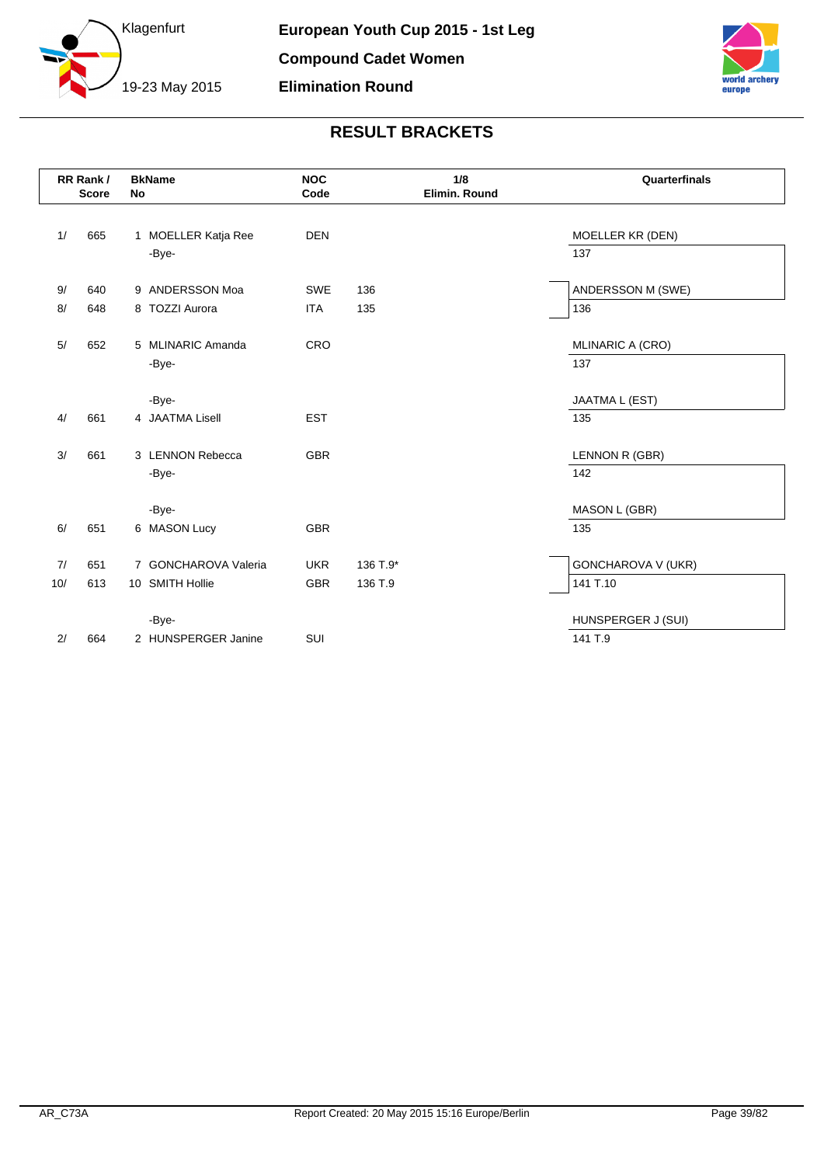



|       | RR Rank/<br><b>Score</b> | <b>BkName</b><br><b>No</b> | <b>NOC</b><br>Code | 1/8<br>Elimin. Round | Quarterfinals                  |
|-------|--------------------------|----------------------------|--------------------|----------------------|--------------------------------|
| 1/    | 665                      | 1 MOELLER Katja Ree        | <b>DEN</b>         |                      | MOELLER KR (DEN)               |
|       |                          | -Bye-                      |                    |                      | 137                            |
| 9/    | 640                      | 9 ANDERSSON Moa            | <b>SWE</b>         | 136                  | ANDERSSON M (SWE)              |
| 8/    | 648                      | 8 TOZZI Aurora             | <b>ITA</b>         | 135                  | 136                            |
| $5/$  | 652                      | 5 MLINARIC Amanda<br>-Bye- | CRO                |                      | <b>MLINARIC A (CRO)</b><br>137 |
|       |                          | -Bye-                      |                    |                      | JAATMA L (EST)                 |
| 4/    | 661                      | 4 JAATMA Lisell            | <b>EST</b>         |                      | 135                            |
| 3/    | 661                      | 3 LENNON Rebecca           | <b>GBR</b>         |                      | LENNON R (GBR)                 |
|       |                          | -Bye-                      |                    |                      | 142                            |
|       |                          | -Bye-                      |                    |                      | MASON L (GBR)                  |
| 6/    | 651                      | 6 MASON Lucy               | <b>GBR</b>         |                      | 135                            |
| 7/    | 651                      | 7 GONCHAROVA Valeria       | <b>UKR</b>         | 136 T.9*             | <b>GONCHAROVA V (UKR)</b>      |
| $10/$ | 613                      | 10 SMITH Hollie            | <b>GBR</b>         | 136 T.9              | 141 T.10                       |
|       |                          | -Bye-                      |                    |                      | HUNSPERGER J (SUI)             |
| 2/    | 664                      | 2 HUNSPERGER Janine        | SUI                |                      | 141 T.9                        |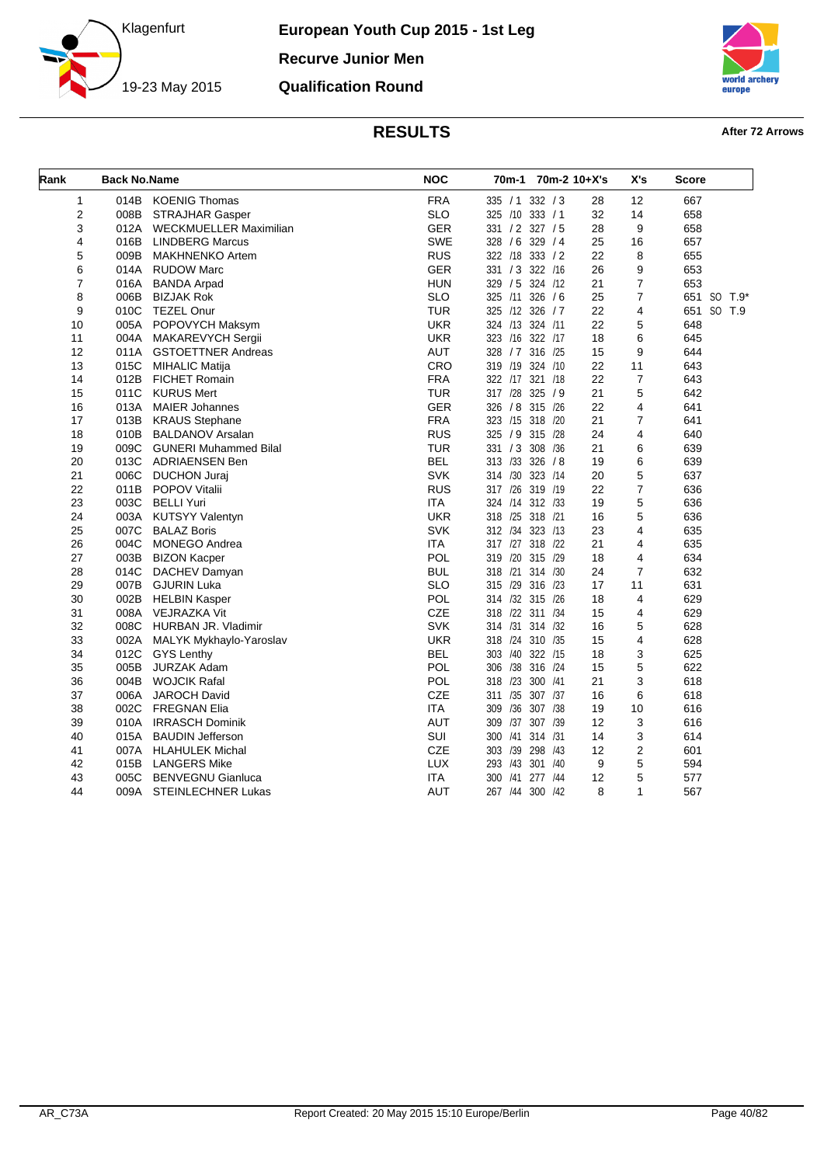

**European Youth Cup 2015 - 1st Leg Recurve Junior Men Qualification Round**



| Rank           | <b>Back No.Name</b> |                              | <b>NOC</b> | 70m-1 70m-2 10+X's    |    | X's              | <b>Score</b> |
|----------------|---------------------|------------------------------|------------|-----------------------|----|------------------|--------------|
| $\mathbf{1}$   | 014B                | <b>KOENIG Thomas</b>         | <b>FRA</b> | 335 / 1 332 / 3       | 28 | 12               | 667          |
| 2              | 008B                | <b>STRAJHAR Gasper</b>       | <b>SLO</b> | 325 /10 333 / 1       | 32 | 14               | 658          |
| 3              | 012A                | WECKMUELLER Maximilian       | <b>GER</b> | 331 / 2 327 / 5       | 28 | 9                | 658          |
| 4              | 016B                | <b>LINDBERG Marcus</b>       | <b>SWE</b> | 328 / 6 329 / 4       | 25 | 16               | 657          |
| 5              | 009B                | <b>MAKHNENKO Artem</b>       | <b>RUS</b> | 322 /18 333 / 2       | 22 | 8                | 655          |
| 6              | 014A                | <b>RUDOW Marc</b>            | <b>GER</b> | 331 / 3 322 /16       | 26 | 9                | 653          |
| $\overline{7}$ | 016A                | <b>BANDA Arpad</b>           | <b>HUN</b> | 329 / 5 324 /12       | 21 | $\overline{7}$   | 653          |
| 8              | 006B                | <b>BIZJAK Rok</b>            | <b>SLO</b> | 325 /11 326 / 6       | 25 | $\overline{7}$   | 651 SO T.9*  |
| 9              | 010C                | <b>TEZEL Onur</b>            | <b>TUR</b> | 325 /12 326 / 7       | 22 | $\overline{4}$   | 651 SO T.9   |
| 10             | 005A                | POPOVYCH Maksym              | <b>UKR</b> | 324 /13 324 /11       | 22 | 5                | 648          |
| 11             | 004A                | MAKAREVYCH Sergii            | <b>UKR</b> | 323 /16 322 /17       | 18 | 6                | 645          |
| 12             | 011A                | <b>GSTOETTNER Andreas</b>    | <b>AUT</b> | 328 / 7 316 / 25      | 15 | 9                | 644          |
| 13             | 015C                | <b>MIHALIC Matija</b>        | CRO        | 319 /19 324 /10       | 22 | 11               | 643          |
| 14             | 012B                | <b>FICHET Romain</b>         | <b>FRA</b> | 322 /17 321 /18       | 22 | $\overline{7}$   | 643          |
| 15             | 011C                | <b>KURUS Mert</b>            | <b>TUR</b> | 317 /28 325 / 9       | 21 | 5                | 642          |
| 16             | 013A                | <b>MAIER Johannes</b>        | <b>GER</b> | 326 / 8 315 /26       | 22 | 4                | 641          |
| 17             | 013B                | <b>KRAUS Stephane</b>        | <b>FRA</b> | 323 /15 318 /20       | 21 | $\overline{7}$   | 641          |
| 18             | 010B                | <b>BALDANOV Arsalan</b>      | <b>RUS</b> | 325 / 9 315 /28       | 24 | 4                | 640          |
| 19             | 009C                | <b>GUNERI Muhammed Bilal</b> | <b>TUR</b> | 331 / 3 308 / 36      | 21 | 6                | 639          |
| 20             | 013C                | <b>ADRIAENSEN Ben</b>        | <b>BEL</b> | 313 /33 326 / 8       | 19 | 6                | 639          |
| 21             | 006C                | <b>DUCHON Juraj</b>          | <b>SVK</b> | 314 /30 323 /14       | 20 | 5                | 637          |
| 22             | 011B                | <b>POPOV Vitalii</b>         | <b>RUS</b> | 317 /26 319 /19       | 22 | $\overline{7}$   | 636          |
| 23             | 003C                | <b>BELLI Yuri</b>            | <b>ITA</b> | 324 /14 312 /33       | 19 | 5                | 636          |
| 24             | 003A                | <b>KUTSYY Valentyn</b>       | <b>UKR</b> | 318 /25 318 /21       | 16 | 5                | 636          |
| 25             | 007C                | <b>BALAZ Boris</b>           | <b>SVK</b> | 312 /34 323 /13       | 23 | 4                | 635          |
| 26             | 004C                | <b>MONEGO Andrea</b>         | <b>ITA</b> | 317 /27 318 /22       | 21 | 4                | 635          |
| 27             | 003B                | <b>BIZON Kacper</b>          | POL        | 319 /20 315 /29       | 18 | $\overline{4}$   | 634          |
| 28             | 014C                | DACHEV Damyan                | <b>BUL</b> | 318 /21 314 /30       | 24 | $\overline{7}$   | 632          |
| 29             | 007B                | <b>GJURIN Luka</b>           | <b>SLO</b> | 315 /29 316 /23       | 17 | 11               | 631          |
| 30             | 002B                | <b>HELBIN Kasper</b>         | <b>POL</b> | 314 /32 315 /26       | 18 | 4                | 629          |
| 31             | 008A                | VEJRAZKA Vit                 | CZE        | 318 /22 311 /34       | 15 | 4                | 629          |
| 32             | 008C                | HURBAN JR. Vladimir          | <b>SVK</b> | 314 /31 314 /32       | 16 | 5                | 628          |
| 33             | 002A                | MALYK Mykhaylo-Yaroslav      | <b>UKR</b> | 318 /24 310 /35       | 15 | 4                | 628          |
| 34             | 012C                | <b>GYS Lenthy</b>            | <b>BEL</b> | 303 /40 322 /15       | 18 | 3                | 625          |
| 35             | 005B                | <b>JURZAK Adam</b>           | <b>POL</b> | 306 /38 316 /24       | 15 | 5                | 622          |
| 36             | 004B                | <b>WOJCIK Rafal</b>          | POL        | 318 /23 300 /41       | 21 | 3                | 618          |
| 37             | 006A                | JAROCH David                 | CZE        | 311 /35 307 /37       | 16 | 6                | 618          |
| 38             | 002C                | <b>FREGNAN Elia</b>          | <b>ITA</b> | 309 /36 307 /38       | 19 | 10               | 616          |
| 39             | 010A                | <b>IRRASCH Dominik</b>       | <b>AUT</b> | 309 /37 307 /39       | 12 | 3                | 616          |
| 40             | 015A                | <b>BAUDIN Jefferson</b>      | SUI        | 300 /41 314 /31       | 14 | 3                | 614          |
| 41             | 007A                | <b>HLAHULEK Michal</b>       | CZE        | 303 /39 298 /43       | 12 | $\boldsymbol{2}$ | 601          |
| 42             | 015B                | <b>LANGERS Mike</b>          | <b>LUX</b> | 293 /43 301 /40       | 9  | 5                | 594          |
| 43             | 005C                | <b>BENVEGNU Gianluca</b>     | <b>ITA</b> | 300<br>/41<br>277 /44 | 12 | 5                | 577          |
| 44             |                     | 009A STEINLECHNER Lukas      | <b>AUT</b> | 267 /44 300 /42       | 8  | $\mathbf{1}$     | 567          |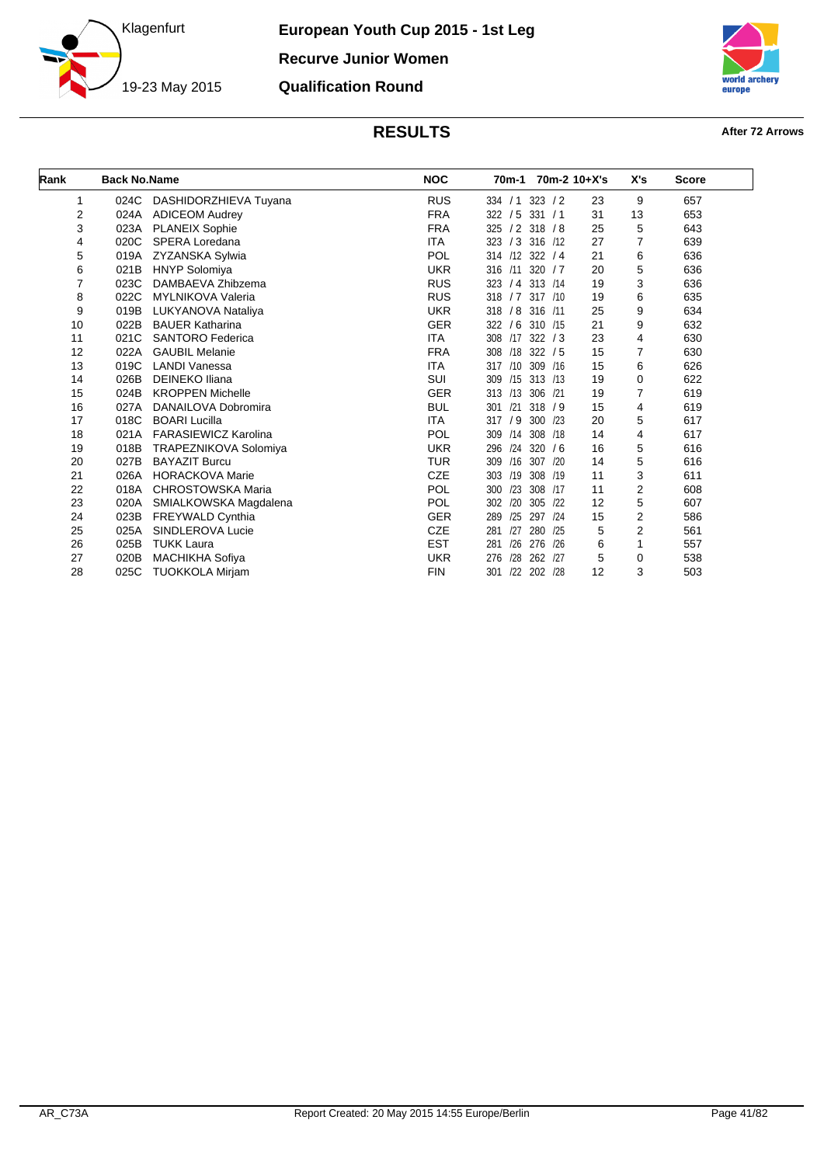



| Rank | <b>Back No.Name</b> |                             | <b>NOC</b> | 70m-1           |                | 70m-2 10+X's | X's                     | <b>Score</b> |
|------|---------------------|-----------------------------|------------|-----------------|----------------|--------------|-------------------------|--------------|
| 1    | 024C                | DASHIDORZHIEVA Tuyana       | <b>RUS</b> | 334 / 1         | 323 / 2        | 23           | 9                       | 657          |
| 2    | 024A                | <b>ADICEOM Audrey</b>       | <b>FRA</b> | 322 / 5         | 331 / 1        | 31           | 13                      | 653          |
| 3    | 023A                | <b>PLANEIX Sophie</b>       | <b>FRA</b> | 325             | $/2$ 318 $/8$  | 25           | 5                       | 643          |
| 4    | 020C                | SPERA Loredana              | <b>ITA</b> | 323 / 3 316 /12 |                | 27           | $\overline{7}$          | 639          |
| 5    | 019A                | ZYZANSKA Sylwia             | POL        | 314 /12 322 / 4 |                | 21           | 6                       | 636          |
| 6    | 021B                | <b>HNYP Solomiya</b>        | <b>UKR</b> | 316 /11 320 / 7 |                | 20           | 5                       | 636          |
| 7    | 023C                | DAMBAEVA Zhibzema           | <b>RUS</b> | 323<br>/4       | 313 / 14       | 19           | 3                       | 636          |
| 8    | 022C                | <b>MYLNIKOVA Valeria</b>    | <b>RUS</b> | 318 / 7         | 317 /10        | 19           | 6                       | 635          |
| 9    | 019B                | LUKYANOVA Nataliya          | <b>UKR</b> | 318             | / 8 316 /11    | 25           | 9                       | 634          |
| 10   | 022B                | <b>BAUER Katharina</b>      | <b>GER</b> | 322<br>/6       | 310 /15        | 21           | 9                       | 632          |
| 11   | 021C                | <b>SANTORO Federica</b>     | <b>ITA</b> | 308             | $/17$ 322 $/3$ | 23           | 4                       | 630          |
| 12   | 022A                | <b>GAUBIL Melanie</b>       | <b>FRA</b> | /18<br>308      | 322 / 5        | 15           | 7                       | 630          |
| 13   | 019C                | <b>LANDI Vanessa</b>        | <b>ITA</b> | 317 /10         | 309 /16        | 15           | 6                       | 626          |
| 14   | 026B                | <b>DEINEKO Iliana</b>       | <b>SUI</b> | 309             | /15 313 /13    | 19           | $\mathbf 0$             | 622          |
| 15   | 024B                | <b>KROPPEN Michelle</b>     | <b>GER</b> | 313 /13 306 /21 |                | 19           | 7                       | 619          |
| 16   | 027A                | DANAILOVA Dobromira         | <b>BUL</b> | /21<br>301      | 318 / 9        | 15           | 4                       | 619          |
| 17   | 018C                | <b>BOARI Lucilla</b>        | <b>ITA</b> | 317 / 9         | 300 /23        | 20           | 5                       | 617          |
| 18   | 021A                | <b>FARASIEWICZ Karolina</b> | POL        | /14<br>309      | 308 /18        | 14           | 4                       | 617          |
| 19   | 018B                | TRAPEZNIKOVA Solomiya       | <b>UKR</b> | /24<br>296      | 320/6          | 16           | 5                       | 616          |
| 20   | 027B                | <b>BAYAZIT Burcu</b>        | <b>TUR</b> | /16<br>309      | 307 /20        | 14           | 5                       | 616          |
| 21   | 026A                | <b>HORACKOVA Marie</b>      | <b>CZE</b> | /19<br>303      | 308 /19        | 11           | 3                       | 611          |
| 22   | 018A                | <b>CHROSTOWSKA Maria</b>    | POL        | /23<br>300      | 308 /17        | 11           | $\overline{\mathbf{c}}$ | 608          |
| 23   | 020A                | SMIALKOWSKA Magdalena       | <b>POL</b> | /20<br>302      | 305<br>/22     | 12           | 5                       | 607          |
| 24   | 023B                | FREYWALD Cynthia            | <b>GER</b> | /25<br>289      | 297 /24        | 15           | 2                       | 586          |
| 25   | 025A                | SINDLEROVA Lucie            | <b>CZE</b> | /27<br>281      | 280<br>/25     | 5            | 2                       | 561          |
| 26   | 025B                | <b>TUKK Laura</b>           | <b>EST</b> | /26<br>281      | 276 /26        | 6            | 1                       | 557          |
| 27   | 020B                | <b>MACHIKHA Sofiya</b>      | <b>UKR</b> | /28<br>276      | 262 /27        | 5            | 0                       | 538          |
| 28   | 025C                | <b>TUOKKOLA Mirjam</b>      | <b>FIN</b> | 301             | /22 202 /28    | 12           | 3                       | 503          |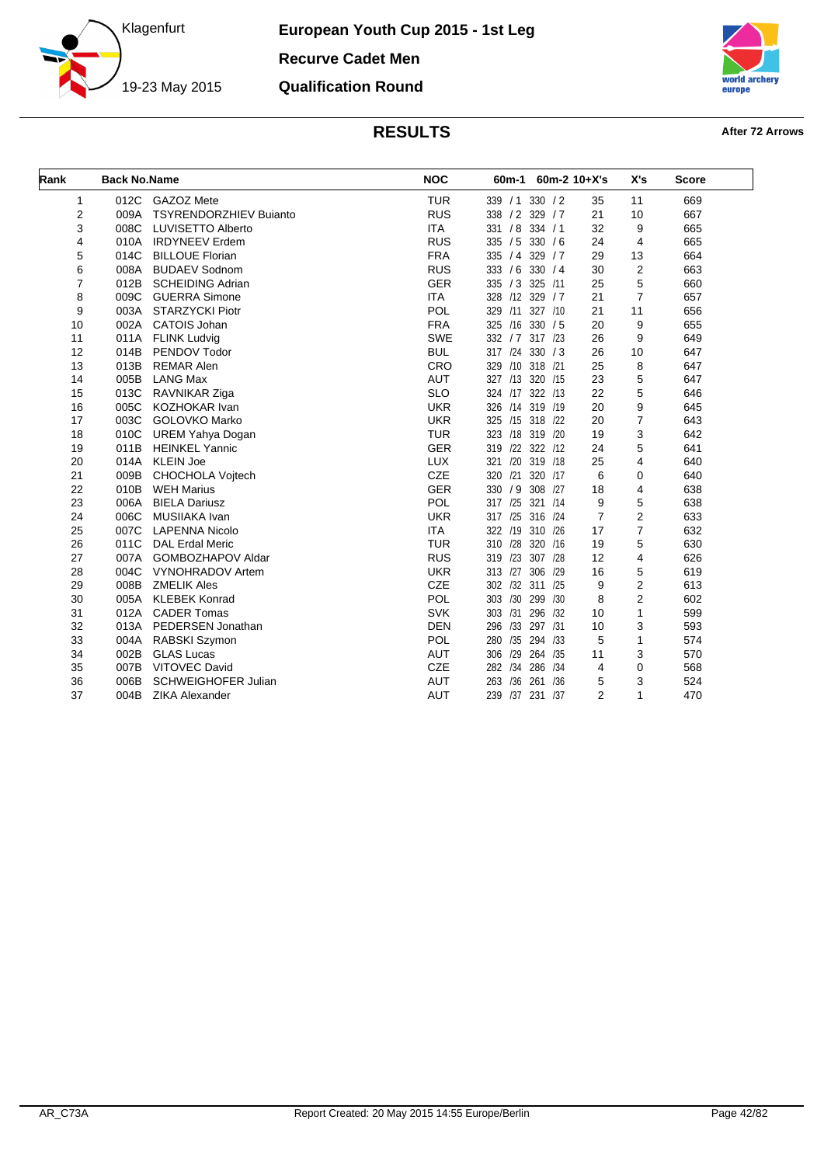

**European Youth Cup 2015 - 1st Leg Recurve Cadet Men Qualification Round**



| Rank | <b>Back No.Name</b> |                               | <b>NOC</b> | 60m-1            |             | $60m-2$ 10+X's | X's                     | <b>Score</b> |
|------|---------------------|-------------------------------|------------|------------------|-------------|----------------|-------------------------|--------------|
| 1    | 012C                | GAZOZ Mete                    | <b>TUR</b> | 339 / 1 330 / 2  |             | 35             | 11                      | 669          |
| 2    | 009A                | <b>TSYRENDORZHIEV Bujanto</b> | <b>RUS</b> | 338 / 2 329 / 7  |             | 21             | 10                      | 667          |
| 3    | 008C                | <b>LUVISETTO Alberto</b>      | <b>ITA</b> | 331 / 8          | 334 / 1     | 32             | 9                       | 665          |
| 4    | 010A                | <b>IRDYNEEV Erdem</b>         | <b>RUS</b> | 335 / 5          | 330 / 6     | 24             | $\overline{4}$          | 665          |
| 5    | 014C                | <b>BILLOUE Florian</b>        | <b>FRA</b> | 335 / 4          | 329/7       | 29             | 13                      | 664          |
| 6    | 008A                | <b>BUDAEV Sodnom</b>          | <b>RUS</b> | 333 / 6          | 330 / 4     | 30             | $\overline{\mathbf{c}}$ | 663          |
| 7    | 012B                | <b>SCHEIDING Adrian</b>       | <b>GER</b> | 335 / 3          | 325 /11     | 25             | 5                       | 660          |
| 8    | 009C                | <b>GUERRA Simone</b>          | <b>ITA</b> | 328 /12 329 / 7  |             | 21             | $\overline{7}$          | 657          |
| 9    | 003A                | <b>STARZYCKI Piotr</b>        | POL        | 329 /11          | 327 /10     | 21             | 11                      | 656          |
| 10   | 002A                | <b>CATOIS Johan</b>           | <b>FRA</b> | 325 /16 330 / 5  |             | 20             | 9                       | 655          |
| 11   | 011A                | <b>FLINK Ludvig</b>           | <b>SWE</b> | 332 / 7 317 / 23 |             | 26             | 9                       | 649          |
| 12   | 014B                | PENDOV Todor                  | <b>BUL</b> | 317 /24          | 330 / 3     | 26             | 10                      | 647          |
| 13   | 013B                | <b>REMAR Alen</b>             | CRO        | 329              | /10 318 /21 | 25             | 8                       | 647          |
| 14   | 005B                | <b>LANG Max</b>               | <b>AUT</b> | 327 /13          | 320 /15     | 23             | 5                       | 647          |
| 15   | 013C                | RAVNIKAR Ziga                 | <b>SLO</b> | 324 /17          | 322 /13     | 22             | 5                       | 646          |
| 16   | 005C                | KOZHOKAR Ivan                 | <b>UKR</b> | 326 /14          | 319 /19     | 20             | 9                       | 645          |
| 17   | 003C                | GOLOVKO Marko                 | <b>UKR</b> | 325 /15          | 318 /22     | 20             | 7                       | 643          |
| 18   | 010C                | <b>UREM Yahya Dogan</b>       | <b>TUR</b> | 323 /18 319 /20  |             | 19             | 3                       | 642          |
| 19   | 011B                | <b>HEINKEL Yannic</b>         | <b>GER</b> | 319              | /22 322 /12 | 24             | 5                       | 641          |
| 20   | 014A                | <b>KLEIN Joe</b>              | <b>LUX</b> | 321<br>/20       | 319 /18     | 25             | 4                       | 640          |
| 21   | 009B                | <b>CHOCHOLA Voitech</b>       | CZE        | 320 /21 320 /17  |             | 6              | 0                       | 640          |
| 22   | 010B                | <b>WEH Marius</b>             | <b>GER</b> | 330 / 9          | 308 /27     | 18             | 4                       | 638          |
| 23   | 006A                | <b>BIELA Dariusz</b>          | POL        | 317 /25          | 321 / 14    | 9              | 5                       | 638          |
| 24   | 006C                | MUSIIAKA Ivan                 | <b>UKR</b> | 317<br>/25       | 316 /24     | $\overline{7}$ | 2                       | 633          |
| 25   | 007C                | <b>LAPENNA Nicolo</b>         | <b>ITA</b> | 322 /19          | 310 /26     | 17             | 7                       | 632          |
| 26   | 011C                | <b>DAL Erdal Meric</b>        | <b>TUR</b> | /28<br>310       | 320 /16     | 19             | 5                       | 630          |
| 27   | 007A                | <b>GOMBOZHAPOV Aldar</b>      | <b>RUS</b> | /23<br>319       | 307 /28     | 12             | 4                       | 626          |
| 28   | 004C                | <b>VYNOHRADOV Artem</b>       | <b>UKR</b> | /27<br>313       | 306 /29     | 16             | 5                       | 619          |
| 29   | 008B                | <b>ZMELIK Ales</b>            | <b>CZE</b> | 302 /32 311 /25  |             | 9              | 2                       | 613          |
| 30   | 005A                | <b>KLEBEK Konrad</b>          | POL        | /30<br>303       | 299<br>/30  | 8              | $\overline{c}$          | 602          |
| 31   | 012A                | <b>CADER Tomas</b>            | <b>SVK</b> | 303 /31          | 296 /32     | 10             | $\mathbf{1}$            | 599          |
| 32   | 013A                | PEDERSEN Jonathan             | <b>DEN</b> | /33<br>296       | 297 /31     | 10             | 3                       | 593          |
| 33   | 004A                | RABSKI Szymon                 | POL        | /35<br>280       | 294 /33     | 5              | $\mathbf{1}$            | 574          |
| 34   | 002B                | <b>GLAS Lucas</b>             | <b>AUT</b> | 306<br>/29       | 264 /35     | 11             | 3                       | 570          |
| 35   | 007B                | <b>VITOVEC David</b>          | <b>CZE</b> | 282 /34          | 286 /34     | 4              | 0                       | 568          |
| 36   | 006B                | <b>SCHWEIGHOFER Julian</b>    | <b>AUT</b> | /36<br>263       | /36<br>261  | 5              | 3                       | 524          |
| 37   | 004B                | <b>ZIKA Alexander</b>         | <b>AUT</b> | 239              | /37 231 /37 | $\overline{2}$ | $\mathbf{1}$            | 470          |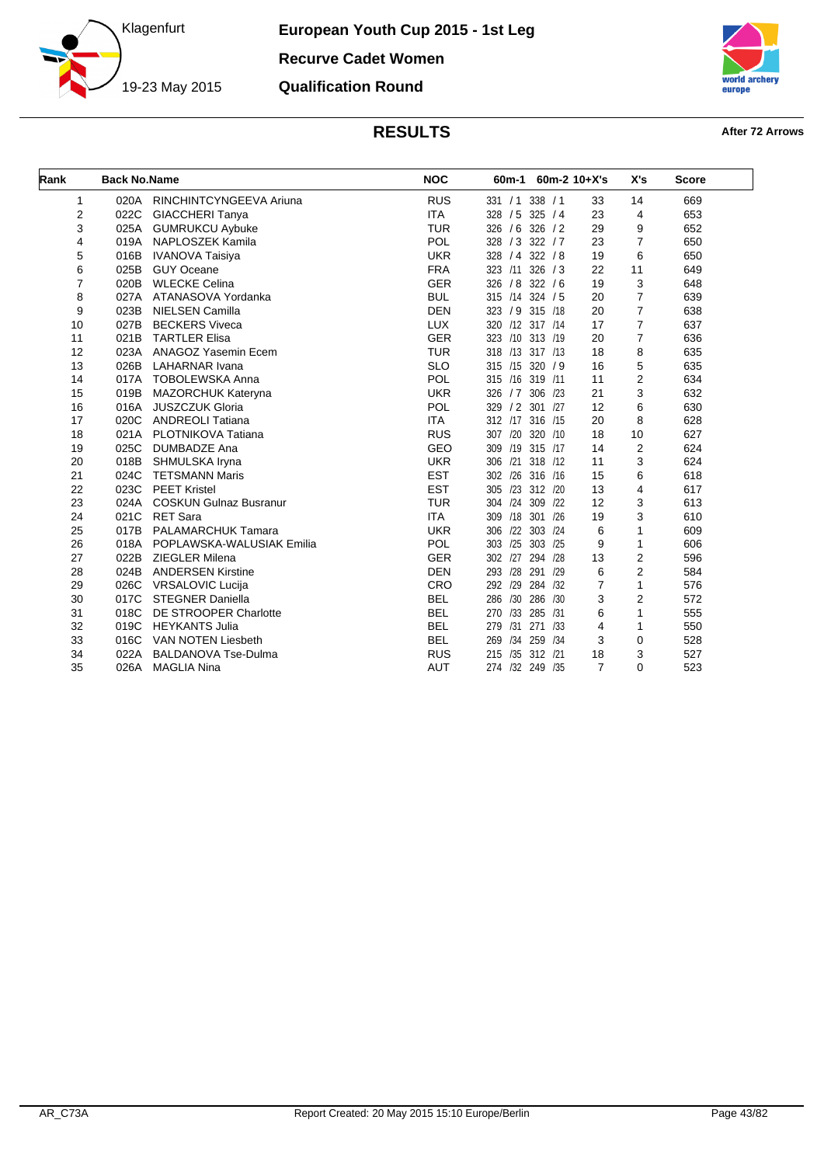



| Rank | <b>Back No.Name</b> |                               | <b>NOC</b> | $60m-1$          |             | $60m-2$ 10+X's | X's            | <b>Score</b> |
|------|---------------------|-------------------------------|------------|------------------|-------------|----------------|----------------|--------------|
| 1    | 020A                | RINCHINTCYNGEEVA Ariuna       | <b>RUS</b> | 331 / 1          | 338 / 1     | 33             | 14             | 669          |
| 2    | 022C                | <b>GIACCHERI Tanya</b>        | <b>ITA</b> | 328 / 5 325 / 4  |             | 23             | 4              | 653          |
| 3    | 025A                | <b>GUMRUKCU Aybuke</b>        | <b>TUR</b> | 326 / 6 326 / 2  |             | 29             | 9              | 652          |
| 4    | 019A                | NAPLOSZEK Kamila              | POL        | 328 / 3 322 / 7  |             | 23             | 7              | 650          |
| 5    | 016B                | <b>IVANOVA Taisiya</b>        | <b>UKR</b> | 328 / 4 322 / 8  |             | 19             | 6              | 650          |
| 6    | 025B                | <b>GUY Oceane</b>             | <b>FRA</b> | 323 /11          | 326 / 3     | 22             | 11             | 649          |
| 7    | 020B                | <b>WLECKE Celina</b>          | <b>GER</b> | 326 / 8 322 / 6  |             | 19             | 3              | 648          |
| 8    |                     | 027A ATANASOVA Yordanka       | <b>BUL</b> | 315 /14 324 / 5  |             | 20             | $\overline{7}$ | 639          |
| 9    | 023B                | <b>NIELSEN Camilla</b>        | <b>DEN</b> | 323 / 9 315 /18  |             | 20             | 7              | 638          |
| 10   | 027B                | <b>BECKERS Viveca</b>         | <b>LUX</b> | 320 /12 317 /14  |             | 17             | 7              | 637          |
| 11   | 021B                | <b>TARTLER Elisa</b>          | <b>GER</b> | 323 /10 313 /19  |             | 20             | 7              | 636          |
| 12   | 023A                | <b>ANAGOZ Yasemin Ecem</b>    | <b>TUR</b> | 318 /13 317 /13  |             | 18             | 8              | 635          |
| 13   | 026B                | <b>LAHARNAR Ivana</b>         | <b>SLO</b> | 315 /15 320 / 9  |             | 16             | 5              | 635          |
| 14   | 017A                | <b>TOBOLEWSKA Anna</b>        | POL        | 315 /16 319 /11  |             | 11             | 2              | 634          |
| 15   | 019B                | <b>MAZORCHUK Kateryna</b>     | <b>UKR</b> | 326 / 7 306 / 23 |             | 21             | 3              | 632          |
| 16   | 016A                | <b>JUSZCZUK Gloria</b>        | POL        | 329 / 2 301 /27  |             | 12             | 6              | 630          |
| 17   | 020C                | <b>ANDREOLI Tatiana</b>       | <b>ITA</b> | 312 /17 316 /15  |             | 20             | 8              | 628          |
| 18   | 021A                | PLOTNIKOVA Tatiana            | <b>RUS</b> | 307 /20 320 /10  |             | 18             | 10             | 627          |
| 19   | 025C                | <b>DUMBADZE Ana</b>           | <b>GEO</b> | 309 /19 315 /17  |             | 14             | $\overline{2}$ | 624          |
| 20   | 018B                | SHMULSKA Iryna                | <b>UKR</b> | /21<br>306       | 318 /12     | 11             | 3              | 624          |
| 21   | 024C                | <b>TETSMANN Maris</b>         | <b>EST</b> | 302 /26 316 /16  |             | 15             | 6              | 618          |
| 22   | 023C                | <b>PEET Kristel</b>           | <b>EST</b> | 305 /23 312 /20  |             | 13             | 4              | 617          |
| 23   | 024A                | <b>COSKUN Gulnaz Busranur</b> | <b>TUR</b> | 304 /24 309 /22  |             | 12             | 3              | 613          |
| 24   | 021C                | <b>RET Sara</b>               | <b>ITA</b> | 309 /18 301 /26  |             | 19             | 3              | 610          |
| 25   | 017B                | <b>PALAMARCHUK Tamara</b>     | <b>UKR</b> | 306 /22 303 /24  |             | 6              | 1              | 609          |
| 26   | 018A                | POPLAWSKA-WALUSIAK Emilia     | POL        | 303 /25          | 303 /25     | 9              | 1              | 606          |
| 27   | 022B                | <b>ZIEGLER Milena</b>         | <b>GER</b> | 302 /27 294 /28  |             | 13             | 2              | 596          |
| 28   | 024B                | <b>ANDERSEN Kirstine</b>      | <b>DEN</b> | 293 /28          | 291 /29     | 6              | $\overline{2}$ | 584          |
| 29   | 026C                | <b>VRSALOVIC Lucija</b>       | CRO        | 292 /29          | 284 /32     | $\overline{7}$ | $\mathbf{1}$   | 576          |
| 30   | 017C                | <b>STEGNER Daniella</b>       | <b>BEL</b> | /30<br>286       | 286 /30     | 3              | $\overline{2}$ | 572          |
| 31   | 018C                | DE STROOPER Charlotte         | <b>BEL</b> | 270              | /33 285 /31 | 6              | 1              | 555          |
| 32   | 019C                | <b>HEYKANTS Julia</b>         | <b>BEL</b> | /31<br>279       | 271 /33     | $\overline{4}$ | 1              | 550          |
| 33   | 016C                | <b>VAN NOTEN Liesbeth</b>     | <b>BEL</b> | 269              | /34 259 /34 | 3              | 0              | 528          |
| 34   | 022A                | <b>BALDANOVA Tse-Dulma</b>    | <b>RUS</b> | 215              | /35 312 /21 | 18             | 3              | 527          |
| 35   | 026A                | <b>MAGLIA Nina</b>            | <b>AUT</b> | 274 /32 249 /35  |             | $\overline{7}$ | $\Omega$       | 523          |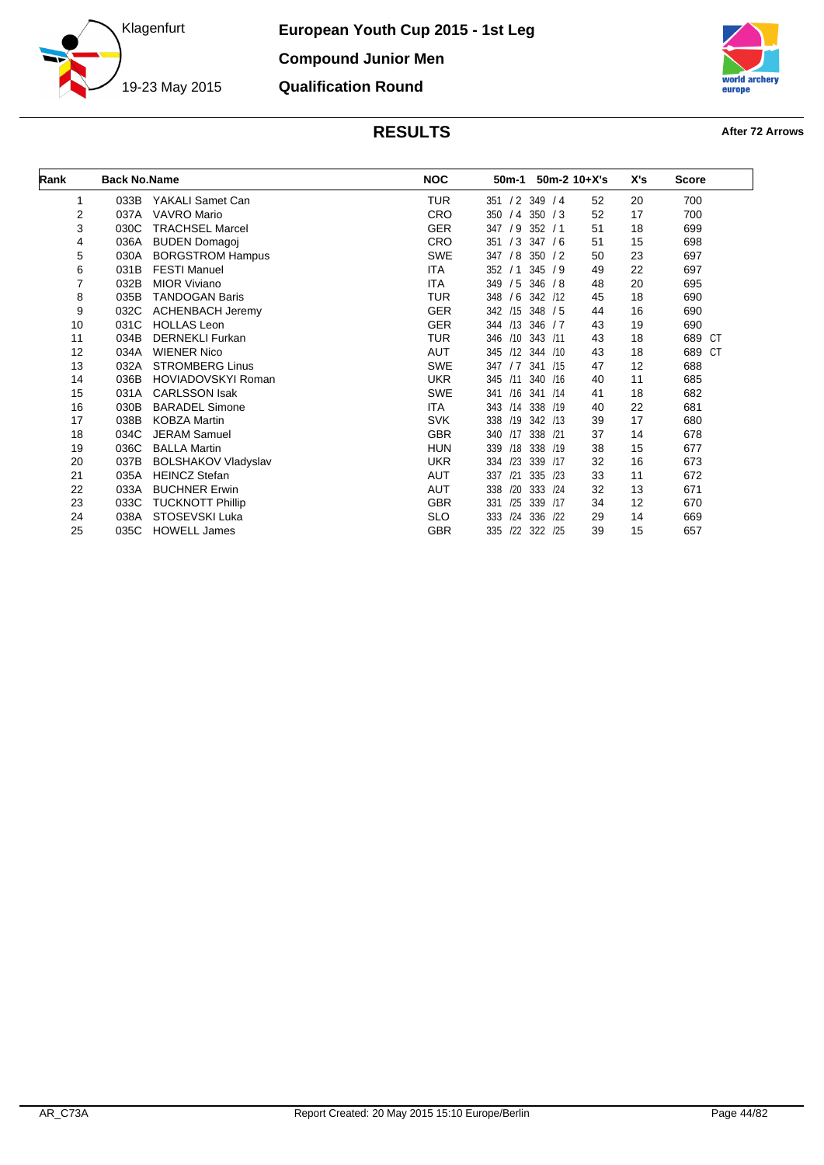



| Rank | <b>Back No.Name</b> |                            | <b>NOC</b> | 50m-1                    | $50m-2$ 10+X's<br>X's |    | <b>Score</b>     |
|------|---------------------|----------------------------|------------|--------------------------|-----------------------|----|------------------|
| 1    | 033B                | YAKALI Samet Can           | <b>TUR</b> | 351 / 2 349 / 4          | 52                    | 20 | 700              |
| 2    | 037A                | <b>VAVRO Mario</b>         | <b>CRO</b> | /4<br>350 / 3<br>350     | 52                    | 17 | 700              |
| 3    | 030C                | <b>TRACHSEL Marcel</b>     | <b>GER</b> | 347 / 9 352 / 1          | 51                    | 18 | 699              |
| 4    | 036A                | <b>BUDEN Domagoj</b>       | <b>CRO</b> | /3<br>347/6<br>351       | 51                    | 15 | 698              |
| 5    | 030A                | <b>BORGSTROM Hampus</b>    | <b>SWE</b> | /8<br>347<br>350 / 2     | 50                    | 23 | 697              |
| 6    | 031B                | <b>FESTI Manuel</b>        | <b>ITA</b> | 352<br>345/9<br>/1       | 49                    | 22 | 697              |
| 7    | 032B                | <b>MIOR Viviano</b>        | ITA        | 349<br>/5<br>346 / 8     | 48                    | 20 | 695              |
| 8    | 035B                | <b>TANDOGAN Baris</b>      | <b>TUR</b> | 348<br>/6<br>342 /12     | 45                    | 18 | 690              |
| 9    | 032C                | <b>ACHENBACH Jeremy</b>    | <b>GER</b> | /15<br>342<br>348 / 5    | 44                    | 16 | 690              |
| 10   | 031C                | <b>HOLLAS Leon</b>         | <b>GER</b> | /13<br>346 / 7<br>344    | 43                    | 19 | 690              |
| 11   | 034B                | <b>DERNEKLI Furkan</b>     | <b>TUR</b> | 346 /10<br>343 /11       | 43                    | 18 | 689<br><b>CT</b> |
| 12   | 034A                | <b>WIENER Nico</b>         | AUT        | /12<br>345<br>344 /10    | 43                    | 18 | 689<br><b>CT</b> |
| 13   | 032A                | <b>STROMBERG Linus</b>     | <b>SWE</b> | 347<br>/7<br>341 /15     | 47                    | 12 | 688              |
| 14   | 036B                | HOVIADOVSKYI Roman         | <b>UKR</b> | 345<br>/11<br>340 /16    | 40                    | 11 | 685              |
| 15   | 031A                | <b>CARLSSON Isak</b>       | <b>SWE</b> | /16<br>341 /14<br>341    | 41                    | 18 | 682              |
| 16   | 030B                | <b>BARADEL Simone</b>      | ITA        | 343<br>/14<br>338 /19    | 40                    | 22 | 681              |
| 17   | 038B                | <b>KOBZA Martin</b>        | <b>SVK</b> | /19<br>342 /13<br>338    | 39                    | 17 | 680              |
| 18   | 034C                | <b>JERAM Samuel</b>        | <b>GBR</b> | /17<br>338 /21<br>340    | 37                    | 14 | 678              |
| 19   | 036C                | <b>BALLA Martin</b>        | HUN        | 339<br>/18<br>338 /19    | 38                    | 15 | 677              |
| 20   | 037B                | <b>BOLSHAKOV Vladyslav</b> | <b>UKR</b> | /23<br>339<br>334<br>/17 | 32                    | 16 | 673              |
| 21   | 035A                | <b>HEINCZ Stefan</b>       | <b>AUT</b> | /21<br>335 /23<br>337    | 33                    | 11 | 672              |
| 22   | 033A                | <b>BUCHNER Erwin</b>       | AUT        | /20<br>338<br>333 /24    | 32                    | 13 | 671              |
| 23   | 033C                | <b>TUCKNOTT Phillip</b>    | <b>GBR</b> | /25<br>339 /17<br>331    | 34                    | 12 | 670              |
| 24   | 038A                | STOSEVSKI Luka             | <b>SLO</b> | 336<br>333<br>/24<br>122 | 29                    | 14 | 669              |
| 25   | 035C                | <b>HOWELL James</b>        | <b>GBR</b> | /22<br>335<br>322 /25    | 39                    | 15 | 657              |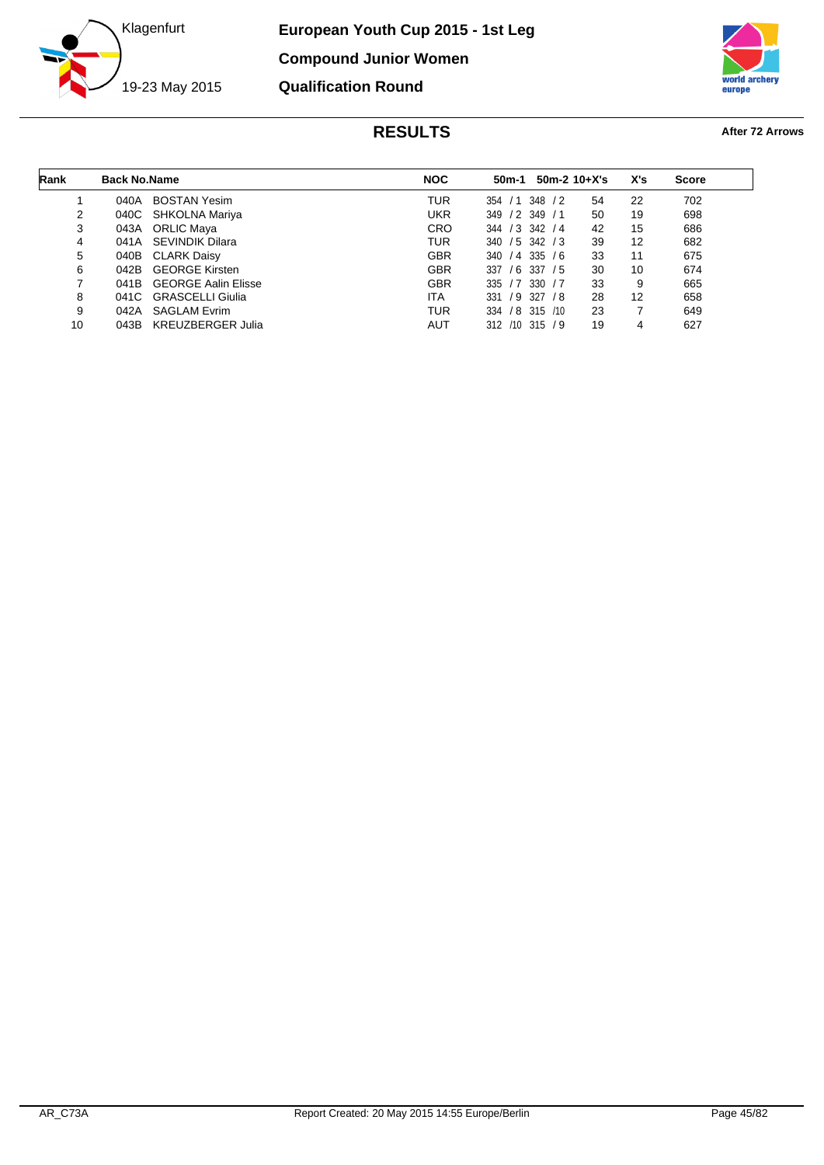



| Rank | <b>Back No.Name</b> |                            | <b>NOC</b> | $50m-2$ 10+X's<br>50m-1      |    | X's | <b>Score</b> |
|------|---------------------|----------------------------|------------|------------------------------|----|-----|--------------|
|      | 040A                | <b>BOSTAN Yesim</b>        | TUR        | 354 / 1 348<br>$\frac{1}{2}$ | 54 | 22  | 702          |
| 2    |                     | 040C SHKOLNA Mariya        | <b>UKR</b> | $/2$ 349 $/1$<br>349         | 50 | 19  | 698          |
| 3    |                     | 043A ORLIC Maya            | <b>CRO</b> | 344 / 3 342 / 4              | 42 | 15  | 686          |
| 4    |                     | 041A SEVINDIK Dilara       | TUR        | $340 / 5$ 342 / 3            | 39 | 12  | 682          |
| 5    | 040B                | CLARK Daisy                | <b>GBR</b> | $340 / 4$ 335 / 6            | 33 | 11  | 675          |
| 6    | 042B                | <b>GEORGE Kirsten</b>      | <b>GBR</b> | 337<br>$/6$ 337 $/5$         | 30 | 10  | 674          |
| 7    | 041B                | <b>GEORGE Aalin Elisse</b> | <b>GBR</b> | $/7$ 330 $/7$<br>335         | 33 | 9   | 665          |
| 8    |                     | 041C GRASCELLI Giulia      | <b>ITA</b> | /9 327<br>331<br>/ 8         | 28 | 12  | 658          |
| 9    | 042A                | <b>SAGLAM Evrim</b>        | TUR        | 334 / 8 315 / 10             | 23 | 7   | 649          |
| 10   | 043B                | KREUZBERGER Julia          | AUT        | 312 /10 315 / 9              | 19 | 4   | 627          |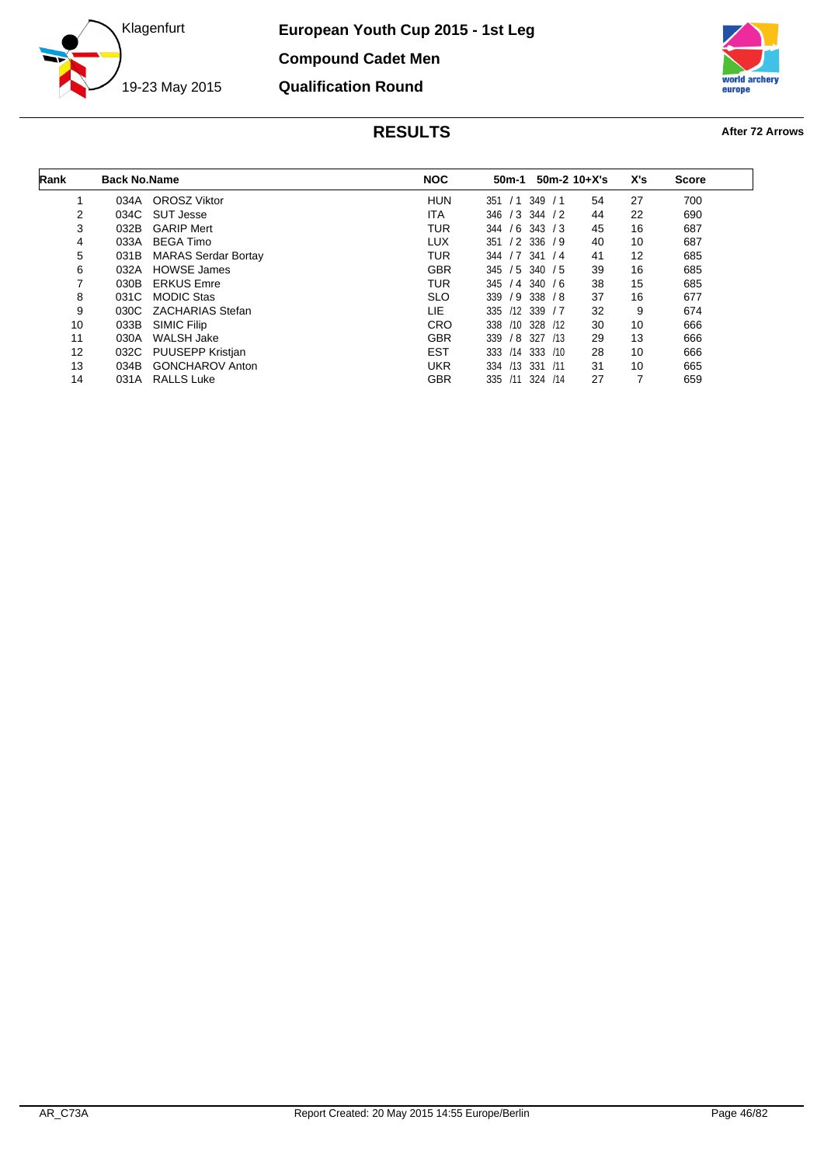

**European Youth Cup 2015 - 1st Leg Compound Cadet Men Qualification Round**



| Rank              | <b>Back No.Name</b> |                            | <b>NOC</b> | 50m-1             |                 | $50m-2$ 10+X's | X's | <b>Score</b> |
|-------------------|---------------------|----------------------------|------------|-------------------|-----------------|----------------|-----|--------------|
|                   | 034A                | <b>OROSZ Viktor</b>        | <b>HUN</b> | 351<br>/1         | 349<br>/1       | 54             | 27  | 700          |
| 2                 | 034C                | SUT Jesse                  | <b>ITA</b> | 346               | $/3$ 344 $/2$   | 44             | 22  | 690          |
| 3                 | 032B                | <b>GARIP Mert</b>          | <b>TUR</b> | /6<br>344         | 343 / 3         | 45             | 16  | 687          |
| 4                 | 033A                | <b>BEGA Timo</b>           | <b>LUX</b> | 351               | $/2$ 336 $/9$   | 40             | 10  | 687          |
| 5                 | 031B                | <b>MARAS Serdar Bortay</b> | TUR        | /7<br>344         | 341/4           | 41             | 12  | 685          |
| 6                 | 032A                | <b>HOWSE James</b>         | <b>GBR</b> | $345 / 5$ 340 / 5 |                 | 39             | 16  | 685          |
| 7                 | 030B                | <b>ERKUS Emre</b>          | TUR        | 345               | $/4$ 340 $/6$   | 38             | 15  | 685          |
| 8                 | 031C                | <b>MODIC Stas</b>          | <b>SLO</b> | 339               | $/9$ 338 $/8$   | 37             | 16  | 677          |
| 9                 | 030C                | ZACHARIAS Stefan           | LIE        | 335               | $/12$ 339 $/7$  | 32             | 9   | 674          |
| 10                | 033B                | SIMIC Filip                | <b>CRO</b> | 338               | $/10$ 328 $/12$ | 30             | 10  | 666          |
| 11                | 030A                | WALSH Jake                 | <b>GBR</b> | 339<br>/8         | 327<br>/13      | 29             | 13  | 666          |
| $12 \overline{ }$ | 032C                | <b>PUUSEPP Kristian</b>    | <b>EST</b> | 333<br>/14        | 333 / 10        | 28             | 10  | 666          |
| 13                | 034B                | <b>GONCHAROV Anton</b>     | <b>UKR</b> | 334               | /13 331 /11     | 31             | 10  | 665          |
| 14                | 031A                | <b>RALLS Luke</b>          | <b>GBR</b> | 335<br>/11        | 324 /14         | 27             | 7   | 659          |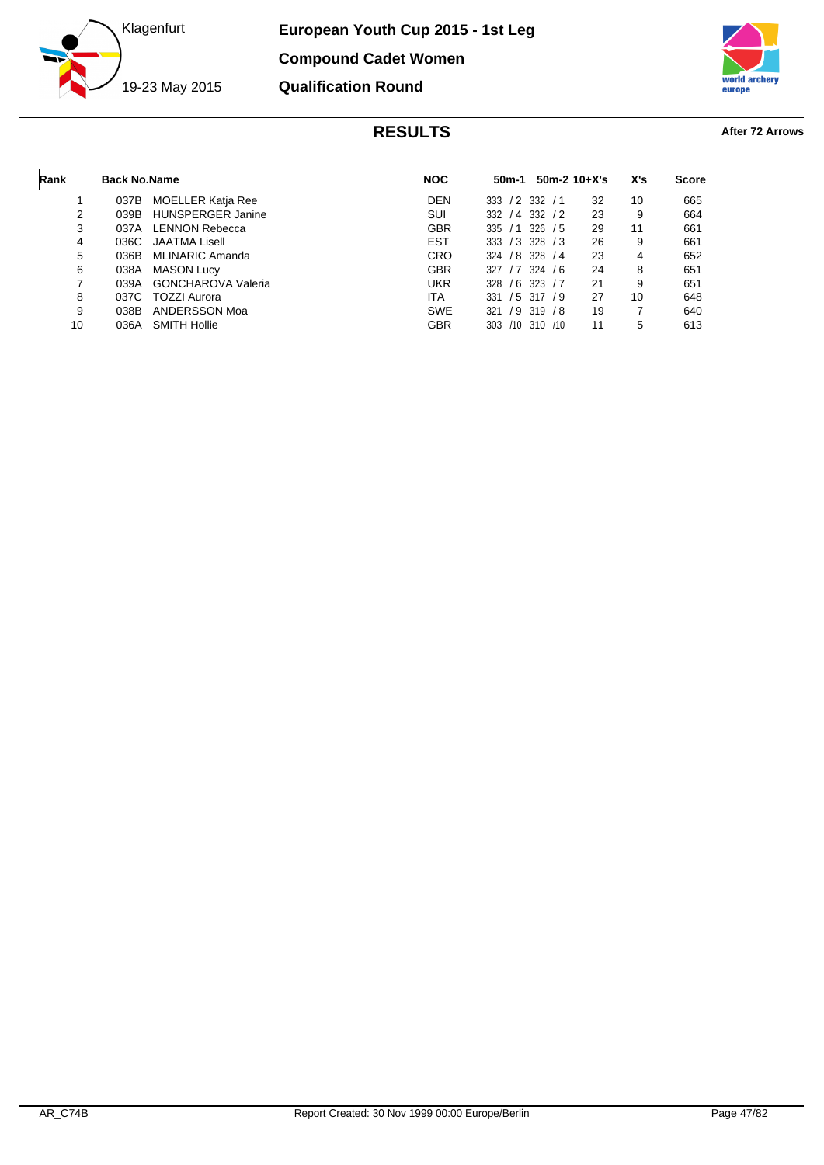



| Rank | <b>Back No.Name</b> |                           | <b>NOC</b> | 50m-1           |               | $50m-2$ 10+X's | X's | <b>Score</b> |
|------|---------------------|---------------------------|------------|-----------------|---------------|----------------|-----|--------------|
|      | 037B                | <b>MOELLER Katja Ree</b>  | <b>DEN</b> | $/2$ 332<br>333 | /1            | 32             | 10  | 665          |
| 2    | 039B                | <b>HUNSPERGER Janine</b>  | SUI        | / 4 332<br>332  | $\frac{1}{2}$ | 23             | 9   | 664          |
| 3    | 037A                | <b>LENNON Rebecca</b>     | <b>GBR</b> | 335<br>/1       | 326<br>/5     | 29             | 11  | 661          |
| 4    | 036C                | JAATMA Lisell             | <b>EST</b> | /3 328<br>333   | /3            | 26             | 9   | 661          |
| 5    | 036B                | MLINARIC Amanda           | <b>CRO</b> | 324 / 8 328     | /4            | 23             | 4   | 652          |
| 6    | 038A                | <b>MASON Lucy</b>         | <b>GBR</b> | 327             | $/7$ 324 $/6$ | 24             | 8   | 651          |
| ⇁    | 039A                | <b>GONCHAROVA Valeria</b> | <b>UKR</b> | $/6$ 323<br>328 | /7            | 21             | 9   | 651          |
| 8    | 037C                | TOZZI Aurora              | <b>ITA</b> | $/5$ 317<br>331 | 79            | 27             | 10  | 648          |
| 9    | 038B                | ANDERSSON Moa             | <b>SWE</b> | 321             | $/9$ 319 $/8$ | 19             |     | 640          |
| 10   | 036A                | <b>SMITH Hollie</b>       | GBR        | /10 310<br>303  | /10           | 11             | 5   | 613          |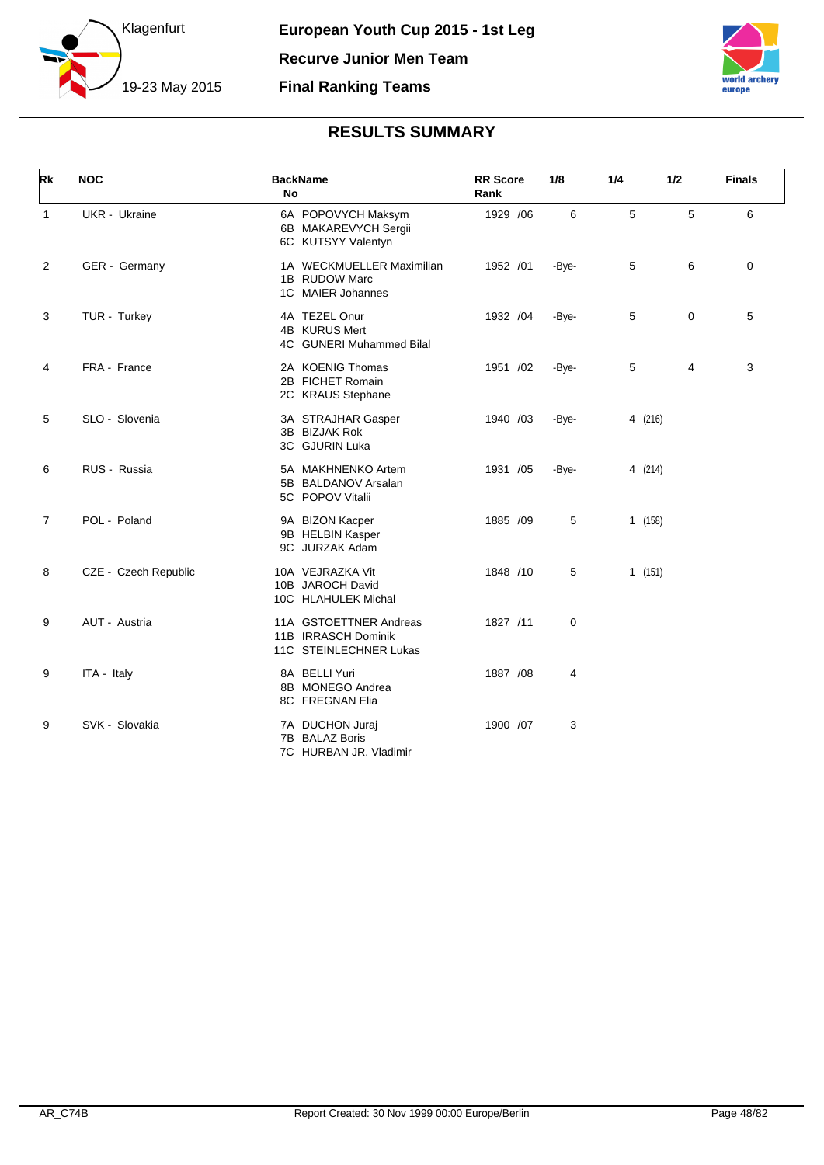



| Rk             | <b>NOC</b>           | <b>BackName</b><br><b>No</b>                                            | <b>RR</b> Score<br>Rank | 1/8            | 1/4     | 1/2 | <b>Finals</b> |
|----------------|----------------------|-------------------------------------------------------------------------|-------------------------|----------------|---------|-----|---------------|
| $\mathbf{1}$   | <b>UKR</b> - Ukraine | 6A POPOVYCH Maksym<br>6B MAKAREVYCH Sergii<br>6C KUTSYY Valentyn        | 1929 / 06               | 6              | 5       | 5   | 6             |
| 2              | GER - Germany        | 1A WECKMUELLER Maximilian<br>1B RUDOW Marc<br>1C MAIER Johannes         | 1952 /01                | -Bye-          | 5       | 6   | 0             |
| 3              | TUR - Turkey         | 4A TEZEL Onur<br>4B KURUS Mert<br>4C GUNERI Muhammed Bilal              | 1932 /04                | -Bye-          | 5       | 0   | 5             |
| 4              | FRA - France         | 2A KOENIG Thomas<br>2B FICHET Romain<br>2C KRAUS Stephane               | 1951 /02                | -Bye-          | 5       | 4   | 3             |
| 5              | SLO - Slovenia       | 3A STRAJHAR Gasper<br>3B BIZJAK Rok<br>3C GJURIN Luka                   | 1940 /03                | -Bye-          | 4 (216) |     |               |
| 6              | RUS - Russia         | 5A MAKHNENKO Artem<br>5B BALDANOV Arsalan<br>5C POPOV Vitalii           | 1931 /05                | -Bye-          | 4 (214) |     |               |
| $\overline{7}$ | POL - Poland         | 9A BIZON Kacper<br>9B HELBIN Kasper<br>9C JURZAK Adam                   | 1885 /09                | 5              | 1(158)  |     |               |
| 8              | CZE - Czech Republic | 10A VEJRAZKA Vit<br>10B JAROCH David<br>10C HLAHULEK Michal             | 1848 /10                | 5              | 1(151)  |     |               |
| 9              | AUT - Austria        | 11A GSTOETTNER Andreas<br>11B IRRASCH Dominik<br>11C STEINLECHNER Lukas | 1827 /11                | $\mathbf 0$    |         |     |               |
| 9              | ITA - Italy          | 8A BELLI Yuri<br>8B MONEGO Andrea<br>8C FREGNAN Elia                    | 1887 / 08               | $\overline{4}$ |         |     |               |
| 9              | SVK - Slovakia       | 7A DUCHON Juraj<br>7B BALAZ Boris<br>7C HURBAN JR. Vladimir             | 1900 /07                | 3              |         |     |               |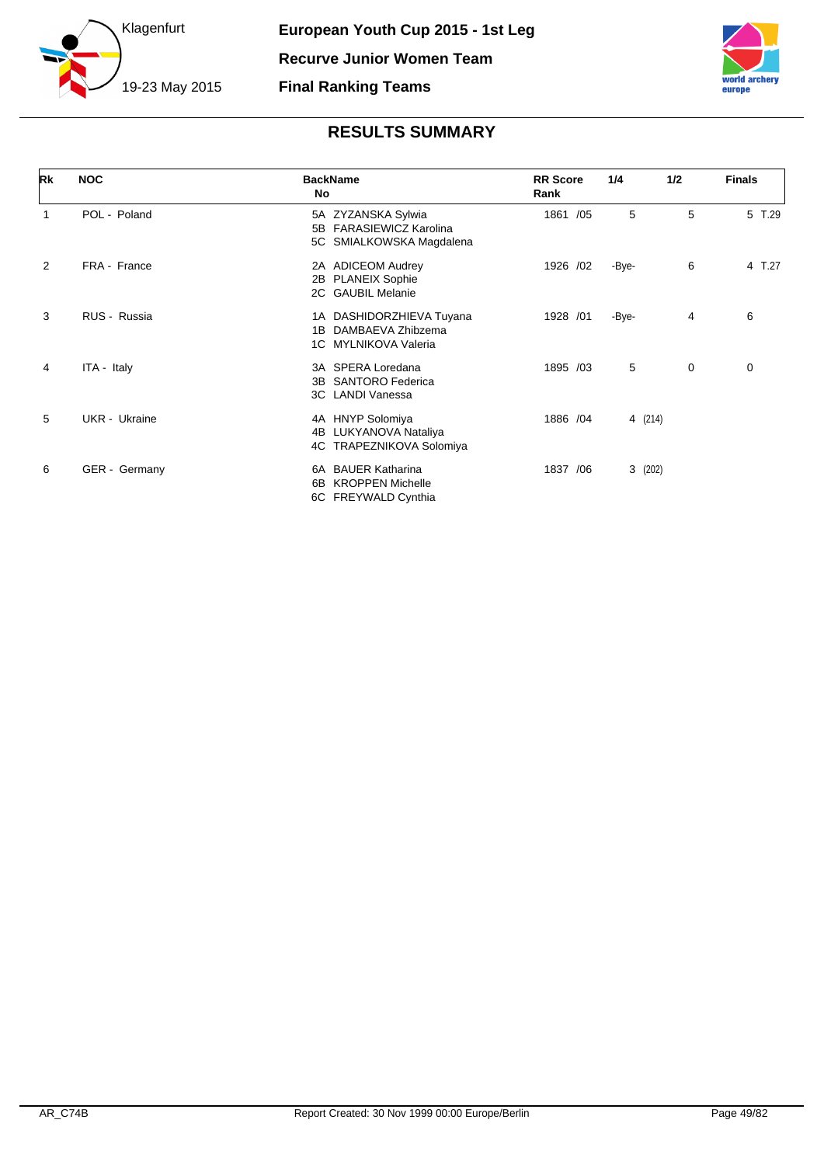



| <b>Rk</b>      | <b>NOC</b>    | <b>BackName</b><br>No                                                      | <b>RR</b> Score<br>Rank | 1/4     | 1/2 | <b>Finals</b> |
|----------------|---------------|----------------------------------------------------------------------------|-------------------------|---------|-----|---------------|
| $\mathbf 1$    | POL - Poland  | 5A ZYZANSKA Sylwia<br>5B FARASIEWICZ Karolina<br>5C SMIALKOWSKA Magdalena  | 1861 /05                | 5       | 5   | 5 T.29        |
| $\overline{2}$ | FRA - France  | 2A ADICEOM Audrey<br>2B PLANEIX Sophie<br>2C GAUBIL Melanie                | 1926 /02                | -Bye-   | 6   | 4 T.27        |
| 3              | RUS - Russia  | 1A DASHIDORZHIEVA Tuyana<br>1B DAMBAEVA Zhibzema<br>1C MYLNIKOVA Valeria   | 1928 /01                | -Bye-   | 4   | 6             |
| 4              | ITA - Italy   | 3A SPERA Loredana<br>3B SANTORO Federica<br>3C LANDI Vanessa               | 1895 /03                | 5       | 0   | 0             |
| 5              | UKR - Ukraine | 4A HNYP Solomiya<br>4B LUKYANOVA Nataliya<br>4C TRAPEZNIKOVA Solomiya      | 1886 / 04               | 4 (214) |     |               |
| 6              | GER - Germany | 6A BAUER Katharina<br><b>KROPPEN Michelle</b><br>6B<br>6C FREYWALD Cynthia | 1837 / 06               | 3(202)  |     |               |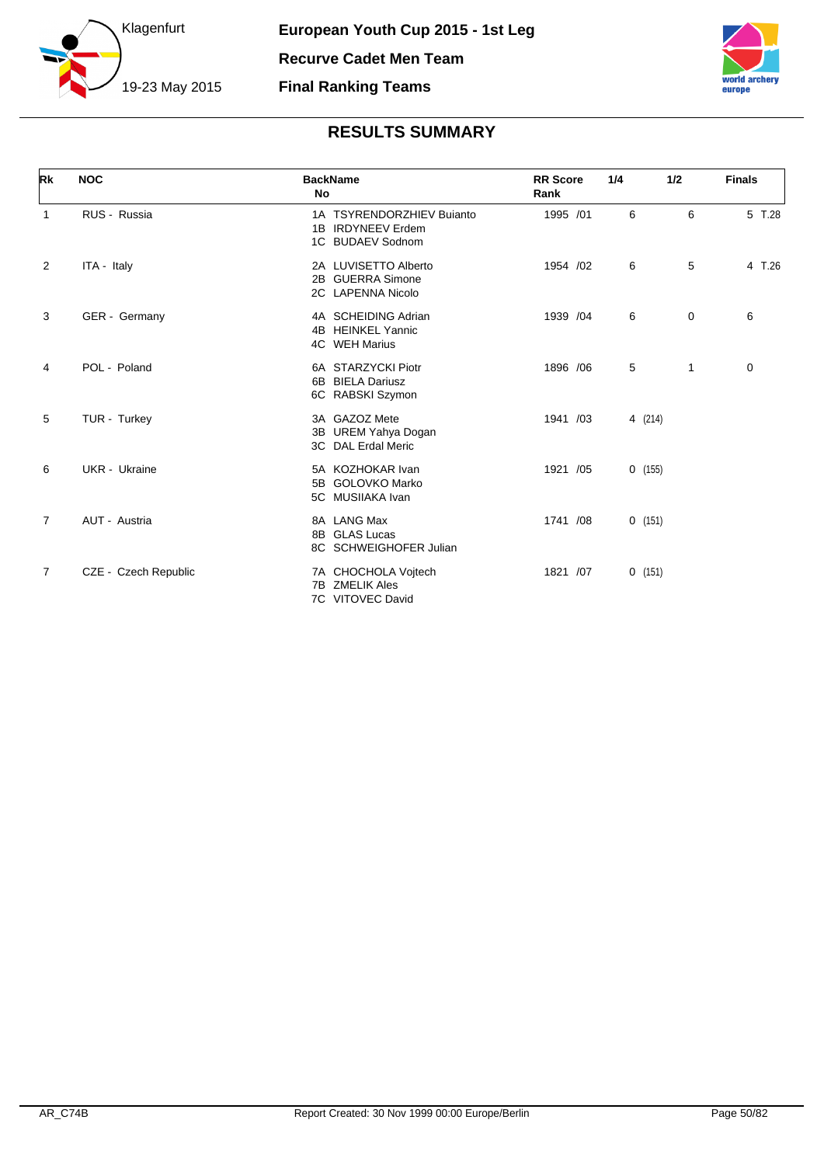



| Rk             | <b>NOC</b>           | <b>BackName</b><br>No                                              | <b>RR</b> Score<br>Rank | 1/4     | 1/2          | <b>Finals</b> |
|----------------|----------------------|--------------------------------------------------------------------|-------------------------|---------|--------------|---------------|
| 1              | RUS - Russia         | 1A TSYRENDORZHIEV Bujanto<br>1B IRDYNEEV Erdem<br>1C BUDAEV Sodnom | 1995 /01                | 6       | 6            | 5 T.28        |
| 2              | ITA - Italy          | 2A LUVISETTO Alberto<br>2B GUERRA Simone<br>2C LAPENNA Nicolo      | 1954 /02                | 6       | 5            | 4 T.26        |
| 3              | GER - Germany        | 4A SCHEIDING Adrian<br>4B HEINKEL Yannic<br>4C WEH Marius          | 1939 /04                | 6       | 0            | 6             |
| 4              | POL - Poland         | 6A STARZYCKI Piotr<br>6B BIELA Dariusz<br>6C RABSKI Szymon         | 1896 / 06               | 5       | $\mathbf{1}$ | 0             |
| 5              | TUR - Turkey         | 3A GAZOZ Mete<br>3B UREM Yahya Dogan<br>3C DAL Erdal Meric         | 1941 /03                | 4 (214) |              |               |
| 6              | <b>UKR</b> - Ukraine | 5A KOZHOKAR Ivan<br>5B GOLOVKO Marko<br>5C MUSIIAKA Ivan           | 1921 /05                | 0(155)  |              |               |
| $\overline{7}$ | AUT - Austria        | 8A LANG Max<br>8B GLAS Lucas<br>8C SCHWEIGHOFER Julian             | 1741 /08                | 0(151)  |              |               |
| $\overline{7}$ | CZE - Czech Republic | 7A CHOCHOLA Vojtech<br>7B ZMELIK Ales<br>7C VITOVEC David          | 1821 /07                | 0(151)  |              |               |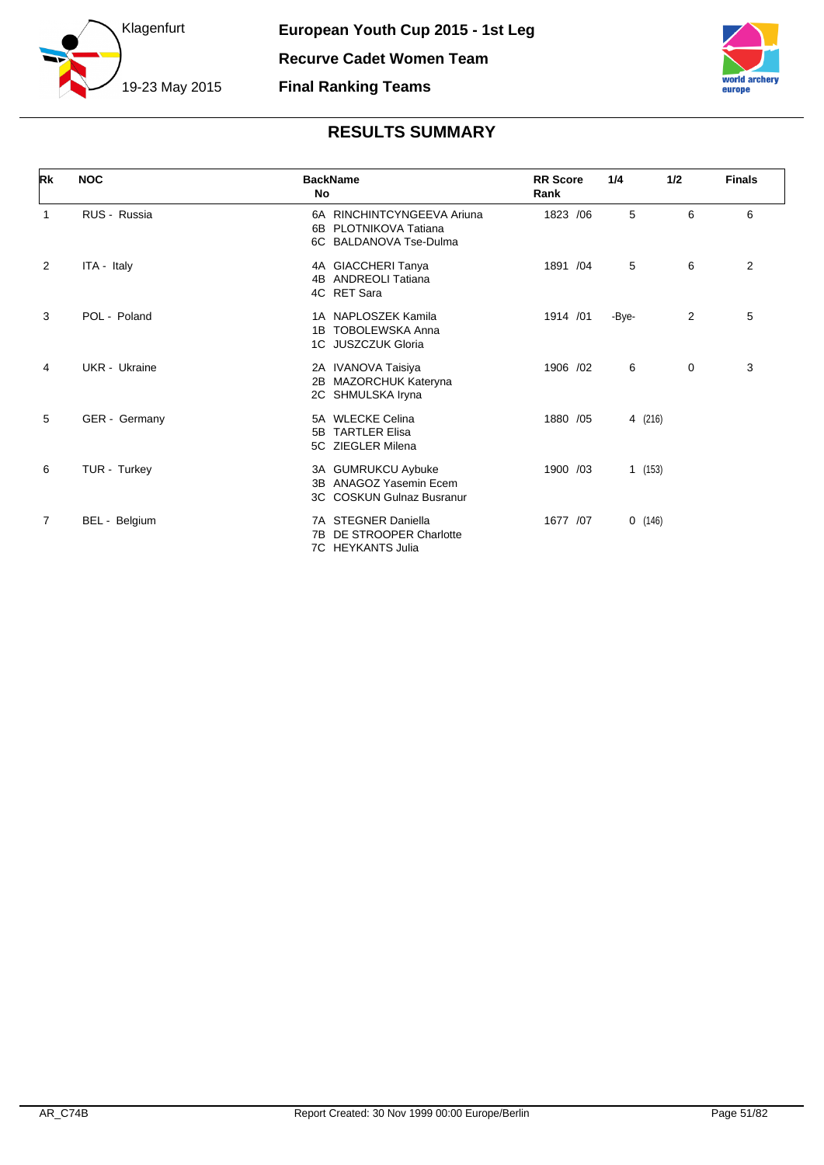



| Rk             | <b>NOC</b>    | <b>BackName</b><br>No                                                         | <b>RR</b> Score<br>Rank | 1/4     | 1/2         | <b>Finals</b> |
|----------------|---------------|-------------------------------------------------------------------------------|-------------------------|---------|-------------|---------------|
| 1              | RUS - Russia  | 6A RINCHINTCYNGEEVA Ariuna<br>6B PLOTNIKOVA Tatiana<br>6C BALDANOVA Tse-Dulma | 1823 /06                | 5       | 6           | 6             |
| 2              | ITA - Italy   | 4A GIACCHERI Tanya<br>4B ANDREOLI Tatiana<br>4C RET Sara                      | 1891 /04                | 5       | 6           | 2             |
| 3              | POL - Poland  | 1A NAPLOSZEK Kamila<br><b>TOBOLEWSKA Anna</b><br>1B<br>1C JUSZCZUK Gloria     | 1914 /01                | -Bye-   | 2           | 5             |
| 4              | UKR - Ukraine | 2A IVANOVA Taisiya<br>2B MAZORCHUK Kateryna<br>2C SHMULSKA Iryna              | 1906 /02                | 6       | $\mathbf 0$ | 3             |
| 5              | GER - Germany | 5A WLECKE Celina<br>5B TARTLER Elisa<br>5C ZIEGLER Milena                     | 1880 / 05               | 4 (216) |             |               |
| 6              | TUR - Turkey  | 3A GUMRUKCU Aybuke<br>ANAGOZ Yasemin Ecem<br>3B<br>3C COSKUN Gulnaz Busranur  | 1900 /03                | 1(153)  |             |               |
| $\overline{7}$ | BEL - Belgium | 7A STEGNER Daniella<br>DE STROOPER Charlotte<br>7B<br>7C HEYKANTS Julia       | 1677 /07                | 0(146)  |             |               |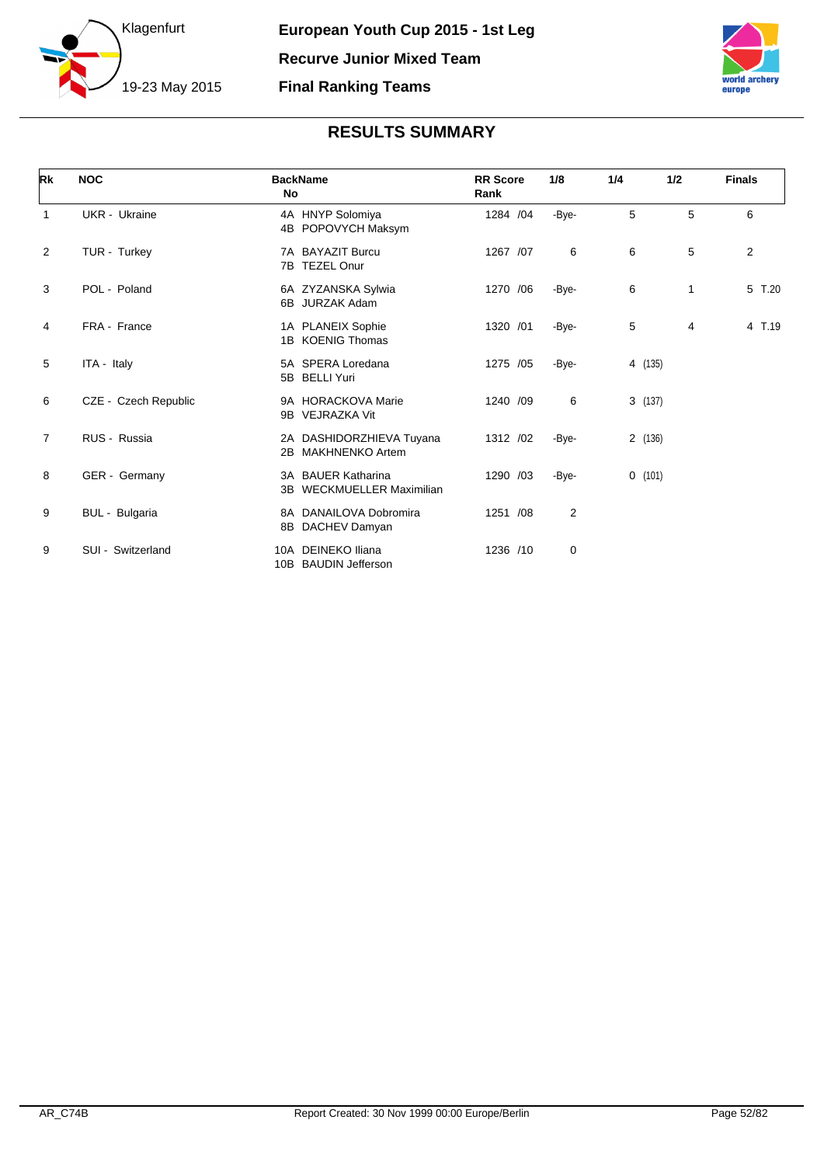



| Rk             | <b>NOC</b>           | <b>BackName</b><br>No |                                                     | <b>RR</b> Score<br>Rank | 1/8            | 1/4 | 1/2     |   | <b>Finals</b> |
|----------------|----------------------|-----------------------|-----------------------------------------------------|-------------------------|----------------|-----|---------|---|---------------|
| $\mathbf{1}$   | UKR - Ukraine        |                       | 4A HNYP Solomiya<br>4B POPOVYCH Maksym              | 1284 /04                | -Bye-          | 5   |         | 5 | 6             |
| 2              | TUR - Turkey         | 7B                    | 7A BAYAZIT Burcu<br><b>TEZEL Onur</b>               | 1267 /07                | 6              | 6   |         | 5 | 2             |
| 3              | POL - Poland         |                       | 6A ZYZANSKA Sylwia<br>6B JURZAK Adam                | 1270 / 06               | -Bye-          | 6   |         | 1 | 5 T.20        |
| 4              | FRA - France         |                       | 1A PLANEIX Sophie<br>1B KOENIG Thomas               | 1320 /01                | -Bye-          | 5   |         | 4 | 4 T.19        |
| 5              | ITA - Italy          |                       | 5A SPERA Loredana<br>5B BELLI Yuri                  | 1275 /05                | -Bye-          |     | 4 (135) |   |               |
| 6              | CZE - Czech Republic | 9B                    | 9A HORACKOVA Marie<br>VEJRAZKA Vit                  | 1240 /09                | 6              |     | 3(137)  |   |               |
| $\overline{7}$ | RUS - Russia         | 2B                    | 2A DASHIDORZHIEVA Tuyana<br><b>MAKHNENKO Artem</b>  | 1312 /02                | -Bye-          |     | 2 (136) |   |               |
| 8              | GER - Germany        | 3B                    | 3A BAUER Katharina<br><b>WECKMUELLER Maximilian</b> | 1290 /03                | -Bye-          |     | 0(101)  |   |               |
| 9              | BUL - Bulgaria       | 8B                    | 8A DANAILOVA Dobromira<br>DACHEV Damyan             | 1251 /08                | $\overline{2}$ |     |         |   |               |
| 9              | SUI - Switzerland    | 10A<br>10B            | DEINEKO Iliana<br><b>BAUDIN Jefferson</b>           | 1236 /10                | 0              |     |         |   |               |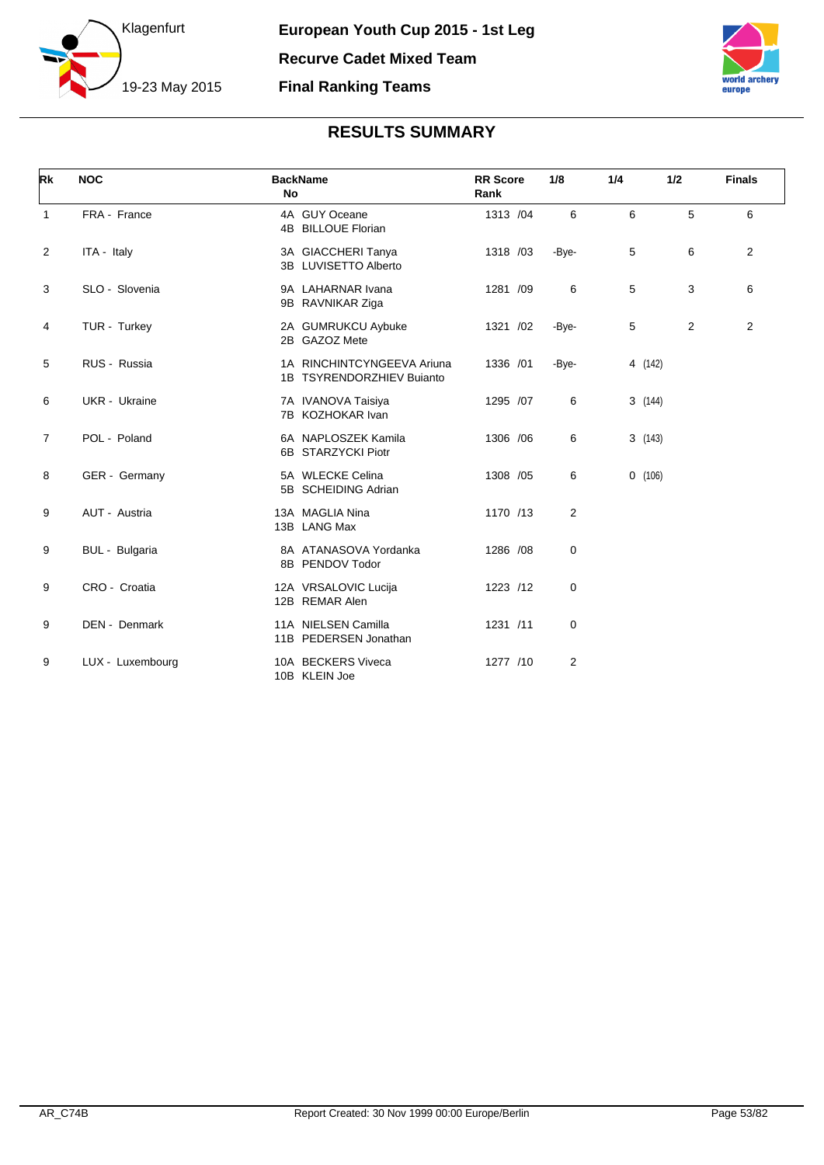



| Rk             | <b>NOC</b>       | <b>BackName</b><br>No                                   | <b>RR</b> Score<br>Rank | 1/8         | 1/4     | 1/2          | <b>Finals</b>  |
|----------------|------------------|---------------------------------------------------------|-------------------------|-------------|---------|--------------|----------------|
| $\mathbf{1}$   | FRA - France     | 4A GUY Oceane<br>4B BILLOUE Florian                     | 1313 /04                | 6           | 6       | 5            | 6              |
| 2              | ITA - Italy      | 3A GIACCHERI Tanya<br>3B LUVISETTO Alberto              | 1318 /03                | -Bye-       | 5       | 6            | $\overline{2}$ |
| 3              | SLO - Slovenia   | 9A LAHARNAR Ivana<br>9B RAVNIKAR Ziga                   | 1281 /09                | 6           | 5       | 3            | 6              |
| 4              | TUR - Turkey     | 2A GUMRUKCU Aybuke<br>2B GAZOZ Mete                     | 1321 /02                | -Bye-       | 5       | $\mathbf{2}$ | $\overline{2}$ |
| 5              | RUS - Russia     | 1A RINCHINTCYNGEEVA Ariuna<br>1B TSYRENDORZHIEV Bujanto | 1336 /01                | -Bye-       | 4 (142) |              |                |
| 6              | UKR - Ukraine    | 7A IVANOVA Taisiya<br>7B KOZHOKAR Ivan                  | 1295 /07                | 6           | 3(144)  |              |                |
| $\overline{7}$ | POL - Poland     | 6A NAPLOSZEK Kamila<br>6B STARZYCKI Piotr               | 1306 / 06               | 6           | 3(143)  |              |                |
| 8              | GER - Germany    | 5A WLECKE Celina<br>5B SCHEIDING Adrian                 | 1308 / 05               | 6           | 0(106)  |              |                |
| 9              | AUT - Austria    | 13A MAGLIA Nina<br>13B LANG Max                         | 1170 /13                | 2           |         |              |                |
| 9              | BUL - Bulgaria   | 8A ATANASOVA Yordanka<br>8B PENDOV Todor                | 1286 /08                | $\mathbf 0$ |         |              |                |
| 9              | CRO - Croatia    | 12A VRSALOVIC Lucija<br>12B REMAR Alen                  | 1223 /12                | 0           |         |              |                |
| 9              | DEN - Denmark    | 11A NIELSEN Camilla<br>11B PEDERSEN Jonathan            | 1231 /11                | 0           |         |              |                |
| 9              | LUX - Luxembourg | 10A BECKERS Viveca<br>10B KLEIN Joe                     | 1277 /10                | 2           |         |              |                |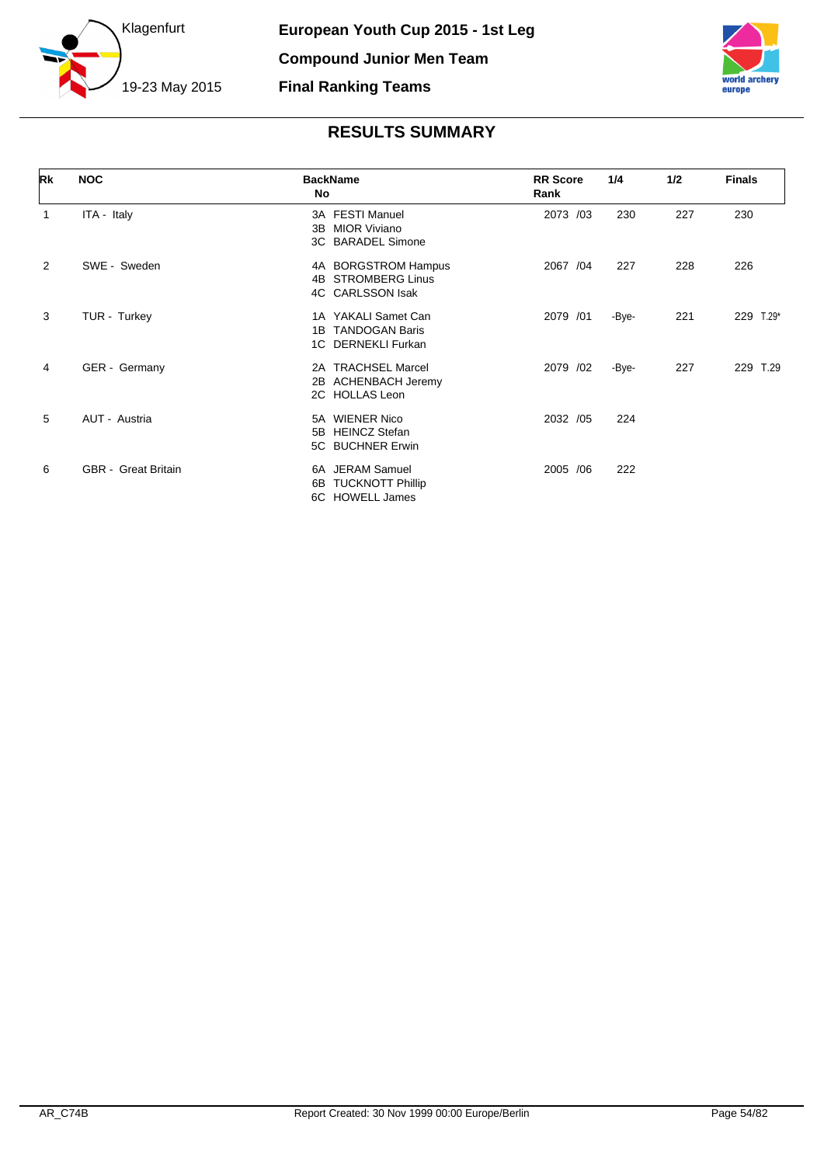



| Rk | <b>NOC</b>                 | <b>BackName</b><br>No                                          | <b>RR Score</b><br>Rank | 1/4   | 1/2 | <b>Finals</b>  |
|----|----------------------------|----------------------------------------------------------------|-------------------------|-------|-----|----------------|
| 1  | ITA - Italy                | 3A FESTI Manuel<br>3B MIOR Viviano<br>3C BARADEL Simone        | 2073 /03                | 230   | 227 | 230            |
| 2  | SWE - Sweden               | 4A BORGSTROM Hampus<br>4B STROMBERG Linus<br>4C CARLSSON Isak  | 2067 / 04               | 227   | 228 | 226            |
| 3  | TUR - Turkey               | 1A YAKALI Samet Can<br>1B TANDOGAN Baris<br>1C DERNEKLI Furkan | 2079 /01                | -Bye- | 221 | 229<br>$T.29*$ |
| 4  | GER - Germany              | 2A TRACHSEL Marcel<br>2B ACHENBACH Jeremy<br>2C HOLLAS Leon    | 2079 /02                | -Bye- | 227 | 229 T.29       |
| 5  | AUT - Austria              | 5A WIENER Nico<br>5B HEINCZ Stefan<br>5C BUCHNER Erwin         | 2032 /05                | 224   |     |                |
| 6  | <b>GBR</b> - Great Britain | 6A JERAM Samuel<br>6B TUCKNOTT Phillip<br>6C HOWELL James      | 2005 / 06               | 222   |     |                |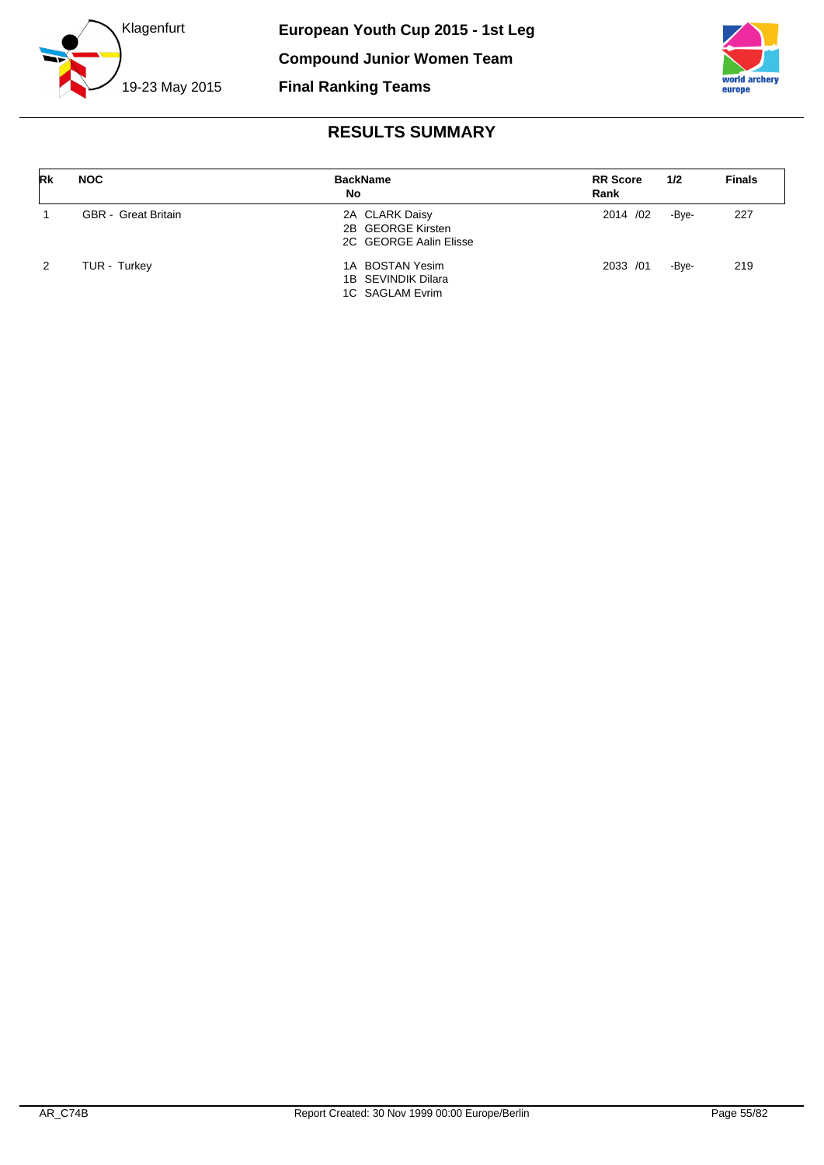



| Rk            | <b>NOC</b>                 | <b>BackName</b><br>No                                         | <b>RR</b> Score<br>Rank | 1/2   | <b>Finals</b> |
|---------------|----------------------------|---------------------------------------------------------------|-------------------------|-------|---------------|
|               | <b>GBR</b> - Great Britain | 2A CLARK Daisy<br>2B GEORGE Kirsten<br>2C GEORGE Aalin Elisse | 2014 /02                | -Bve- | 227           |
| $\mathcal{P}$ | TUR - Turkey               | 1A BOSTAN Yesim<br>1B SEVINDIK Dilara<br>1C SAGLAM Evrim      | 2033 /01                | -Bve- | 219           |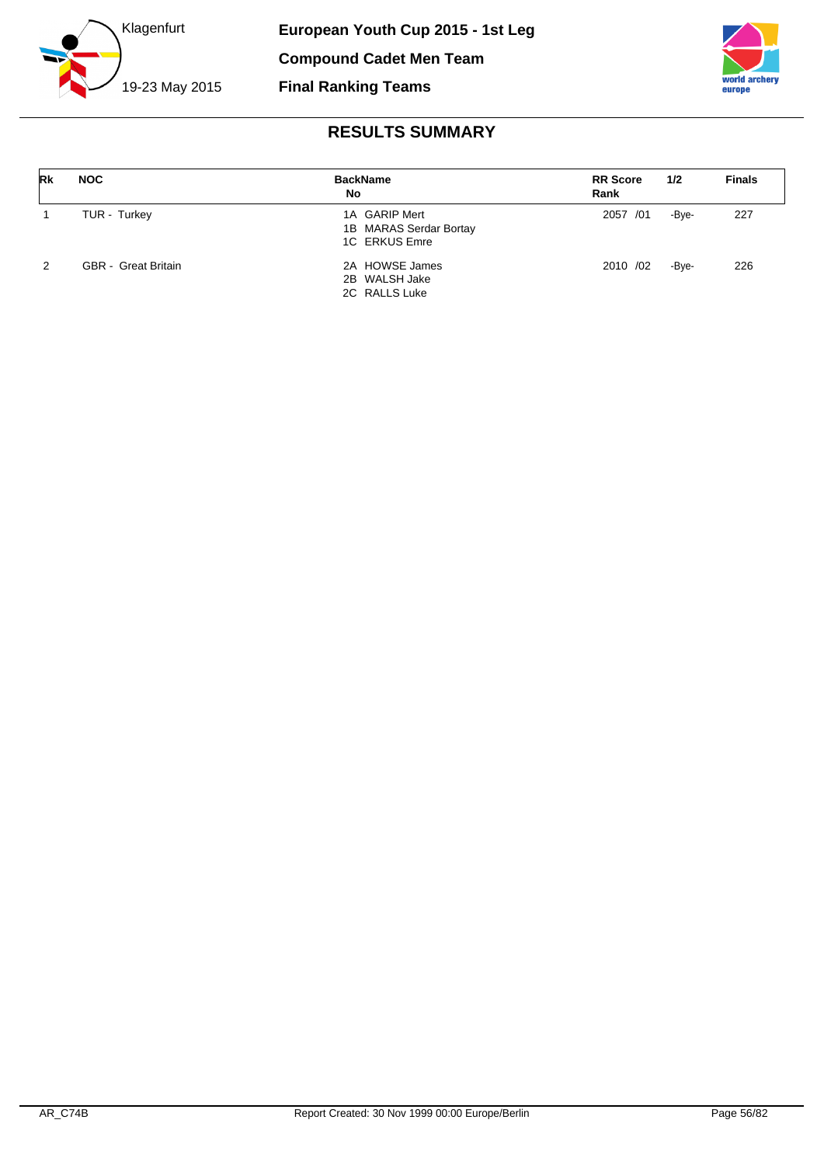



| Rk          | <b>NOC</b>                 | <b>BackName</b><br>No                                    | <b>RR</b> Score<br>Rank | 1/2   | <b>Finals</b> |
|-------------|----------------------------|----------------------------------------------------------|-------------------------|-------|---------------|
| $\mathbf 1$ | TUR - Turkey               | 1A GARIP Mert<br>1B MARAS Serdar Bortay<br>1C ERKUS Emre | 2057 /01                | -Bye- | 227           |
| 2           | <b>GBR</b> - Great Britain | 2A HOWSE James<br>2B WALSH Jake<br>2C RALLS Luke         | 2010 /02                | -Bve- | 226           |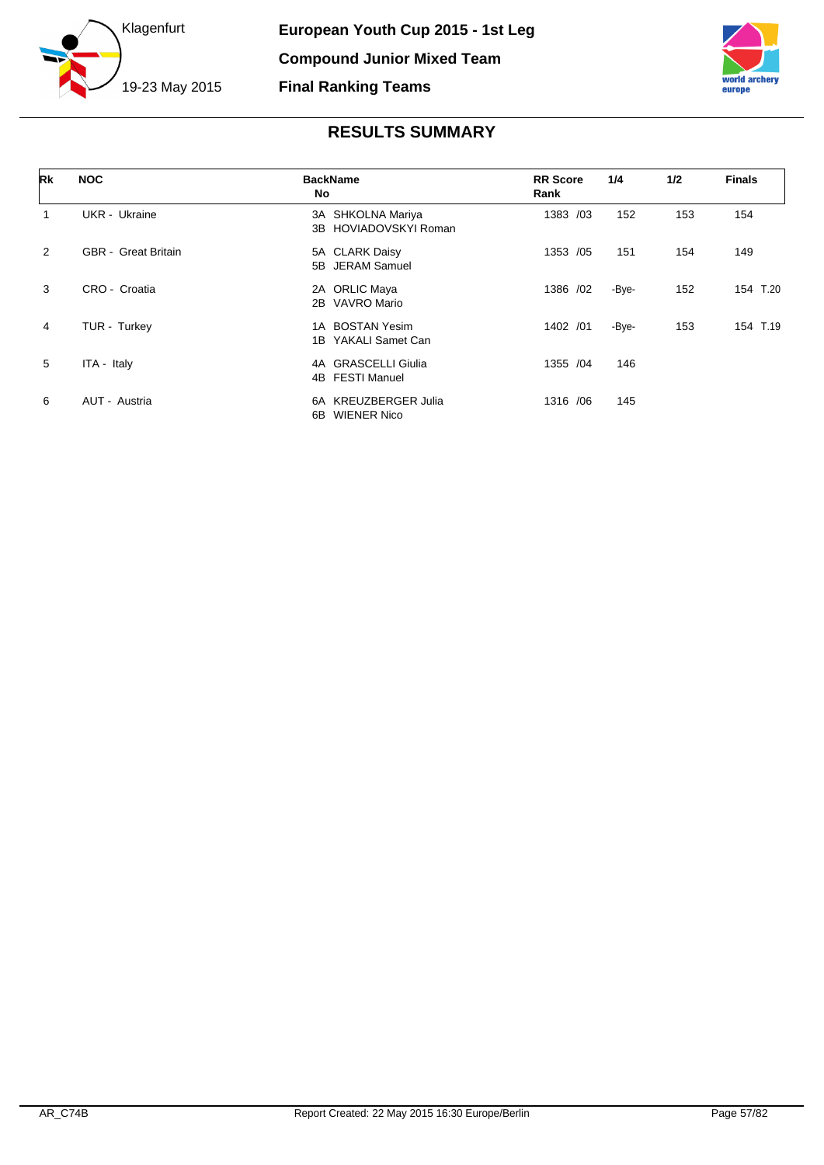



| Rk             | <b>NOC</b>                 | <b>BackName</b><br>No                             | <b>RR Score</b><br>Rank | 1/4   | 1/2 | <b>Finals</b> |
|----------------|----------------------------|---------------------------------------------------|-------------------------|-------|-----|---------------|
| 1              | UKR - Ukraine              | 3A SHKOLNA Mariya<br>3B HOVIADOVSKYI Roman        | 1383 /03                | 152   | 153 | 154           |
| 2              | <b>GBR</b> - Great Britain | 5A CLARK Daisy<br>5B JERAM Samuel                 | 1353 /05                | 151   | 154 | 149           |
| 3              | CRO - Croatia              | 2A ORLIC Maya<br>VAVRO Mario<br>2B                | 1386 /02                | -Bye- | 152 | 154<br>T.20   |
| $\overline{4}$ | TUR - Turkey               | 1A BOSTAN Yesim<br>YAKALI Samet Can<br>1B         | 1402 /01                | -Bye- | 153 | 154 T.19      |
| 5              | ITA - Italy                | 4A GRASCELLI Giulia<br>4B FESTI Manuel            | 1355 /04                | 146   |     |               |
| 6              | AUT - Austria              | 6A KREUZBERGER Julia<br><b>WIENER Nico</b><br>6B. | 1316 / 06               | 145   |     |               |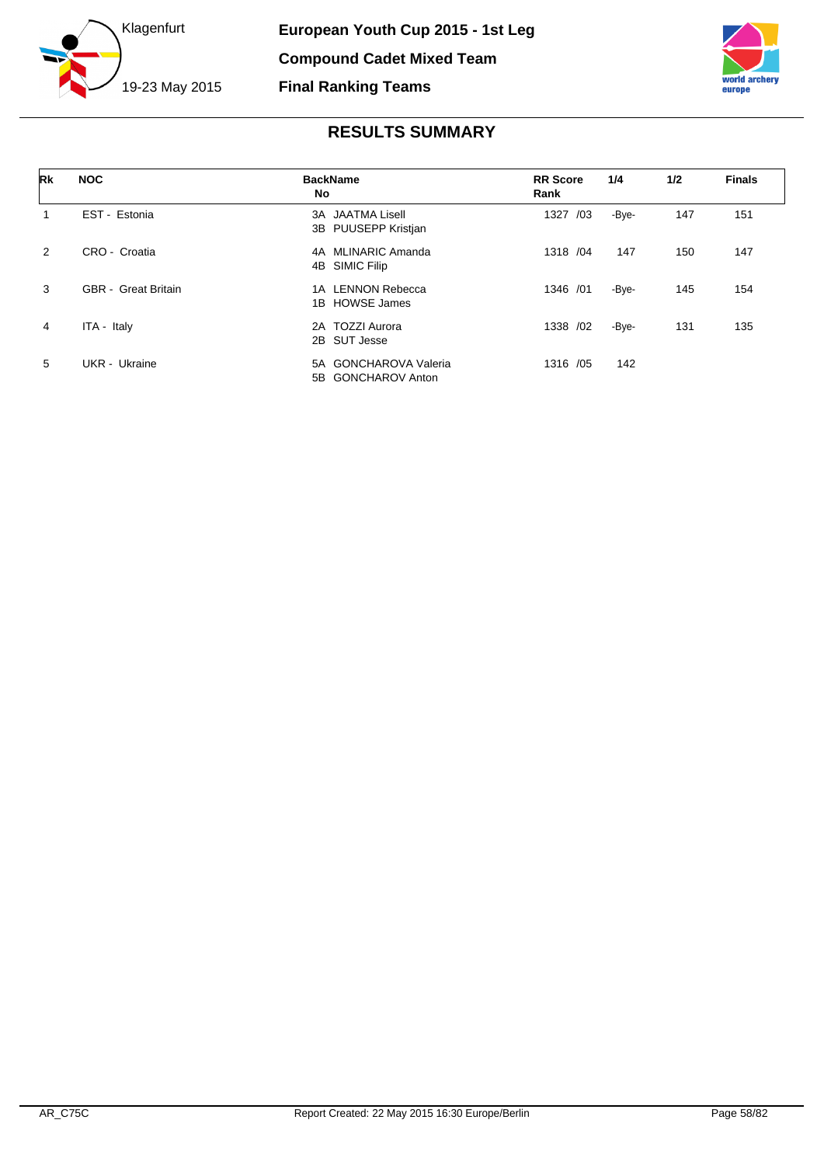



| Rk | <b>NOC</b>                 | <b>BackName</b><br>No                          | <b>RR</b> Score<br>Rank | 1/4   | 1/2 | <b>Finals</b> |
|----|----------------------------|------------------------------------------------|-------------------------|-------|-----|---------------|
|    | EST Estonia                | <b>3A JAATMA Lisell</b><br>3B PUUSEPP Kristjan | 1327<br>/03             | -Bye- | 147 | 151           |
| 2  | CRO - Croatia              | 4A MLINARIC Amanda<br>4B SIMIC Filip           | 1318 / 04               | 147   | 150 | 147           |
| 3  | <b>GBR</b> - Great Britain | 1A LENNON Rebecca<br>1B HOWSE James            | 1346 / 01               | -Bye- | 145 | 154           |
| 4  | ITA - Italy                | 2A TOZZI Aurora<br>2B SUT Jesse                | 1338 / 02               | -Bye- | 131 | 135           |
| 5  | UKR - Ukraine              | 5A GONCHAROVA Valeria<br>5B GONCHAROV Anton    | 1316 /05                | 142   |     |               |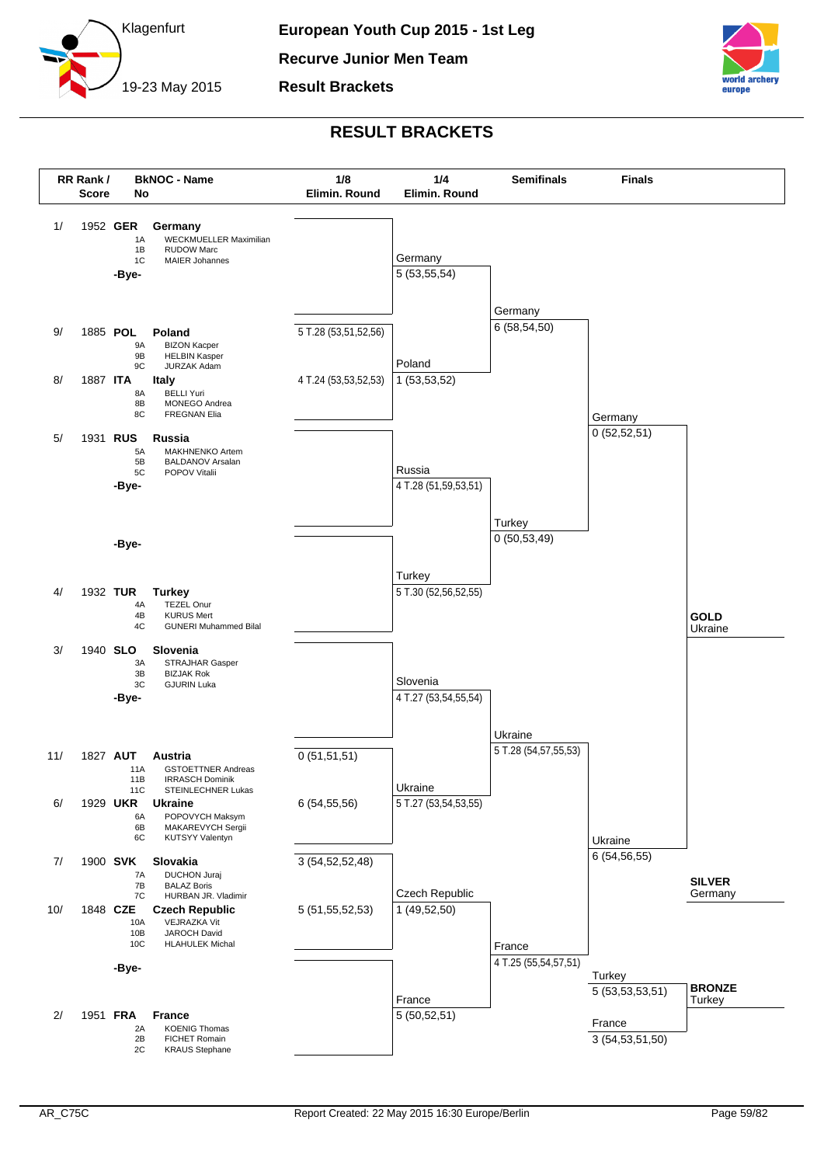

**Result Brackets**



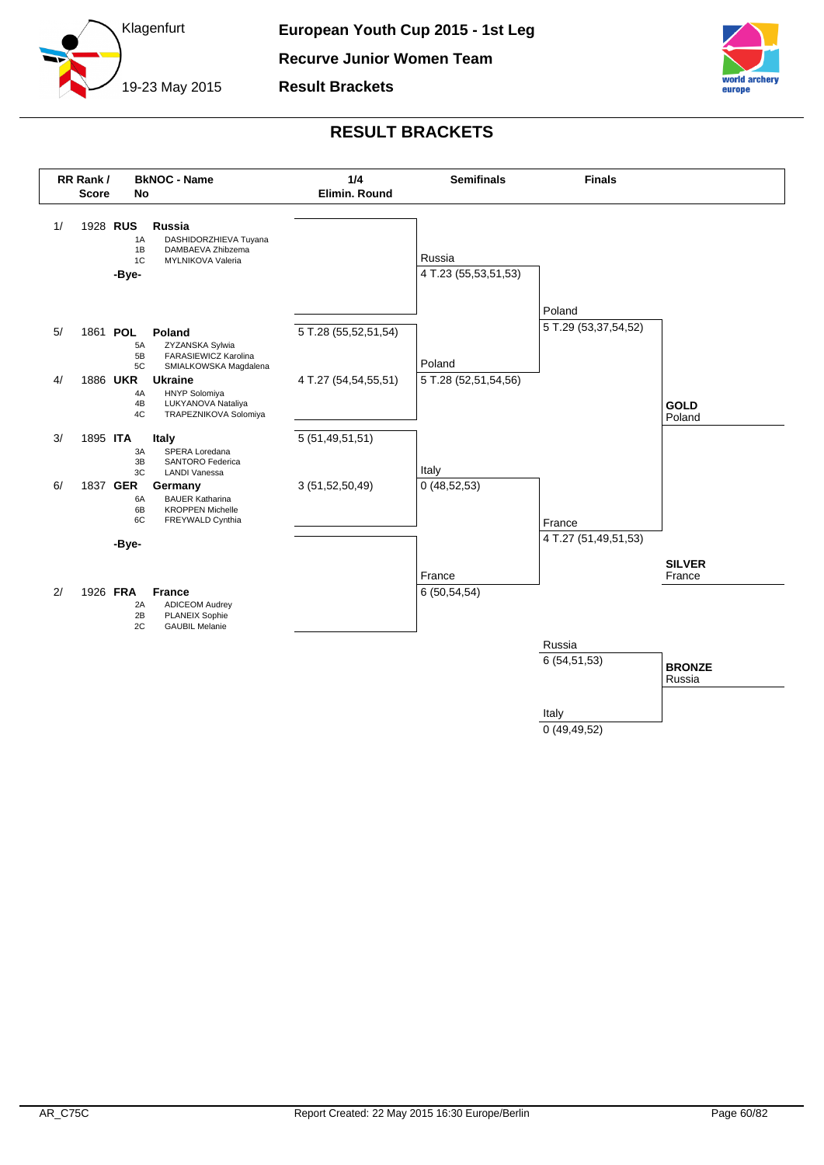

**Recurve Junior Women Team**

**Result Brackets**



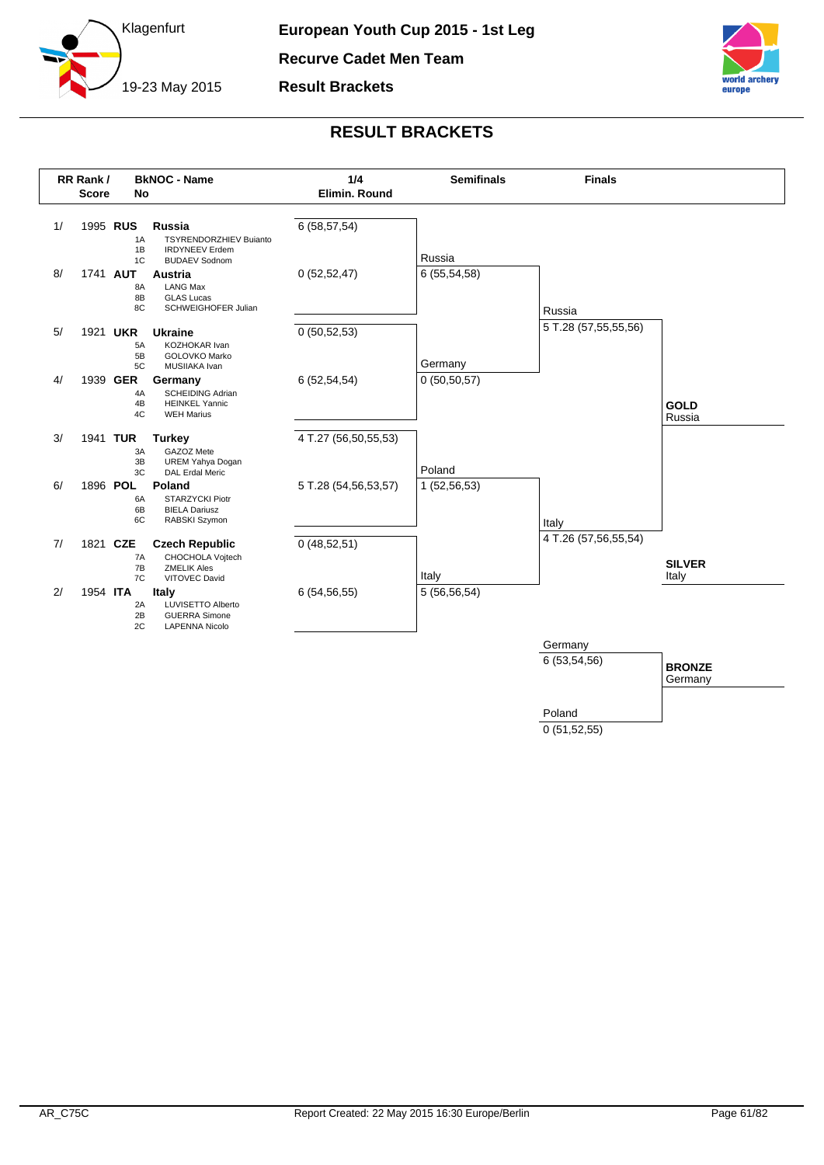

**Recurve Cadet Men Team**

**Result Brackets**



## **RESULT BRACKETS**



0 (51,52,55)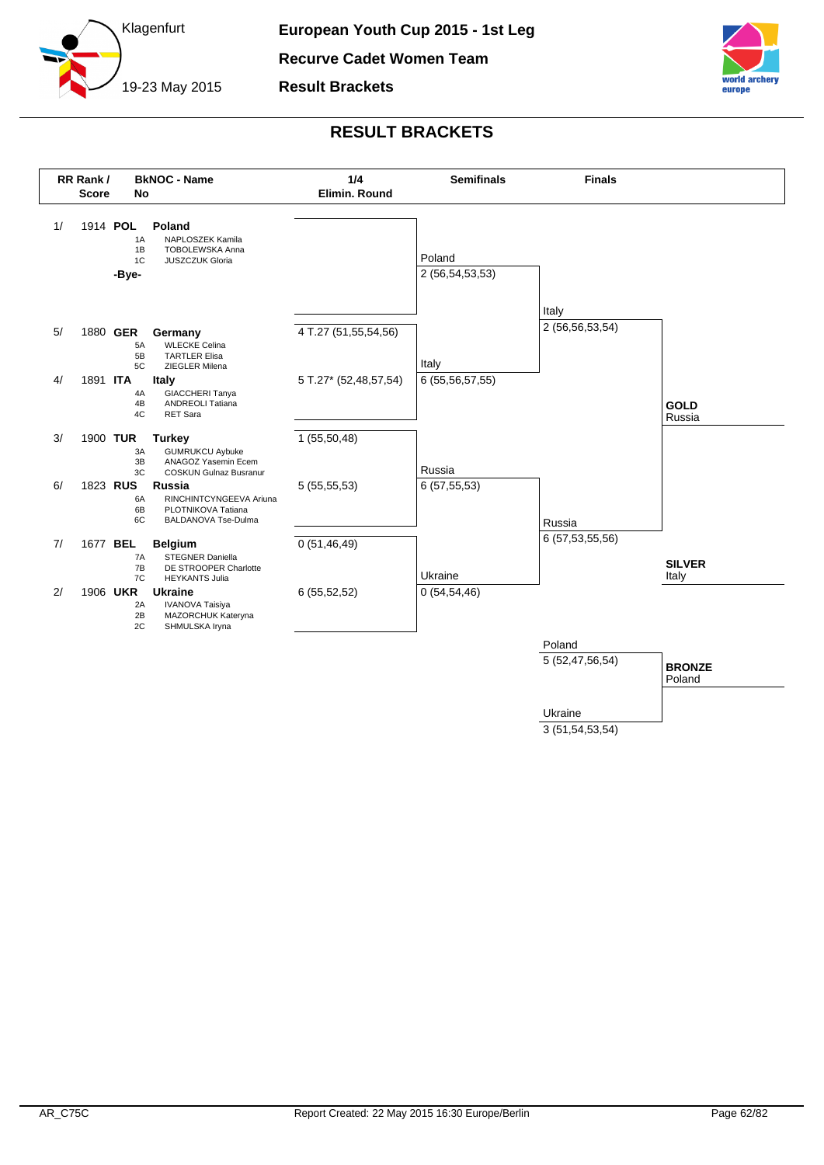

**Result Brackets**



## **RESULT BRACKETS**



3 (51,54,53,54)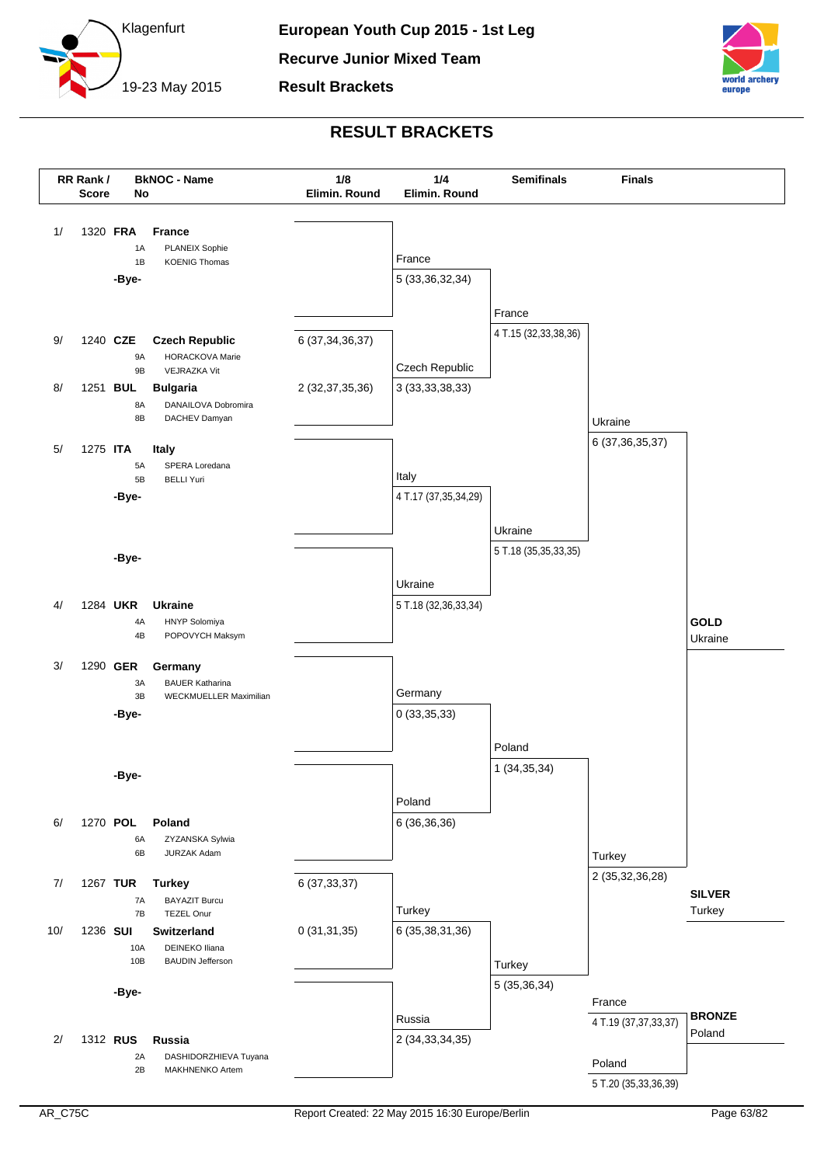



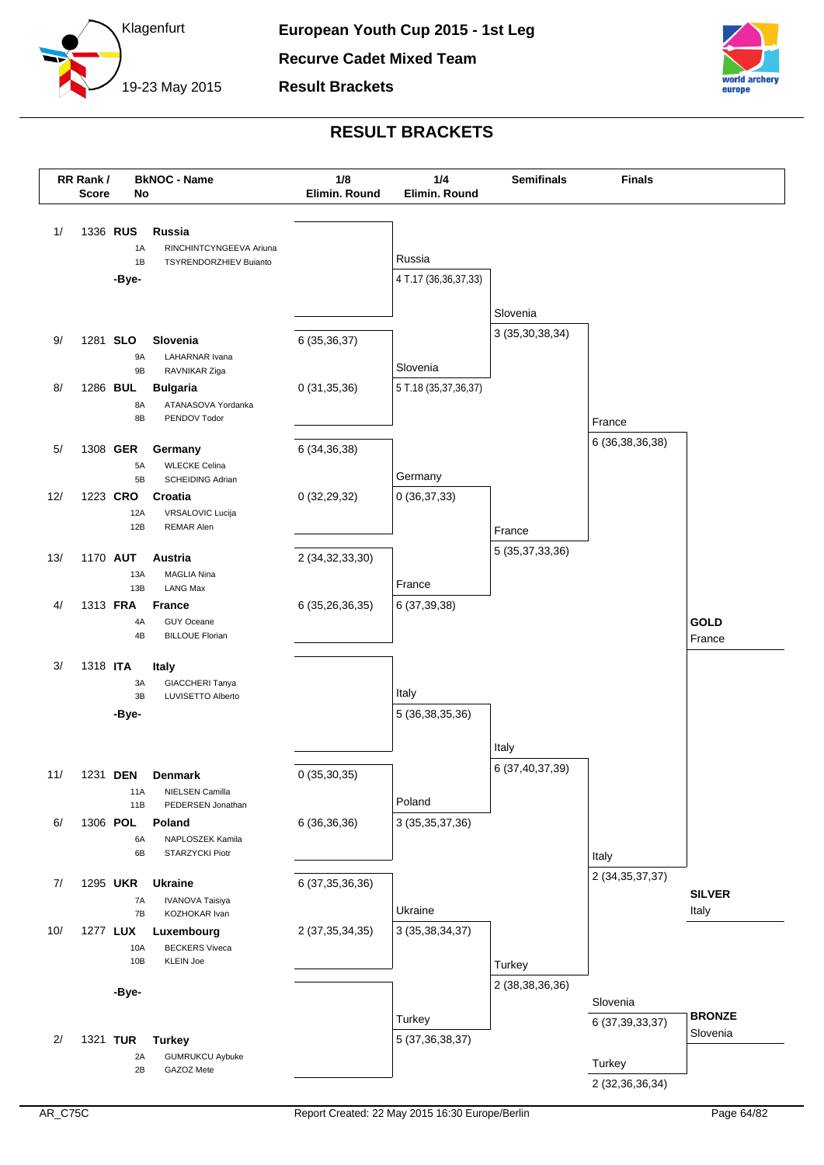

**Result Brackets**



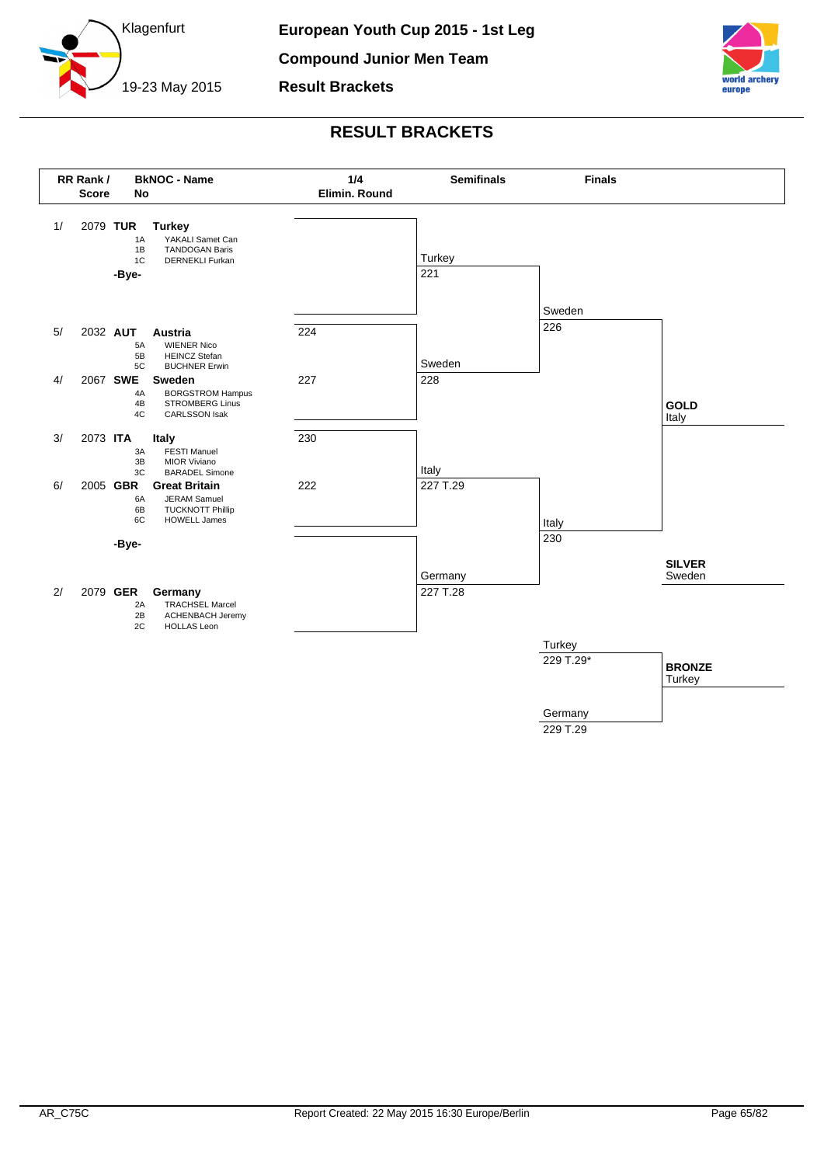



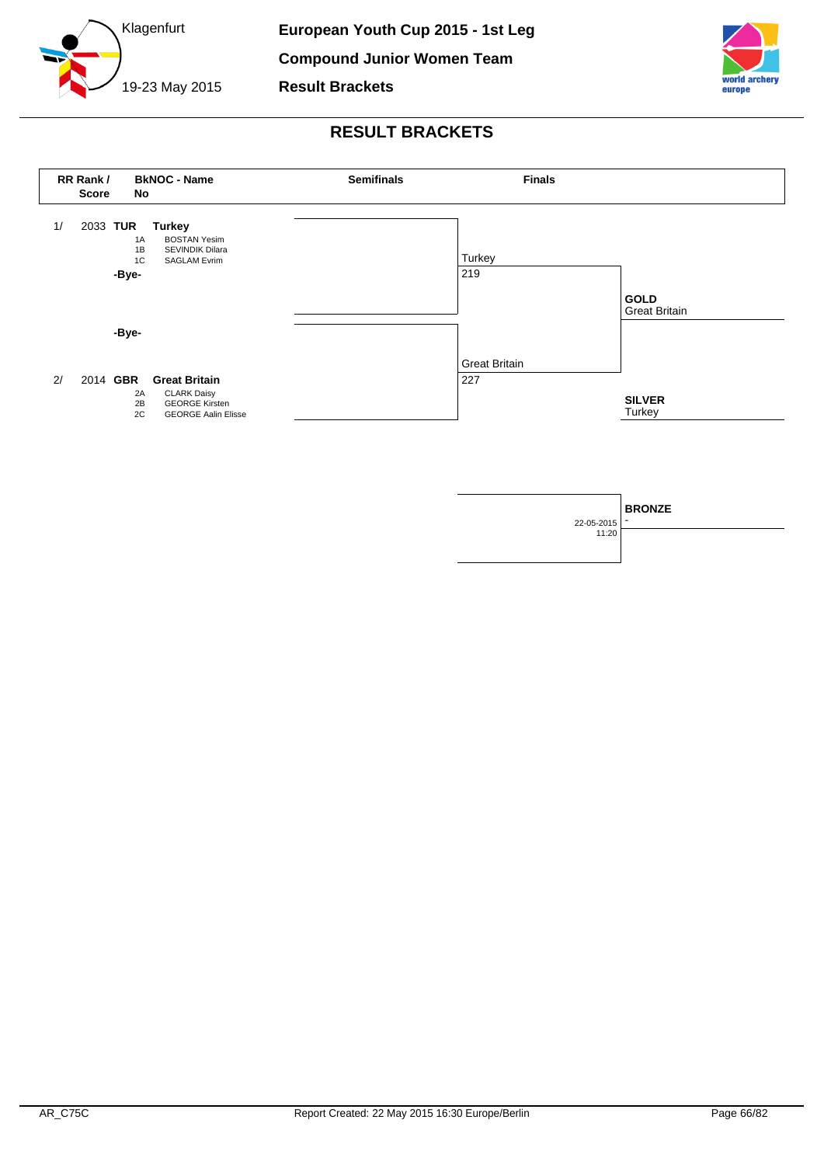





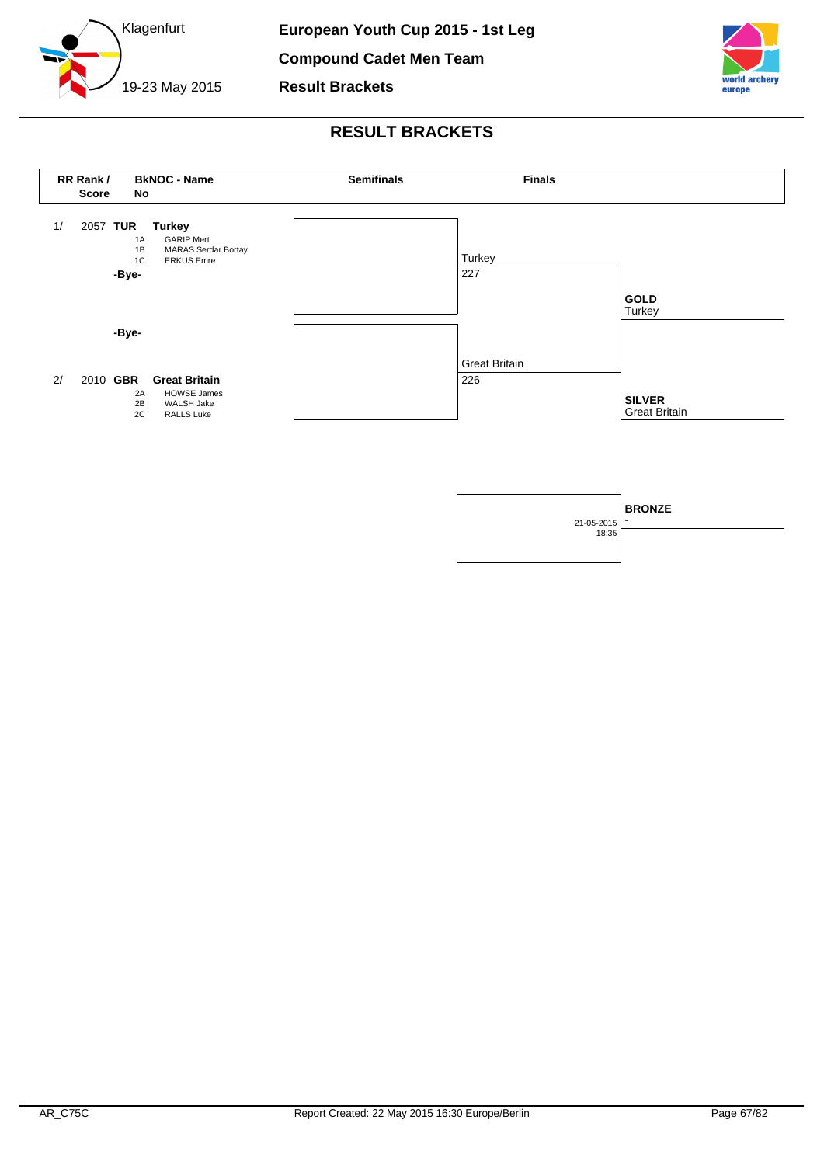

**Compound Cadet Men Team**

**Result Brackets**





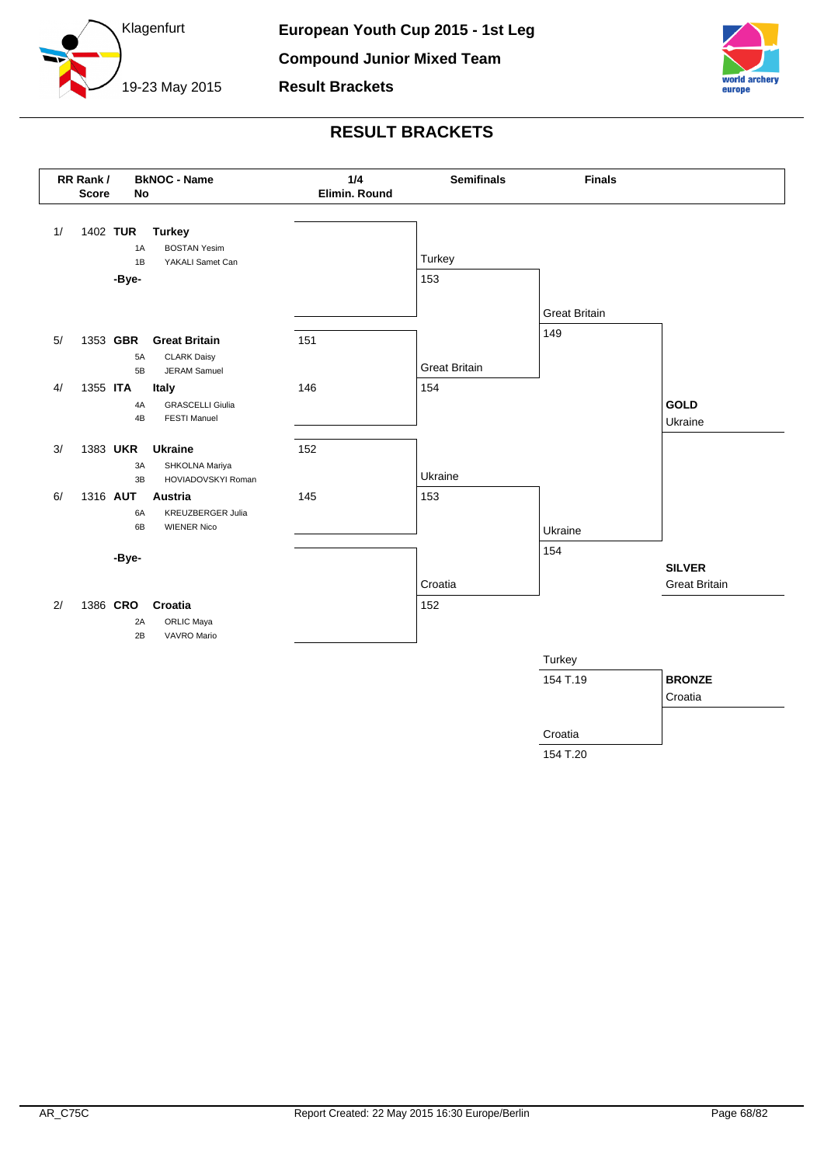





154 T.20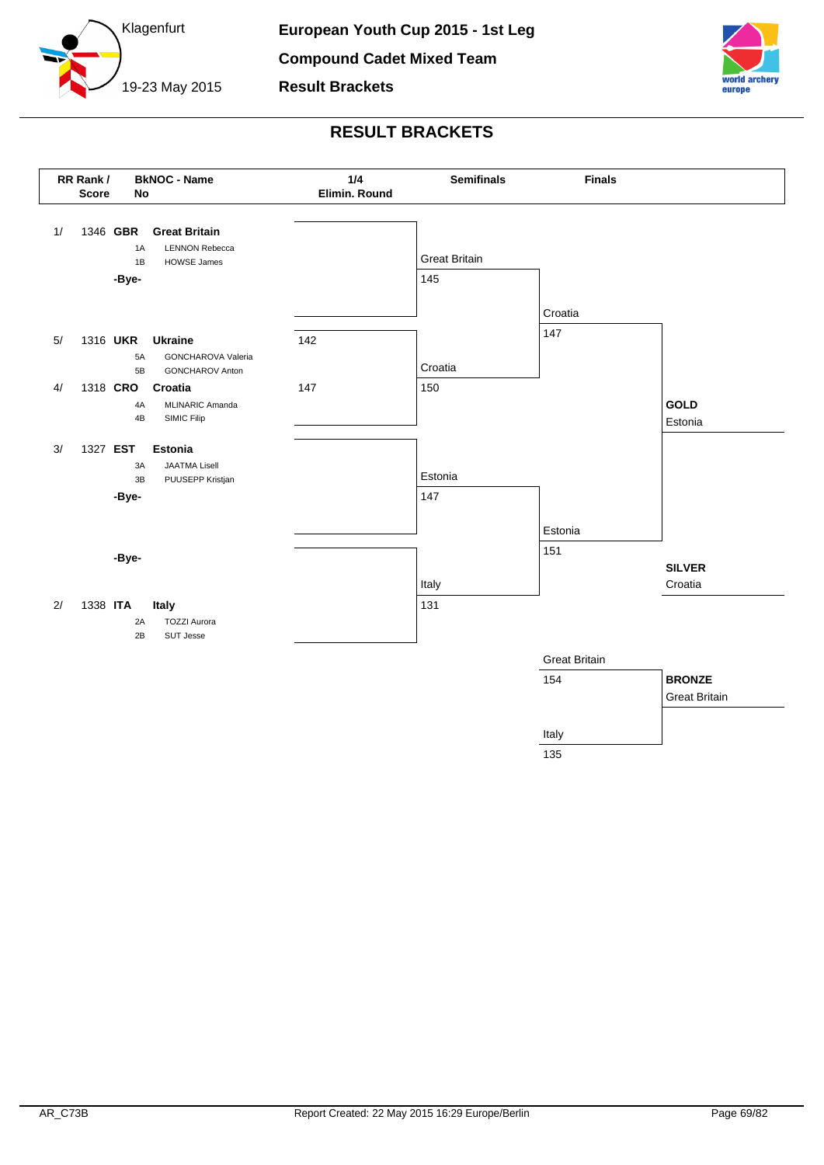





135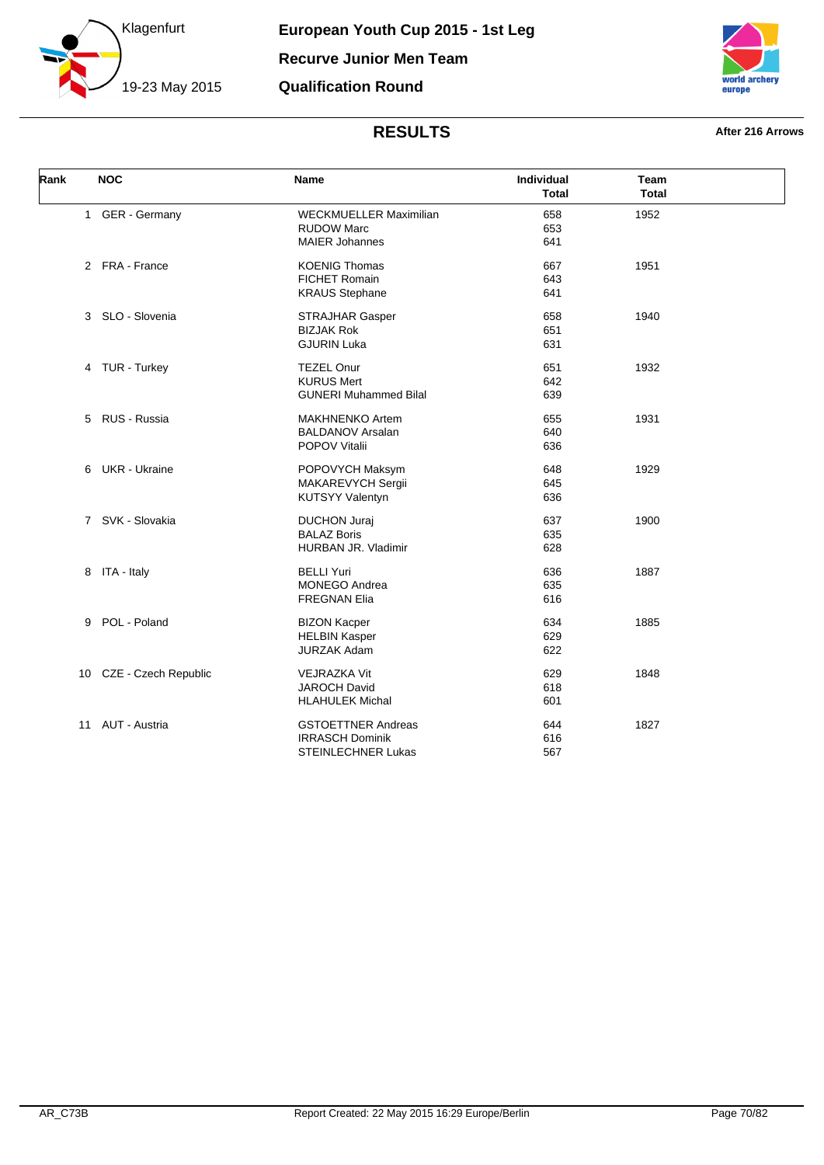



| Rank |    | <b>NOC</b>              | Name                          | Individual<br><b>Total</b> | Team<br><b>Total</b> |  |
|------|----|-------------------------|-------------------------------|----------------------------|----------------------|--|
|      |    | 1 GER - Germany         | <b>WECKMUELLER Maximilian</b> | 658                        | 1952                 |  |
|      |    |                         | <b>RUDOW Marc</b>             | 653                        |                      |  |
|      |    |                         | <b>MAIER Johannes</b>         | 641                        |                      |  |
|      |    | 2 FRA - France          | <b>KOENIG Thomas</b>          | 667                        | 1951                 |  |
|      |    |                         | <b>FICHET Romain</b>          | 643                        |                      |  |
|      |    |                         | <b>KRAUS Stephane</b>         | 641                        |                      |  |
|      |    | 3 SLO - Slovenia        | <b>STRAJHAR Gasper</b>        | 658                        | 1940                 |  |
|      |    |                         | <b>BIZJAK Rok</b>             | 651                        |                      |  |
|      |    |                         | <b>GJURIN Luka</b>            | 631                        |                      |  |
|      |    | 4 TUR - Turkey          | <b>TEZEL Onur</b>             | 651                        | 1932                 |  |
|      |    |                         | <b>KURUS Mert</b>             | 642                        |                      |  |
|      |    |                         | <b>GUNERI Muhammed Bilal</b>  | 639                        |                      |  |
|      |    | 5 RUS - Russia          | <b>MAKHNENKO Artem</b>        | 655                        | 1931                 |  |
|      |    |                         | <b>BALDANOV Arsalan</b>       | 640                        |                      |  |
|      |    |                         | <b>POPOV Vitalii</b>          | 636                        |                      |  |
|      |    | 6 UKR - Ukraine         | POPOVYCH Maksym               | 648                        | 1929                 |  |
|      |    |                         | MAKAREVYCH Sergii             | 645                        |                      |  |
|      |    |                         | <b>KUTSYY Valentyn</b>        | 636                        |                      |  |
|      |    | 7 SVK - Slovakia        | <b>DUCHON Juraj</b>           | 637                        | 1900                 |  |
|      |    |                         | <b>BALAZ Boris</b>            | 635                        |                      |  |
|      |    |                         | HURBAN JR. Vladimir           | 628                        |                      |  |
|      |    | 8 ITA - Italy           | <b>BELLI Yuri</b>             | 636                        | 1887                 |  |
|      |    |                         | <b>MONEGO Andrea</b>          | 635                        |                      |  |
|      |    |                         | <b>FREGNAN Elia</b>           | 616                        |                      |  |
|      |    | 9 POL - Poland          | <b>BIZON Kacper</b>           | 634                        | 1885                 |  |
|      |    |                         | <b>HELBIN Kasper</b>          | 629                        |                      |  |
|      |    |                         | <b>JURZAK Adam</b>            | 622                        |                      |  |
|      |    | 10 CZE - Czech Republic | <b>VEJRAZKA Vit</b>           | 629                        | 1848                 |  |
|      |    |                         | <b>JAROCH David</b>           | 618                        |                      |  |
|      |    |                         | <b>HLAHULEK Michal</b>        | 601                        |                      |  |
|      | 11 | AUT - Austria           | <b>GSTOETTNER Andreas</b>     | 644                        | 1827                 |  |
|      |    |                         | <b>IRRASCH Dominik</b>        | 616                        |                      |  |
|      |    |                         | <b>STEINLECHNER Lukas</b>     | 567                        |                      |  |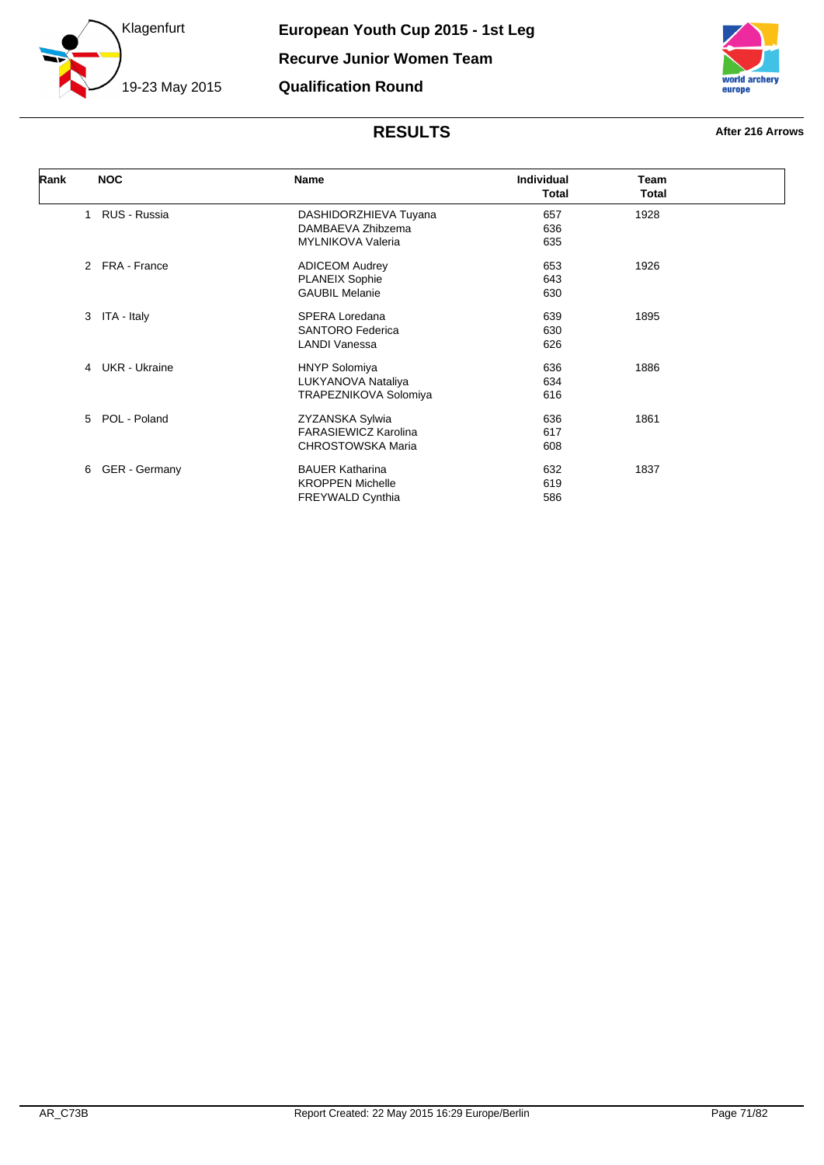



| Rank |              | <b>NOC</b>      | <b>Name</b>              | <b>Individual</b><br><b>Total</b> | <b>Team</b><br>Total |  |
|------|--------------|-----------------|--------------------------|-----------------------------------|----------------------|--|
|      | $\mathbf{1}$ | RUS - Russia    | DASHIDORZHIEVA Tuyana    | 657                               | 1928                 |  |
|      |              |                 | DAMBAEVA Zhibzema        | 636                               |                      |  |
|      |              |                 | <b>MYLNIKOVA Valeria</b> | 635                               |                      |  |
|      |              | 2 FRA - France  | <b>ADICEOM Audrey</b>    | 653                               | 1926                 |  |
|      |              |                 | <b>PLANEIX Sophie</b>    | 643                               |                      |  |
|      |              |                 | <b>GAUBIL Melanie</b>    | 630                               |                      |  |
|      |              | 3 ITA - Italy   | SPERA Loredana           | 639                               | 1895                 |  |
|      |              |                 | <b>SANTORO Federica</b>  | 630                               |                      |  |
|      |              |                 | <b>LANDI Vanessa</b>     | 626                               |                      |  |
|      |              | 4 UKR - Ukraine | <b>HNYP Solomiya</b>     | 636                               | 1886                 |  |
|      |              |                 | LUKYANOVA Nataliya       | 634                               |                      |  |
|      |              |                 | TRAPEZNIKOVA Solomiya    | 616                               |                      |  |
|      |              | 5 POL - Poland  | ZYZANSKA Sylwia          | 636                               | 1861                 |  |
|      |              |                 | FARASIEWICZ Karolina     | 617                               |                      |  |
|      |              |                 | CHROSTOWSKA Maria        | 608                               |                      |  |
|      | 6            | GER - Germany   | <b>BAUER Katharina</b>   | 632                               | 1837                 |  |
|      |              |                 | <b>KROPPEN Michelle</b>  | 619                               |                      |  |
|      |              |                 | <b>FREYWALD Cynthia</b>  | 586                               |                      |  |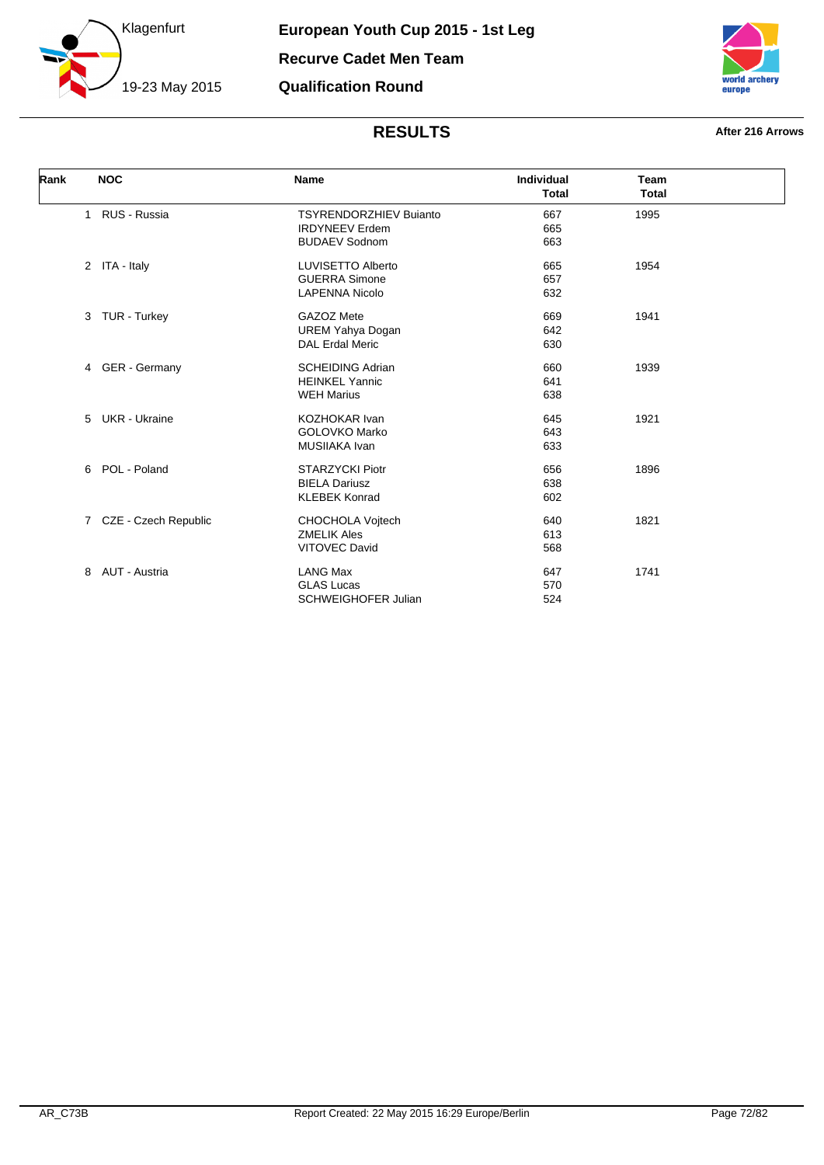



| Rank |   | <b>NOC</b>             | <b>Name</b>                   | <b>Individual</b> | <b>Team</b>  |  |
|------|---|------------------------|-------------------------------|-------------------|--------------|--|
|      |   |                        |                               | <b>Total</b>      | <b>Total</b> |  |
|      |   | 1 RUS - Russia         | <b>TSYRENDORZHIEV Bujanto</b> | 667               | 1995         |  |
|      |   |                        | <b>IRDYNEEV</b> Erdem         | 665               |              |  |
|      |   |                        | <b>BUDAEV Sodnom</b>          | 663               |              |  |
|      |   | 2 ITA - Italy          | <b>LUVISETTO Alberto</b>      | 665               | 1954         |  |
|      |   |                        | <b>GUERRA Simone</b>          | 657               |              |  |
|      |   |                        | <b>LAPENNA Nicolo</b>         | 632               |              |  |
|      |   | 3 TUR - Turkey         | GAZOZ Mete                    | 669               | 1941         |  |
|      |   |                        | <b>UREM Yahya Dogan</b>       | 642               |              |  |
|      |   |                        | <b>DAL Erdal Meric</b>        | 630               |              |  |
|      |   | 4 GER - Germany        | <b>SCHEIDING Adrian</b>       | 660               | 1939         |  |
|      |   |                        | <b>HEINKEL Yannic</b>         | 641               |              |  |
|      |   |                        | <b>WEH Marius</b>             | 638               |              |  |
|      |   | 5 UKR - Ukraine        | <b>KOZHOKAR Ivan</b>          | 645               | 1921         |  |
|      |   |                        | <b>GOLOVKO Marko</b>          | 643               |              |  |
|      |   |                        | MUSIIAKA Ivan                 | 633               |              |  |
|      |   | 6 POL - Poland         | <b>STARZYCKI Piotr</b>        | 656               | 1896         |  |
|      |   |                        | <b>BIELA Dariusz</b>          | 638               |              |  |
|      |   |                        | <b>KLEBEK Konrad</b>          | 602               |              |  |
|      |   | 7 CZE - Czech Republic | CHOCHOLA Vojtech              | 640               | 1821         |  |
|      |   |                        | <b>ZMELIK Ales</b>            | 613               |              |  |
|      |   |                        | <b>VITOVEC David</b>          | 568               |              |  |
|      | 8 | AUT - Austria          | <b>LANG Max</b>               | 647               | 1741         |  |
|      |   |                        | <b>GLAS Lucas</b>             | 570               |              |  |
|      |   |                        | <b>SCHWEIGHOFER Julian</b>    | 524               |              |  |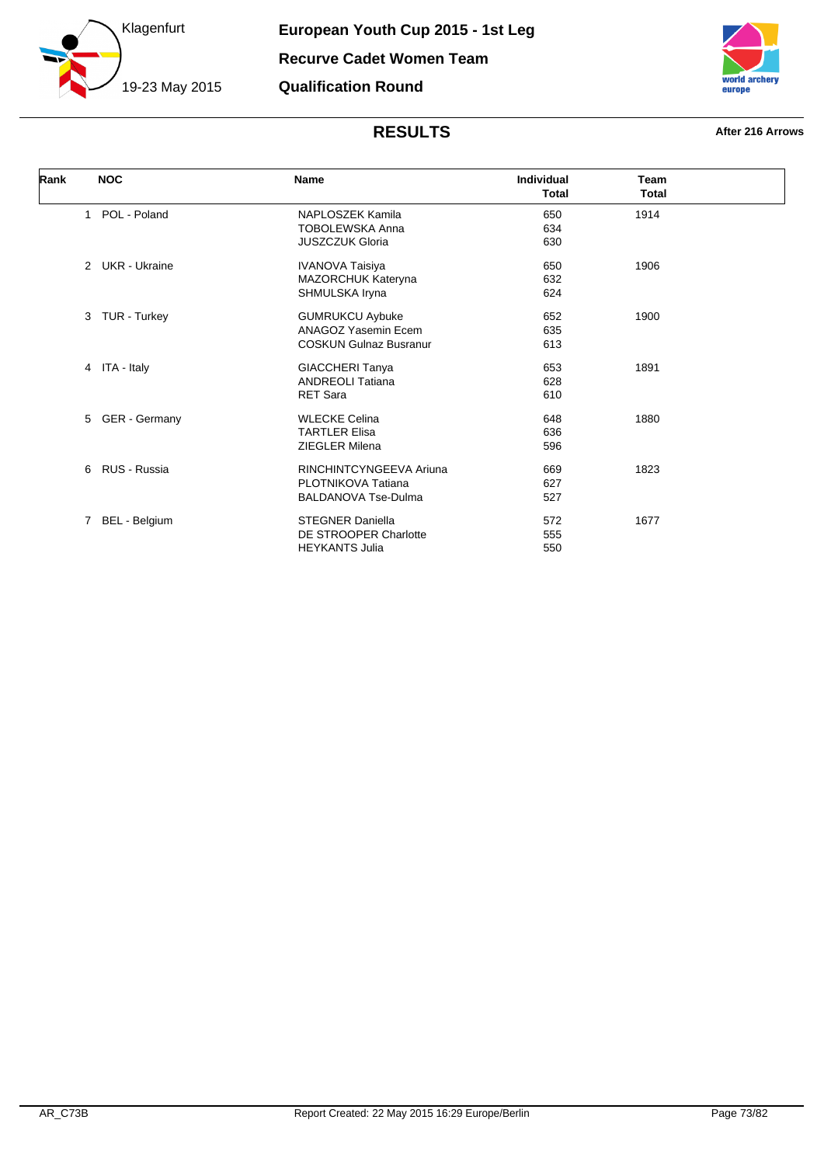



| Rank |              | <b>NOC</b>      | <b>Name</b>                   | Individual<br><b>Total</b> | <b>Team</b><br><b>Total</b> |  |
|------|--------------|-----------------|-------------------------------|----------------------------|-----------------------------|--|
|      | 1            | POL - Poland    | NAPLOSZEK Kamila              | 650                        | 1914                        |  |
|      |              |                 | <b>TOBOLEWSKA Anna</b>        | 634                        |                             |  |
|      |              |                 | <b>JUSZCZUK Gloria</b>        | 630                        |                             |  |
|      |              | 2 UKR - Ukraine | <b>IVANOVA Taisiya</b>        | 650                        | 1906                        |  |
|      |              |                 | MAZORCHUK Kateryna            | 632                        |                             |  |
|      |              |                 | SHMULSKA Iryna                | 624                        |                             |  |
|      | 3            | TUR - Turkey    | <b>GUMRUKCU Aybuke</b>        | 652                        | 1900                        |  |
|      |              |                 | ANAGOZ Yasemin Ecem           | 635                        |                             |  |
|      |              |                 | <b>COSKUN Gulnaz Busranur</b> | 613                        |                             |  |
|      |              | 4 ITA - Italy   | <b>GIACCHERI Tanya</b>        | 653                        | 1891                        |  |
|      |              |                 | <b>ANDREOLI Tatiana</b>       | 628                        |                             |  |
|      |              |                 | <b>RET Sara</b>               | 610                        |                             |  |
|      | 5            | GER - Germany   | <b>WLECKE Celina</b>          | 648                        | 1880                        |  |
|      |              |                 | <b>TARTLER Elisa</b>          | 636                        |                             |  |
|      |              |                 | <b>ZIEGLER Milena</b>         | 596                        |                             |  |
|      | 6            | RUS - Russia    | RINCHINTCYNGEEVA Ariuna       | 669                        | 1823                        |  |
|      |              |                 | PLOTNIKOVA Tatiana            | 627                        |                             |  |
|      |              |                 | <b>BALDANOVA Tse-Dulma</b>    | 527                        |                             |  |
|      | $\mathbf{7}$ | BEL - Belgium   | <b>STEGNER Daniella</b>       | 572                        | 1677                        |  |
|      |              |                 | DE STROOPER Charlotte         | 555                        |                             |  |
|      |              |                 | <b>HEYKANTS Julia</b>         | 550                        |                             |  |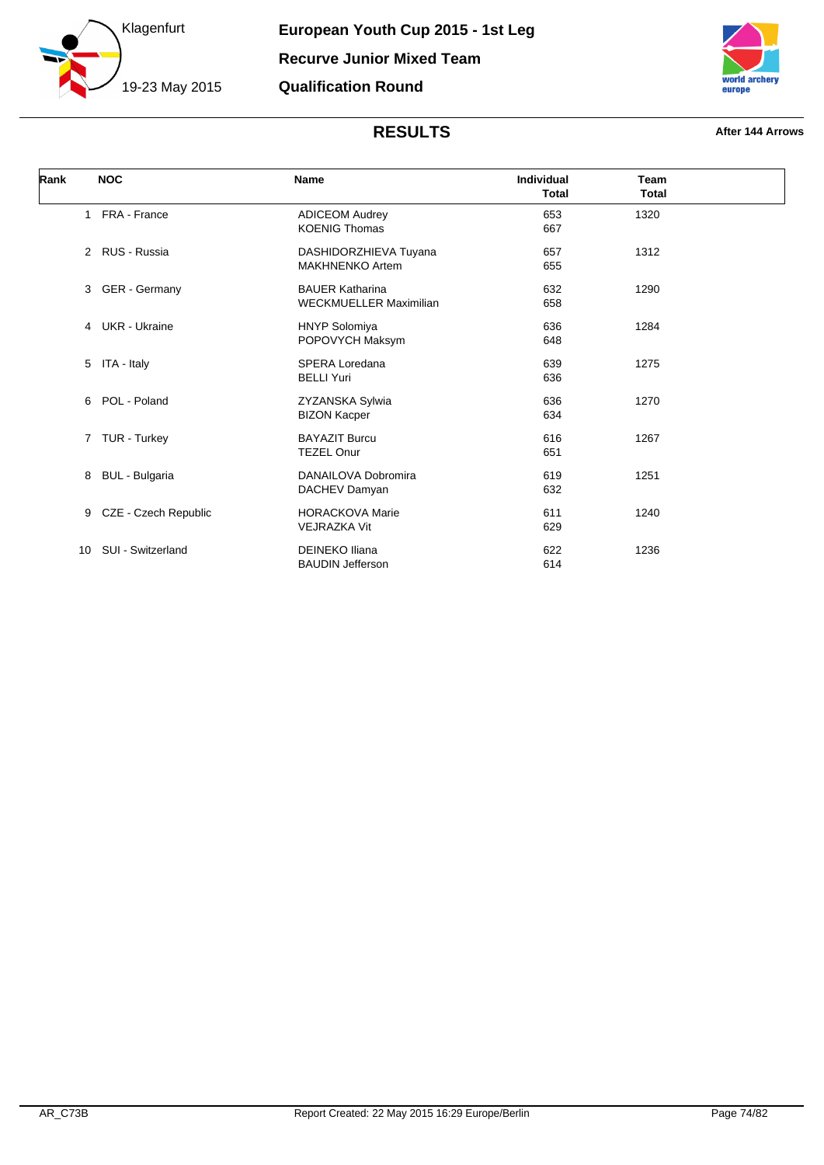



| Rank | <b>NOC</b>            | <b>Name</b>                                             | Individual<br><b>Total</b> | Team<br><b>Total</b> |  |
|------|-----------------------|---------------------------------------------------------|----------------------------|----------------------|--|
|      | 1 FRA - France        | <b>ADICEOM Audrey</b><br><b>KOENIG Thomas</b>           | 653<br>667                 | 1320                 |  |
|      | 2 RUS - Russia        | DASHIDORZHIEVA Tuyana<br><b>MAKHNENKO Artem</b>         | 657<br>655                 | 1312                 |  |
|      | 3 GER - Germany       | <b>BAUER Katharina</b><br><b>WECKMUELLER Maximilian</b> | 632<br>658                 | 1290                 |  |
|      | 4 UKR - Ukraine       | <b>HNYP Solomiya</b><br>POPOVYCH Maksym                 | 636<br>648                 | 1284                 |  |
|      | 5 ITA - Italy         | SPERA Loredana<br><b>BELLI Yuri</b>                     | 639<br>636                 | 1275                 |  |
|      | 6 POL - Poland        | ZYZANSKA Sylwia<br><b>BIZON Kacper</b>                  | 636<br>634                 | 1270                 |  |
|      | 7 TUR - Turkey        | <b>BAYAZIT Burcu</b><br><b>TEZEL Onur</b>               | 616<br>651                 | 1267                 |  |
| 8    | <b>BUL</b> - Bulgaria | DANAILOVA Dobromira<br>DACHEV Damyan                    | 619<br>632                 | 1251                 |  |
| 9    | CZE - Czech Republic  | <b>HORACKOVA Marie</b><br><b>VEJRAZKA Vit</b>           | 611<br>629                 | 1240                 |  |
| 10   | SUI - Switzerland     | <b>DEINEKO Iliana</b><br><b>BAUDIN Jefferson</b>        | 622<br>614                 | 1236                 |  |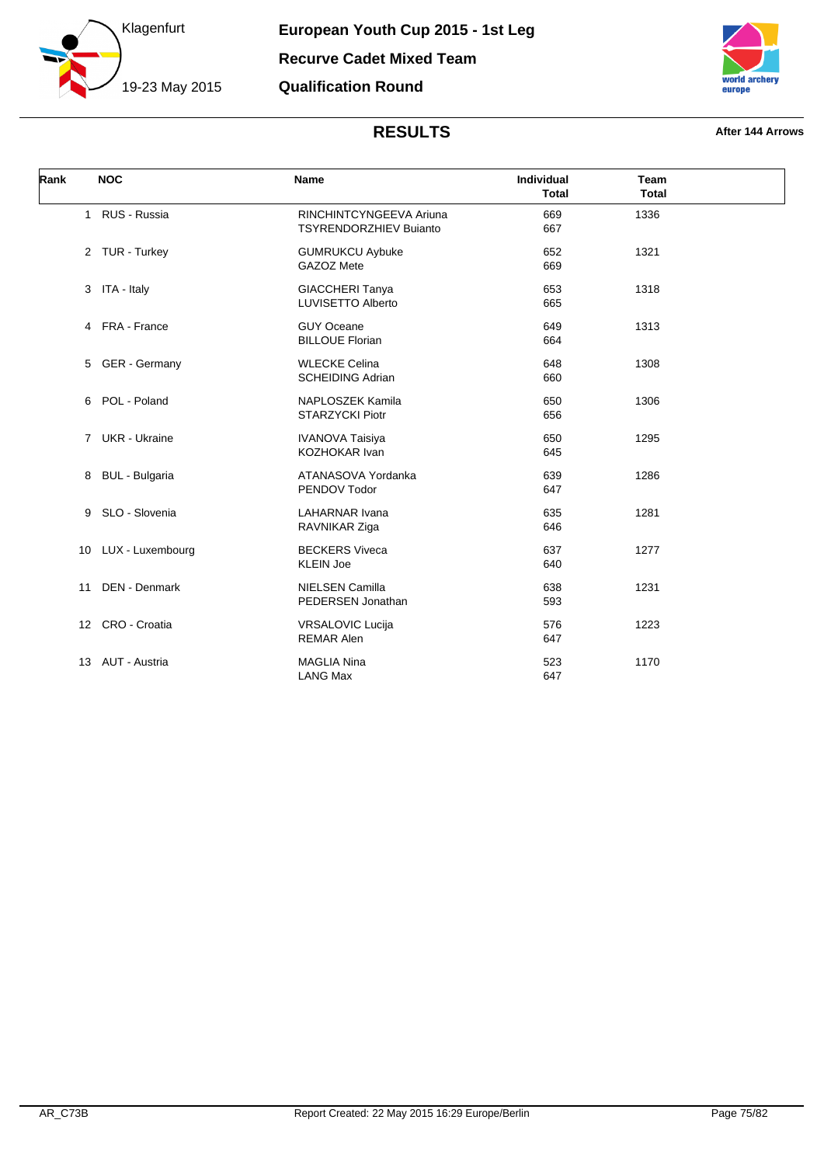



| Rank | <b>NOC</b>           | Name                                                     | Individual<br><b>Total</b> | <b>Team</b><br><b>Total</b> |  |
|------|----------------------|----------------------------------------------------------|----------------------------|-----------------------------|--|
|      | 1 RUS - Russia       | RINCHINTCYNGEEVA Ariuna<br><b>TSYRENDORZHIEV Bujanto</b> | 669<br>667                 | 1336                        |  |
|      | 2 TUR - Turkey       | <b>GUMRUKCU Aybuke</b><br>GAZOZ Mete                     | 652<br>669                 | 1321                        |  |
|      | 3 ITA - Italy        | <b>GIACCHERI Tanya</b><br><b>LUVISETTO Alberto</b>       | 653<br>665                 | 1318                        |  |
|      | 4 FRA - France       | <b>GUY Oceane</b><br><b>BILLOUE Florian</b>              | 649<br>664                 | 1313                        |  |
|      | 5 GER - Germany      | <b>WLECKE Celina</b><br><b>SCHEIDING Adrian</b>          | 648<br>660                 | 1308                        |  |
|      | 6 POL - Poland       | <b>NAPLOSZEK Kamila</b><br><b>STARZYCKI Piotr</b>        | 650<br>656                 | 1306                        |  |
|      | 7 UKR - Ukraine      | <b>IVANOVA Taisiya</b><br><b>KOZHOKAR Ivan</b>           | 650<br>645                 | 1295                        |  |
|      | 8 BUL - Bulgaria     | ATANASOVA Yordanka<br>PENDOV Todor                       | 639<br>647                 | 1286                        |  |
| 9    | SLO - Slovenia       | <b>LAHARNAR Ivana</b><br>RAVNIKAR Ziga                   | 635<br>646                 | 1281                        |  |
|      | 10 LUX - Luxembourg  | <b>BECKERS Viveca</b><br><b>KLEIN Joe</b>                | 637<br>640                 | 1277                        |  |
| 11   | <b>DEN - Denmark</b> | <b>NIELSEN Camilla</b><br>PEDERSEN Jonathan              | 638<br>593                 | 1231                        |  |
|      | 12 CRO - Croatia     | <b>VRSALOVIC Lucija</b><br><b>REMAR Alen</b>             | 576<br>647                 | 1223                        |  |
| 13   | AUT - Austria        | <b>MAGLIA Nina</b><br><b>LANG Max</b>                    | 523<br>647                 | 1170                        |  |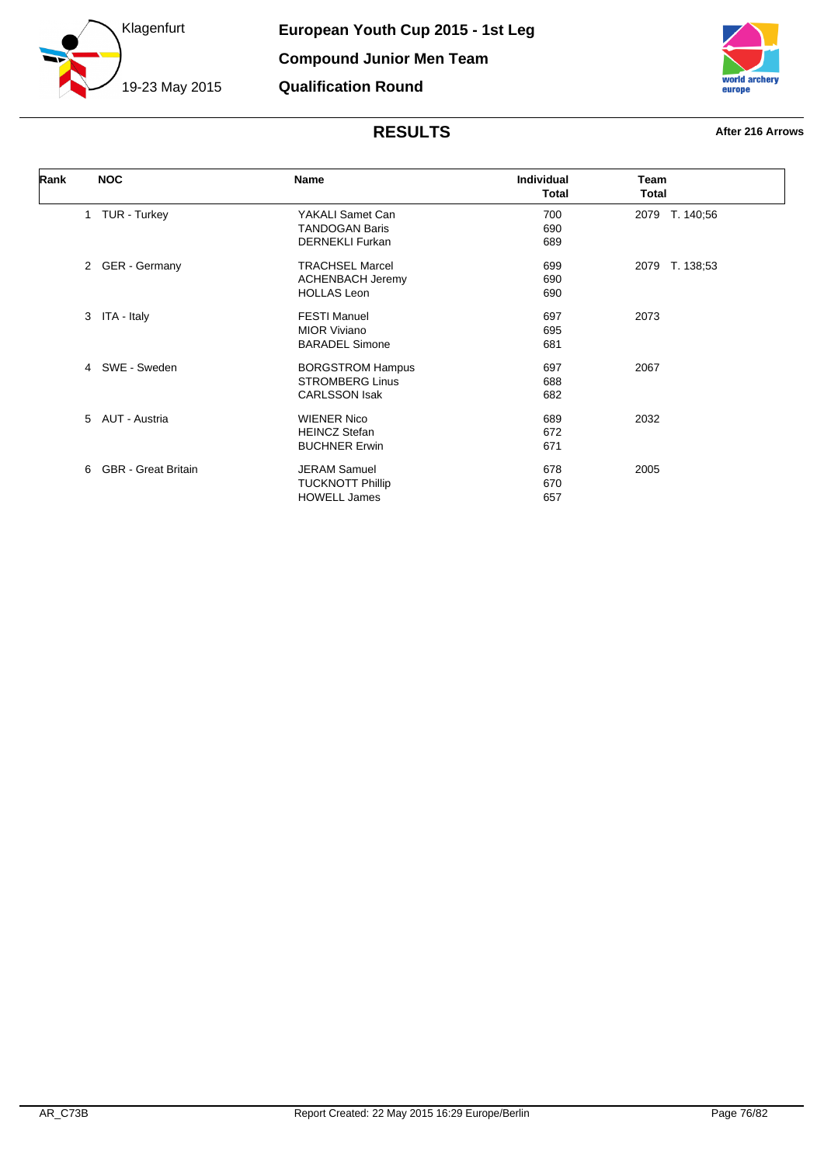



| Rank | <b>NOC</b>            | Name                                                                                                                                                                                                                    | Individual<br><b>Total</b> | Team<br>Total  |
|------|-----------------------|-------------------------------------------------------------------------------------------------------------------------------------------------------------------------------------------------------------------------|----------------------------|----------------|
|      | 1 TUR - Turkey        | YAKALI Samet Can                                                                                                                                                                                                        | 700                        | 2079 T. 140;56 |
|      |                       | <b>TANDOGAN Baris</b>                                                                                                                                                                                                   | 690                        |                |
|      |                       | <b>DERNEKLI Furkan</b>                                                                                                                                                                                                  | 689                        |                |
|      | 2 GER - Germany       | <b>TRACHSEL Marcel</b>                                                                                                                                                                                                  | 699                        | 2079 T. 138;53 |
|      |                       | <b>ACHENBACH Jeremy</b>                                                                                                                                                                                                 | 690                        |                |
|      |                       | <b>HOLLAS Leon</b>                                                                                                                                                                                                      | 690                        |                |
|      | 3 ITA - Italy         | <b>FESTI Manuel</b>                                                                                                                                                                                                     | 697                        | 2073           |
|      |                       | <b>MIOR Viviano</b>                                                                                                                                                                                                     | 695                        |                |
|      |                       | <b>BARADEL Simone</b>                                                                                                                                                                                                   | 681                        |                |
|      | 4 SWE - Sweden        | <b>BORGSTROM Hampus</b><br>697<br><b>STROMBERG Linus</b><br>688<br><b>CARLSSON Isak</b><br>682<br><b>WIENER Nico</b><br>689<br><b>HEINCZ Stefan</b><br>672<br><b>BUCHNER Erwin</b><br>671<br><b>JERAM Samuel</b><br>678 | 2067                       |                |
|      |                       |                                                                                                                                                                                                                         |                            |                |
|      |                       |                                                                                                                                                                                                                         |                            |                |
|      | 5 AUT - Austria       |                                                                                                                                                                                                                         |                            | 2032           |
|      |                       |                                                                                                                                                                                                                         |                            |                |
|      |                       |                                                                                                                                                                                                                         |                            |                |
|      | 6 GBR - Great Britain |                                                                                                                                                                                                                         |                            | 2005           |
|      |                       | <b>TUCKNOTT Phillip</b>                                                                                                                                                                                                 | 670                        |                |
|      |                       | <b>HOWELL James</b>                                                                                                                                                                                                     | 657                        |                |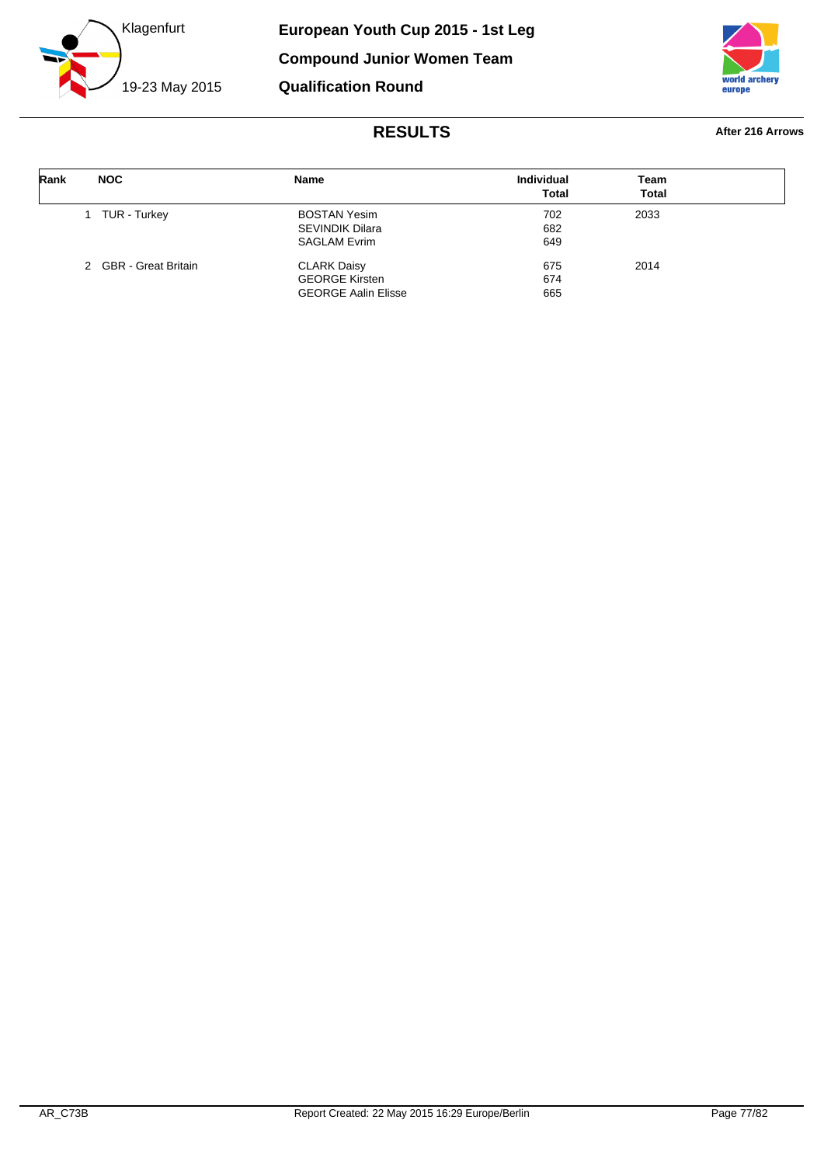



| Rank | <b>NOC</b>            | <b>Name</b>                                                               | <b>Individual</b><br><b>Total</b> | Team<br><b>Total</b> |  |
|------|-----------------------|---------------------------------------------------------------------------|-----------------------------------|----------------------|--|
|      | TUR - Turkey          | <b>BOSTAN Yesim</b><br><b>SEVINDIK Dilara</b><br><b>SAGLAM Evrim</b>      | 702<br>682<br>649                 | 2033                 |  |
|      | 2 GBR - Great Britain | <b>CLARK Daisy</b><br><b>GEORGE Kirsten</b><br><b>GEORGE Aalin Elisse</b> | 675<br>674<br>665                 | 2014                 |  |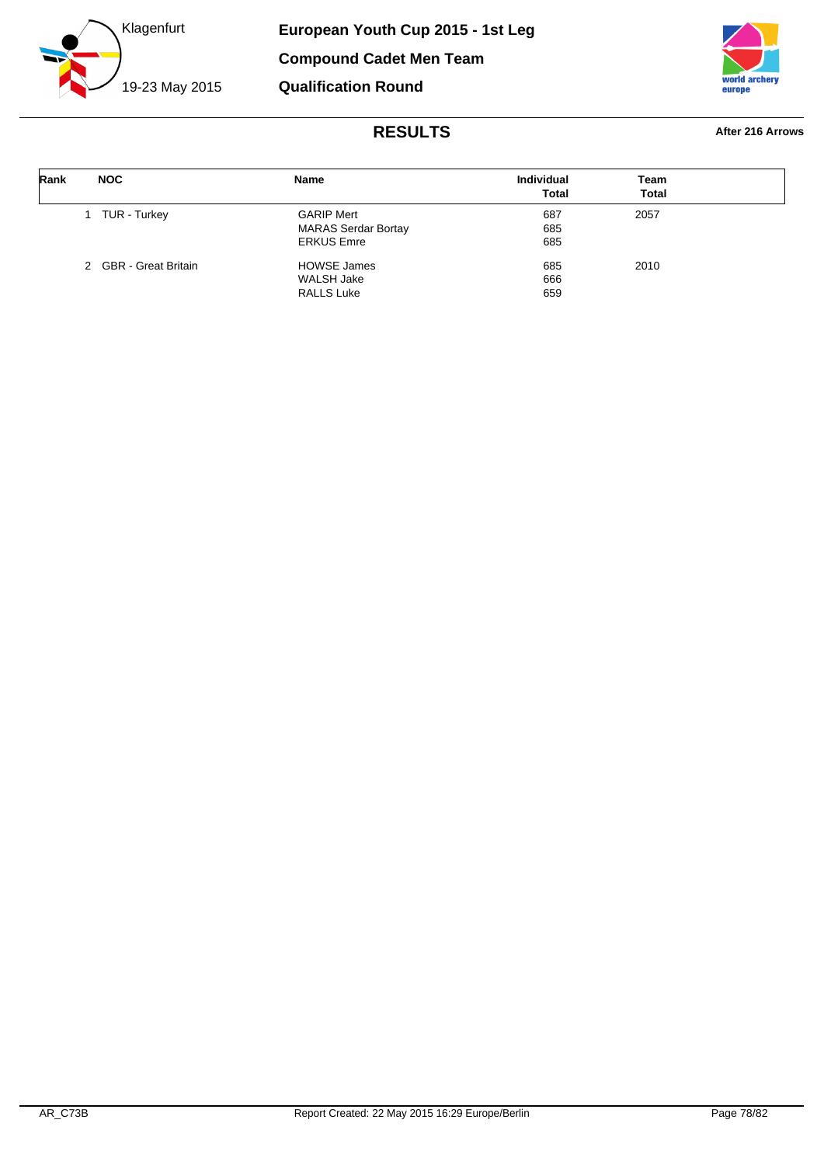



| Rank | <b>NOC</b>            | Name                       | <b>Individual</b><br><b>Total</b> | Team<br>Total |  |
|------|-----------------------|----------------------------|-----------------------------------|---------------|--|
|      | TUR - Turkey          | <b>GARIP Mert</b>          | 687                               | 2057          |  |
|      |                       | <b>MARAS Serdar Bortay</b> | 685                               |               |  |
|      |                       | <b>ERKUS Emre</b>          | 685                               |               |  |
|      | 2 GBR - Great Britain | <b>HOWSE James</b>         | 685                               | 2010          |  |
|      |                       | WALSH Jake                 | 666                               |               |  |
|      |                       | <b>RALLS Luke</b>          | 659                               |               |  |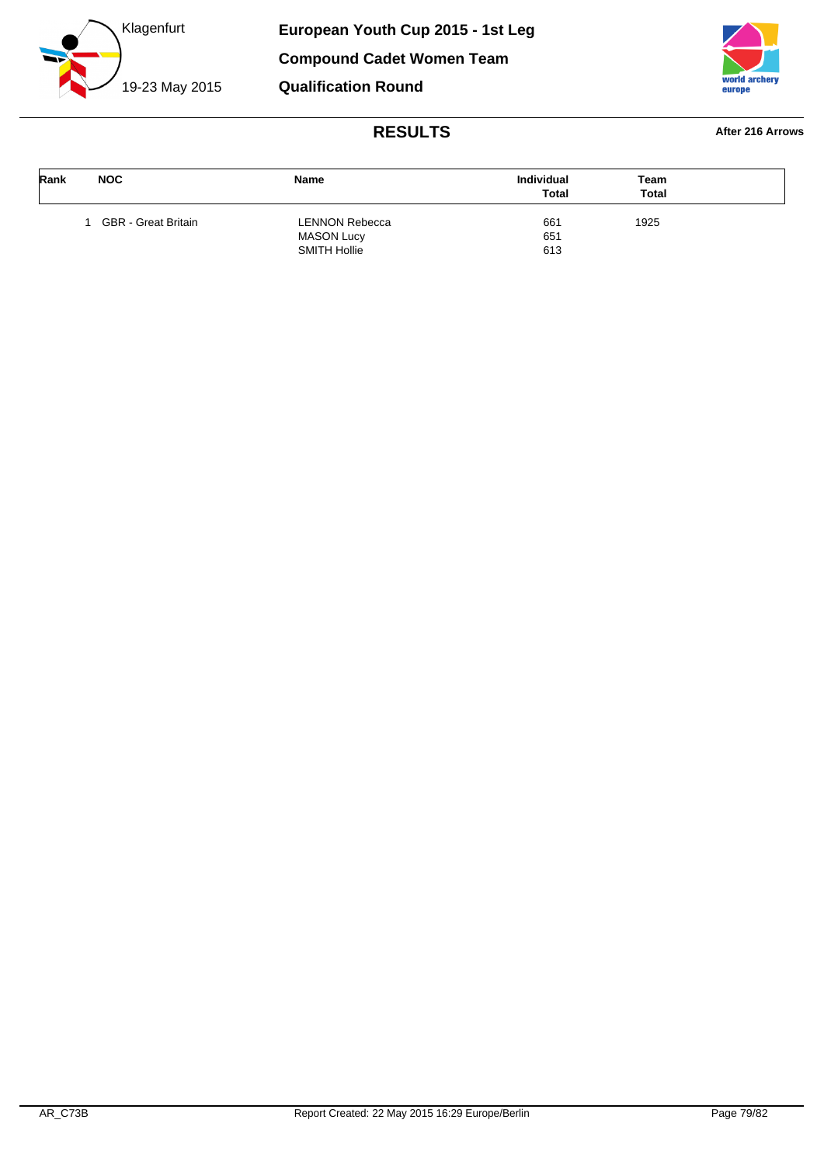



| Rank | <b>NOC</b>          | <b>Name</b>           | <b>Individual</b><br><b>Total</b> | Team<br><b>Total</b> |  |
|------|---------------------|-----------------------|-----------------------------------|----------------------|--|
|      | GBR - Great Britain | <b>LENNON Rebecca</b> | 661                               | 1925                 |  |
|      |                     | <b>MASON Lucy</b>     | 651                               |                      |  |
|      |                     | SMITH Hollie          | 613                               |                      |  |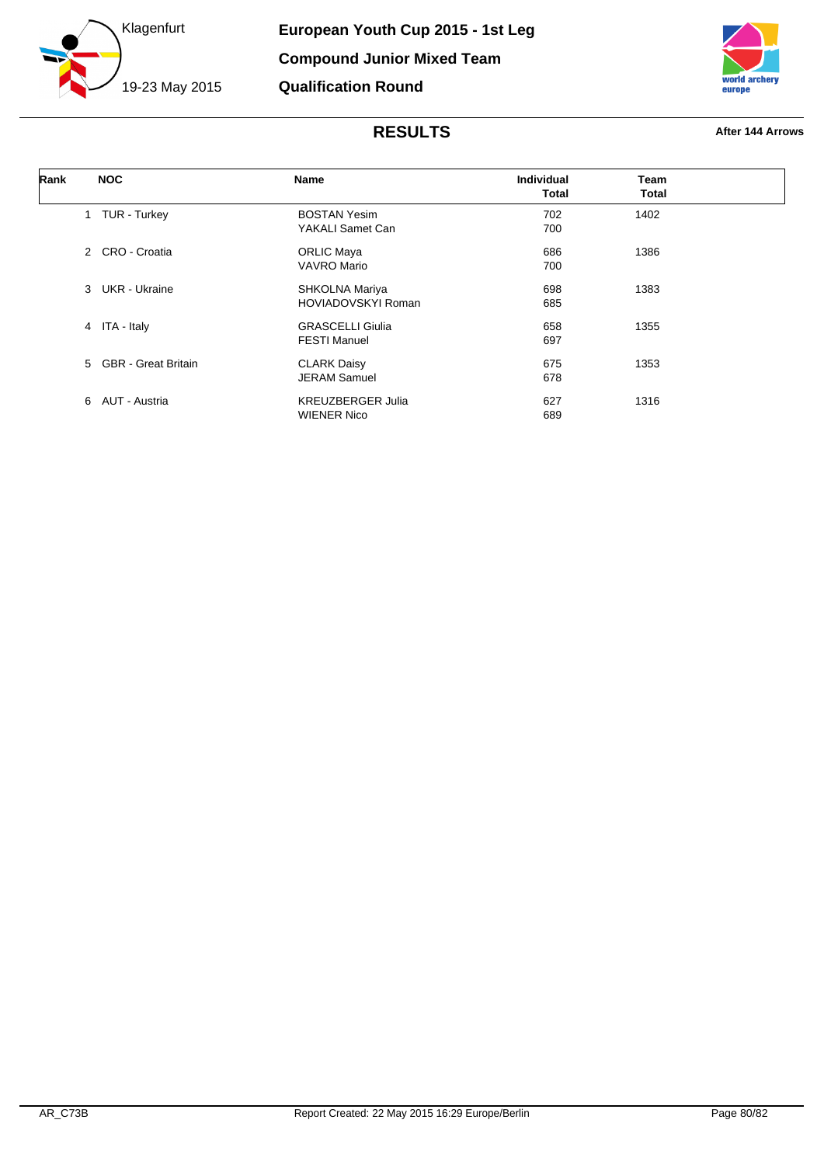



| Rank | <b>NOC</b>            | Name                                           | <b>Individual</b><br><b>Total</b> | Team<br>Total |  |
|------|-----------------------|------------------------------------------------|-----------------------------------|---------------|--|
|      | 1 TUR - Turkey        | <b>BOSTAN Yesim</b><br>YAKALI Samet Can        | 702<br>700                        | 1402          |  |
|      | 2 CRO - Croatia       | <b>ORLIC Maya</b><br><b>VAVRO Mario</b>        | 686<br>700                        | 1386          |  |
|      | 3 UKR - Ukraine       | SHKOLNA Mariya<br><b>HOVIADOVSKYI Roman</b>    | 698<br>685                        | 1383          |  |
|      | 4 ITA - Italy         | <b>GRASCELLI Giulia</b><br><b>FESTI Manuel</b> | 658<br>697                        | 1355          |  |
|      | 5 GBR - Great Britain | <b>CLARK Daisy</b><br><b>JERAM Samuel</b>      | 675<br>678                        | 1353          |  |
|      | 6 AUT - Austria       | <b>KREUZBERGER Julia</b><br><b>WIENER Nico</b> | 627<br>689                        | 1316          |  |